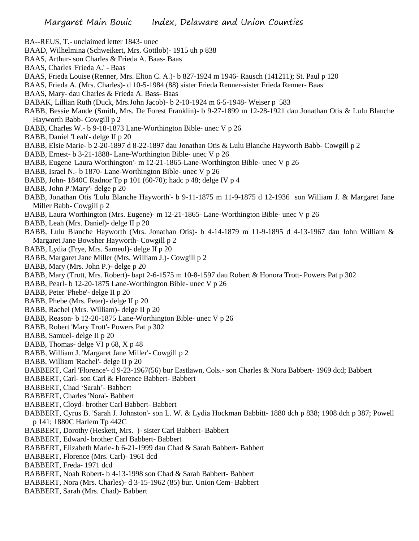- BA--REUS, T.- unclaimed letter 1843- unec
- BAAD, Wilhelmina (Schweikert, Mrs. Gottlob)- 1915 uh p 838
- BAAS, Arthur- son Charles & Frieda A. Baas- Baas
- BAAS, Charles 'Frieda A.' Baas
- BAAS, Frieda Louise (Renner, Mrs. Elton C. A.)- b 827-1924 m 1946- Rausch (141211); St. Paul p 120
- BAAS, Frieda A. (Mrs. Charles)- d 10-5-1984 (88) sister Frieda Renner-sister Frieda Renner- Baas
- BAAS, Mary- dau Charles & Frieda A. Bass- Baas
- BABAK, Lillian Ruth (Duck, Mrs.John Jacob)- b 2-10-1924 m 6-5-1948- Weiser p 583
- BABB, Bessie Maude (Smith, Mrs. De Forest Franklin)- b 9-27-1899 m 12-28-1921 dau Jonathan Otis & Lulu Blanche Hayworth Babb- Cowgill p 2
- BABB, Charles W.- b 9-18-1873 Lane-Worthington Bible- unec V p 26
- BABB, Daniel 'Leah'- delge II p 20
- BABB, Elsie Marie- b 2-20-1897 d 8-22-1897 dau Jonathan Otis & Lulu Blanche Hayworth Babb- Cowgill p 2
- BABB, Ernest- b 3-21-1888- Lane-Worthington Bible- unec V p 26
- BABB, Eugene 'Laura Worthington'- m 12-21-1865-Lane-Worthington Bible- unec V p 26
- BABB, Israel N.- b 1870- Lane-Worthington Bible- unec V p 26
- BABB, John- 1840C Radnor Tp p 101 (60-70); hadc p 48; delge IV p 4
- BABB, John P.'Mary'- delge p 20
- BABB, Jonathan Otis 'Lulu Blanche Hayworth'- b 9-11-1875 m 11-9-1875 d 12-1936 son William J. & Margaret Jane Miller Babb- Cowgill p 2
- BABB, Laura Worthington (Mrs. Eugene)- m 12-21-1865- Lane-Worthington Bible- unec V p 26
- BABB, Leah (Mrs. Daniel)- delge II p 20
- BABB, Lulu Blanche Hayworth (Mrs. Jonathan Otis)- b 4-14-1879 m 11-9-1895 d 4-13-1967 dau John William & Margaret Jane Bowsher Hayworth- Cowgill p 2
- BABB, Lydia (Frye, Mrs. Sameul)- delge II p 20
- BABB, Margaret Jane Miller (Mrs. William J.)- Cowgill p 2
- BABB, Mary (Mrs. John P.)- delge p 20
- BABB, Mary (Trott, Mrs. Robert)- bapt 2-6-1575 m 10-8-1597 dau Robert & Honora Trott- Powers Pat p 302
- BABB, Pearl- b 12-20-1875 Lane-Worthington Bible- unec V p 26
- BABB, Peter 'Phebe'- delge II p 20
- BABB, Phebe (Mrs. Peter)- delge II p 20
- BABB, Rachel (Mrs. William)- delge II p 20
- BABB, Reason- b 12-20-1875 Lane-Worthington Bible- unec V p 26
- BABB, Robert 'Mary Trott'- Powers Pat p 302
- BABB, Samuel- delge II p 20
- BABB, Thomas- delge VI p 68, X p 48
- BABB, William J. 'Margaret Jane Miller'- Cowgill p 2
- BABB, William 'Rachel'- delge II p 20
- BABBERT, Carl 'Florence'- d 9-23-1967(56) bur Eastlawn, Cols.- son Charles & Nora Babbert- 1969 dcd; Babbert
- BABBERT, Carl- son Carl & Florence Babbert- Babbert
- BABBERT, Chad 'Sarah'- Babbert
- BABBERT, Charles 'Nora'- Babbert
- BABBERT, Cloyd- brother Carl Babbert- Babbert
- BABBERT, Cyrus B. 'Sarah J. Johnston'- son L. W. & Lydia Hockman Babbitt- 1880 dch p 838; 1908 dch p 387; Powell p 141; 1880C Harlem Tp 442C
- BABBERT, Dorothy (Heskett, Mrs. )- sister Carl Babbert- Babbert
- BABBERT, Edward- brother Carl Babbert- Babbert
- BABBERT, Elizabeth Marie- b 6-21-1999 dau Chad & Sarah Babbert- Babbert
- BABBERT, Florence (Mrs. Carl)- 1961 dcd
- BABBERT, Freda- 1971 dcd
- BABBERT, Noah Robert- b 4-13-1998 son Chad & Sarah Babbert- Babbert
- BABBERT, Nora (Mrs. Charles)- d 3-15-1962 (85) bur. Union Cem- Babbert
- BABBERT, Sarah (Mrs. Chad)- Babbert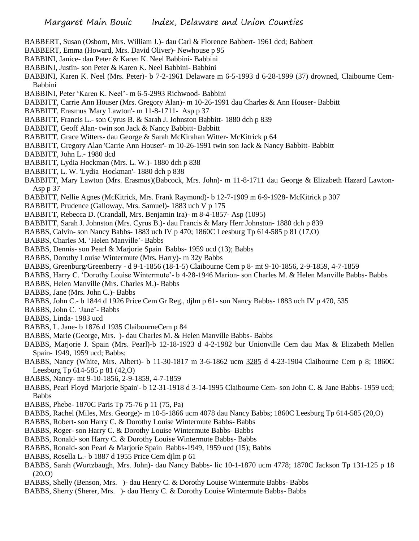- BABBERT, Susan (Osborn, Mrs. William J.)- dau Carl & Florence Babbert- 1961 dcd; Babbert
- BABBERT, Emma (Howard, Mrs. David Oliver)- Newhouse p 95
- BABBINI, Janice- dau Peter & Karen K. Neel Babbini- Babbini
- BABBINI, Justin- son Peter & Karen K. Neel Babbini- Babbini
- BABBINI, Karen K. Neel (Mrs. Peter)- b 7-2-1961 Delaware m 6-5-1993 d 6-28-1999 (37) drowned, Claibourne Cem-Babbini
- BABBINI, Peter 'Karen K. Neel'- m 6-5-2993 Richwood- Babbini
- BABBITT, Carrie Ann Houser (Mrs. Gregory Alan)- m 10-26-1991 dau Charles & Ann Houser- Babbitt
- BABBITT, Erasmus 'Mary Lawton'- m 11-8-1711- Asp p 37
- BABBITT, Francis L.- son Cyrus B. & Sarah J. Johnston Babbitt- 1880 dch p 839
- BABBITT, Geoff Alan- twin son Jack & Nancy Babbitt- Babbitt
- BABBITT, Grace Witters- dau George & Sarah McKirahan Witter- McKitrick p 64
- BABBITT, Gregory Alan 'Carrie Ann Houser'- m 10-26-1991 twin son Jack & Nancy Babbitt- Babbitt
- BABBITT, John L.- 1980 dcd
- BABBITT, Lydia Hockman (Mrs. L. W.)- 1880 dch p 838
- BABBITT, L. W. 'Lydia Hockman'- 1880 dch p 838
- BABBITT, Mary Lawton (Mrs. Erasmus)(Babcock, Mrs. John)- m 11-8-1711 dau George & Elizabeth Hazard Lawton-Asp p 37
- BABBITT, Nellie Agnes (McKitrick, Mrs. Frank Raymond)- b 12-7-1909 m 6-9-1928- McKitrick p 307
- BABBITT, Prudence (Galloway, Mrs. Samuel)- 1883 uch V p 175
- BABBITT, Rebecca D. (Crandall, Mrs. Benjamin Ira)- m 8-4-1857- Asp (1095)
- BABBITT, Sarah J. Johnston (Mrs. Cyrus B.)- dau Francis & Mary Herr Johnston- 1880 dch p 839
- BABBS, Calvin- son Nancy Babbs- 1883 uch IV p 470; 1860C Leesburg Tp 614-585 p 81 (17,O)
- BABBS, Charles M. 'Helen Manville'- Babbs
- BABBS, Dennis- son Pearl & Marjorie Spain Babbs- 1959 ucd (13); Babbs
- BABBS, Dorothy Louise Wintermute (Mrs. Harry)- m 32y Babbs
- BABBS, Greenburg/Greenberry d 9-1-1856 (18-1-5) Claibourne Cem p 8- mt 9-10-1856, 2-9-1859, 4-7-1859
- BABBS, Harry C. 'Dorothy Louise Wintermute'- b 4-28-1946 Marion- son Charles M. & Helen Manville Babbs- Babbs
- BABBS, Helen Manville (Mrs. Charles M.)- Babbs
- BABBS, Jane (Mrs. John C.)- Babbs
- BABBS, John C.- b 1844 d 1926 Price Cem Gr Reg., djlm p 61- son Nancy Babbs- 1883 uch IV p 470, 535
- BABBS, John C. 'Jane'- Babbs
- BABBS, Linda- 1983 ucd
- BABBS, L. Jane- b 1876 d 1935 ClaibourneCem p 84
- BABBS, Marie (George, Mrs. )- dau Charles M. & Helen Manville Babbs- Babbs
- BABBS, Marjorie J. Spain (Mrs. Pearl)-b 12-18-1923 d 4-2-1982 bur Unionville Cem dau Max & Elizabeth Mellen Spain- 1949, 1959 ucd; Babbs;
- BABBS, Nancy (White, Mrs. Albert)- b 11-30-1817 m 3-6-1862 ucm 3285 d 4-23-1904 Claibourne Cem p 8; 1860C Leesburg Tp 614-585 p 81 (42,O)
- BABBS, Nancy- mt 9-10-1856, 2-9-1859, 4-7-1859
- BABBS, Pearl Floyd 'Marjorie Spain'- b 12-31-1918 d 3-14-1995 Claibourne Cem- son John C. & Jane Babbs- 1959 ucd; Babbs
- BABBS, Phebe- 1870C Paris Tp 75-76 p 11 (75, Pa)
- BABBS, Rachel (Miles, Mrs. George)- m 10-5-1866 ucm 4078 dau Nancy Babbs; 1860C Leesburg Tp 614-585 (20,O)
- BABBS, Robert- son Harry C. & Dorothy Louise Wintermute Babbs- Babbs
- BABBS, Roger- son Harry C. & Dorothy Louise Wintermute Babbs- Babbs
- BABBS, Ronald- son Harry C. & Dorothy Louise Wintermute Babbs- Babbs
- BABBS, Ronald- son Pearl & Marjorie Spain Babbs-1949, 1959 ucd (15); Babbs
- BABBS, Rosella L.- b 1887 d 1955 Price Cem djlm p 61
- BABBS, Sarah (Wurtzbaugh, Mrs. John)- dau Nancy Babbs- lic 10-1-1870 ucm 4778; 1870C Jackson Tp 131-125 p 18 (20,O)
- BABBS, Shelly (Benson, Mrs. )- dau Henry C. & Dorothy Louise Wintermute Babbs- Babbs
- BABBS, Sherry (Sherer, Mrs. )- dau Henry C. & Dorothy Louise Wintermute Babbs- Babbs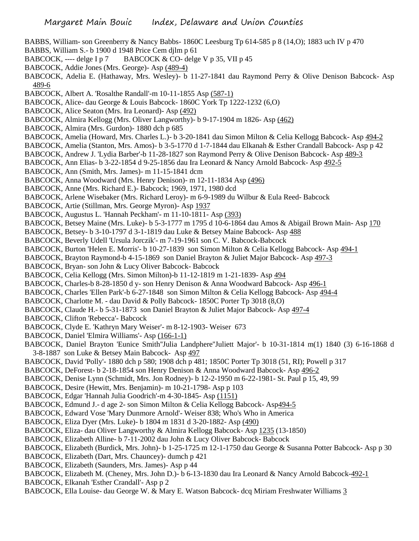- BABBS, William- son Greenberry & Nancy Babbs- 1860C Leesburg Tp 614-585 p 8 (14,O); 1883 uch IV p 470
- BABBS, William S.- b 1900 d 1948 Price Cem djlm p 61
- BABCOCK, ---- delge I p 7 BABCOCK & CO- delge V p 35, VII p 45
- BABCOCK, Addie Jones (Mrs. George)- Asp (489-4)
- BABCOCK, Adelia E. (Hathaway, Mrs. Wesley)- b 11-27-1841 dau Raymond Perry & Olive Denison Babcock- Asp 489-6
- BABCOCK, Albert A. 'Rosalthe Randall'-m 10-11-1855 Asp (587-1)
- BABCOCK, Alice- dau George & Louis Babcock- 1860C York Tp 1222-1232 (6,O)
- BABCOCK, Alice Seaton (Mrs. Ira Leonard)- Asp (492)
- BABCOCK, Almira Kellogg (Mrs. Oliver Langworthy)- b 9-17-1904 m 1826- Asp (462)
- BABCOCK, Almira (Mrs. Gurdon)- 1880 dch p 685
- BABCOCK, Amelia (Howard, Mrs. Charles L.)- b 3-20-1841 dau Simon Milton & Celia Kellogg Babcock- Asp 494-2
- BABCOCK, Amelia (Stanton, Mrs. Amos)- b 3-5-1770 d 1-7-1844 dau Elkanah & Esther Crandall Babcock- Asp p 42
- BABCOCK, Andrew J. 'Lydia Barber'-b 11-28-1827 son Raymond Perry & Olive Denison Babcock- Asp 489-3
- BABCOCK, Ann Elias- b 3-22-1854 d 9-25-1856 dau Ira Leonard & Nancy Arnold Babcock- Asp 492-5
- BABCOCK, Ann (Smith, Mrs. James)- m 11-15-1841 dcm
- BABCOCK, Anna Woodward (Mrs. Henry Denison)- m 12-11-1834 Asp (496)
- BABCOCK, Anne (Mrs. Richard E.)- Babcock; 1969, 1971, 1980 dcd
- BABCOCK, Arlene Wisebaker (Mrs. Richard Leroy)- m 6-9-1989 du Wilbur & Eula Reed- Babcock
- BABCOCK, Artie (Stillman, Mrs. George Myron)- Asp 1937
- BABCOCK, Augustus L. 'Hannah Peckham'- m 11-10-1811- Asp (393)
- BABCOCK, Betsey Maine (Mrs. Luke)- b 5-3-1777 m 1795 d 10-6-1864 dau Amos & Abigail Brown Main- Asp 170
- BABCOCK, Betsey- b 3-10-1797 d 3-1-1819 dau Luke & Betsey Maine Babcock- Asp 488
- BABCOCK, Beverly Udell 'Ursula Jorczik'- m 7-19-1961 son C. V. Babcock-Babcock
- BABCOCK, Burton 'Helen E. Morris'- b 10-27-1839 son Simon Milton & Celia Kellogg Babcock- Asp 494-1
- BABCOCK, Brayton Raymond-b 4-15-1869 son Daniel Brayton & Juliet Major Babcock- Asp 497-3
- BABCOCK, Bryan- son John & Lucy Oliver Babcock- Babcock
- BABCOCK, Celia Kellogg (Mrs. Simon Milton)-b 11-12-1819 m 1-21-1839- Asp 494
- BABCOCK, Charles-b 8-28-1850 d y- son Henry Denison & Anna Woodward Babcock- Asp 496-1
- BABCOCK, Charles 'Ellen Park'-b 6-27-1848 son Simon Milton & Celia Kellogg Babcock- Asp 494-4
- BABCOCK, Charlotte M. dau David & Polly Babcock- 1850C Porter Tp 3018 (8,O)
- BABCOCK, Claude H.- b 5-31-1873 son Daniel Brayton & Juliet Major Babcock- Asp 497-4
- BABCOCK, Clifton 'Rebecca'- Babcock
- BABCOCK, Clyde E. 'Kathryn Mary Weiser'- m 8-12-1903- Weiser 673
- BABCOCK, Daniel 'Elmira Williams'- Asp (166-1-1)
- BABCOCK, Daniel Brayton 'Eunice Smith''Julia Landphere''Juliett Major'- b 10-31-1814 m(1) 1840 (3) 6-16-1868 d 3-8-1887 son Luke & Betsey Main Babcock- Asp 497
- BABCOCK, David 'Polly'- 1880 dch p 580; 1908 dch p 481; 1850C Porter Tp 3018 (51, RI); Powell p 317
- BABCOCK, DeForest- b 2-18-1854 son Henry Denison & Anna Woodward Babcock- Asp 496-2
- BABCOCK, Denise Lynn (Schmidt, Mrs. Jon Rodney)- b 12-2-1950 m 6-22-1981- St. Paul p 15, 49, 99
- BABCOCK, Desire (Hewitt, Mrs. Benjamin)- m 10-21-1798- Asp p 103
- BABCOCK, Edgar 'Hannah Julia Goodrich'-m 4-30-1845- Asp (1151)
- BABCOCK, Edmund J.- d age 2- son Simon Milton & Celia Kellogg Babcock- Asp494-5
- BABCOCK, Edward Vose 'Mary Dunmore Arnold'- Weiser 838; Who's Who in America
- BABCOCK, Eliza Dyer (Mrs. Luke)- b 1804 m 1831 d 3-20-1882- Asp (490)
- BABCOCK, Eliza- dau Oliver Langworthy & Almira Kellogg Babcock- Asp 1235 (13-1850)
- BABCOCK, Elizabeth Alline- b 7-11-2002 dau John & Lucy Oliver Babcock- Babcock
- BABCOCK, Elizabeth (Burdick, Mrs. John)- b 1-25-1725 m 12-1-1750 dau George & Susanna Potter Babcock- Asp p 30
- BABCOCK, Elizabeth (Dart, Mrs. Chauncey)- dumch p 421
- BABCOCK, Elizabeth (Saunders, Mrs. James)- Asp p 44
- BABCOCK, Elizabeth M. (Cheney, Mrs. John D.)- b 6-13-1830 dau Ira Leonard & Nancy Arnold Babcock-492-1
- BABCOCK, Elkanah 'Esther Crandall'- Asp p 2
- BABCOCK, Ella Louise- dau George W. & Mary E. Watson Babcock- dcq Miriam Freshwater Williams 3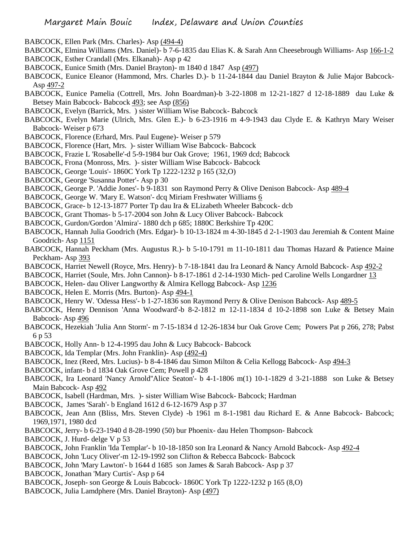- BABCOCK, Ellen Park (Mrs. Charles)- Asp (494-4)
- BABCOCK, Elmina Williams (Mrs. Daniel)- b 7-6-1835 dau Elias K. & Sarah Ann Cheesebrough Williams- Asp 166-1-2 BABCOCK, Esther Crandall (Mrs. Elkanah)- Asp p 42
- BABCOCK, Eunice Smith (Mrs. Daniel Brayton)- m 1840 d 1847 Asp (497)
- BABCOCK, Eunice Eleanor (Hammond, Mrs. Charles D.)- b 11-24-1844 dau Daniel Brayton & Julie Major Babcock-Asp 497-2
- BABCOCK, Eunice Pamelia (Cottrell, Mrs. John Boardman)-b 3-22-1808 m 12-21-1827 d 12-18-1889 dau Luke & Betsey Main Babcock- Babcock 493; see Asp (856)
- BABCOCK, Evelyn (Barrick, Mrs. ) sister William Wise Babcock- Babcock
- BABCOCK, Evelyn Marie (Ulrich, Mrs. Glen E.)- b 6-23-1916 m 4-9-1943 dau Clyde E. & Kathryn Mary Weiser Babcock- Weiser p 673
- BABCOCK, Florence (Erhard, Mrs. Paul Eugene)- Weiser p 579
- BABCOCK, Florence (Hart, Mrs. )- sister William Wise Babcock- Babcock
- BABCOCK, Frazie L 'Rosabelle'-d 5-9-1984 bur Oak Grove; 1961, 1969 dcd; Babcock
- BABCOCK, Frona (Monross, Mrs. )- sister William Wise Babcock- Babcock
- BABCOCK, George 'Louis'- 1860C York Tp 1222-1232 p 165 (32,O)
- BABCOCK, George 'Susanna Potter'- Asp p 30
- BABCOCK, George P. 'Addie Jones'- b 9-1831 son Raymond Perry & Olive Denison Babcock- Asp 489-4
- BABCOCK, George W. 'Mary E. Watson'- dcq Miriam Freshwater Williams 6
- BABCOCK, Grace- b 12-13-1877 Porter Tp dau Ira & ELizabeth Wheeler Babcock- dcb
- BABCOCK, Grant Thomas- b 5-17-2004 son John & Lucy Oliver Babcock- Babcock
- BABCOCK, Gurdon/Gordon 'Almira'- 1880 dch p 685; 1880C Berkshire Tp 420C
- BABCOCK, Hannah Julia Goodrich (Mrs. Edgar)- b 10-13-1824 m 4-30-1845 d 2-1-1903 dau Jeremiah & Content Maine Goodrich- Asp 1151
- BABCOCK, Hannah Peckham (Mrs. Augustus R.)- b 5-10-1791 m 11-10-1811 dau Thomas Hazard & Patience Maine Peckham- Asp 393
- BABCOCK, Harriet Newell (Royce, Mrs. Henry)- b 7-18-1841 dau Ira Leonard & Nancy Arnold Babcock- Asp 492-2
- BABCOCK, Harriet (Soule, Mrs. John Cannon)- b 8-17-1861 d 2-14-1930 Mich- ped Caroline Wells Longardner 13
- BABCOCK, Helen- dau Oliver Langworthy & Almira Kellogg Babcock- Asp 1236
- BABCOCK, Helen E. Morris (Mrs. Burton)- Asp 494-1
- BABCOCK, Henry W. 'Odessa Hess'- b 1-27-1836 son Raymond Perry & Olive Denison Babcock- Asp 489-5
- BABCOCK, Henry Dennison 'Anna Woodward'-b 8-2-1812 m 12-11-1834 d 10-2-1898 son Luke & Betsey Main Babcock- Asp 496
- BABCOCK, Hezekiah 'Julia Ann Storm'- m 7-15-1834 d 12-26-1834 bur Oak Grove Cem; Powers Pat p 266, 278; Pabst 6 p 53
- BABCOCK, Holly Ann- b 12-4-1995 dau John & Lucy Babcock- Babcock
- BABCOCK, Ida Templar (Mrs. John Franklin)- Asp (492-4)
- BABCOCK, Inez (Reed, Mrs. Lucius)- b 8-4-1846 dau Simon Milton & Celia Kellogg Babcock- Asp 494-3
- BABCOCK, infant- b d 1834 Oak Grove Cem; Powell p 428
- BABCOCK, Ira Leonard 'Nancy Arnold''Alice Seaton'- b 4-1-1806 m(1) 10-1-1829 d 3-21-1888 son Luke & Betsey Main Babcock- Asp 492
- BABCOCK, Isabell (Hardman, Mrs. )- sister William Wise Babcock- Babcock; Hardman
- BABCOCK, James 'Sarah'- b England 1612 d 6-12-1679 Asp p 37
- BABCOCK, Jean Ann (Bliss, Mrs. Steven Clyde) -b 1961 m 8-1-1981 dau Richard E. & Anne Babcock- Babcock; 1969,1971, 1980 dcd
- BABCOCK, Jerry- b 6-23-1940 d 8-28-1990 (50) bur Phoenix- dau Helen Thompson- Babcock
- BABCOCK, J. Hurd- delge V p 53
- BABCOCK, John Franklin 'Ida Templar'- b 10-18-1850 son Ira Leonard & Nancy Arnold Babcock- Asp 492-4
- BABCOCK, John 'Lucy Oliver'-m 12-19-1992 son Clifton & Rebecca Babcock- Babcock
- BABCOCK, John 'Mary Lawton'- b 1644 d 1685 son James & Sarah Babcock- Asp p 37
- BABCOCK, Jonathan 'Mary Curtis'- Asp p 64
- BABCOCK, Joseph- son George & Louis Babcock- 1860C York Tp 1222-1232 p 165 (8,O)
- BABCOCK, Julia Lamdphere (Mrs. Daniel Brayton)- Asp (497)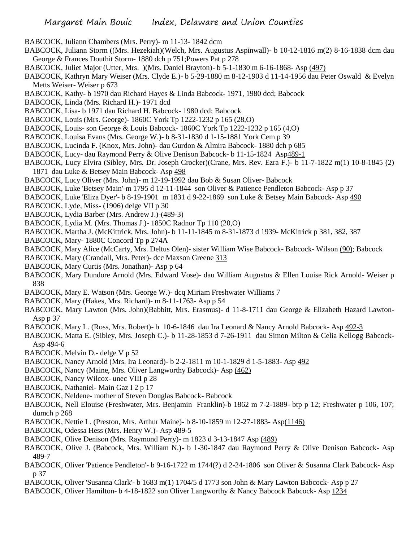BABCOCK, Juliann Chambers (Mrs. Perry)- m 11-13- 1842 dcm

- BABCOCK, Juliann Storm ((Mrs. Hezekiah)(Welch, Mrs. Augustus Aspinwall)- b 10-12-1816 m(2) 8-16-1838 dcm dau George & Frances Douthit Storm- 1880 dch p 751;Powers Pat p 278
- BABCOCK, Juliet Major (Utter, Mrs. )(Mrs. Daniel Brayton)- b 5-1-1830 m 6-16-1868- Asp (497)
- BABCOCK, Kathryn Mary Weiser (Mrs. Clyde E.)- b 5-29-1880 m 8-12-1903 d 11-14-1956 dau Peter Oswald & Evelyn Metts Weiser- Weiser p 673
- BABCOCK, Kathy- b 1970 dau Richard Hayes & Linda Babcock- 1971, 1980 dcd; Babcock
- BABCOCK, Linda (Mrs. Richard H.)- 1971 dcd
- BABCOCK, Lisa- b 1971 dau Richard H. Babcock- 1980 dcd; Babcock
- BABCOCK, Louis (Mrs. George)- 1860C York Tp 1222-1232 p 165 (28,O)
- BABCOCK, Louis- son George & Louis Babcock- 1860C York Tp 1222-1232 p 165 (4,O)
- BABCOCK, Louisa Evans (Mrs. George W.)- b 8-31-1830 d 1-15-1881 York Cem p 39
- BABCOCK, Lucinda F. (Knox, Mrs. John)- dau Gurdon & Almira Babcock- 1880 dch p 685
- BABCOCK, Lucy- dau Raymond Perry & Olive Denison Babcock- b 11-15-1824 Asp489-1
- BABCOCK, Lucy Elvira (Sibley, Mrs. Dr. Joseph Crocker)(Crane, Mrs. Rev. Ezra F.)- b 11-7-1822 m(1) 10-8-1845 (2) 1871 dau Luke & Betsey Main Babcock- Asp 498
- BABCOCK, Lucy Oliver (Mrs. John)- m 12-19-1992 dau Bob & Susan Oliver- Babcock
- BABCOCK, Luke 'Betsey Main'-m 1795 d 12-11-1844 son Oliver & Patience Pendleton Babcock- Asp p 37
- BABCOCK, Luke 'Eliza Dyer'- b 8-19-1901 m 1831 d 9-22-1869 son Luke & Betsey Main Babcock- Asp 490
- BABCOCK, Lyde, Miss- (1906) delge VII p 30
- BABCOCK, Lydia Barber (Mrs. Andrew J.)-(489-3)
- BABCOCK, Lydia M. (Mrs. Thomas J.)- 1850C Radnor Tp 110 (20,O)
- BABCOCK, Martha J. (McKittrick, Mrs. John)- b 11-11-1845 m 8-31-1873 d 1939- McKitrick p 381, 382, 387
- BABCOCK, Mary- 1880C Concord Tp p 274A
- BABCOCK, Mary Alice (McCarty, Mrs. Deltus Olen)- sister William Wise Babcock- Babcock- Wilson (90); Babcock
- BABCOCK, Mary (Crandall, Mrs. Peter)- dcc Maxson Greene 313
- BABCOCK, Mary Curtis (Mrs. Jonathan)- Asp p 64
- BABCOCK, Mary Dundore Arnold (Mrs. Edward Vose)- dau William Augustus & Ellen Louise Rick Arnold- Weiser p 838
- BABCOCK, Mary E. Watson (Mrs. George W.)- dcq Miriam Freshwater Williams 7
- BABCOCK, Mary (Hakes, Mrs. Richard)- m 8-11-1763- Asp p 54
- BABCOCK, Mary Lawton (Mrs. John)(Babbitt, Mrs. Erasmus)- d 11-8-1711 dau George & Elizabeth Hazard Lawton-Asp p 37
- BABCOCK, Mary L. (Ross, Mrs. Robert)- b 10-6-1846 dau Ira Leonard & Nancy Arnold Babcock- Asp 492-3
- BABCOCK, Matta E. (Sibley, Mrs. Joseph C.)- b 11-28-1853 d 7-26-1911 dau Simon Milton & Celia Kellogg Babcock-Asp 494-6
- BABCOCK, Melvin D.- delge V p 52
- BABCOCK, Nancy Arnold (Mrs. Ira Leonard)- b 2-2-1811 m 10-1-1829 d 1-5-1883- Asp 492
- BABCOCK, Nancy (Maine, Mrs. Oliver Langworthy Babcock)- Asp (462)
- BABCOCK, Nancy Wilcox- unec VIII p 28
- BABCOCK, Nathaniel- Main Gaz I 2 p 17
- BABCOCK, Neldene- mother of Steven Douglas Babcock- Babcock
- BABCOCK, Nell Elouise (Freshwater, Mrs. Benjamin Franklin)-b 1862 m 7-2-1889- btp p 12; Freshwater p 106, 107; dumch p 268
- BABCOCK, Nettie L. (Preston, Mrs. Arthur Maine)- b 8-10-1859 m 12-27-1883- Asp(1146)
- BABCOCK, Odessa Hess (Mrs. Henry W.)- Asp 489-5
- BABCOCK, Olive Denison (Mrs. Raymond Perry)- m 1823 d 3-13-1847 Asp (489)
- BABCOCK, Olive J. (Babcock, Mrs. William N.)- b 1-30-1847 dau Raymond Perry & Olive Denison Babcock- Asp 489-7
- BABCOCK, Oliver 'Patience Pendleton'- b 9-16-1722 m 1744(?) d 2-24-1806 son Oliver & Susanna Clark Babcock- Asp p 37
- BABCOCK, Oliver 'Susanna Clark'- b 1683 m(1) 1704/5 d 1773 son John & Mary Lawton Babcock- Asp p 27
- BABCOCK, Oliver Hamilton- b 4-18-1822 son Oliver Langworthy & Nancy Babcock Babcock- Asp 1234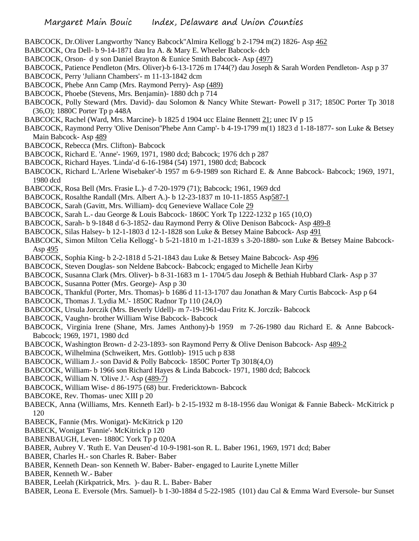- BABCOCK, Dr.Oliver Langworthy 'Nancy Babcock''Almira Kellogg' b 2-1794 m(2) 1826- Asp 462
- BABCOCK, Ora Dell- b 9-14-1871 dau Ira A. & Mary E. Wheeler Babcock- dcb
- BABCOCK, Orson- d y son Daniel Brayton & Eunice Smith Babcock- Asp (497)
- BABCOCK, Patience Pendleton (Mrs. Oliver)-b 6-13-1726 m 1744(?) dau Joseph & Sarah Worden Pendleton- Asp p 37
- BABCOCK, Perry 'Juliann Chambers'- m 11-13-1842 dcm
- BABCOCK, Phebe Ann Camp (Mrs. Raymond Perry)- Asp (489)
- BABCOCK, Phoebe (Stevens, Mrs. Benjamin)- 1880 dch p 714
- BABCOCK, Polly Steward (Mrs. David)- dau Solomon & Nancy White Stewart- Powell p 317; 1850C Porter Tp 3018 (36,O); 1880C Porter Tp p 448A
- BABCOCK, Rachel (Ward, Mrs. Marcine)- b 1825 d 1904 ucc Elaine Bennett 21; unec IV p 15
- BABCOCK, Raymond Perry 'Olive Denison''Phebe Ann Camp'- b 4-19-1799 m(1) 1823 d 1-18-1877- son Luke & Betsey Main Babcock- Asp 489
- BABCOCK, Rebecca (Mrs. Clifton)- Babcock
- BABCOCK, Richard E. 'Anne'- 1969, 1971, 1980 dcd; Babcock; 1976 dch p 287
- BABCOCK, Richard Hayes. 'Linda'-d 6-16-1984 (54) 1971, 1980 dcd; Babcock
- BABCOCK, Richard L.'Arlene Wisebaker'-b 1957 m 6-9-1989 son Richard E. & Anne Babcock- Babcock; 1969, 1971, 1980 dcd
- BABCOCK, Rosa Bell (Mrs. Frasie L.)- d 7-20-1979 (71); Babcock; 1961, 1969 dcd
- BABCOCK, Rosalthe Randall (Mrs. Albert A.)- b 12-23-1837 m 10-11-1855 Asp587-1
- BABCOCK, Sarah (Gavitt, Mrs. William)- dcq Genevieve Wallace Cole 29
- BABCOCK, Sarah L.- dau George & Louis Babcock- 1860C York Tp 1222-1232 p 165 (10,O)
- BABCOCK, Sarah- b 9-1848 d 6-3-1852- dau Raymond Perry & Olive Denison Babcock- Asp 489-8
- BABCOCK, Silas Halsey- b 12-1-1803 d 12-1-1828 son Luke & Betsey Maine Babcock- Asp 491
- BABCOCK, Simon Milton 'Celia Kellogg'- b 5-21-1810 m 1-21-1839 s 3-20-1880- son Luke & Betsey Maine Babcock-Asp 495
- BABCOCK, Sophia King- b 2-2-1818 d 5-21-1843 dau Luke & Betsey Maine Babcock- Asp 496
- BABCOCK, Steven Douglas- son Neldene Babcock- Babcock; engaged to Michelle Jean Kirby
- BABCOCK, Susanna Clark (Mrs. Oliver)- b 8-31-1683 m 1- 1704/5 dau Joseph & Bethiah Hubbard Clark- Asp p 37
- BABCOCK, Susanna Potter (Mrs. George)- Asp p 30
- BABCOCK, Thankful (Porter, Mrs. Thomas)- b 1686 d 11-13-1707 dau Jonathan & Mary Curtis Babcock- Asp p 64
- BABCOCK, Thomas J. 'Lydia M.'- 1850C Radnor Tp 110 (24,O)
- BABCOCK, Ursula Jorczik (Mrs. Beverly Udell)- m 7-19-1961-dau Fritz K. Jorczik- Babcock
- BABCOCK, Vaughn- brother William Wise Babcock- Babcock
- BABCOCK, Virginia Irene (Shane, Mrs. James Anthony)-b 1959 m 7-26-1980 dau Richard E. & Anne Babcock-Babcock; 1969, 1971, 1980 dcd
- BABCOCK, Washington Brown- d 2-23-1893- son Raymond Perry & Olive Denison Babcock- Asp 489-2
- BABCOCK, Wilhelmina (Schweikert, Mrs. Gottlob)- 1915 uch p 838
- BABCOCK, William J.- son David & Polly Babcock- 1850C Porter Tp 3018(4,O)
- BABCOCK, William- b 1966 son Richard Hayes & Linda Babcock- 1971, 1980 dcd; Babcock
- BABCOCK, William N. 'Olive J.'- Asp (489-7)
- BABCOCK, William Wise- d 86-1975 (68) bur. Fredericktown- Babcock
- BABCOKE, Rev. Thomas- unec XIII p 20
- BABECK, Anna (Williams, Mrs. Kenneth Earl)- b 2-15-1932 m 8-18-1956 dau Wonigat & Fannie Babeck- McKitrick p 120
- BABECK, Fannie (Mrs. Wonigat)- McKitrick p 120
- BABECK, Wonigat 'Fannie'- McKitrick p 120
- BABENBAUGH, Leven- 1880C York Tp p 020A
- BABER, Aubrey V. 'Ruth E. Van Deusen'-d 10-9-1981-son R. L. Baber 1961, 1969, 1971 dcd; Baber
- BABER, Charles H.- son Charles R. Baber- Baber
- BABER, Kenneth Dean- son Kenneth W. Baber- Baber- engaged to Laurite Lynette Miller
- BABER, Kenneth W.- Baber
- BABER, Leelah (Kirkpatrick, Mrs. )- dau R. L. Baber- Baber
- BABER, Leona E. Eversole (Mrs. Samuel)- b 1-30-1884 d 5-22-1985 (101) dau Cal & Emma Ward Eversole- bur Sunset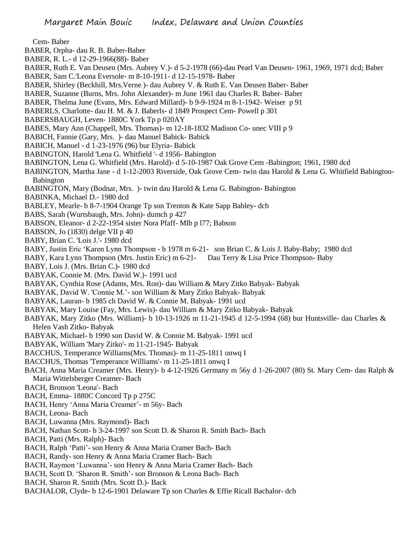Cem- Baber

- BABER, Orpha- dau R. B. Baber-Baber
- BABER, R. L.- d 12-29-1966(88)- Baber
- BABER, Ruth E. Van Deusen (Mrs. Aubrey V.)- d 5-2-1978 (66)-dau Pearl Van Deusen- 1961, 1969, 1971 dcd; Baber
- BABER, Sam C.'Leona Eversole- m 8-10-1911- d 12-15-1978- Baber
- BABER, Shirley (Beckhill, Mrs.Verne )- dau Aubrey V. & Ruth E. Van Deusen Baber- Baber
- BABER, Suzanne (Burns, Mrs. John Alexander)- m June 1961 dau Charles R. Baber- Baber
- BABER, Thelma June (Evans, Mrs. Edward Millard)- b 9-9-1924 m 8-1-1942- Weiser p 91
- BABERLS. Charlotte- dau H. M. & J. Baberls- d 1849 Prospect Cem- Powell p 301
- BABERSBAUGH, Leven- 1880C York Tp p 020AY
- BABES, Mary Ann (Chappell, Mrs. Thomas)- m 12-18-1832 Madison Co- unec VIII p 9
- BABICH, Fannie (Gary, Mrs. )- dau Manuel Babick- Babick
- BABICH, Manuel d 1-23-1976 (96) bur Elyria- Babick
- BABINGTON, Harold 'Lena G. Whitfield '- d 1956- Babington
- BABINGTON, Lena G. Whitfield (Mrs. Harold)- d 5-10-1987 Oak Grove Cem -Babington; 1961, 1980 dcd
- BABINGTON, Martha Jane d 1-12-2003 Riverside, Oak Grove Cem- twin dau Harold & Lena G. Whitfield Babington-Babington
- BABINGTON, Mary (Bodnar, Mrs. )- twin dau Harold & Lena G. Babington- Babington
- BABINKA, Michael D.- 1980 dcd
- BABLEY, Mearle- b 8-7-1904 Orange Tp son Trenton & Kate Sapp Babley- dcb
- BABS, Sarah (Wurtsbaugh, Mrs. John)- dumch p 427
- BABSON, Eleanor- d 2-22-1954 sister Nora Pfaff- Mlb p l77; Babson
- BABSON, Jo (1830) delge VII p 40
- BABY, Brian C. 'Lois J.'- 1980 dcd
- BABY, Justin Eric 'Karen Lynn Thompson b 1978 m 6-21- son Brian C. & Lois J. Baby-Baby; 1980 dcd
- BABY, Kara Lynn Thompson (Mrs. Justin Eric) m 6-21- Dau Terry & Lisa Price Thompson- Baby
- BABY, Lois J. (Mrs. Brian C.)- 1980 dcd
- BABYAK, Connie M. (Mrs. David W.)- 1991 ucd
- BABYAK, Cynthia Rose (Adams, Mrs. Ron)- dau William & Mary Zitko Babyak- Babyak
- BABYAK, David W. 'Connie M.'- son William & Mary Zitko Babyak- Babyak
- BABYAK, Lauran- b 1985 ch David W. & Connie M. Babyak- 1991 ucd
- BABYAK, Mary Louise (Fay, Mrs. Lewis)- dau William & Mary Zitko Babyak- Babyak
- BABYAK, Mary Zitko (Mrs. William)- b 10-13-1926 m 11-21-1945 d 12-5-1994 (68) bur Huntsville- dau Charles & Helen Vash Zitko- Babyak
- BABYAK, Michael- b 1990 son David W. & Connie M. Babyak- 1991 ucd
- BABYAK, William 'Mary Zitko'- m 11-21-1945- Babyak
- BACCHUS, Temperance Williams(Mrs. Thomas)- m 11-25-1811 onwq I
- BACCHUS, Thomas 'Temperance Williams'- m 11-25-1811 onwq I
- BACH, Anna Maria Creamer (Mrs. Henry)- b 4-12-1926 Germany m 56y d 1-26-2007 (80) St. Mary Cem- dau Ralph & Maria Wittelsberger Creamer- Bach
- BACH, Bronson 'Leona'- Bach
- BACH, Emma- 1880C Concord Tp p 275C
- BACH, Henry 'Anna Maria Creamer'- m 56y- Bach
- BACH, Leona- Bach
- BACH, Luwanna (Mrs. Raymond)- Bach
- BACH, Nathan Scott- b 3-24-1997 son Scott D. & Sharon R. Smith Bach- Bach
- BACH, Patti (Mrs. Ralph)- Bach
- BACH, Ralph 'Patti'- son Henry & Anna Maria Cramer Bach- Bach
- BACH, Randy- son Henry & Anna Maria Cramer Bach- Bach
- BACH, Raymon 'Luwanna'- son Henry & Anna Maria Cramer Bach- Bach
- BACH, Scott D. 'Sharon R. Smith'- son Bronson & Leona Bach- Bach
- BACH, Sharon R. Smith (Mrs. Scott D.)- Back
- BACHALOR, Clyde- b 12-6-1901 Delaware Tp son Charles & Effie Ricall Bachalor- dcb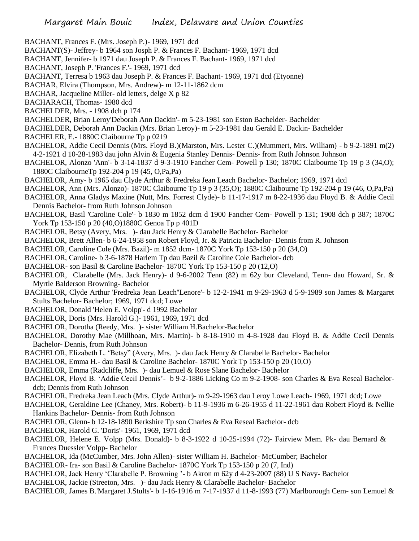- BACHANT, Frances F. (Mrs. Joseph P.)- 1969, 1971 dcd
- BACHANT(S)- Jeffrey- b 1964 son Josph P. & Frances F. Bachant- 1969, 1971 dcd
- BACHANT, Jennifer- b 1971 dau Joseph P. & Frances F. Bachant- 1969, 1971 dcd
- BACHANT, Joseph P. 'Frances F.'- 1969, 1971 dcd
- BACHANT, Terresa b 1963 dau Joseph P. & Frances F. Bachant- 1969, 1971 dcd (Etyonne)
- BACHAR, Elvira (Thompson, Mrs. Andrew)- m 12-11-1862 dcm
- BACHAR, Jacqueline Miller- old letters, delge X p 82
- BACHARACH, Thomas- 1980 dcd
- BACHELDER, Mrs. 1908 dch p 174
- BACHELDER, Brian Leroy'Deborah Ann Dackin'- m 5-23-1981 son Eston Bachelder- Bachelder
- BACHELDER, Deborah Ann Dackin (Mrs. Brian Leroy)- m 5-23-1981 dau Gerald E. Dackin- Bachelder
- BACHELER, E.- 1880C Claibourne Tp p 0219
- BACHELOR, Addie Cecil Dennis (Mrs. Floyd B.)(Marston, Mrs. Lester C.)(Mummert, Mrs. William) b 9-2-1891 m(2) 4-2-1921 d 10-28-1983 dau john Alvin & Eugenia Stanley Dennis- Dennis- from Ruth Johnson Johnson
- BACHELOR, Alonzo 'Ann'- b 3-14-1837 d 9-3-1910 Fancher Cem- Powell p 130; 1870C Claibourne Tp 19 p 3 (34,O); 1880C ClaibourneTp 192-204 p 19 (45, O,Pa,Pa)
- BACHELOR, Amy- b 1965 dau Clyde Arthur & Fredreka Jean Leach Bachelor- Bachelor; 1969, 1971 dcd
- BACHELOR, Ann (Mrs. Alonzo)- 1870C Claibourne Tp 19 p 3 (35,O); 1880C Claibourne Tp 192-204 p 19 (46, O,Pa,Pa)
- BACHELOR, Anna Gladys Maxine (Nutt, Mrs. Forrest Clyde)- b 11-17-1917 m 8-22-1936 dau Floyd B. & Addie Cecil Dennis Bachelor- from Ruth Johnson Johnson
- BACHELOR, Basil 'Caroline Cole'- b 1830 m 1852 dcm d 1900 Fancher Cem- Powell p 131; 1908 dch p 387; 1870C York Tp 153-150 p 20 (40,O)1880C Genoa Tp p 401D
- BACHELOR, Betsy (Avery, Mrs. )- dau Jack Henry & Clarabelle Bachelor- Bachelor
- BACHELOR, Brett Allen- b 6-24-1958 son Robert Floyd, Jr. & Patricia Bachelor- Dennis from R. Johnson
- BACHELOR, Caroline Cole (Mrs. Bazil)- m 1852 dcm- 1870C York Tp 153-150 p 20 (34,O)
- BACHELOR, Caroline- b 3-6-1878 Harlem Tp dau Bazil & Caroline Cole Bachelor- dcb
- BACHELOR- son Basil & Caroline Bachelor- 1870C York Tp 153-150 p 20 (12,O)
- BACHELOR, Clarabelle (Mrs. Jack Henry)- d 9-6-2002 Tenn (82) m 62y bur Cleveland, Tenn- dau Howard, Sr. & Myrtle Balderson Browning- Bachelor
- BACHELOR, Clyde Arthur 'Fredreka Jean Leach''Lenore'- b 12-2-1941 m 9-29-1963 d 5-9-1989 son James & Margaret Stults Bachelor- Bachelor; 1969, 1971 dcd; Lowe
- BACHELOR, Donald 'Helen E. Volpp'- d 1992 Bachelor
- BACHELOR, Doris (Mrs. Harold G.)- 1961, 1969, 1971 dcd
- BACHELOR, Dorotha (Reedy, Mrs. )- sister William H.Bachelor-Bachelor
- BACHELOR, Dorothy Mae (Millhoan, Mrs. Martin)- b 8-18-1910 m 4-8-1928 dau Floyd B. & Addie Cecil Dennis Bachelor- Dennis, from Ruth Johnson
- BACHELOR, Elizabeth L. 'Betsy" (Avery, Mrs. )- dau Jack Henry & Clarabelle Bachelor- Bachelor
- BACHELOR, Emma H.- dau Basil & Caroline Bachelor- 1870C York Tp 153-150 p 20 (10,O)
- BACHELOR, Emma (Radcliffe, Mrs. )- dau Lemuel & Rose Slane Bachelor- Bachelor
- BACHELOR, Floyd B. 'Addie Cecil Dennis'- b 9-2-1886 Licking Co m 9-2-1908- son Charles & Eva Reseal Bachelordcb; Dennis from Ruth Johnson
- BACHELOR, Fredreka Jean Leach (Mrs. Clyde Arthur)- m 9-29-1963 dau Leroy Lowe Leach- 1969, 1971 dcd; Lowe
- BACHELOR, Geraldine Lee (Chaney, Mrs. Robert)- b 11-9-1936 m 6-26-1955 d 11-22-1961 dau Robert Floyd & Nellie Hankins Bachelor- Dennis- from Ruth Johnson
- BACHELOR, Glenn- b 12-18-1890 Berkshire Tp son Charles & Eva Reseal Bachelor- dcb
- BACHELOR, Harold G. 'Doris'- 1961, 1969, 1971 dcd
- BACHELOR, Helene E. Volpp (Mrs. Donald)- b 8-3-1922 d 10-25-1994 (72)- Fairview Mem. Pk- dau Bernard & Frances Duessler Volpp- Bachelor
- BACHELOR, Ida (McCumber, Mrs. John Allen)- sister William H. Bachelor- McCumber; Bachelor
- BACHELOR- Ira- son Basil & Caroline Bachelor- 1870C York Tp 153-150 p 20 (7, Ind)
- BACHELOR, Jack Henry 'Clarabelle P. Browning '- b Akron m 62y d 4-23-2007 (88) U S Navy- Bachelor
- BACHELOR, Jackie (Streeton, Mrs. )- dau Jack Henry & Clarabelle Bachelor- Bachelor
- BACHELOR, James B.'Margaret J.Stults'- b 1-16-1916 m 7-17-1937 d 11-8-1993 (77) Marlborough Cem- son Lemuel &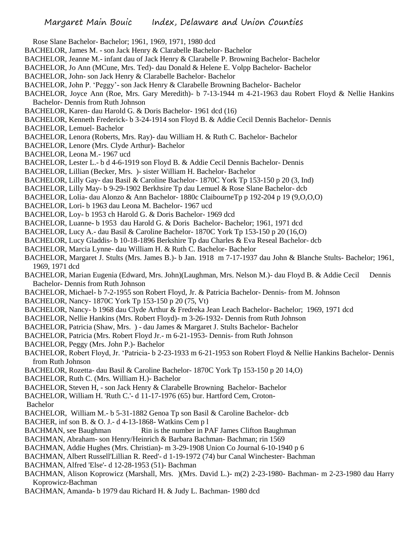- Rose Slane Bachelor- Bachelor; 1961, 1969, 1971, 1980 dcd
- BACHELOR, James M. son Jack Henry & Clarabelle Bachelor- Bachelor
- BACHELOR, Jeanne M.- infant dau of Jack Henry & Clarabelle P. Browning Bachelor- Bachelor
- BACHELOR, Jo Ann (MCune, Mrs. Ted)- dau Donald & Helene E. Volpp Bachelor- Bachelor
- BACHELOR, John- son Jack Henry & Clarabelle Bachelor- Bachelor
- BACHELOR, John P. 'Peggy'- son Jack Henry & Clarabelle Browning Bachelor- Bachelor
- BACHELOR, Joyce Ann (Roe, Mrs. Gary Meredith)- b 7-13-1944 m 4-21-1963 dau Robert Floyd & Nellie Hankins Bachelor- Dennis from Ruth Johnson
- BACHELOR, Karen- dau Harold G. & Doris Bachelor- 1961 dcd (16)
- BACHELOR, Kenneth Frederick- b 3-24-1914 son Floyd B. & Addie Cecil Dennis Bachelor- Dennis
- BACHELOR, Lemuel- Bachelor
- BACHELOR, Lenora (Roberts, Mrs. Ray)- dau William H. & Ruth C. Bachelor- Bachelor
- BACHELOR, Lenore (Mrs. Clyde Arthur)- Bachelor
- BACHELOR, Leona M.- 1967 ucd
- BACHELOR, Lester L.- b d 4-6-1919 son Floyd B. & Addie Cecil Dennis Bachelor- Dennis
- BACHELOR, Lillian (Becker, Mrs. )- sister William H. Bachelor- Bachelor
- BACHELOR, Lilly Gay- dau Basil & Caroline Bachelor- 1870C York Tp 153-150 p 20 (3, Ind)
- BACHELOR, Lilly May- b 9-29-1902 Berkhsire Tp dau Lemuel & Rose Slane Bachelor- dcb
- BACHELOR, Lolia- dau Alonzo & Ann Bachelor- 1880c ClaibourneTp p 192-204 p 19 (9,O,O,O)
- BACHELOR, Lori- b 1963 dau Leona M. Bachelor- 1967 ucd
- BACHELOR, Loy- b 1953 ch Harold G. & Doris Bachelor- 1969 dcd
- BACHELOR, Luanne- b 1953 dau Harold G. & Doris Bachelor- Bachelor; 1961, 1971 dcd
- BACHELOR, Lucy A.- dau Basil & Caroline Bachelor- 1870C York Tp 153-150 p 20 (16,O)
- BACHELOR, Lucy Gladdis- b 10-18-1896 Berkshire Tp dau Charles & Eva Reseal Bachelor- dcb
- BACHELOR, Marcia Lynne- dau William H. & Ruth C. Bachelor- Bachelor
- BACHELOR, Margaret J. Stults (Mrs. James B.)- b Jan. 1918 m 7-17-1937 dau John & Blanche Stults- Bachelor; 1961, 1969, 1971 dcd
- BACHELOR, Marian Eugenia (Edward, Mrs. John)(Laughman, Mrs. Nelson M.)- dau Floyd B. & Addie Cecil Dennis Bachelor- Dennis from Ruth Johnson
- BACHELOR, Michael- b 7-2-1955 son Robert Floyd, Jr. & Patricia Bachelor- Dennis- from M. Johnson
- BACHELOR, Nancy- 1870C York Tp 153-150 p 20 (75, Vt)
- BACHELOR, Nancy- b 1968 dau Clyde Arthur & Fredreka Jean Leach Bachelor- Bachelor; 1969, 1971 dcd
- BACHELOR, Nellie Hankins (Mrs. Robert Floyd)- m 3-26-1932- Dennis from Ruth Johnson
- BACHELOR, Patricia (Shaw, Mrs. ) dau James & Margaret J. Stults Bachelor- Bachelor
- BACHELOR, Patricia (Mrs. Robert Floyd Jr.- m 6-21-1953- Dennis- from Ruth Johnson
- BACHELOR, Peggy (Mrs. John P.)- Bachelor
- BACHELOR, Robert Floyd, Jr. 'Patricia- b 2-23-1933 m 6-21-1953 son Robert Floyd & Nellie Hankins Bachelor- Dennis from Ruth Johnson
- BACHELOR, Rozetta- dau Basil & Caroline Bachelor- 1870C York Tp 153-150 p 20 14,O)
- BACHELOR, Ruth C. (Mrs. William H.)- Bachelor
- BACHELOR, Steven H, son Jack Henry & Clarabelle Browning Bachelor- Bachelor
- BACHELOR, William H. 'Ruth C.'- d 11-17-1976 (65) bur. Hartford Cem, Croton-
- Bachelor
- BACHELOR, William M.- b 5-31-1882 Genoa Tp son Basil & Caroline Bachelor- dcb
- BACHER, inf son B. & O. J.- d 4-13-1868- Watkins Cem p l
- BACHMAN, see Baughman Rin is the number in PAF James Clifton Baughman
- BACHMAN, Abraham- son Henry/Heinrich & Barbara Bachman- Bachman; rin 1569
- BACHMAN, Addie Hughes (Mrs. Christian)- m 3-29-1908 Union Co Journal 6-10-1940 p 6
- BACHMAN, Albert Russell'Lillian R. Reed'- d 1-19-1972 (74) bur Canal Winchester- Bachman
- BACHMAN, Alfred 'Else'- d 12-28-1953 (51)- Bachman
- BACHMAN, Alison Koprowicz (Marshall, Mrs. )(Mrs. David L.)- m(2) 2-23-1980- Bachman- m 2-23-1980 dau Harry Koprowicz-Bachman
- BACHMAN, Amanda- b 1979 dau Richard H. & Judy L. Bachman- 1980 dcd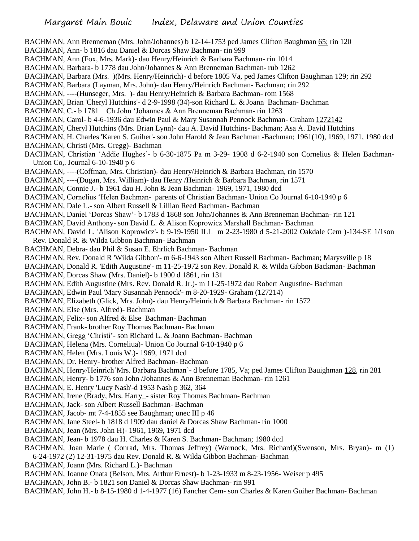BACHMAN, Ann Brenneman (Mrs. John/Johannes) b 12-14-1753 ped James Clifton Baughman 65; rin 120 BACHMAN, Ann- b 1816 dau Daniel & Dorcas Shaw Bachman- rin 999 BACHMAN, Ann (Fox, Mrs. Mark)- dau Henry/Heinrich & Barbara Bachman- rin 1014 BACHMAN, Barbara- b 1778 dau John/Johannes & Ann Brenneman Bachman- rub 1262 BACHMAN, Barbara (Mrs. )(Mrs. Henry/Heinrich)- d before 1805 Va, ped James Clifton Baughman 129; rin 292 BACHMAN, Barbara (Layman, Mrs. John)- dau Henry/Heinrich Bachman- Bachman; rin 292 BACHMAN, ----(Hunseger, Mrs. )- dau Henry/Heinrich & Barbara Bachman- rom 1568 BACHMAN, Brian 'Cheryl Hutchins'- d 2-9-1998 (34)-son Richard L. & Joann Bachman- Bachman BACHMAN, C.- b 1781 Ch John 'Johannes & Ann Brenneman Bachman- rin 1263 BACHMAN, Carol- b 4-6-1936 dau Edwin Paul & Mary Susannah Pennock Bachman- Graham 1272142 BACHMAN, Cheryl Hutchins (Mrs. Brian Lynn)- dau A. David Hutchins- Bachman; Asa A. David Hutchins BACHMAN, H. Charles 'Karen S. Guiher'- son John Harold & Jean Bachman -Bachman; 1961(10), 1969, 1971, 1980 dcd BACHMAN, Christi (Mrs. Gregg)- Bachman BACHMAN, Christian 'Addie Hughes'- b 6-30-1875 Pa m 3-29- 1908 d 6-2-1940 son Cornelius & Helen Bachman-Union Co,. Journal 6-10-1940 p 6 BACHMAN, ----(Coffman, Mrs. Christian)- dau Henry/Heinrich & Barbara Bachman, rin 1570 BACHMAN, ----(Dugan, Mrs. William)- dau Henry /Heinrich & Barbara Bachman, rin 1571 BACHMAN, Connie J.- b 1961 dau H. John & Jean Bachman- 1969, 1971, 1980 dcd BACHMAN, Cornelius 'Helen Bachman- parents of Christian Bachman- Union Co Journal 6-10-1940 p 6 BACHMAN, Dale L.- son Albert Russell & Lillian Reed Bachman- Bachman BACHMAN, Daniel 'Dorcas Shaw'- b 1783 d 1868 son John/Johannes & Ann Brenneman Bachman- rin 121 BACHMAN, David Anthony- son David L. & Alison Koprowicz Marshall Bachman- Bachman BACHMAN, David L. 'Alison Koprowicz'- b 9-19-1950 ILL m 2-23-1980 d 5-21-2002 Oakdale Cem )-134-SE 1/1son Rev. Donald R. & Wilda Gibbon Bachman- Bachman BACHMAN, Debra- dau Phil & Susan E. Ehrlich Bachman- Bachman BACHMAN, Rev. Donald R 'Wilda Gibbon'- m 6-6-1943 son Albert Russell Bachman- Bachman; Marysville p 18 BACHMAN, Donald R. 'Edith Augustine'- m 11-25-1972 son Rev. Donald R. & Wilda Gibbon Backman- Bachman BACHMAN, Dorcas Shaw (Mrs. Daniel)- b 1900 d 1861, rin 131 BACHMAN, Edith Augustine (Mrs. Rev. Donald R. Jr.)- m 11-25-1972 dau Robert Augustine- Bachman BACHMAN, Edwin Paul 'Mary Susannah Pennock'- m 8-20-1929- Graham (127214) BACHMAN, Elizabeth (Glick, Mrs. John)- dau Henry/Heinrich & Barbara Bachman- rin 1572 BACHMAN, Else (Mrs. Alfred)- Bachman BACHMAN, Felix- son Alfred & Else Bachman- Bachman BACHMAN, Frank- brother Roy Thomas Bachman- Bachman BACHMAN, Gregg 'Christi'- son Richard L. & Joann Bachman- Bachman BACHMAN, Helena (Mrs. Corneliua)- Union Co Journal 6-10-1940 p 6 BACHMAN, Helen (Mrs. Louis W.)- 1969, 1971 dcd BACHMAN, Dr. Henry- brother Alfred Bachman- Bachman BACHMAN, Henry/Heinrich'Mrs. Barbara Bachman'- d before 1785, Va; ped James Clifton Bauighman 128, rin 281 BACHMAN, Henry- b 1776 son John /Johannes & Ann Brenneman Bachman- rin 1261 BACHMAN, E. Henry 'Lucy Nash'-d 1953 Nash p 362, 364 BACHMAN, Irene (Brady, Mrs. Harry\_- sister Roy Thomas Bachman- Bachman BACHMAN, Jack- son Albert Russell Bachman- Bachman BACHMAN, Jacob- mt 7-4-1855 see Baughman; unec III p 46 BACHMAN, Jane Steel- b 1818 d 1909 dau daniel & Dorcas Shaw Bachman- rin 1000 BACHMAN, Jean (Mrs. John H)- 1961, 1969, 1971 dcd BACHMAN, Jean- b 1978 dau H. Charles & Karen S. Bachman- Bachman; 1980 dcd BACHMAN, Joan Marie ( Conrad, Mrs. Thomas Jeffrey) (Warnock, Mrs. Richard)(Swenson, Mrs. Bryan)- m (1) 6-24-1972 (2) 12-31-1975 dau Rev. Donald R. & Wilda Gibbon Bachman- Bachman BACHMAN, Joann (Mrs. Richard L.)- Bachman BACHMAN, Joanne Onata (Belson, Mrs. Arthur Ernest)- b 1-23-1933 m 8-23-1956- Weiser p 495

BACHMAN, John B.- b 1821 son Daniel & Dorcas Shaw Bachman- rin 991

BACHMAN, John H.- b 8-15-1980 d 1-4-1977 (16) Fancher Cem- son Charles & Karen Guiher Bachman- Bachman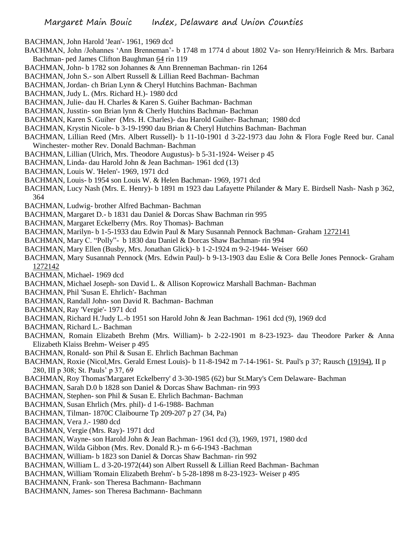- BACHMAN, John Harold 'Jean'- 1961, 1969 dcd
- BACHMAN, John /Johannes 'Ann Brenneman'- b 1748 m 1774 d about 1802 Va- son Henry/Heinrich & Mrs. Barbara Bachman- ped James Clifton Baughman 64 rin 119
- BACHMAN, John- b 1782 son Johannes & Ann Brenneman Bachman- rin 1264
- BACHMAN, John S.- son Albert Russell & Lillian Reed Bachman- Bachman
- BACHMAN, Jordan- ch Brian Lynn & Cheryl Hutchins Bachman- Bachman
- BACHMAN, Judy L. (Mrs. Richard H.)- 1980 dcd
- BACHMAN, Julie- dau H. Charles & Karen S. Guiher Bachman- Bachman
- BACHMAN, Jusstin- son Brian lynn & Cherly Hutchins Bachman- Bachman
- BACHMAN, Karen S. Guiher (Mrs. H. Charles)- dau Harold Guiher- Bachman; 1980 dcd
- BACHMAN, Krystin Nicole- b 3-19-1990 dau Brian & Cheryl Hutchins Bachman- Bachman
- BACHMAN, Lillian Reed (Mrs. Albert Russell)- b 11-10-1901 d 3-22-1973 dau John & Flora Fogle Reed bur. Canal Winchester- mother Rev. Donald Bachman- Bachman
- BACHMAN, Lillian (Ulrich, Mrs. Theodore Augustus)- b 5-31-1924- Weiser p 45
- BACHMAN, Linda- dau Harold John & Jean Bachman- 1961 dcd (13)
- BACHMAN, Louis W. 'Helen'- 1969, 1971 dcd
- BACHMAN, Louis- b 1954 son Louis W. & Helen Bachman- 1969, 1971 dcd
- BACHMAN, Lucy Nash (Mrs. E. Henry)- b 1891 m 1923 dau Lafayette Philander & Mary E. Birdsell Nash- Nash p 362, 364
- BACHMAN, Ludwig- brother Alfred Bachman- Bachman
- BACHMAN, Margaret D.- b 1831 dau Daniel & Dorcas Shaw Bachman rin 995
- BACHMAN, Margaret Eckelberry (Mrs. Roy Thomas)- Bachman
- BACHMAN, Marilyn- b 1-5-1933 dau Edwin Paul & Mary Susannah Pennock Bachman- Graham 1272141
- BACHMAN, Mary C. "Polly"- b 1830 dau Daniel & Dorcas Shaw Bachman- rin 994
- BACHMAN, Mary Ellen (Busby, Mrs. Jonathan Glick)- b 1-2-1924 m 9-2-1944- Weiser 660
- BACHMAN, Mary Susannah Pennock (Mrs. Edwin Paul)- b 9-13-1903 dau Eslie & Cora Belle Jones Pennock- Graham 1272142
- BACHMAN, Michael- 1969 dcd
- BACHMAN, Michael Joseph- son David L. & Allison Koprowicz Marshall Bachman- Bachman
- BACHMAN, Phil 'Susan E. Ehrlich'- Bachman
- BACHMAN, Randall John- son David R. Bachman- Bachman
- BACHMAN, Ray 'Vergie'- 1971 dcd
- BACHMAN, Richard H.'Judy L.-b 1951 son Harold John & Jean Bachman- 1961 dcd (9), 1969 dcd
- BACHMAN, Richard L.- Bachman
- BACHMAN, Romain Elizabeth Brehm (Mrs. William)- b 2-22-1901 m 8-23-1923- dau Theodore Parker & Anna Elizabeth Klaiss Brehm- Weiser p 495
- BACHMAN, Ronald- son Phil & Susan E. Ehrlich Bachman Bachman
- BACHMAN, Roxie (Nicol,Mrs. Gerald Ernest Louis)- b 11-8-1942 m 7-14-1961- St. Paul's p 37; Rausch (19194), II p 280, III p 308; St. Pauls' p 37, 69
- BACHMAN, Roy Thomas'Margaret Eckelberry' d 3-30-1985 (62) bur St.Mary's Cem Delaware- Bachman
- BACHMAN, Sarah D.0 b 1828 son Daniel & Dorcas Shaw Bachman- rin 993
- BACHMAN, Stephen- son Phil & Susan E. Ehrlich Bachman- Bachman
- BACHMAN, Susan Ehrlich (Mrs. phil)- d 1-6-1988- Bachman
- BACHMAN, Tilman- 1870C Claibourne Tp 209-207 p 27 (34, Pa)
- BACHMAN, Vera J.- 1980 dcd
- BACHMAN, Vergie (Mrs. Ray)- 1971 dcd
- BACHMAN, Wayne- son Harold John & Jean Bachman- 1961 dcd (3), 1969, 1971, 1980 dcd
- BACHMAN, Wilda Gibbon (Mrs. Rev. Donald R.)- m 6-6-1943 -Bachman
- BACHMAN, William- b 1823 son Daniel & Dorcas Shaw Bachman- rin 992
- BACHMAN, William L. d 3-20-1972(44) son Albert Russell & Lillian Reed Bachman- Bachman
- BACHMAN, William 'Romain Elizabeth Brehm'- b 5-28-1898 m 8-23-1923- Weiser p 495
- BACHMANN, Frank- son Theresa Bachmann- Bachmann
- BACHMANN, James- son Theresa Bachmann- Bachmann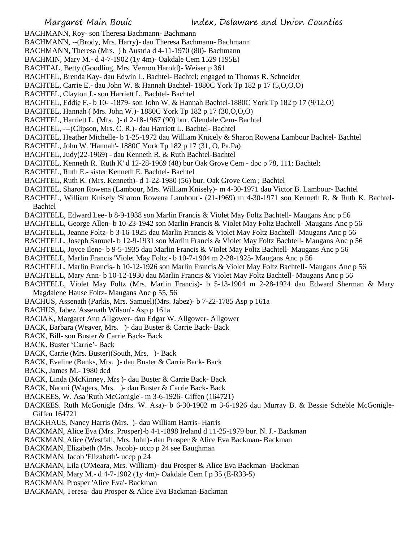- BACHMANN, Roy- son Theresa Bachmann- Bachmann
- BACHMANN, --(Brody, Mrs. Harry)- dau Theresa Bachmann- Bachmann
- BACHMANN, Theresa (Mrs. ) b Austria d 4-11-1970 (80)- Bachmann
- BACHMIN, Mary M.- d 4-7-1902 (1y 4m)- Oakdale Cem 1529 (195E)
- BACHTAL, Betty (Goodling, Mrs. Vernon Harold)- Weiser p 361
- BACHTEL, Brenda Kay- dau Edwin L. Bachtel- Bachtel; engaged to Thomas R. Schneider
- BACHTEL, Carrie E.- dau John W. & Hannah Bachtel- 1880C York Tp 182 p 17 (5,O,O,O)
- BACHTEL, Clayton J.- son Harriett L. Bachtel- Bachtel
- BACHTEL, Eddie F.- b 10- -1879- son John W. & Hannah Bachtel-1880C York Tp 182 p 17 (9/12,O)
- BACHTEL, Hannah ( Mrs. John W.)- 1880C York Tp 182 p 17 (30,O,O,O)
- BACHTEL, Harriett L. (Mrs. )- d 2-18-1967 (90) bur. Glendale Cem- Bachtel
- BACHTEL, ---(Clipson, Mrs. C. R.)- dau Harriett L. Bachtel- Bachtel
- BACHTEL, Heather Michelle- b 1-25-1972 dau William Knicely & Sharon Rowena Lambour Bachtel- Bachtel
- BACHTEL, John W. 'Hannah'- 1880C York Tp 182 p 17 (31, O, Pa,Pa)
- BACHTEL, Judy(22-1969) dau Kenneth R. & Ruth Bachtel-Bachtel
- BACHTEL, Kenneth R. 'Ruth K' d 12-28-1969 (48) bur Oak Grove Cem dpc p 78, 111; Bachtel;
- BACHTEL, Ruth E.- sister Kenneth E. Bachtel- Bachtel
- BACHTEL, Ruth K. (Mrs. Kenneth)- d 1-22-1980 (56) bur. Oak Grove Cem ; Bachtel
- BACHTEL, Sharon Rowena (Lambour, Mrs. William Knisely)- m 4-30-1971 dau Victor B. Lambour- Bachtel
- BACHTEL, William Knisely 'Sharon Rowena Lambour'- (21-1969) m 4-30-1971 son Kenneth R. & Ruth K. Bachtel-Bachtel
- BACHTELL, Edward Lee- b 8-9-1938 son Marlin Francis & Violet May Foltz Bachtell- Maugans Anc p 56
- BACHTELL, George Allen- b 10-23-1942 son Marlin Francis & Violet May Foltz Bachtell- Maugans Anc p 56
- BACHTELL, Jeanne Foltz- b 3-16-1925 dau Marlin Francis & Violet May Foltz Bachtell- Maugans Anc p 56
- BACHTELL, Joseph Samuel- b 12-9-1931 son Marlin Francis & Violet May Foltz Bachtell- Maugans Anc p 56
- BACHTELL, Joyce Ilene- b 9-5-1935 dau Marlin Francis & Violet May Foltz Bachtell- Maugans Anc p 56
- BACHTELL, Marlin Francis 'Violet May Foltz'- b 10-7-1904 m 2-28-1925- Maugans Anc p 56
- BACHTELL, Marlin Francis- b 10-12-1926 son Marlin Francis & Violet May Foltz Bachtell- Maugans Anc p 56
- BACHTELL, Mary Ann- b 10-12-1930 dau Marlin Francis & Violet May Foltz Bachtell- Maugans Anc p 56
- BACHTELL, Violet May Foltz (Mrs. Marlin Francis)- b 5-13-1904 m 2-28-1924 dau Edward Sherman & Mary Magdalene Hause Foltz- Maugans Anc p 55, 56
- BACHUS, Assenath (Parkis, Mrs. Samuel)(Mrs. Jabez)- b 7-22-1785 Asp p 161a
- BACHUS, Jabez 'Assenath Wilson'- Asp p 161a
- BACIAK, Margaret Ann Allgower- dau Edgar W. Allgower- Allgower
- BACK, Barbara (Weaver, Mrs. )- dau Buster & Carrie Back- Back
- BACK, Bill- son Buster & Carrie Back- Back
- BACK, Buster 'Carrie'- Back
- BACK, Carrie (Mrs. Buster)(South, Mrs. )- Back
- BACK, Evaline (Banks, Mrs. )- dau Buster & Carrie Back- Back
- BACK, James M.- 1980 dcd
- BACK, Linda (McKinney, Mrs )- dau Buster & Carrie Back- Back
- BACK, Naomi (Wagers, Mrs. )- dau Buster & Carrie Back- Back
- BACKEES, W. Asa 'Ruth McGonigle'- m 3-6-1926- Giffen (164721)
- BACKEES. Ruth McGonigle (Mrs. W. Asa)- b 6-30-1902 m 3-6-1926 dau Murray B. & Bessie Scheble McGonigle-Giffen 164721
- BACKHAUS, Nancy Harris (Mrs. )- dau William Harris- Harris
- BACKMAN, Alice Eva (Mrs. Prosper)-b 4-1-1898 Ireland d 11-25-1979 bur. N. J.- Backman
- BACKMAN, Alice (Westfall, Mrs. John)- dau Prosper & Alice Eva Backman- Backman
- BACKMAN, Elizabeth (Mrs. Jacob)- uccp p 24 see Baughman
- BACKMAN, Jacob 'Elizabeth'- uccp p 24
- BACKMAN, Lila (O'Meara, Mrs. William)- dau Prosper & Alice Eva Backman- Backman
- BACKMAN, Mary M.- d 4-7-1902 (1y 4m)- Oakdale Cem I p 35 (E-R33-5)
- BACKMAN, Prosper 'Alice Eva'- Backman
- BACKMAN, Teresa- dau Prosper & Alice Eva Backman-Backman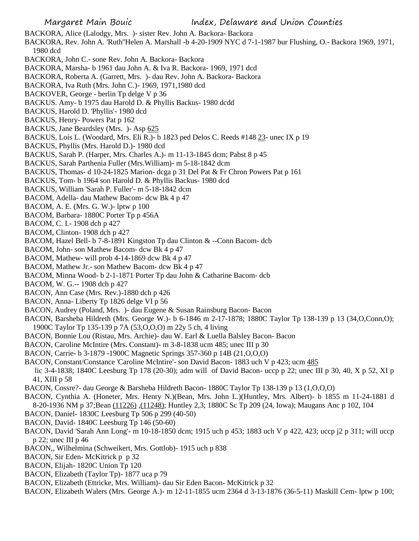BACKORA, Alice (Lalodgy, Mrs. )- sister Rev. John A. Backora- Backora

BACKORA, Rev. John A. 'Ruth''Helen A. Marshall -b 4-20-1909 NYC d 7-1-1987 bur Flushing, O.- Backora 1969, 1971, 1980 dcd

- BACKORA, John C.- sone Rev. John A. Backora- Backora
- BACKORA, Marsha- b 1961 dau John A. & Iva R. Backora- 1969, 1971 dcd
- BACKORA, Roberta A. (Garrett, Mrs. )- dau Rev. John A. Backora- Backora
- BACKORA, Iva Ruth (Mrs. John C.)- 1969, 1971,1980 dcd
- BACKOVER, George berlin Tp delge V p 36
- BACKUS. Amy- b 1975 dau Harold D. & Phyllis Backus- 1980 dcdd
- BACKUS, Harold D. 'Phyllis'- 1980 dcd
- BACKUS, Henry- Powers Pat p 162
- BACKUS, Jane Beardsley (Mrs. )- Asp 625
- BACKUS, Lois L. (Woodard, Mrs. Eli R.)- b 1823 ped Delos C. Reeds #148 23- unec IX p 19
- BACKUS, Phyllis (Mrs. Harold D.)- 1980 dcd
- BACKUS, Sarah P. (Harper, Mrs. Charles A.)- m 11-13-1845 dcm; Pabst 8 p 45
- BACKUS, Sarah Parthenia Fuller (Mrs.William)- m 5-18-1842 dcm
- BACKUS, Thomas- d 10-24-1825 Marion- dcga p 31 Del Pat & Fr Chron Powers Pat p 161
- BACKUS, Tom- b 1964 son Harold D. & Phyllis Backus- 1980 dcd
- BACKUS, William 'Sarah P. Fuller'- m 5-18-1842 dcm
- BACOM, Adella- dau Mathew Bacom- dcw Bk 4 p 47
- BACOM, A. E. (Mrs. G. W.)- lptw p 100
- BACOM, Barbara- 1880C Porter Tp p 456A
- BACOM, C. I.- 1908 dch p 427
- BACOM, Clinton- 1908 dch p 427
- BACOM, Hazel Bell- b 7-8-1891 Kingston Tp dau Clinton & --Conn Bacom- dcb
- BACOM, John- son Mathew Bacom- dcw Bk 4 p 47
- BACOM, Mathew- will prob 4-14-1869 dcw Bk 4 p 47
- BACOM, Mathew Jr.- son Mathew Bacom- dcw Bk 4 p 47
- BACOM, Minna Wood- b 2-1-1871 Porter Tp dau John & Catharine Bacom- dcb
- BACOM, W. G.-- 1908 dch p 427
- BACON, Ann Case (Mrs. Rev.)-1880 dch p 426
- BACON, Anna- Liberty Tp 1826 delge VI p 56
- BACON, Audrey (Poland, Mrs. )- dau Eugene & Susan Rainsburg Bacon- Bacon
- BACON, Barsheba Hildreth (Mrs. George W.)- b 6-1846 m 2-17-1878; 1880C Taylor Tp 138-139 p 13 (34,O,Conn,O); 1900C Taylor Tp 135-139 p 7A (53,O,O,O) m 22y 5 ch, 4 living
- BACON, Bonnie Lou (Ristau, Mrs. Archie)- dau W. Earl & Luella Balsley Bacon- Bacon
- BACON, Caroline McIntire (Mrs. Constant)- m 3-8-1838 ucm 485; unec III p 30
- BACON, Carrie- b 3-1879 -1900C Magnetic Springs 357-360 p 14B (21,O,O,O)
- BACON, Constant/Constance 'Caroline McIntire'- son David Bacon- 1883 uch V p 423; ucm 485
- lic 3-4-1838; 1840C Leesburg Tp 178 (20-30); adm will of David Bacon- uccp p 22; unec III p 30, 40, X p 52, XI p 41, XIII p 58
- BACON, Cossre?- dau George & Barsheba Hildreth Bacon- 1880C Taylor Tp 138-139 p 13 (1,O,O,O)
- BACON, Cynthia A. (Honeter, Mrs. Henry N.)(Bean, Mrs. John L.)(Huntley, Mrs. Albert)- b 1855 m 11-24-1881 d
- 8-20-1936 NM p 37;Bean (11226) ,(11248); Huntley 2,3; 1880C Sc Tp 209 (24, Iowa); Maugans Anc p 102, 104
- BACON, Daniel- 1830C Leesburg Tp 506 p 299 (40-50)
- BACON, David- 1840C Leesburg Tp 146 (50-60)
- BACON, David 'Sarah Ann Long'- m 10-18-1850 dcm; 1915 uch p 453; 1883 uch V p 422, 423; uccp j2 p 311; will uccp p 22; unec III p 46
- BACON,, Wilhelmina (Schweikert, Mrs. Gottlob)- 1915 uch p 838
- BACON, Sir Eden- McKitrick p p 32
- BACON, Elijah- 1820C Union Tp 120
- BACON, Elizabeth (Taylor Tp)- 1877 uca p 79
- BACON, Elizabeth (Ettricke, Mrs. William)- dau Sir Eden Bacon- McKitrick p 32
- BACON, Elizabeth Walers (Mrs. George A.)- m 12-11-1855 ucm 2364 d 3-13-1876 (36-5-11) Maskill Cem- lptw p 100;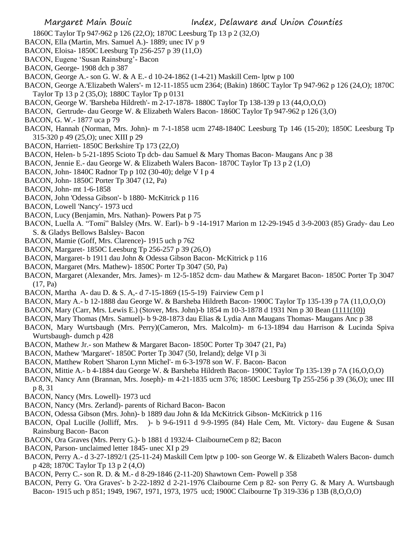Margaret Main Bouic **Index**, Delaware and Union Counties

- 1860C Taylor Tp 947-962 p 126 (22,O); 1870C Leesburg Tp 13 p 2 (32,O)
- BACON, Ella (Martin, Mrs. Samuel A.)- 1889; unec IV p 9
- BACON, Eloisa- 1850C Leesburg Tp 256-257 p 39 (11,O)
- BACON, Eugene 'Susan Rainsburg'- Bacon
- BACON, George- 1908 dch p 387
- BACON, George A.- son G. W. & A E.- d 10-24-1862 (1-4-21) Maskill Cem- lptw p 100
- BACON, George A.'Elizabeth Walers'- m 12-11-1855 ucm 2364; (Bakin) 1860C Taylor Tp 947-962 p 126 (24,O); 1870C Taylor Tp 13 p 2 (35,O); 1880C Taylor Tp p 0131
- BACON, George W. 'Barsheba Hildreth'- m 2-17-1878- 1880C Taylor Tp 138-139 p 13 (44,O,O,O)
- BACON, Gertrude- dau George W. & Elizabeth Walers Bacon- 1860C Taylor Tp 947-962 p 126 (3,O)
- BACON, G. W.- 1877 uca p 79
- BACON, Hannah (Norman, Mrs. John)- m 7-1-1858 ucm 2748-1840C Leesburg Tp 146 (15-20); 1850C Leesburg Tp 315-320 p 49 (25,O); unec XIII p 29
- BACON, Harriett- 1850C Berkshire Tp 173 (22,O)
- BACON, Helen- b 5-21-1895 Scioto Tp dcb- dau Samuel & Mary Thomas Bacon- Maugans Anc p 38
- BACON, Jennie E.- dau George W. & Elizabeth Walers Bacon- 1870C Taylor Tp 13 p 2 (1,O)
- BACON, John- 1840C Radnor Tp p 102 (30-40); delge V I p 4
- BACON, John- 1850C Porter Tp 3047 (12, Pa)
- BACON, John- mt 1-6-1858
- BACON, John 'Odessa Gibson'- b 1880- McKitrick p 116
- BACON, Lowell 'Nancy'- 1973 ucd
- BACON, Lucy (Benjamin, Mrs. Nathan)- Powers Pat p 75
- BACON, Luella A. "Tomi" Balsley (Mrs. W. Earl)- b 9 -14-1917 Marion m 12-29-1945 d 3-9-2003 (85) Grady- dau Leo S. & Gladys Bellows Balsley- Bacon
- BACON, Mamie (Goff, Mrs. Clarence)- 1915 uch p 762
- BACON, Margaret- 1850C Leesburg Tp 256-257 p 39 (26,O)
- BACON, Margaret- b 1911 dau John & Odessa Gibson Bacon- McKitrick p 116
- BACON, Margaret (Mrs. Mathew)- 1850C Porter Tp 3047 (50, Pa)
- BACON, Margaret (Alexander, Mrs. James)- m 12-5-1852 dcm- dau Mathew & Margaret Bacon- 1850C Porter Tp 3047 (17, Pa)
- BACON, Martha A- dau D. & S. A,- d 7-15-1869 (15-5-19) Fairview Cem p l
- BACON, Mary A.- b 12-1888 dau George W. & Barsheba Hildreth Bacon- 1900C Taylor Tp 135-139 p 7A (11,O,O,O)
- BACON, Mary (Carr, Mrs. Lewis E.) (Stover, Mrs. John)-b 1854 m 10-3-1878 d 1931 Nm p 30 Bean (1111(10))
- BACON, Mary Thomas (Mrs. Samuel)- b 9-28-1873 dau Elias & Lydia Ann Maugans Thomas- Maugans Anc p 38
- BACON, Mary Wurtsbaugh (Mrs. Perry)(Cameron, Mrs. Malcolm)- m 6-13-1894 dau Harrison & Lucinda Spiva Wurtsbaugh- dumch p 428
- BACON, Mathew Jr.- son Mathew & Margaret Bacon- 1850C Porter Tp 3047 (21, Pa)
- BACON, Mathew 'Margaret'- 1850C Porter Tp 3047 (50, Ireland); delge VI p 3i
- BACON, Matthew Robert 'Sharon Lynn Michel'- m 6-3-1978 son W. F. Bacon- Bacon
- BACON, Mittie A.- b 4-1884 dau George W. & Barsheba Hildreth Bacon- 1900C Taylor Tp 135-139 p 7A (16,O,O,O)
- BACON, Nancy Ann (Brannan, Mrs. Joseph)- m 4-21-1835 ucm 376; 1850C Leesburg Tp 255-256 p 39 (36,O); unec III p 8, 31
- BACON, Nancy (Mrs. Lowell)- 1973 ucd
- BACON, Nancy (Mrs. Zerland)- parents of Richard Bacon- Bacon
- BACON, Odessa Gibson (Mrs. John)- b 1889 dau John & Ida McKitrick Gibson- McKitrick p 116
- BACON, Opal Lucille (Jolliff, Mrs. )- b 9-6-1911 d 9-9-1995 (84) Hale Cem, Mt. Victory- dau Eugene & Susan Rainsburg Bacon- Bacon
- BACON, Ora Graves (Mrs. Perry G.)- b 1881 d 1932/4- ClaibourneCem p 82; Bacon
- BACON, Parson- unclaimed letter 1845- unec XI p 29
- BACON, Perry A.- d 3-27-1892/1 (25-11-24) Maskill Cem lptw p 100- son George W. & Elizabeth Walers Bacon- dumch p 428; 1870C Taylor Tp 13 p 2 (4,O)
- BACON, Perry C.- son R. D. & M.- d 8-29-1846 (2-11-20) Shawtown Cem- Powell p 358
- BACON, Perry G. 'Ora Graves'- b 2-22-1892 d 2-21-1976 Claibourne Cem p 82- son Perry G. & Mary A. Wurtsbaugh Bacon- 1915 uch p 851; 1949, 1967, 1971, 1973, 1975 ucd; 1900C Claibourne Tp 319-336 p 13B (8,O,O,O)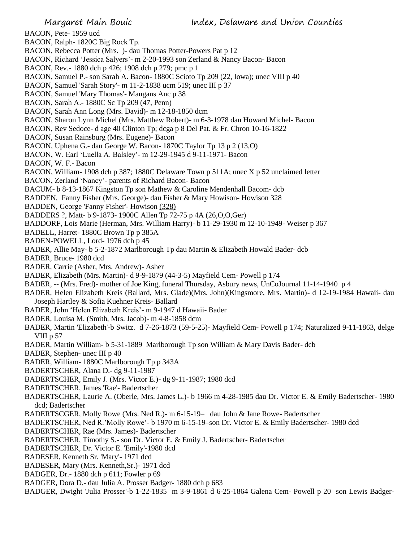BACON, Pete- 1959 ucd

BACON, Ralph- 1820C Big Rock Tp.

BACON, Rebecca Potter (Mrs. )- dau Thomas Potter-Powers Pat p 12

BACON, Richard 'Jessica Salyers'- m 2-20-1993 son Zerland & Nancy Bacon- Bacon

BACON, Rev.- 1880 dch p 426; 1908 dch p 279; pmc p 1

BACON, Samuel P.- son Sarah A. Bacon- 1880C Scioto Tp 209 (22, Iowa); unec VIII p 40

BACON, Samuel 'Sarah Story'- m 11-2-1838 ucm 519; unec III p 37

BACON, Samuel 'Mary Thomas'- Maugans Anc p 38

BACON, Sarah A.- 1880C Sc Tp 209 (47, Penn)

BACON, Sarah Ann Long (Mrs. David)- m 12-18-1850 dcm

BACON, Sharon Lynn Michel (Mrs. Matthew Robert)- m 6-3-1978 dau Howard Michel- Bacon

BACON, Rev Sedoce- d age 40 Clinton Tp; dcga p 8 Del Pat. & Fr. Chron 10-16-1822

BACON, Susan Rainsburg (Mrs. Eugene)- Bacon

BACON, Uphena G.- dau George W. Bacon- 1870C Taylor Tp 13 p 2 (13,O)

BACON, W. Earl 'Luella A. Balsley'- m 12-29-1945 d 9-11-1971- Bacon

BACON, W. F.- Bacon

BACON, William- 1908 dch p 387; 1880C Delaware Town p 511A; unec X p 52 unclaimed letter

BACON, Zerland 'Nancy'- parents of Richard Bacon- Bacon

BACUM- b 8-13-1867 Kingston Tp son Mathew & Caroline Mendenhall Bacom- dcb

BADDEN, Fanny Fisher (Mrs. George)- dau Fisher & Mary Howison- Howison 328

BADDEN, George 'Fanny Fisher'- Howison (328)

BADDERS ?, Matt- b 9-1873- 1900C Allen Tp 72-75 p 4A (26,O,O,Ger)

BADDORF, Lois Marie (Herman, Mrs. William Harry)- b 11-29-1930 m 12-10-1949- Weiser p 367

BADELL, Harret- 1880C Brown Tp p 385A

BADEN-POWELL, Lord- 1976 dch p 45

BADER, Allie May- b 5-2-1872 Marlborough Tp dau Martin & Elizabeth Howald Bader- dcb

BADER, Bruce- 1980 dcd

BADER, Carrie (Asher, Mrs. Andrew)- Asher

BADER, Elizabeth (Mrs. Martin)- d 9-9-1879 (44-3-5) Mayfield Cem- Powell p 174

BADER, -- (Mrs. Fred)- mother of Joe King, funeral Thursday, Asbury news, UnCoJournal 11-14-1940 p 4

BADER, Helen Elizabeth Kreis (Ballard, Mrs. Glade)(Mrs. John)(Kingsmore, Mrs. Martin)- d 12-19-1984 Hawaii- dau Joseph Hartley & Sofia Kuehner Kreis- Ballard

BADER, John 'Helen Elizabeth Kreis'- m 9-1947 d Hawaii- Bader

BADER, Louisa M. (Smith, Mrs. Jacob)- m 4-8-1858 dcm

BADER, Martin 'Elizabeth'-b Switz. d 7-26-1873 (59-5-25)- Mayfield Cem- Powell p 174; Naturalized 9-11-1863, delge VIII p 57

BADER, Martin William- b 5-31-1889 Marlborough Tp son William & Mary Davis Bader- dcb

BADER, Stephen- unec III p 40

BADER, William- 1880C Marlborough Tp p 343A

BADERTSCHER, Alana D.- dg 9-11-1987

BADERTSCHER, Emily J. (Mrs. Victor E.)- dg 9-11-1987; 1980 dcd

BADERTSCHER, James 'Rae'- Badertscher

BADERTSCHER, Laurie A. (Oberle, Mrs. James L.)- b 1966 m 4-28-1985 dau Dr. Victor E. & Emily Badertscher- 1980 dcd; Badertscher

BADERTSCGER, Molly Rowe (Mrs. Ned R.)- m 6-15-19– dau John & Jane Rowe- Badertscher

BADERTSCHER, Ned R.'Molly Rowe'- b 1970 m 6-15-19–son Dr. Victor E. & Emily Badertscher- 1980 dcd

BADERTSCHER, Rae (Mrs. James)- Badertscher

BADERTSCHER, Timothy S.- son Dr. Victor E. & Emily J. Badertscher- Badertscher

BADERTSCHER, Dr. Victor E. 'Emily'-1980 dcd

BADESER, Kenneth Sr. 'Mary'- 1971 dcd

BADESER, Mary (Mrs. Kenneth,Sr.)- 1971 dcd

BADGER, Dr.- 1880 dch p 611; Fowler p 69

BADGER, Dora D.- dau Julia A. Prosser Badger- 1880 dch p 683

BADGER, Dwight 'Julia Prosser'-b 1-22-1835 m 3-9-1861 d 6-25-1864 Galena Cem- Powell p 20 son Lewis Badger-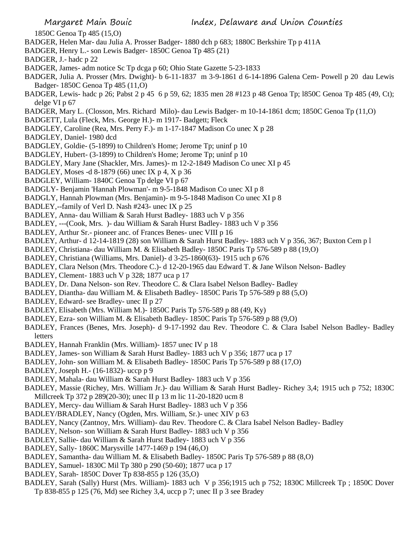1850C Genoa Tp 485 (15,O)

- BADGER, Helen Mar- dau Julia A. Prosser Badger- 1880 dch p 683; 1880C Berkshire Tp p 411A
- BADGER, Henry L.- son Lewis Badger- 1850C Genoa Tp 485 (21)
- BADGER, J.- hadc p 22
- BADGER, James- adm notice Sc Tp dcga p 60; Ohio State Gazette 5-23-1833
- BADGER, Julia A. Prosser (Mrs. Dwight)- b 6-11-1837 m 3-9-1861 d 6-14-1896 Galena Cem- Powell p 20 dau Lewis Badger- 1850C Genoa Tp 485 (11,O)
- BADGER, Lewis- hadc p 26; Pabst 2 p 45 6 p 59, 62; 1835 men 28 #123 p 48 Genoa Tp; l850C Genoa Tp 485 (49, Ct); delge VI p 67
- BADGER, Mary L. (Closson, Mrs. Richard Milo)- dau Lewis Badger- m 10-14-1861 dcm; 1850C Genoa Tp (11,O)
- BADGETT, Lula (Fleck, Mrs. George H.)- m 1917- Badgett; Fleck
- BADGLEY, Caroline (Rea, Mrs. Perry F.)- m 1-17-1847 Madison Co unec X p 28
- BADGLEY, Daniel- 1980 dcd
- BADGLEY, Goldie- (5-1899) to Children's Home; Jerome Tp; uninf p 10
- BADGLEY, Hubert- (3-1899) to Children's Home; Jerome Tp; uninf p 10
- BADGLEY, Mary Jane (Shackler, Mrs. James)- m 12-2-1849 Madison Co unec XI p 45
- BADGLEY, Moses -d 8-1879 (66) unec IX p 4, X p 36
- BADGLEY, William- 1840C Genoa Tp delge VI p 67
- BADGLY- Benjamin 'Hannah Plowman'- m 9-5-1848 Madison Co unec XI p 8
- BADGLY, Hannah Plowman (Mrs. Benjamin)- m 9-5-1848 Madison Co unec XI p 8
- BADLEY,--family of Verl D. Nash #243- unec IX p 25
- BADLEY, Anna- dau William & Sarah Hurst Badley- 1883 uch V p 356
- BADLEY, ---(Cook, Mrs. )- dau William & Sarah Hurst Badley- 1883 uch V p 356
- BADLEY, Arthur Sr.- pioneer anc. of Frances Benes- unec VIII p 16
- BADLEY, Arthur- d 12-14-1819 (28) son William & Sarah Hurst Badley- 1883 uch V p 356, 367; Buxton Cem p l
- BADLEY, Christiana- dau William M. & Elisabeth Badley- 1850C Paris Tp 576-589 p 88 (19,O)
- BADLEY, Christiana (Williams, Mrs. Daniel)- d 3-25-1860(63)- 1915 uch p 676
- BADLEY, Clara Nelson (Mrs. Theodore C.)- d 12-20-1965 dau Edward T. & Jane Wilson Nelson- Badley
- BADLEY, Clement- 1883 uch V p 328; 1877 uca p 17
- BADLEY, Dr. Dana Nelson- son Rev. Theodore C. & Clara Isabel Nelson Badley- Badley
- BADLEY, Diantha- dau William M. & Elisabeth Badley- 1850C Paris Tp 576-589 p 88 (5,O)
- BADLEY, Edward- see Bradley- unec II p 27
- BADLEY, Elisabeth (Mrs. William M.)- 1850C Paris Tp 576-589 p 88 (49, Ky)
- BADLEY, Ezra- son William M. & Elisabeth Badley- 1850C Paris Tp 576-589 p 88 (9,O)
- BADLEY, Frances (Benes, Mrs. Joseph)- d 9-17-1992 dau Rev. Theodore C. & Clara Isabel Nelson Badley- Badley letters
- BADLEY, Hannah Franklin (Mrs. William)- 1857 unec IV p 18
- BADLEY, James- son William & Sarah Hurst Badley- 1883 uch V p 356; 1877 uca p 17
- BADLEY, John- son William M. & Elisabeth Badley- 1850C Paris Tp 576-589 p 88 (17,O)
- BADLEY, Joseph H.- (16-1832)- uccp p 9
- BADLEY, Mahala- dau William & Sarah Hurst Badley- 1883 uch V p 356
- BADLEY, Massie (Richey, Mrs. William Jr.)- dau William & Sarah Hurst Badley- Richey 3,4; 1915 uch p 752; 1830C Millcreek Tp 372 p 289(20-30); unec II p 13 m lic 11-20-1820 ucm 8
- BADLEY, Mercy- dau William & Sarah Hurst Badley- 1883 uch V p 356
- BADLEY/BRADLEY, Nancy (Ogden, Mrs. William, Sr.)- unec XIV p 63
- BADLEY, Nancy (Zantnoy, Mrs. William)- dau Rev. Theodore C. & Clara Isabel Nelson Badley- Badley
- BADLEY, Nelson- son William & Sarah Hurst Badley- 1883 uch V p 356
- BADLEY, Sallie- dau William & Sarah Hurst Badley- 1883 uch V p 356
- BADLEY, Sally- 1860C Marysville 1477-1469 p 194 (46,O)
- BADLEY, Samantha- dau William M. & Elisabeth Badley- 1850C Paris Tp 576-589 p 88 (8,O)
- BADLEY, Samuel- 1830C Mil Tp 380 p 290 (50-60); 1877 uca p 17
- BADLEY, Sarah- 1850C Dover Tp 838-855 p 126 (35,O)
- BADLEY, Sarah (Sally) Hurst (Mrs. William)- 1883 uch V p 356;1915 uch p 752; 1830C Millcreek Tp ; 1850C Dover
	- Tp 838-855 p 125 (76, Md) see Richey 3,4, uccp p 7; unec II p 3 see Bradey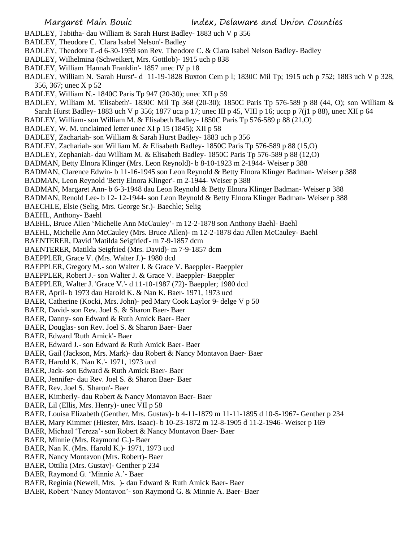- BADLEY, Tabitha- dau William & Sarah Hurst Badley- 1883 uch V p 356
- BADLEY, Theodore C. 'Clara Isabel Nelson'- Badley
- BADLEY, Theodore T.-d 6-30-1959 son Rev. Theodore C. & Clara Isabel Nelson Badley- Badley
- BADLEY, Wilhelmina (Schweikert, Mrs. Gottlob)- 1915 uch p 838
- BADLEY, William 'Hannah Franklin'- 1857 unec IV p 18
- BADLEY, William N. 'Sarah Hurst'- d 11-19-1828 Buxton Cem p l; 1830C Mil Tp; 1915 uch p 752; 1883 uch V p 328, 356, 367; unec X p 52
- BADLEY, William N.- 1840C Paris Tp 947 (20-30); unec XII p 59
- BADLEY, William M. 'Elisabeth'- 1830C Mil Tp 368 (20-30); 1850C Paris Tp 576-589 p 88 (44, O); son William & Sarah Hurst Badley- 1883 uch V p 356; 1877 uca p 17; unec III p 45, VIII p 16; uccp p 7( $i$ 1 p 88), unec XII p 64
- BADLEY, William- son William M. & Elisabeth Badley- 1850C Paris Tp 576-589 p 88 (21,O)
- BADLEY, W. M. unclaimed letter unec XI p 15 (1845); XII p 58
- BADLEY, Zachariah- son William & Sarah Hurst Badley- 1883 uch p 356
- BADLEY, Zachariah- son William M. & Elisabeth Badley- 1850C Paris Tp 576-589 p 88 (15,O)
- BADLEY, Zephaniah- dau William M. & Elisabeth Badley- 1850C Paris Tp 576-589 p 88 (12,O)
- BADMAN, Betty Elnora Klinger (Mrs. Leon Reynold)- b 8-10-1923 m 2-1944- Weiser p 388
- BADMAN, Clarence Edwin- b 11-16-1945 son Leon Reynold & Betty Elnora Klinger Badman- Weiser p 388
- BADMAN, Leon Reynold 'Betty Elnora Klinger'- m 2-1944- Weiser p 388
- BADMAN, Margaret Ann- b 6-3-1948 dau Leon Reynold & Betty Elnora Klinger Badman- Weiser p 388
- BADMAN, Renold Lee- b 12- 12-1944- son Leon Reynold & Betty Elnora Klinger Badman- Weiser p 388
- BAECHLE, Elsie (Selig, Mrs. George Sr.)- Baechle; Selig
- BAEHL, Anthony- Baehl
- BAEHL, Bruce Allen 'Michelle Ann McCauley'- m 12-2-1878 son Anthony Baehl- Baehl
- BAEHL, Michelle Ann McCauley (Mrs. Bruce Allen)- m 12-2-1878 dau Allen McCauley- Baehl
- BAENTERER, David 'Matilda Seigfried'- m 7-9-1857 dcm
- BAENTERER, Matilda Seigfried (Mrs. David)- m 7-9-1857 dcm
- BAEPPLER, Grace V. (Mrs. Walter J.)- 1980 dcd
- BAEPPLER, Gregory M.- son Walter J. & Grace V. Baeppler- Baeppler
- BAEPPLER, Robert J.- son Walter J. & Grace V. Baeppler- Baeppler
- BAEPPLER, Walter J. 'Grace V.'- d 11-10-1987 (72)- Baeppler; 1980 dcd
- BAER, April- b 1973 dau Harold K. & Nan K. Baer- 1971, 1973 ucd
- BAER, Catherine (Kocki, Mrs. John)- ped Mary Cook Laylor 9- delge V p 50
- BAER, David- son Rev. Joel S. & Sharon Baer- Baer
- BAER, Danny- son Edward & Ruth Amick Baer- Baer
- BAER, Douglas- son Rev. Joel S. & Sharon Baer- Baer
- BAER, Edward 'Ruth Amick'- Baer
- BAER, Edward J.- son Edward & Ruth Amick Baer- Baer
- BAER, Gail (Jackson, Mrs. Mark)- dau Robert & Nancy Montavon Baer- Baer
- BAER, Harold K. 'Nan K.'- 1971, 1973 ucd
- BAER, Jack- son Edward & Ruth Amick Baer- Baer
- BAER, Jennifer- dau Rev. Joel S. & Sharon Baer- Baer
- BAER, Rev. Joel S. 'Sharon'- Baer
- BAER, Kimberly- dau Robert & Nancy Montavon Baer- Baer
- BAER, Lil (Ellis, Mrs. Henry)- unec VII p 58
- BAER, Louisa Elizabeth (Genther, Mrs. Gustav)- b 4-11-1879 m 11-11-1895 d 10-5-1967- Genther p 234
- BAER, Mary Kimmer (Hiester, Mrs. Isaac)- b 10-23-1872 m 12-8-1905 d 11-2-1946- Weiser p 169
- BAER, Michael 'Tereza'- son Robert & Nancy Montavon Baer- Baer
- BAER, Minnie (Mrs. Raymond G.)- Baer
- BAER, Nan K. (Mrs. Harold K.)- 1971, 1973 ucd
- BAER, Nancy Montavon (Mrs. Robert)- Baer
- BAER, Ottilia (Mrs. Gustav)- Genther p 234
- BAER, Raymond G. 'Minnie A.'- Baer
- BAER, Reginia (Newell, Mrs. )- dau Edward & Ruth Amick Baer- Baer
- BAER, Robert 'Nancy Montavon'- son Raymond G. & Minnie A. Baer- Baer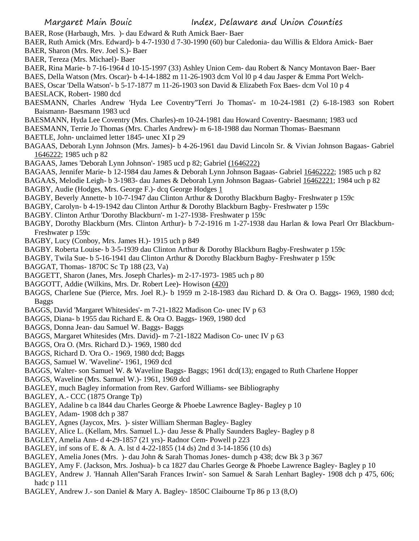- BAER, Rose (Harbaugh, Mrs. )- dau Edward & Ruth Amick Baer- Baer
- BAER, Ruth Amick (Mrs. Edward)- b 4-7-1930 d 7-30-1990 (60) bur Caledonia- dau Willis & Eldora Amick- Baer BAER, Sharon (Mrs. Rev. Joel S.)- Baer
- BAER, Tereza (Mrs. Michael)- Baer
- BAER, Rina Marie- b 7-16-1964 d 10-15-1997 (33) Ashley Union Cem- dau Robert & Nancy Montavon Baer- Baer
- BAES, Della Watson (Mrs. Oscar)- b 4-14-1882 m 11-26-1903 dcm Vol l0 p 4 dau Jasper & Emma Port Welch-
- BAES, Oscar 'Della Watson'- b 5-17-1877 m 11-26-1903 son David & Elizabeth Fox Baes- dcm Vol 10 p 4
- BAESLACK, Robert- 1980 dcd
- BAESMANN, Charles Andrew 'Hyda Lee Coventry''Terri Jo Thomas'- m 10-24-1981 (2) 6-18-1983 son Robert Baismann- Baesmann 1983 ucd
- BAESMANN, Hyda Lee Coventry (Mrs. Charles)-m 10-24-1981 dau Howard Coventry- Baesmann; 1983 ucd
- BAESMANN, Terrie Jo Thomas (Mrs. Charles Andrew)- m 6-18-1988 dau Norman Thomas- Baesmann
- BAETLE, John- unclaimed letter 1845- unec XI p 29
- BAGAAS, Deborah Lynn Johnson (Mrs. James)- b 4-26-1961 dau David Lincoln Sr. & Vivian Johnson Bagaas- Gabriel 1646222; 1985 uch p 82
- BAGAAS, James 'Deborah Lynn Johnson'- 1985 ucd p 82; Gabriel (1646222)
- BAGAAS, Jennifer Marie- b 12-1984 dau James & Deborah Lynn Johnson Bagaas- Gabriel 16462222; 1985 uch p 82
- BAGAAS, Melodie Leigh- b 3-1983- dau James & Deborah Lynn Johnson Bagaas- Gabriel 16462221; 1984 uch p 82
- BAGBY, Audie (Hodges, Mrs. George F.)- dcq George Hodges 1
- BAGBY, Beverly Annette- b 10-7-1947 dau Clinton Arthur & Dorothy Blackburn Bagby- Freshwater p 159c
- BAGBY, Carolyn- b 4-19-1942 dau Clinton Arthur & Dorothy Blackburn Bagby- Freshwater p 159c
- BAGBY. Clinton Arthur 'Dorothy Blackburn'- m 1-27-1938- Freshwater p 159c
- BAGBY, Dorothy Blackburn (Mrs. Clinton Arthur)- b 7-2-1916 m 1-27-1938 dau Harlan & Iowa Pearl Orr Blackburn-Freshwater p 159c
- BAGBY, Lucy (Conboy, Mrs. James H.)- 1915 uch p 849
- BAGBY. Roberta Louise- b 3-5-1939 dau Clinton Arthur & Dorothy Blackburn Bagby-Freshwater p 159c
- BAGBY, Twila Sue- b 5-16-1941 dau Clinton Arthur & Dorothy Blackburn Bagby- Freshwater p 159c
- BAGGAT, Thomas- 1870C Sc Tp 188 (23, Va)
- BAGGETT, Sharon (Janes, Mrs. Joseph Charles)- m 2-17-1973- 1985 uch p 80
- BAGGOTT, Addie (Wilkins, Mrs. Dr. Robert Lee)- Howison (420)
- BAGGS, Charlene Sue (Pierce, Mrs. Joel R.)- b 1959 m 2-18-1983 dau Richard D. & Ora O. Baggs- 1969, 1980 dcd; Baggs
- BAGGS, David 'Margaret Whitesides'- m 7-21-1822 Madison Co- unec IV p 63
- BAGGS, Diana- b 1955 dau Richard E. & Ora O. Baggs- 1969, 1980 dcd
- BAGGS, Donna Jean- dau Samuel W. Baggs- Baggs
- BAGGS, Margaret Whitesides (Mrs. David)- m 7-21-1822 Madison Co- unec IV p 63
- BAGGS, Ora O. (Mrs. Richard D.)- 1969, 1980 dcd
- BAGGS, Richard D. 'Ora O.- 1969, 1980 dcd; Baggs
- BAGGS, Samuel W. 'Waveline'- 1961, 1969 dcd
- BAGGS, Walter- son Samuel W. & Waveline Baggs- Baggs; 1961 dcd(13); engaged to Ruth Charlene Hopper
- BAGGS, Waveline (Mrs. Samuel W.)- 1961, 1969 dcd
- BAGLEY, much Bagley information from Rev. Garford Williams- see Bibliography
- BAGLEY, A.- CCC (1875 Orange Tp)
- BAGLEY, Adaline b ca l844 dau Charles George & Phoebe Lawrence Bagley- Bagley p 10
- BAGLEY, Adam- 1908 dch p 387
- BAGLEY, Agnes (Jaycox, Mrs. )- sister William Sherman Bagley- Bagley
- BAGLEY, Alice L. (Kellam, Mrs. Samuel L.)- dau Jesse & Phally Saunders Bagley- Bagley p 8
- BAGLEY, Amelia Ann- d 4-29-1857 (21 yrs)- Radnor Cem- Powell p 223
- BAGLEY, inf sons of E. & A. A. lst d 4-22-1855 (14 ds) 2nd d 3-14-1856 (10 ds)
- BAGLEY, Amelia Jones (Mrs. )- dau John & Sarah Thomas Jones- dumch p 438; dcw Bk 3 p 367
- BAGLEY, Amy F. (Jackson, Mrs. Joshua)- b ca 1827 dau Charles George & Phoebe Lawrence Bagley- Bagley p 10
- BAGLEY, Andrew J. 'Hannah Allen''Sarah Frances Irwin'- son Samuel & Sarah Lenhart Bagley- 1908 dch p 475, 606; hadc p 111
- BAGLEY, Andrew J.- son Daniel & Mary A. Bagley- 1850C Claibourne Tp 86 p 13 (8,O)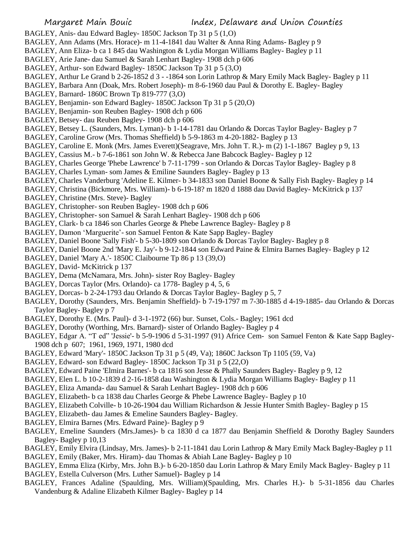BAGLEY, Anis- dau Edward Bagley- 1850C Jackson Tp 31 p 5 (1,O)

- BAGLEY, Ann Adams (Mrs. Horace)- m 11-4-1841 dau Walter & Anna Ring Adams- Bagley p 9
- BAGLEY, Ann Eliza- b ca 1 845 dau Washington & Lydia Morgan Williams Bagley- Bagley p 11
- BAGLEY, Arie Jane- dau Samuel & Sarah Lenhart Bagley- 1908 dch p 606
- BAGLEY, Arthur- son Edward Bagley- 1850C Jackson Tp 31 p 5 (3,O)
- BAGLEY, Arthur Le Grand b 2-26-1852 d 3 -1864 son Lorin Lathrop & Mary Emily Mack Bagley- Bagley p 11

BAGLEY, Barbara Ann (Doak, Mrs. Robert Joseph)- m 8-6-1960 dau Paul & Dorothy E. Bagley- Bagley

- BAGLEY, Barnard- 1860C Brown Tp 819-777 (3,O)
- BAGLEY, Benjamin- son Edward Bagley- 1850C Jackson Tp 31 p 5 (20,O)
- BAGLEY, Benjamin- son Reuben Bagley- 1908 dch p 606
- BAGLEY, Betsey- dau Reuben Bagley- 1908 dch p 606
- BAGLEY, Betsey L. (Saunders, Mrs. Lyman)- b 1-14-1781 dau Orlando & Dorcas Taylor Bagley- Bagley p 7
- BAGLEY, Caroline Grow (Mrs. Thomas Sheffield) b 5-9-1863 m 4-20-1882- Bagley p 13
- BAGLEY, Caroline E. Monk (Mrs. James Everett)(Seagrave, Mrs. John T. R.)- m (2) 1-1-1867 Bagley p 9, 13
- BAGLEY, Cassius M.- b 7-6-1861 son John W. & Rebecca Jane Babcock Bagley- Bagley p 12
- BAGLEY, Charles George 'Phebe Lawrence' b 7-11-1799 son Orlando & Dorcas Taylor Bagley- Bagley p 8
- BAGLEY, Charles Lyman- som James & Emiline Saunders Bagley- Bagley p 13
- BAGLEY, Charles Vanderburg 'Adeline E. Kilmer- b 34-1833 son Daniel Boone & Sally Fish Bagley- Bagley p 14
- BAGLEY, Christina (Bickmore, Mrs. William)- b 6-19-18? m 1820 d 1888 dau David Bagley- McKitrick p 137
- BAGLEY, Christine (Mrs. Steve)- Bagley
- BAGLEY, Christopher- son Reuben Bagley- 1908 dch p 606
- BAGLEY, Christopher- son Samuel & Sarah Lenhart Bagley- 1908 dch p 606
- BAGLEY, Clark- b ca 1846 son Charles George & Phebe Lawrence Bagley- Bagley p 8
- BAGLEY, Damon 'Marguerite'- son Samuel Fenton & Kate Sapp Bagley- Bagley
- BAGLEY, Daniel Boone 'Sally Fish'- b 5-30-1809 son Orlando & Dorcas Taylor Bagley- Bagley p 8
- BAGLEY, Daniel Boone 2nd 'Mary E. Jay'- b 9-12-1844 son Edward Paine & Elmira Barnes Bagley- Bagley p 12
- BAGLEY, Daniel 'Mary A.'- 1850C Claibourne Tp 86 p 13 (39,O)
- BAGLEY, David- McKitrick p 137
- BAGLEY, Dema (McNamara, Mrs. John)- sister Roy Bagley- Bagley
- BAGLEY, Dorcas Taylor (Mrs. Orlando)- ca 1778- Bagley p 4, 5, 6
- BAGLEY, Dorcas- b 2-24-1793 dau Orlando & Dorcas Taylor Bagley- Bagley p 5, 7
- BAGLEY, Dorothy (Saunders, Mrs. Benjamin Sheffield)- b 7-19-1797 m 7-30-1885 d 4-19-1885- dau Orlando & Dorcas Taylor Bagley- Bagley p 7
- BAGLEY, Dorothy E. (Mrs. Paul)- d 3-1-1972 (66) bur. Sunset, Cols.- Bagley; 1961 dcd
- BAGLEY, Dorothy (Worthing, Mrs. Barnard)- sister of Orlando Bagley- Bagley p 4
- BAGLEY, Edgar A. "T ed" 'Jessie'- b 5-9-1906 d 5-31-1997 (91) Africe Cem- son Samuel Fenton & Kate Sapp Bagley-1908 dch p 607; 1961, 1969, 1971, 1980 dcd
- BAGLEY, Edward 'Mary'- 1850C Jackson Tp 31 p 5 (49, Va); 1860C Jackson Tp 1105 (59, Va)
- BAGLEY, Edward- son Edward Bagley- 1850C Jackson Tp 31 p 5 (22,O)
- BAGLEY, Edward Paine 'Elmira Barnes'- b ca 1816 son Jesse & Phally Saunders Bagley- Bagley p 9, 12
- BAGLEY, Elen L. b 10-2-1839 d 2-16-1858 dau Washington & Lydia Morgan Williams Bagley- Bagley p 11
- BAGLEY, Eliza Amanda- dau Samuel & Sarah Lenhart Bagley- 1908 dch p 606
- BAGLEY, Elizabeth- b ca 1838 dau Charles George & Phebe Lawrence Bagley- Bagley p 10
- BAGLEY, Elizabeth Colville- b 10-26-1904 dau William Richardson & Jessie Hunter Smith Bagley- Bagley p 15
- BAGLEY, Elizabeth- dau James & Emeline Saunders Bagley- Bagley.
- BAGLEY, Elmira Barnes (Mrs. Edward Paine)- Bagley p 9
- BAGLEY, Emeline Saunders (Mrs.James)- b ca 1830 d ca 1877 dau Benjamin Sheffield & Dorothy Bagley Saunders Bagley- Bagley p 10,13
- BAGLEY, Emily Elvira (Lindsay, Mrs. James)- b 2-11-1841 dau Lorin Lathrop & Mary Emily Mack Bagley-Bagley p 11 BAGLEY, Emily (Baker, Mrs. Hiram)- dau Thomas & Abiah Lane Bagley- Bagley p 10
- BAGLEY, Emma Eliza (Kirby, Mrs. John B.)- b 6-20-1850 dau Lorin Lathrop & Mary Emily Mack Bagley- Bagley p 11 BAGLEY, Estella Culverson (Mrs. Luther Samuel)- Bagley p 14
- BAGLEY, Frances Adaline (Spaulding, Mrs. William)(Spaulding, Mrs. Charles H.)- b 5-31-1856 dau Charles Vandenburg & Adaline Elizabeth Kilmer Bagley- Bagley p 14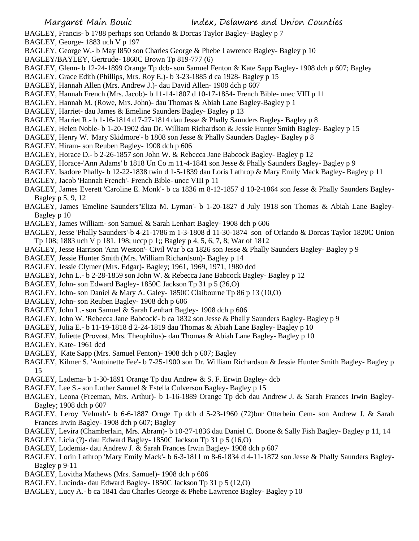- BAGLEY, Francis- b 1788 perhaps son Orlando & Dorcas Taylor Bagley- Bagley p 7
- BAGLEY, George- 1883 uch V p 197
- BAGLEY, George W.- b May l850 son Charles George & Phebe Lawrence Bagley- Bagley p 10
- BAGLEY/BAYLEY, Gertrude- 1860C Brown Tp 819-777 (6)
- BAGLEY, Glenn- b 12-24-1899 Orange Tp dcb- son Samuel Fenton & Kate Sapp Bagley- 1908 dch p 607; Bagley
- BAGLEY, Grace Edith (Phillips, Mrs. Roy E.)- b 3-23-1885 d ca 1928- Bagley p 15
- BAGLEY, Hannah Allen (Mrs. Andrew J.)- dau David Allen- 1908 dch p 607
- BAGLEY, Hannah French (Mrs. Jacob)- b 11-14-1807 d 10-17-1854- French Bible- unec VIII p 11
- BAGLEY, Hannah M. (Rowe, Mrs. John)- dau Thomas & Abiah Lane Bagley-Bagley p 1
- BAGLEY, Harriet- dau James & Emeline Saunders Bagley- Bagley p 13
- BAGLEY, Harriet R.- b 1-16-1814 d 7-27-1814 dau Jesse & Phally Saunders Bagley- Bagley p 8
- BAGLEY, Helen Noble- b 1-20-1902 dau Dr. William Richardson & Jessie Hunter Smith Bagley- Bagley p 15
- BAGLEY, Henry W. 'Mary Skidmore'- b 1808 son Jesse & Phally Saunders Bagley- Bagley p 8
- BAGLEY, Hiram- son Reuben Bagley- 1908 dch p 606
- BAGLEY, Horace D.- b 2-26-1857 son John W. & Rebecca Jane Babcock Bagley- Bagley p 12
- BAGLEY, Horace-'Ann Adams' b 1818 Un Co m 11-4-1841 son Jesse & Phally Saunders Bagley- Bagley p 9
- BAGLEY, Isadore Phally- b 12-22-1838 twin d 1-5-1839 dau Loris Lathrop & Mary Emily Mack Bagley- Bagley p 11
- BAGLEY, Jacob 'Hannah French'- French Bible- unec VIII p 11
- BAGLEY, James Everett 'Caroline E. Monk'- b ca 1836 m 8-12-1857 d 10-2-1864 son Jesse & Phally Saunders Bagley-Bagley p 5, 9, 12
- BAGLEY, James 'Emeline Saunders''Eliza M. Lyman'- b 1-20-1827 d July 1918 son Thomas & Abiah Lane Bagley-Bagley p 10
- BAGLEY, James William- son Samuel & Sarah Lenhart Bagley- 1908 dch p 606
- BAGLEY, Jesse 'Phally Saunders'-b 4-21-1786 m 1-3-1808 d 11-30-1874 son of Orlando & Dorcas Taylor 1820C Union Tp 108; 1883 uch V p 181, 198; uccp p 1;; Bagley p 4, 5, 6, 7, 8; War of 1812
- BAGLEY, Jesse Harrison 'Ann Weston'- Civil War b ca 1826 son Jesse & Phally Saunders Bagley- Bagley p 9
- BAGLEY, Jessie Hunter Smith (Mrs. William Richardson)- Bagley p 14
- BAGLEY, Jessie Clymer (Mrs. Edgar)- Bagley; 1961, 1969, 1971, 1980 dcd
- BAGLEY, John L.- b 2-28-1859 son John W. & Rebecca Jane Babcock Bagley- Bagley p 12
- BAGLEY, John- son Edward Bagley- 1850C Jackson Tp 31 p 5 (26,O)
- BAGLEY, John- son Daniel & Mary A. Galey- 1850C Claibourne Tp 86 p 13 (10,O)
- BAGLEY, John- son Reuben Bagley- 1908 dch p 606
- BAGLEY, John L.- son Samuel & Sarah Lenhart Bagley- 1908 dch p 606
- BAGLEY, John W. 'Rebecca Jane Babcock'- b ca 1832 son Jesse & Phally Saunders Bagley- Bagley p 9
- BAGLEY, Julia E.- b 11-19-1818 d 2-24-1819 dau Thomas & Abiah Lane Bagley- Bagley p 10
- BAGLEY, Juliette (Provost, Mrs. Theophilus)- dau Thomas & Abiah Lane Bagley- Bagley p 10
- BAGLEY, Kate- 1961 dcd
- BAGLEY, Kate Sapp (Mrs. Samuel Fenton)- 1908 dch p 607; Bagley
- BAGLEY, Kilmer S. 'Antoinette Fee'- b 7-25-1900 son Dr. William Richardson & Jessie Hunter Smith Bagley- Bagley p 15
- BAGLEY, Ladema- b 1-30-1891 Orange Tp dau Andrew & S. F. Erwin Bagley- dcb
- BAGLEY, Lee S.- son Luther Samuel & Estella Culverson Bagley- Bagley p 15
- BAGLEY, Leona (Freeman, Mrs. Arthur)- b 1-16-1889 Orange Tp dcb dau Andrew J. & Sarah Frances Irwin Bagley-Bagley; 1908 dch p 607
- BAGLEY, Leroy 'Velmah'- b 6-6-1887 Ornge Tp dcb d 5-23-1960 (72)bur Otterbein Cem- son Andrew J. & Sarah Frances Irwin Bagley- 1908 dch p 607; Bagley
- BAGLEY, Levira (Chamberlain, Mrs. Abram)- b 10-27-1836 dau Daniel C. Boone & Sally Fish Bagley- Bagley p 11, 14
- BAGLEY, Licia (?)- dau Edward Bagley- 1850C Jackson Tp 31 p 5 (16,O)
- BAGLEY, Lodemia- dau Andrew J. & Sarah Frances Irwin Bagley- 1908 dch p 607
- BAGLEY, Lorin Lathrop 'Mary Emily Mack'- b 6-3-1811 m 8-6-1834 d 4-11-1872 son Jesse & Phally Saunders Bagley-Bagley p 9-11
- BAGLEY, Lovitha Mathews (Mrs. Samuel)- 1908 dch p 606
- BAGLEY, Lucinda- dau Edward Bagley- 1850C Jackson Tp 31 p 5 (12,O)
- BAGLEY, Lucy A.- b ca 1841 dau Charles George & Phebe Lawrence Bagley- Bagley p 10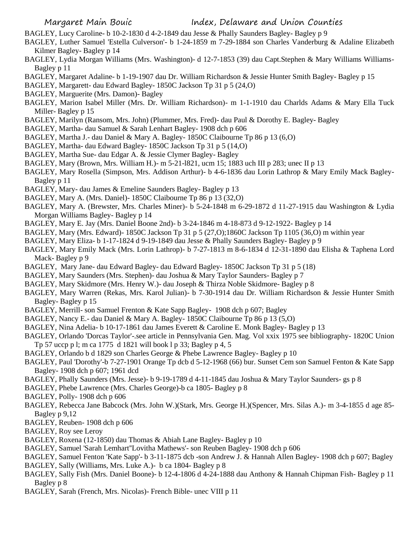- BAGLEY, Lucy Caroline- b 10-2-1830 d 4-2-1849 dau Jesse & Phally Saunders Bagley- Bagley p 9
- BAGLEY, Luther Samuel 'Estella Culverson'- b 1-24-1859 m 7-29-1884 son Charles Vanderburg & Adaline Elizabeth Kilmer Bagley- Bagley p 14
- BAGLEY, Lydia Morgan Williams (Mrs. Washington)- d 12-7-1853 (39) dau Capt.Stephen & Mary Williams Williams-Bagley p 11
- BAGLEY, Margaret Adaline- b 1-19-1907 dau Dr. William Richardson & Jessie Hunter Smith Bagley- Bagley p 15
- BAGLEY, Margarett- dau Edward Bagley- 1850C Jackson Tp 31 p 5 (24,O)
- BAGLEY, Marguerite (Mrs. Damon)- Bagley
- BAGLEY, Marion Isabel Miller (Mrs. Dr. William Richardson)- m 1-1-1910 dau Charlds Adams & Mary Ella Tuck Miller- Bagley p 15
- BAGLEY, Marilyn (Ransom, Mrs. John) (Plummer, Mrs. Fred)- dau Paul & Dorothy E. Bagley- Bagley
- BAGLEY, Martha- dau Samuel & Sarah Lenhart Bagley- 1908 dch p 606
- BAGLEY, Martha J.- dau Daniel & Mary A. Bagley- 1850C Claibourne Tp 86 p 13 (6,O)
- BAGLEY, Martha- dau Edward Bagley- 1850C Jackson Tp 31 p 5 (14,O)
- BAGLEY, Martha Sue- dau Edgar A. & Jessie Clymer Bagley- Bagley
- BAGLEY, Mary (Brown, Mrs. William H.)- m 5-21-l821, ucm 15; 1883 uch III p 283; unec II p 13
- BAGLEY, Mary Rosella (Simpson, Mrs. Addison Arthur)- b 4-6-1836 dau Lorin Lathrop & Mary Emily Mack Bagley-Bagley p 11
- BAGLEY, Mary- dau James & Emeline Saunders Bagley- Bagley p 13
- BAGLEY, Mary A. (Mrs. Daniel)- 1850C Claibourne Tp 86 p 13 (32,O)
- BAGLEY, Mary A. (Brewster, Mrs. Charles Miner)- b 5-24-1848 m 6-29-1872 d 11-27-1915 dau Washington & Lydia Morgan Williams Bagley- Bagley p 14
- BAGLEY, Mary E. Jay (Mrs. Daniel Boone 2nd)- b 3-24-1846 m 4-18-873 d 9-12-1922- Bagley p 14
- BAGLEY, Mary (Mrs. Edward)- 1850C Jackson Tp 31 p 5 (27,O);1860C Jackson Tp 1105 (36,O) m within year
- BAGLEY, Mary Eliza- b 1-17-1824 d 9-19-1849 dau Jesse & Phally Saunders Bagley- Bagley p 9
- BAGLEY, Mary Emily Mack (Mrs. Lorin Lathrop)- b 7-27-1813 m 8-6-1834 d 12-31-1890 dau Elisha & Taphena Lord Mack- Bagley p 9
- BAGLEY, Mary Jane- dau Edward Bagley- dau Edward Bagley- 1850C Jackson Tp 31 p 5 (18)
- BAGLEY, Mary Saunders (Mrs. Stephen)- dau Joshua & Mary Taylor Saunders- Bagley p 7
- BAGLEY, Mary Skidmore (Mrs. Henry W.)- dau Joseph & Thirza Noble Skidmore- Bagley p 8
- BAGLEY, Mary Warren (Rekas, Mrs. Karol Julian)- b 7-30-1914 dau Dr. William Richardson & Jessie Hunter Smith Bagley- Bagley p 15
- BAGLEY, Merrill- son Samuel Frenton & Kate Sapp Bagley- 1908 dch p 607; Bagley
- BAGLEY, Nancy E.- dau Daniel & Mary A. Bagley- 1850C Claibourne Tp 86 p 13 (5,O)
- BAGLEY, Nina Adelia- b 10-17-1861 dau James Everett & Caroline E. Monk Bagley- Bagley p 13
- BAGLEY, Orlando 'Dorcas Taylor'-.see article in Pennsylvania Gen. Mag. Vol xxix 1975 see bibliography- 1820C Union Tp 57 uccp p l; m ca 1775 d 1821 will book l p 33; Bagley p 4, 5
- BAGLEY, Orlando b d 1829 son Charles George & Phebe Lawrence Bagley- Bagley p 10
- BAGLEY, Paul 'Dorothy'-b 7-27-1901 Orange Tp dcb d 5-12-1968 (66) bur. Sunset Cem son Samuel Fenton & Kate Sapp Bagley- 1908 dch p 607; 1961 dcd
- BAGLEY, Phally Saunders (Mrs. Jesse)- b 9-19-1789 d 4-11-1845 dau Joshua & Mary Taylor Saunders- gs p 8
- BAGLEY, Phebe Lawrence (Mrs. Charles George)-b ca 1805- Bagley p 8
- BAGLEY, Polly- 1908 dch p 606
- BAGLEY, Rebecca Jane Babcock (Mrs. John W.)(Stark, Mrs. George H.)(Spencer, Mrs. Silas A.)- m 3-4-1855 d age 85- Bagley p 9,12
- BAGLEY, Reuben- 1908 dch p 606
- BAGLEY, Roy see Leroy
- BAGLEY, Roxena (12-1850) dau Thomas & Abiah Lane Bagley- Bagley p 10
- BAGLEY, Samuel 'Sarah Lemhart''Lovitha Mathews'- son Reuben Bagley- 1908 dch p 606
- BAGLEY, Samuel Fenton 'Kate Sapp'- b 3-11-1875 dcb -son Andrew J. & Hannah Allen Bagley- 1908 dch p 607; Bagley
- BAGLEY, Sally (Williams, Mrs. Luke A.)- b ca 1804- Bagley p 8
- BAGLEY, Sally Fish (Mrs. Daniel Boone)- b 12-4-1806 d 4-24-1888 dau Anthony & Hannah Chipman Fish- Bagley p 11 Bagley p 8
- BAGLEY, Sarah (French, Mrs. Nicolas)- French Bible- unec VIII p 11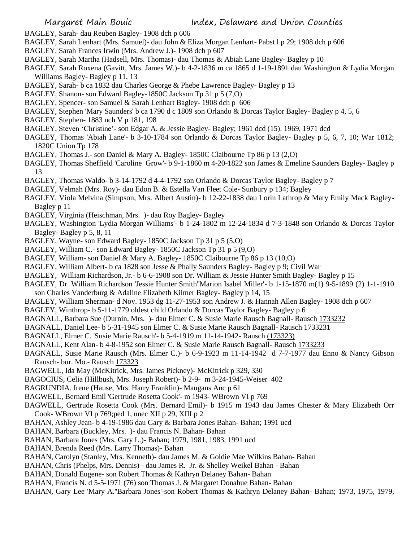- BAGLEY, Sarah- dau Reuben Bagley- 1908 dch p 606
- BAGLEY, Sarah Lenhart (Mrs. Samuel)- dau John & Eliza Morgan Lenhart- Pabst l p 29; 1908 dch p 606
- BAGLEY, Sarah Frances Irwin (Mrs. Andrew J.)- 1908 dch p 607
- BAGLEY, Sarah Martha (Hadsell, Mrs. Thomas)- dau Thomas & Abiah Lane Bagley- Bagley p 10
- BAGLEY, Sarah Roxena (Gavitt, Mrs. James W.)- b 4-2-1836 m ca 1865 d 1-19-1891 dau Washington & Lydia Morgan Williams Bagley- Bagley p 11, 13
- BAGLEY, Sarah- b ca 1832 dau Charles George & Phebe Lawrence Bagley- Bagley p 13
- BAGLEY, Shanon- son Edward Bagley-1850C Jackson Tp 31 p 5 (7,O)
- BAGLEY, Spencer- son Samuel & Sarah Lenhart Bagley- 1908 dch p 606
- BAGLEY, Stephen 'Mary Saunders' b ca 1790 d c 1809 son Orlando & Dorcas Taylor Bagley- Bagley p 4, 5, 6
- BAGLEY, Stephen- 1883 uch V p 181, 198
- BAGLEY, Steven 'Christine'- son Edgar A. & Jessie Bagley- Bagley; 1961 dcd (15). 1969, 1971 dcd
- BAGLEY, Thomas 'Abiah Lane'- b 3-10-1784 son Orlando & Dorcas Taylor Bagley- Bagley p 5, 6, 7, 10; War 1812; 1820C Union Tp 178
- BAGLEY, Thomas J.- son Daniel & Mary A. Bagley- 1850C Claibourne Tp 86 p 13 (2,O)
- BAGLEY, Thomas Sheffield 'Caroline Grow'- b 9-1-1860 m 4-20-1822 son James & Emeline Saunders Bagley- Bagley p 13
- BAGLEY, Thomas Waldo- b 3-14-1792 d 4-4-1792 son Orlando & Dorcas Taylor Bagley- Bagley p 7
- BAGLEY, Velmah (Mrs. Roy)- dau Edon B. & Estella Van Fleet Cole- Sunbury p 134; Bagley
- BAGLEY, Viola Melvina (Simpson, Mrs. Albert Austin)- b 12-22-1838 dau Lorin Lathrop & Mary Emily Mack Bagley-Bagley p 11
- BAGLEY, Virginia (Heischman, Mrs. )- dau Roy Bagley- Bagley
- BAGLEY, Washington 'Lydia Morgan Williams'- b 1-24-1802 m 12-24-1834 d 7-3-1848 son Orlando & Dorcas Taylor Bagley- Bagley p 5, 8, 11
- BAGLEY, Wayne- son Edward Bagley- 1850C Jackson Tp 31 p 5 (5,O)
- BAGLEY, William C.- son Edward Bagley- 1850C Jackson Tp 31 p 5 (9,O)
- BAGLEY, William- son Daniel & Mary A. Bagley- 1850C Claibourne Tp 86 p 13 (10,O)
- BAGLEY, William Albert- b ca 1828 son Jesse & Phally Saunders Bagley- Bagley p 9; Civil War
- BAGLEY, William Richardson, Jr.- b 6-6-1908 son Dr. William & Jessie Hunter Smith Bagley- Bagley p 15
- BAGLEY, Dr. William Richardson 'Jessie Hunter Smith''Marion Isabel Miller'- b 1-15-1870 m(1) 9-5-1899 (2) 1-1-1910
- son Charles Vanderburg & Adaline Elizabeth Kilmer Bagley- Bagley p 14, 15
- BAGLEY, William Sherman- d Nov. 1953 dg 11-27-1953 son Andrew J. & Hannah Allen Bagley- 1908 dch p 607
- BAGLEY, Winthrop- b 5-11-1779 oldest child Orlando & Dorcas Taylor Bagley- Bagley p 6
- BAGNALL, Barbara Sue (Durnin, Mrs. )- dau Elmer C. & Susie Marie Rausch Bagnall- Rausch 1733232
- BAGNALL, Daniel Lee- b 5-31-1945 son Elmer C. & Susie Marie Rausch Bagnall- Rausch 1733231
- BAGNALL, Elmer C. 'Susie Marie Rausch'- b 5-4-1919 m 11-14-1942- Rausch (173323)
- BAGNALL, Kent Alan- b 4-8-1952 son Elmer C. & Susie Marie Rausch Bagnall- Rausch 1733233
- BAGNALL, Susie Marie Rausch (Mrs. Elmer C.)- b 6-9-1923 m 11-14-1942 d 7-7-1977 dau Enno & Nancy Gibson Rausch- bur. Mo.- Rausch 173323
- BAGWELL, Ida May (McKitrick, Mrs. James Pickney)- McKitrick p 329, 330
- BAGOCIUS, Celia (Hillbush, Mrs. Joseph Robert)- b 2-9- m 3-24-1945-Weiser 402
- BAGRUNDIA. Irene (Hause, Mrs. Harry Franklin)- Maugans Anc p 61
- BAGWELL, Bernard Emil 'Gertrude Rosetta Cook'- m 1943- WBrown VI p 769
- BAGWELL, Gertrude Rosetta Cook (Mrs. Bernard Emil)- b 1915 m 1943 dau James Chester & Mary Elizabeth Orr Cook- WBrown VI p 769;ped 1, unec XII p 29, XIII p 2
- BAHAN, Ashley Jean- b 4-19-1986 dau Gary & Barbara Jones Bahan- Bahan; 1991 ucd
- BAHAN, Barbara (Buckley, Mrs. )- dau Francis N. Bahan- Bahan
- BAHAN, Barbara Jones (Mrs. Gary L.)- Bahan; 1979, 1981, 1983, 1991 ucd
- BAHAN, Brenda Reed (Mrs. Larry Thomas)- Bahan
- BAHAN, Carolyn (Stanley, Mrs. Kenneth)- dau James M. & Goldie Mae Wilkins Bahan- Bahan
- BAHAN, Chris (Phelps, Mrs. Dennis) dau James R. Jr. & Shelley Weikel Bahan Bahan
- BAHAN, Donald Eugene- son Robert Thomas & Kathryn Delaney Bahan- Bahan
- BAHAN, Francis N. d 5-5-1971 (76) son Thomas J. & Margaret Donahue Bahan- Bahan
- BAHAN, Gary Lee 'Mary A.''Barbara Jones'-son Robert Thomas & Kathryn Delaney Bahan- Bahan; 1973, 1975, 1979,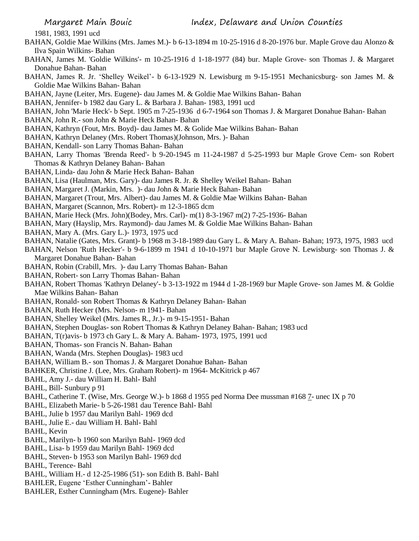1981, 1983, 1991 ucd

- BAHAN, Goldie Mae Wilkins (Mrs. James M.)- b 6-13-1894 m 10-25-1916 d 8-20-1976 bur. Maple Grove dau Alonzo & Ilva Spain Wilkins- Bahan
- BAHAN, James M. 'Goldie Wilkins'- m 10-25-1916 d 1-18-1977 (84) bur. Maple Grove- son Thomas J. & Margaret Donahue Bahan- Bahan
- BAHAN, James R. Jr. 'Shelley Weikel'- b 6-13-1929 N. Lewisburg m 9-15-1951 Mechanicsburg- son James M. & Goldie Mae Wilkins Bahan- Bahan
- BAHAN, Jayne (Leiter, Mrs. Eugene)- dau James M. & Goldie Mae Wilkins Bahan- Bahan
- BAHAN, Jennifer- b 1982 dau Gary L. & Barbara J. Bahan- 1983, 1991 ucd
- BAHAN, John 'Marie Heck'- b Sept. 1905 m 7-25-1936 d 6-7-1964 son Thomas J. & Margaret Donahue Bahan- Bahan
- BAHAN, John R.- son John & Marie Heck Bahan- Bahan
- BAHAN, Kathryn (Fout, Mrs. Boyd)- dau James M. & Golide Mae Wilkins Bahan- Bahan
- BAHAN, Kathryn Delaney (Mrs. Robert Thomas)(Johnson, Mrs. )- Bahan
- BAHAN, Kendall- son Larry Thomas Bahan- Bahan
- BAHAN, Larry Thomas 'Brenda Reed'- b 9-20-1945 m 11-24-1987 d 5-25-1993 bur Maple Grove Cem- son Robert Thomas & Kathryn Delaney Bahan- Bahan
- BAHAN, Linda- dau John & Marie Heck Bahan- Bahan
- BAHAN, Lisa (Haulman, Mrs. Gary)- dau James R. Jr. & Shelley Weikel Bahan- Bahan
- BAHAN, Margaret J. (Markin, Mrs. )- dau John & Marie Heck Bahan- Bahan
- BAHAN, Margaret (Trout, Mrs. Albert)- dau James M. & Goldie Mae Wilkins Bahan- Bahan
- BAHAN, Margaret (Scannon, Mrs. Robert)- m 12-3-1865 dcm
- BAHAN, Marie Heck (Mrs. John)(Bodey, Mrs. Carl)- m(1) 8-3-1967 m(2) 7-25-1936- Bahan
- BAHAN, Mary (Hayslip, Mrs. Raymond)- dau James M. & Goldie Mae Wilkins Bahan- Bahan
- BAHAN, Mary A. (Mrs. Gary L.)- 1973, 1975 ucd
- BAHAN, Natalie (Gates, Mrs. Grant)- b 1968 m 3-18-1989 dau Gary L. & Mary A. Bahan- Bahan; 1973, 1975, 1983 ucd
- BAHAN, Nelson 'Ruth Hecker'- b 9-6-1899 m 1941 d 10-10-1971 bur Maple Grove N. Lewisburg- son Thomas J. & Margaret Donahue Bahan- Bahan
- BAHAN, Robin (Crabill, Mrs. )- dau Larry Thomas Bahan- Bahan
- BAHAN, Robert- son Larry Thomas Bahan- Bahan
- BAHAN, Robert Thomas 'Kathryn Delaney'- b 3-13-1922 m 1944 d 1-28-1969 bur Maple Grove- son James M. & Goldie Mae Wilkins Bahan- Bahan
- BAHAN, Ronald- son Robert Thomas & Kathryn Delaney Bahan- Bahan
- BAHAN, Ruth Hecker (Mrs. Nelson- m 1941- Bahan
- BAHAN, Shelley Weikel (Mrs. James R., Jr.)- m 9-15-1951- Bahan
- BAHAN, Stephen Douglas- son Robert Thomas & Kathryn Delaney Bahan- Bahan; 1983 ucd
- BAHAN, T(r)avis- b 1973 ch Gary L. & Mary A. Baham- 1973, 1975, 1991 ucd
- BAHAN, Thomas- son Francis N. Bahan- Bahan
- BAHAN, Wanda (Mrs. Stephen Douglas)- 1983 ucd
- BAHAN, William B.- son Thomas J. & Margaret Donahue Bahan- Bahan
- BAHKER, Christine J. (Lee, Mrs. Graham Robert)- m 1964- McKitrick p 467
- BAHL, Amy J.- dau William H. Bahl- Bahl
- BAHL, Bill- Sunbury p 91
- BAHL, Catherine T. (Wise, Mrs. George W.)- b 1868 d 1955 ped Norma Dee mussman #168 7- unec IX p 70
- BAHL, Elizabeth Marie- b 5-26-1981 dau Terence Bahl- Bahl
- BAHL, Julie b 1957 dau Marilyn Bahl- 1969 dcd
- BAHL, Julie E.- dau William H. Bahl- Bahl
- BAHL, Kevin
- BAHL, Marilyn- b 1960 son Marilyn Bahl- 1969 dcd
- BAHL, Lisa- b 1959 dau Marilyn Bahl- 1969 dcd
- BAHL, Steven- b 1953 son Marilyn Bahl- 1969 dcd
- BAHL, Terence- Bahl
- BAHL, William H.- d 12-25-1986 (51)- son Edith B. Bahl- Bahl
- BAHLER, Eugene 'Esther Cunningham'- Bahler
- BAHLER, Esther Cunningham (Mrs. Eugene)- Bahler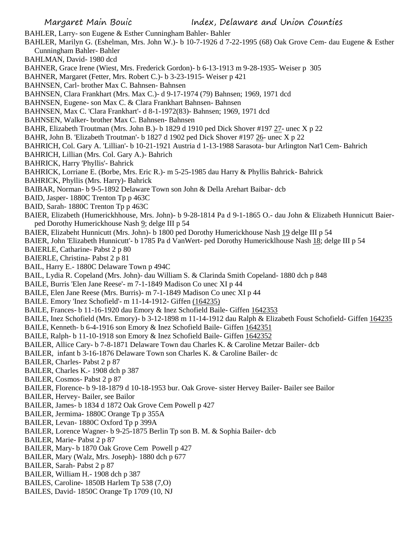BAHLER, Larry- son Eugene & Esther Cunningham Bahler- Bahler BAHLER, Marilyn G. (Eshelman, Mrs. John W.)- b 10-7-1926 d 7-22-1995 (68) Oak Grove Cem- dau Eugene & Esther Cunningham Bahler- Bahler BAHLMAN, David- 1980 dcd BAHNER, Grace Irene (Wiest, Mrs. Frederick Gordon)- b 6-13-1913 m 9-28-1935- Weiser p 305 BAHNER, Margaret (Fetter, Mrs. Robert C.)- b 3-23-1915- Weiser p 421 BAHNSEN, Carl- brother Max C. Bahnsen- Bahnsen BAHNSEN, Clara Frankhart (Mrs. Max C.)- d 9-17-1974 (79) Bahnsen; 1969, 1971 dcd BAHNSEN, Eugene- son Max C. & Clara Frankhart Bahnsen- Bahnsen BAHNSEN, Max C. 'Clara Frankhart'- d 8-1-1972(83)- Bahnsen; 1969, 1971 dcd BAHNSEN, Walker- brother Max C. Bahnsen- Bahnsen BAHR, Elizabeth Troutman (Mrs. John B.)- b 1829 d 1910 ped Dick Shover #197 27- unec X p 22 BAHR, John B. 'Elizabeth Troutman'- b 1827 d 1902 ped Dick Shover #197 26- unec X p 22 BAHRICH, Col. Gary A. 'Lillian'- b 10-21-1921 Austria d 1-13-1988 Sarasota- bur Arlington Nat'l Cem- Bahrich BAHRICH, Lillian (Mrs. Col. Gary A.)- Bahrich BAHRICK, Harry 'Phyllis'- Bahrick BAHRICK, Lorriane E. (Borbe, Mrs. Eric R.)- m 5-25-1985 dau Harry & Phyllis Bahrick- Bahrick BAHRICK, Phyllis (Mrs. Harry)- Bahrick BAIBAR, Norman- b 9-5-1892 Delaware Town son John & Della Arehart Baibar- dcb BAID, Jasper- 1880C Trenton Tp p 463C BAID, Sarah- 1880C Trenton Tp p 463C BAIER, Elizabeth (Humerickhhouse, Mrs. John)- b 9-28-1814 Pa d 9-1-1865 O.- dau John & Elizabeth Hunnicutt Baierped Dorothy Humerickhouse Nash 9; delge III p 54 BAIER, Elizabeht Hunnicutt (Mrs. John)- b 1800 ped Dorothy Humerickhouse Nash 19 delge III p 54 BAIER, John 'Elizabeth Hunnicutt'- b 1785 Pa d VanWert- ped Dorothy Humericklhouse Nash 18; delge III p 54 BAIERLE, Catharine- Pabst 2 p 80 BAIERLE, Christina- Pabst 2 p 81 BAIL, Harry E.- 1880C Delaware Town p 494C BAIL, Lydia R. Copeland (Mrs. John)- dau William S. & Clarinda Smith Copeland- 1880 dch p 848 BAILE, Burris 'Elen Jane Reese'- m 7-1-1849 Madison Co unec XI p 44 BAILE, Elen Jane Reese (Mrs. Burris)- m 7-1-1849 Madison Co unec XI p 44 BAILE. Emory 'Inez Schofield'- m 11-14-1912- Giffen (164235) BAILE, Frances- b 11-16-1920 dau Emory & Inez Schofield Baile- Giffen 1642353 BAILE, Inez Schofield (Mrs. Emory)- b 3-12-1898 m 11-14-1912 dau Ralph & Elizabeth Foust Schofield- Giffen 164235 BAILE, Kenneth- b 6-4-1916 son Emory & Inez Schofield Baile- Giffen 1642351 BAILE, Ralph- b 11-10-1918 son Emory & Inez Schofield Baile- Giffen 1642352 BAILER, Allice Cary- b 7-8-1871 Delaware Town dau Charles K. & Caroline Metzar Bailer- dcb BAILER, infant b 3-16-1876 Delaware Town son Charles K. & Caroline Bailer- dc BAILER, Charles- Pabst 2 p 87 BAILER, Charles K.- 1908 dch p 387 BAILER, Cosmos- Pabst 2 p 87 BAILER, Florence- b 9-18-1879 d 10-18-1953 bur. Oak Grove- sister Hervey Bailer- Bailer see Bailor BAILER, Hervey- Bailer, see Bailor BAILER, James- b 1834 d 1872 Oak Grove Cem Powell p 427 BAILER, Jermima- 1880C Orange Tp p 355A BAILER, Levan- 1880C Oxford Tp p 399A BAILER, Lorence Wagner- b 9-25-1875 Berlin Tp son B. M. & Sophia Bailer- dcb BAILER, Marie- Pabst 2 p 87 BAILER, Mary- b 1870 Oak Grove Cem Powell p 427 BAILER, Mary (Walz, Mrs. Joseph)- 1880 dch p 677 BAILER, Sarah- Pabst 2 p 87 BAILER, William H.- 1908 dch p 387 BAILES, Caroline- 1850B Harlem Tp 538 (7,O)

BAILES, David- 1850C Orange Tp 1709 (10, NJ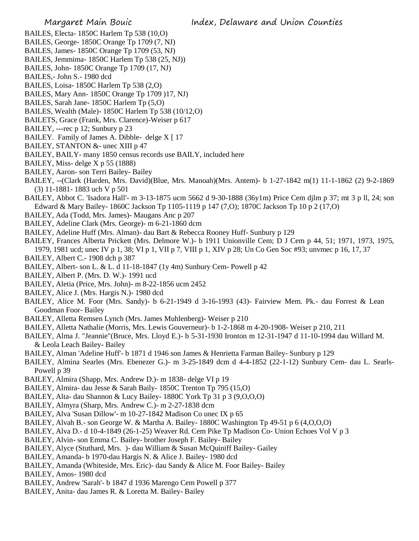- BAILES, Electa- 1850C Harlem Tp 538 (10,O)
- BAILES, George- 1850C Orange Tp 1709 (7, NJ)
- BAILES, James- 1850C Orange Tp 1709 (53, NJ)
- BAILES, Jemmima- 1850C Harlem Tp 538 (25, NJ))
- BAILES, John- 1850C Orange Tp 1709 (17, NJ)
- BAILES,- John S.- 1980 dcd
- BAILES, Loisa- 1850C Harlem Tp 538 (2,O)
- BAILES, Mary Ann- 1850C Orange Tp 1709 )17, NJ)
- BAILES, Sarah Jane- 1850C Harlem Tp (5,O)
- BAILES, Wealth (Male)- 1850C Harlem Tp 538 (10/12,O)
- BAILETS, Grace (Frank, Mrs. Clarence)-Weiser p 617
- BAILEY, ---rec p 12; Sunbury p 23
- BAILEY. Family of James A. Dibble- delge X [17]
- BAILEY, STANTON &- unec XIII p 47
- BAILEY, BAILY- many 1850 census records use BAILY, included here
- BAILEY, Miss- delge X p 55 (1888)
- BAILEY, Aaron- son Terri Bailey- Bailey
- BAILEY, --(Clark (Harden, Mrs. David)(Blue, Mrs. Manoah)(Mrs. Antem)- b 1-27-1842 m(1) 11-1-1862 (2) 9-2-1869 (3) 11-1881- 1883 uch V p 501
- BAILEY, Abbot C. 'Isadora Hall'- m 3-13-1875 ucm 5662 d 9-30-1888 (36y1m) Price Cem djlm p 37; mt 3 p ll, 24; son Edward & Mary Bailey- 1860C Jackson Tp 1105-1119 p 147 (7,O); 1870C Jackson Tp 10 p 2 (17,O)
- BAILEY, Ada (Todd, Mrs. James)- Maugans Anc p 207
- BAILEY, Adeline Clark (Mrs. George)- m 6-21-1860 dcm
- BAILEY, Adeline Huff (Mrs. Alman)- dau Bart & Rebecca Rooney Huff- Sunbury p 129
- BAILEY, Frances Alberta Prickett (Mrs. Delmore W.)- b 1911 Unionville Cem; D J Cem p 44, 51; 1971, 1973, 1975, 1979, 1981 ucd; unec IV p 1, 38; VI p 1, VII p 7, VIII p 1, XIV p 28; Un Co Gen Soc #93; unvmec p 16, 17, 37
- BAILEY, Albert C.- 1908 dch p 387
- BAILEY, Albert- son L. & L. d 11-18-1847 (1y 4m) Sunbury Cem- Powell p 42
- BAILEY, Albert P. (Mrs. D. W.)- 1991 ucd
- BAILEY, Aletia (Price, Mrs. John)- m 8-22-1856 ucm 2452
- BAILEY, Alice J. (Mrs. Hargis N.)- 1980 dcd
- BAILEY, Alice M. Foor (Mrs. Sandy)- b 6-21-1949 d 3-16-1993 (43)- Fairview Mem. Pk.- dau Forrest & Lean Goodman Foor- Bailey
- BAILEY, Alletta Remsen Lynch (Mrs. James Muhlenberg)- Weiser p 210
- BAILEY, Alletta Nathalie (Morris, Mrs. Lewis Gouverneur)- b 1-2-1868 m 4-20-1908- Weiser p 210, 211
- BAILEY, Alma J. "Jeannie"(Bruce, Mrs. Lloyd E.)- b 5-31-1930 Ironton m 12-31-1947 d 11-10-1994 dau Willard M. & Leola Leach Bailey- Bailey
- BAILEY, Alman 'Adeline Huff'- b 1871 d 1946 son James & Henrietta Farman Bailey- Sunbury p 129
- BAILEY, Almina Searles (Mrs. Ebenezer G.)- m 3-25-1849 dcm d 4-4-1852 (22-1-12) Sunbury Cem- dau L. Searls-Powell p 39
- BAILEY, Almira (Shapp, Mrs. Andrew D.)- m 1838- delge VI p 19
- BAILEY, Almira- dau Jesse & Sarah Baily- 1850C Trenton Tp 795 (15,O)
- BAILEY, Alta- dau Shannon & Lucy Bailey- 1880C York Tp 31 p 3 (9,O,O,O)
- BAILEY, Almyra (Sharp, Mrs. Andrew C.)- m 2-27-1838 dcm
- BAILEY, Alva 'Susan Dillow'- m 10-27-1842 Madison Co unec IX p 65
- BAILEY, Alvah B.- son George W. & Martha A. Bailey- 1880C Washington Tp 49-51 p 6 (4,O,O,O)
- BAILEY, Alva D.- d 10-4-1849 (26-1-25) Weaver Rd. Cem Pike Tp Madison Co- Union Echoes Vol V p 3
- BAILEY, Alvin- son Emma C. Bailey- brother Joseph F. Bailey- Bailey
- BAILEY, Alyce (Stuthard, Mrs. )- dau William & Susan McQuiniff Bailey- Gailey
- BAILEY, Amanda- b 1970-dau Hargis N. & Alice J. Bailey- 1980 dcd
- BAILEY, Amanda (Whiteside, Mrs. Eric)- dau Sandy & Alice M. Foor Bailey- Bailey
- BAILEY, Amos- 1980 dcd
- BAILEY, Andrew 'Sarah'- b 1847 d 1936 Marengo Cem Powell p 377
- BAILEY, Anita- dau James R. & Loretta M. Bailey- Bailey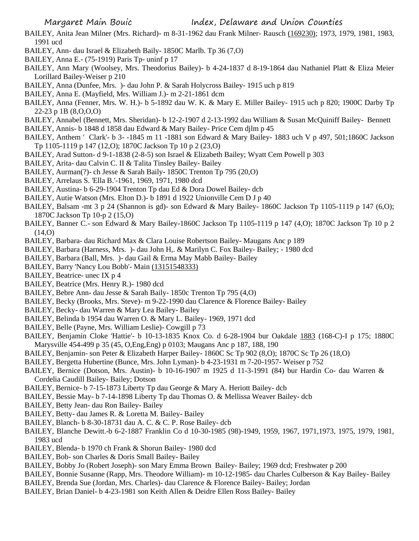- BAILEY, Anita Jean Milner (Mrs. Richard)- m 8-31-1962 dau Frank Milner- Rausch (169230); 1973, 1979, 1981, 1983, 1991 ucd
- BAILEY, Ann- dau Israel & Elizabeth Baily- 1850C Marlb. Tp 36 (7,O)
- BAILEY, Anna E.- (75-1919) Paris Tp- uninf p 17
- BAILEY, Ann Mary (Woolsey, Mrs. Theodorius Bailey)- b 4-24-1837 d 8-19-1864 dau Nathaniel Platt & Eliza Meier Lorillard Bailey-Weiser p 210
- BAILEY, Anna (Dunfee, Mrs. )- dau John P. & Sarah Holycross Bailey- 1915 uch p 819
- BAILEY, Anna E. (Mayfield, Mrs. William J.)- m 2-21-1861 dcm
- BAILEY, Anna (Fenner, Mrs. W. H.)- b 5-1892 dau W. K. & Mary E. Miller Bailey- 1915 uch p 820; 1900C Darby Tp 22-23 p 1B (8,O,O,O)
- BAILEY, Annabel (Bennett, Mrs. Sheridan)- b 12-2-1907 d 2-13-1992 dau William & Susan McQuiniff Bailey- Bennett
- BAILEY, Annis- b 1848 d 1858 dau Edward & Mary Bailey- Price Cem djlm p 45
- BAILEY, Anthem ' Clark'- b 3- -1845 m 11 -1881 son Edward & Mary Bailey- 1883 uch V p 497, 501;1860C Jackson Tp 1105-1119 p 147 (12,O); 1870C Jackson Tp 10 p 2 (23,O)
- BAILEY, Arad Sutton- d 9-1-1838 (2-8-5) son Israel & Elizabeth Bailey; Wyatt Cem Powell p 303
- BAILEY, Arita- dau Calvin C. II & Talita Tinsley Bailey- Bailey
- BAILEY, Aurman(?)- ch Jesse & Sarah Baily- 1850C Trenton Tp 795 (20,O)
- BAILEY, Arrelaus S. 'Ella B.'-1961, 1969, 1971, 1980 dcd
- BAILEY, Austina- b 6-29-1904 Trenton Tp dau Ed & Dora Dowel Bailey- dcb
- BAILEY, Autie Watson (Mrs. Elton D.)- b 1891 d 1922 Unionville Cem D J p 40
- BAILEY, Balsam -mt 3 p 24 (Shannon is gd)- son Edward & Mary Bailey- 1860C Jackson Tp 1105-1119 p 147 (6,O); 1870C Jackson Tp 10-p 2 (15,O)
- BAILEY, Banner C.- son Edward & Mary Bailey-1860C Jackson Tp 1105-1119 p 147 (4,O); 1870C Jackson Tp 10 p 2  $(14,0)$
- BAILEY, Barbara- dau Richard Max & Clara Louise Robertson Bailey- Maugans Anc p 189
- BAILEY, Barbara (Harness, Mrs. )- dau John H,. & Marilyn C. Fox Bailey- Bailey; 1980 dcd
- BAILEY, Barbara (Ball, Mrs. )- dau Gail & Erma May Mabb Bailey- Bailey
- BAILEY, Barry 'Nancy Lou Bobb'- Main (13151548333)
- BAILEY, Beatrice- unec IX p 4
- BAILEY, Beatrice (Mrs. Henry R.)- 1980 dcd
- BAILEY, Bebre Ann- dau Jesse & Sarah Baily- 1850c Trenton Tp 795 (4,O)
- BAILEY, Becky (Brooks, Mrs. Steve)- m 9-22-1990 dau Clarence & Florence Bailey- Bailey
- BAILEY, Becky- dau Warren & Mary Lea Bailey- Bailey
- BAILEY, Belinda b 1954 dau Warren O. & Mary L. Bailey- 1969, 1971 dcd
- BAILEY, Belle (Payne, Mrs. William Leslie)- Cowgill p 73
- BAILEY, Benjamin Cloke 'Hattie'- b 10-13-1835 Knox Co. d 6-28-1904 bur Oakdale 1883 (168-C)-I p 175; 1880C Marysville 454-499 p 35 (45, O,Eng,Eng) p 0103; Maugans Anc p 187, 188, 190
- BAILEY, Benjamin- son Peter & Elizabeth Harper Bailey- 1860C Sc Tp 902 (8,O); 1870C Sc Tp 26 (18,O)
- BAILEY, Bergetta Hubertine (Bunce, Mrs. John Lyman)- b 4-23-1931 m 7-20-1957- Weiser p 752
- BAILEY, Bernice (Dotson, Mrs. Austin)- b 10-16-1907 m 1925 d 11-3-1991 (84) bur Hardin Co- dau Warren & Cordelia Caudill Bailey- Bailey; Dotson
- BAILEY, Bernice- b 7-15-1873 Liberty Tp dau George & Mary A. Heriott Bailey- dcb
- BAILEY, Bessie May- b 7-14-1898 Liberty Tp dau Thomas O. & Mellissa Weaver Bailey- dcb
- BAILEY, Betty Jean- dau Ron Bailey- Bailey
- BAILEY, Betty- dau James R. & Loretta M. Bailey- Bailey
- BAILEY, Blanch- b 8-30-18731 dau A. C. & C. P. Rose Bailey- dcb
- BAILEY, Blanche Dewitt.-b 6-2-1887 Franklin Co d 10-30-1985 (98)-1949, 1959, 1967, 1971,1973, 1975, 1979, 1981, 1983 ucd
- BAILEY, Blenda- b 1970 ch Frank & Shorun Bailey- 1980 dcd
- BAILEY, Bob- son Charles & Doris Small Bailey- Bailey
- BAILEY, Bobby Jo (Robert Joseph)- son Mary Emma Brown Bailey- Bailey; 1969 dcd; Freshwater p 200
- BAILEY, Bonnie Susanne (Rapp, Mrs. Theodore William)- m 10-12-1985- dau Charles Culberson & Kay Bailey- Bailey
- BAILEY, Brenda Sue (Jordan, Mrs. Charles)- dau Clarence & Florence Bailey- Bailey; Jordan
- BAILEY, Brian Daniel- b 4-23-1981 son Keith Allen & Deidre Ellen Ross Bailey- Bailey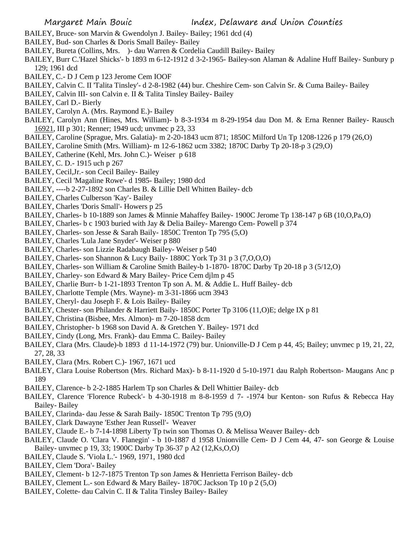- BAILEY, Bruce- son Marvin & Gwendolyn J. Bailey- Bailey; 1961 dcd (4)
- BAILEY, Bud- son Charles & Doris Small Bailey- Bailey
- BAILEY, Bureta (Collins, Mrs. )- dau Warren & Cordelia Caudill Bailey- Bailey
- BAILEY, Burr C.'Hazel Shicks'- b 1893 m 6-12-1912 d 3-2-1965- Bailey-son Alaman & Adaline Huff Bailey- Sunbury p 129; 1961 dcd
- BAILEY, C.- D J Cem p 123 Jerome Cem IOOF
- BAILEY, Calvin C. II 'Talita Tinsley'- d 2-8-1982 (44) bur. Cheshire Cem- son Calvin Sr. & Cuma Bailey- Bailey
- BAILEY, Calvin III- son Calvin e. II & Talita Tinsley Bailey- Bailey
- BAILEY, Carl D.- Bierly
- BAILEY, Carolyn A. (Mrs. Raymond E.)- Bailey
- BAILEY, Carolyn Ann (Hines, Mrs. William)- b 8-3-1934 m 8-29-1954 dau Don M. & Erna Renner Bailey- Rausch 16921, III p 301; Renner; 1949 ucd; unvmec p 23, 33
- BAILEY, Caroline (Sprague, Mrs. Galatia)- m 2-20-1843 ucm 871; 1850C Milford Un Tp 1208-1226 p 179 (26,O)
- BAILEY, Caroline Smith (Mrs. William)- m 12-6-1862 ucm 3382; 1870C Darby Tp 20-18-p 3 (29,O)
- BAILEY, Catherine (Kehl, Mrs. John C.)- Weiser p 618
- BAILEY, C. D.- 1915 uch p 267
- BAILEY, Cecil,Jr.- son Cecil Bailey- Bailey
- BAILEY, Cecil 'Magaline Rowe'- d 1985- Bailey; 1980 dcd
- BAILEY, ----b 2-27-1892 son Charles B. & Lillie Dell Whitten Bailey- dcb
- BAILEY, Charles Culberson 'Kay'- Bailey
- BAILEY, Charles 'Doris Small'- Howers p 25
- BAILEY, Charles- b 10-1889 son James & Minnie Mahaffey Bailey- 1900C Jerome Tp 138-147 p 6B (10,O,Pa,O)
- BAILEY, Charles- b c 1903 buried with Jay & Delia Bailey- Marengo Cem- Powell p 374
- BAILEY, Charles- son Jesse & Sarah Baily- 1850C Trenton Tp 795 (5,O)
- BAILEY, Charles 'Lula Jane Snyder'- Weiser p 880
- BAILEY, Charles- son Lizzie Radabaugh Bailey- Weiser p 540
- BAILEY, Charles- son Shannon & Lucy Baily- 1880C York Tp 31 p 3 (7,O,O,O)
- BAILEY, Charles- son William & Caroline Smith Bailey-b 1-1870- 1870C Darby Tp 20-18 p 3 (5/12,O)
- BAILEY, Charley- son Edward & Mary Bailey- Price Cem djlm p 45
- BAILEY, Charlie Burr- b 1-21-1893 Trenton Tp son A. M. & Addie L. Huff Bailey- dcb
- BAILEY, Charlotte Temple (Mrs. Wayne)- m 3-31-1866 ucm 3943
- BAILEY, Cheryl- dau Joseph F. & Lois Bailey- Bailey
- BAILEY, Chester- son Philander & Harriett Baily- 1850C Porter Tp 3106 (11,O)E; delge IX p 81
- BAILEY, Christina (Bisbee, Mrs. Almon)- m 7-20-1858 dcm
- BAILEY, Christopher- b 1968 son David A. & Gretchen Y. Bailey- 1971 dcd
- BAILEY, Cindy (Long, Mrs. Frank)- dau Emma C. Bailey- Bailey
- BAILEY, Clara (Mrs. Claude)-b 1893 d 11-14-1972 (79) bur. Unionville-D J Cem p 44, 45; Bailey; unvmec p 19, 21, 22, 27, 28, 33
- BAILEY, Clara (Mrs. Robert C.)- 1967, 1671 ucd
- BAILEY, Clara Louise Robertson (Mrs. Richard Max)- b 8-11-1920 d 5-10-1971 dau Ralph Robertson- Maugans Anc p 189
- BAILEY, Clarence- b 2-2-1885 Harlem Tp son Charles & Dell Whittier Bailey- dcb
- BAILEY, Clarence 'Florence Rubeck'- b 4-30-1918 m 8-8-1959 d 7- -1974 bur Kenton- son Rufus & Rebecca Hay Bailey- Bailey
- BAILEY, Clarinda- dau Jesse & Sarah Baily- 1850C Trenton Tp 795 (9,O)
- BAILEY, Clark Dawayne 'Esther Jean Russell'- Weaver
- BAILEY, Claude E.- b 7-14-1898 Liberty Tp twin son Thomas O. & Melissa Weaver Bailey- dcb
- BAILEY, Claude O. 'Clara V. Flanegin' b 10-1887 d 1958 Unionville Cem- D J Cem 44, 47- son George & Louise Bailey- unvmec p 19, 33; 1900C Darby Tp 36-37 p A2 (12,Ks,O,O)
- BAILEY, Claude S. 'Viola L.'- 1969, 1971, 1980 dcd
- BAILEY, Clem 'Dora'- Bailey
- BAILEY, Clement- b 12-7-1875 Trenton Tp son James & Henrietta Ferrison Bailey- dcb
- BAILEY, Clement L.- son Edward & Mary Bailey- 1870C Jackson Tp 10 p 2 (5,O)
- BAILEY, Colette- dau Calvin C. II & Talita Tinsley Bailey- Bailey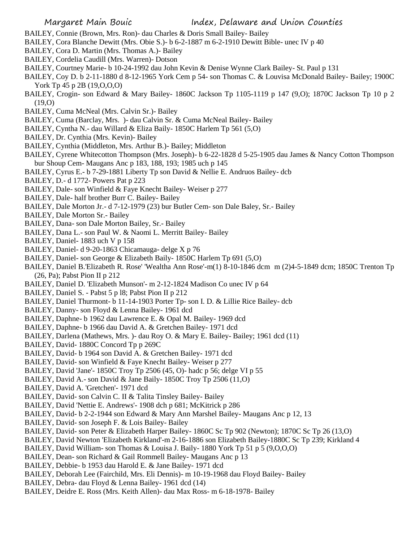- BAILEY, Connie (Brown, Mrs. Ron)- dau Charles & Doris Small Bailey- Bailey
- BAILEY, Cora Blanche Dewitt (Mrs. Obie S.)- b 6-2-1887 m 6-2-1910 Dewitt Bible- unec IV p 40
- BAILEY, Cora D. Martin (Mrs. Thomas A.)- Bailey
- BAILEY, Cordelia Caudill (Mrs. Warren)- Dotson
- BAILEY, Courtney Marie- b 10-24-1992 dau John Kevin & Denise Wynne Clark Bailey- St. Paul p 131
- BAILEY, Coy D. b 2-11-1880 d 8-12-1965 York Cem p 54- son Thomas C. & Louvisa McDonald Bailey- Bailey; 1900C York Tp 45 p 2B (19, O, O, O)
- BAILEY, Crogin- son Edward & Mary Bailey- 1860C Jackson Tp 1105-1119 p 147 (9,O); 1870C Jackson Tp 10 p 2 (19,O)
- BAILEY, Cuma McNeal (Mrs. Calvin Sr.)- Bailey
- BAILEY, Cuma (Barclay, Mrs. )- dau Calvin Sr. & Cuma McNeal Bailey- Bailey
- BAILEY, Cyntha N.- dau Willard & Eliza Baily- 1850C Harlem Tp 561 (5,O)
- BAILEY, Dr. Cynthia (Mrs. Kevin)- Bailey
- BAILEY, Cynthia (Middleton, Mrs. Arthur B.)- Bailey; Middleton
- BAILEY, Cyrene Whitecotton Thompson (Mrs. Joseph)- b 6-22-1828 d 5-25-1905 dau James & Nancy Cotton Thompson bur Shoup Cem- Maugans Anc p 183, 188, 193; 1985 uch p 145
- BAILEY, Cyrus E.- b 7-29-1881 Liberty Tp son David & Nellie E. Andruos Bailey- dcb
- BAILEY, D.- d 1772- Powers Pat p 223
- BAILEY, Dale- son Winfield & Faye Knecht Bailey- Weiser p 277
- BAILEY, Dale- half brother Burr C. Bailey- Bailey
- BAILEY, Dale Morton Jr.- d 7-12-1979 (23) bur Butler Cem- son Dale Baley, Sr.- Bailey
- BAILEY, Dale Morton Sr.- Bailey
- BAILEY, Dana- son Dale Morton Bailey, Sr.- Bailey
- BAILEY, Dana L.- son Paul W. & Naomi L. Merritt Bailey- Bailey
- BAILEY, Daniel- 1883 uch V p 158
- BAILEY, Daniel- d 9-20-1863 Chicamauga- delge X p 76
- BAILEY, Daniel- son George & Elizabeth Baily- 1850C Harlem Tp 691 (5,O)
- BAILEY, Daniel B.'Elizabeth R. Rose' 'Wealtha Ann Rose'-m(1) 8-10-1846 dcm m (2)4-5-1849 dcm; 1850C Trenton Tp (26, Pa); Pabst Pion II p 212
- BAILEY, Daniel D. 'Elizabeth Munson'- m 2-12-1824 Madison Co unec IV p 64
- BAILEY, Daniel S. Pabst 5 p l8; Pabst Pion II p 212
- BAILEY, Daniel Thurmont- b 11-14-1903 Porter Tp- son I. D. & Lillie Rice Bailey- dcb
- BAILEY, Danny- son Floyd & Lenna Bailey- 1961 dcd
- BAILEY, Daphne- b 1962 dau Lawrence E. & Opal M. Bailey- 1969 dcd
- BAILEY, Daphne- b 1966 dau David A. & Gretchen Bailey- 1971 dcd
- BAILEY, Darlena (Mathews, Mrs. )- dau Roy O. & Mary E. Bailey- Bailey; 1961 dcd (11)
- BAILEY, David- 1880C Concord Tp p 269C
- BAILEY, David- b 1964 son David A. & Gretchen Bailey- 1971 dcd
- BAILEY, David- son Winfield & Faye Knecht Bailey- Weiser p 277
- BAILEY, David 'Jane'- 1850C Troy Tp 2506 (45, O)- hadc p 56; delge VI p 55
- BAILEY, David A.- son David & Jane Baily- 1850C Troy Tp 2506 (11,O)
- BAILEY, David A. 'Gretchen'- 1971 dcd
- BAILEY, David- son Calvin C. II & Talita Tinsley Bailey- Bailey
- BAILEY, David 'Nettie E. Andrews'- 1908 dch p 681; McKitrick p 286
- BAILEY, David- b 2-2-1944 son Edward & Mary Ann Marshel Bailey- Maugans Anc p 12, 13
- BAILEY, David- son Joseph F. & Lois Bailey- Bailey
- BAILEY, David- son Peter & Elizabeth Harper Bailey- 1860C Sc Tp 902 (Newton); 1870C Sc Tp 26 (13,O)
- BAILEY, David Newton 'Elizabeth Kirkland'-m 2-16-1886 son Elizabeth Bailey-1880C Sc Tp 239; Kirkland 4
- BAILEY, David William- son Thomas & Louisa J. Baily- 1880 York Tp 51 p 5 (9,O,O,O)
- BAILEY, Dean- son Richard & Gail Rommell Bailey- Maugans Anc p 13
- BAILEY, Debbie- b 1953 dau Harold E. & Jane Bailey- 1971 dcd
- BAILEY, Deborah Lee (Fairchild, Mrs. Eli Dennis)- m 10-19-1968 dau Floyd Bailey- Bailey
- BAILEY, Debra- dau Floyd & Lenna Bailey- 1961 dcd (14)
- BAILEY, Deidre E. Ross (Mrs. Keith Allen)- dau Max Ross- m 6-18-1978- Bailey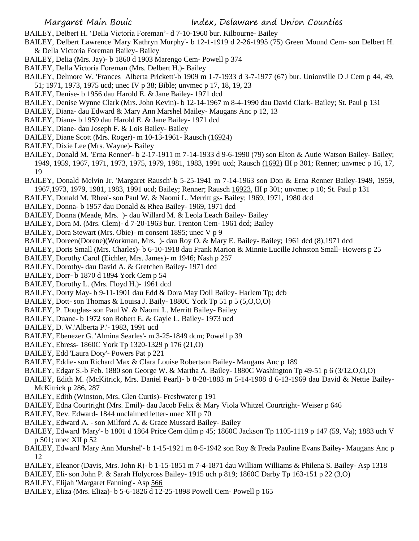BAILEY, Delbert H. 'Della Victoria Foreman'- d 7-10-1960 bur. Kilbourne- Bailey

- BAILEY, Delbert Lawrence 'Mary Kathryn Murphy'- b 12-1-1919 d 2-26-1995 (75) Green Mound Cem- son Delbert H. & Della Victoria Foreman Bailey- Bailey
- BAILEY, Delia (Mrs. Jay)- b 1860 d 1903 Marengo Cem- Powell p 374
- BAILEY, Della Victoria Foreman (Mrs. Delbert H.)- Bailey
- BAILEY, Delmore W. 'Frances Alberta Prickett'-b 1909 m 1-7-1933 d 3-7-1977 (67) bur. Unionville D J Cem p 44, 49, 51; 1971, 1973, 1975 ucd; unec IV p 38; Bible; unvmec p 17, 18, 19, 23
- BAILEY, Denise- b 1956 dau Harold E. & Jane Bailey- 1971 dcd
- BAILEY, Denise Wynne Clark (Mrs. John Kevin)- b 12-14-1967 m 8-4-1990 dau David Clark- Bailey; St. Paul p 131
- BAILEY, Diana- dau Edward & Mary Ann Marshel Mailey- Maugans Anc p 12, 13
- BAILEY, Diane- b 1959 dau Harold E. & Jane Bailey- 1971 dcd
- BAILEY, Diane- dau Joseph F. & Lois Bailey- Bailey
- BAILEY, Diane Scott (Mrs. Roger)- m 10-13-1961- Rausch (16924)
- BAILEY, Dixie Lee (Mrs. Wayne)- Bailey
- BAILEY, Donald M. 'Erna Renner'- b 2-17-1911 m 7-14-1933 d 9-6-1990 (79) son Elton & Autie Watson Bailey- Bailey; 1949, 1959, 1967, 1971, 1973, 1975, 1979, 1981, 1983, 1991 ucd; Rausch (1692) III p 301; Renner; unvmec p 16, 17, 19
- BAILEY, Donald Melvin Jr. 'Margaret Rausch'-b 5-25-1941 m 7-14-1963 son Don & Erna Renner Bailey-1949, 1959, 1967,1973, 1979, 1981, 1983, 1991 ucd; Bailey; Renner; Rausch 16923, III p 301; unvmec p 10; St. Paul p 131
- BAILEY, Donald M. 'Rhea'- son Paul W. & Naomi L. Merritt gs- Bailey; 1969, 1971, 1980 dcd
- BAILEY, Donna- b 1957 dau Donald & Rhea Bailey- 1969, 1971 dcd
- BAILEY, Donna (Meade, Mrs. )- dau Willard M. & Leola Leach Bailey- Bailey
- BAILEY, Dora M. (Mrs. Clem)- d 7-20-1963 bur. Trenton Cem- 1961 dcd; Bailey
- BAILEY, Dora Stewart (Mrs. Obie)- m consent 1895; unec V p 9
- BAILEY, Doreen(Dorene)(Workman, Mrs. )- dau Roy O. & Mary E. Bailey- Bailey; 1961 dcd (8),1971 dcd
- BAILEY, Doris Small (Mrs. Charles)- b 6-10-1918 dau Frank Marion & Minnie Lucille Johnston Small- Howers p 25
- BAILEY, Dorothy Carol (Eichler, Mrs. James)- m 1946; Nash p 257
- BAILEY, Dorothy- dau David A. & Gretchen Bailey- 1971 dcd
- BAILEY, Dorr- b 1870 d 1894 York Cem p 54
- BAILEY, Dorothy L. (Mrs. Floyd H.)- 1961 dcd
- BAILEY, Dorty May- b 9-11-1901 dau Edd & Dora May Doll Bailey- Harlem Tp; dcb
- BAILEY, Dott- son Thomas & Louisa J. Baily- 1880C York Tp 51 p 5 (5,O,O,O)
- BAILEY, P. Douglas- son Paul W. & Naomi L. Merritt Bailey- Bailey
- BAILEY, Duane- b 1972 son Robert E. & Gayle L. Bailey- 1973 ucd
- BAILEY, D. W.'Alberta P.'- 1983, 1991 ucd
- BAILEY, Ebenezer G. 'Almina Searles'- m 3-25-1849 dcm; Powell p 39
- BAILEY, Ebress- 1860C York Tp 1320-1329 p 176 (21,O)
- BAILEY, Edd 'Laura Doty'- Powers Pat p 221
- BAILEY, Eddie- son Richard Max & Clara Louise Robertson Bailey- Maugans Anc p 189
- BAILEY, Edgar S.-b Feb. 1880 son George W. & Martha A. Bailey- 1880C Washington Tp 49-51 p 6 (3/12,O,O,O)
- BAILEY, Edith M. (McKitrick, Mrs. Daniel Pearl)- b 8-28-1883 m 5-14-1908 d 6-13-1969 dau David & Nettie Bailey-McKitrick p 286, 287
- BAILEY, Edith (Winston, Mrs. Glen Curtis)- Freshwater p 191
- BAILEY, Edna Courtright (Mrs. Emil)- dau Jacob Felix & Mary Viola Whitzel Courtright- Weiser p 646
- BAILEY, Rev. Edward- 1844 unclaimed letter- unec XII p 70
- BAILEY, Edward A. son Milford A. & Grace Mussard Bailey- Bailey
- BAILEY, Edward 'Mary'- b 1801 d 1864 Price Cem djlm p 45; 1860C Jackson Tp 1105-1119 p 147 (59, Va); 1883 uch V p 501; unec XII p 52
- BAILEY, Edward 'Mary Ann Murshel'- b 1-15-1921 m 8-5-1942 son Roy & Freda Pauline Evans Bailey- Maugans Anc p 12
- BAILEY, Eleanor (Davis, Mrs. John R)- b 1-15-1851 m 7-4-1871 dau William Williams & Philena S. Bailey- Asp 1318
- BAILEY, Eli- son John P. & Sarah Holycross Bailey- 1915 uch p 819; 1860C Darby Tp 163-151 p 22 (3,O)
- BAILEY, Elijah 'Margaret Fanning'- Asp 566
- BAILEY, Eliza (Mrs. Eliza)- b 5-6-1826 d 12-25-1898 Powell Cem- Powell p 165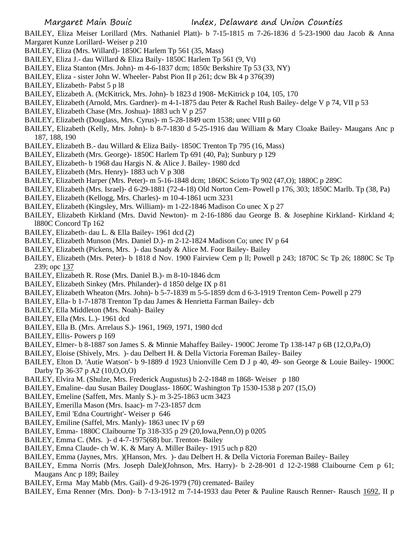BAILEY, Eliza Meiser Lorillard (Mrs. Nathaniel Platt)- b 7-15-1815 m 7-26-1836 d 5-23-1900 dau Jacob & Anna Margaret Kunze Lorillard- Weiser p 210

- BAILEY, Eliza (Mrs. Willard)- 1850C Harlem Tp 561 (35, Mass)
- BAILEY, Eliza J.- dau Willard & Eliza Baily- 1850C Harlem Tp 561 (9, Vt)
- BAILEY, Eliza Stanton (Mrs. John)- m 4-6-1837 dcm; 1850c Berkshire Tp 53 (33, NY)
- BAILEY, Eliza sister John W. Wheeler- Pabst Pion II p 261; dcw Bk 4 p 376(39)
- BAILEY, Elizabeth- Pabst 5 p l8
- BAILEY, Elizabeth A. (McKitrick, Mrs. John)- b 1823 d 1908- McKitrick p 104, 105, 170
- BAILEY, Elizabeth (Arnold, Mrs. Gardner)- m 4-1-1875 dau Peter & Rachel Rush Bailey- delge V p 74, VII p 53
- BAILEY, Elizabeth Chase (Mrs. Joshua)- 1883 uch V p 257
- BAILEY, Elizabeth (Douglass, Mrs. Cyrus)- m 5-28-1849 ucm 1538; unec VIII p 60
- BAILEY, Elizabeth (Kelly, Mrs. John)- b 8-7-1830 d 5-25-1916 dau William & Mary Cloake Bailey- Maugans Anc p 187, 188, 190
- BAILEY, Elizabeth B.- dau Willard & Eliza Baily- 1850C Trenton Tp 795 (16, Mass)
- BAILEY, Elizabeth (Mrs. George)- 1850C Harlem Tp 691 (40, Pa); Sunbury p 129
- BAILEY, Elizabeth- b 1968 dau Hargis N. & Alice J. Bailey- 1980 dcd
- BAILEY, Elizabeth (Mrs. Henry)- 1883 uch V p 308
- BAILEY, Elizabeth Harper (Mrs. Peter)- m 5-16-1848 dcm; 1860C Scioto Tp 902 (47,O); 1880C p 289C
- BAILEY, Elizabeth (Mrs. Israel)- d 6-29-1881 (72-4-18) Old Norton Cem- Powell p 176, 303; 1850C Marlb. Tp (38, Pa)
- BAILEY, Elizabeth (Kellogg, Mrs. Charles)- m 10-4-1861 ucm 3231
- BAILEY, Elizabeth (Kingsley, Mrs. William)- m 1-22-1846 Madison Co unec X p 27
- BAILEY, Elizabeth Kirkland (Mrs. David Newton)- m 2-16-1886 dau George B. & Josephine Kirkland- Kirkland 4; l880C Concord Tp 162
- BAILEY, Elizabeth- dau L. & Ella Bailey- 1961 dcd (2)
- BAILEY, Elizabeth Munson (Mrs. Daniel D.)- m 2-12-1824 Madison Co; unec IV p 64
- BAILEY, Elizabeth (Pickens, Mrs. )- dau Snady & Alice M. Foor Bailey- Bailey
- BAILEY, Elizabeth (Mrs. Peter)- b 1818 d Nov. 1900 Fairview Cem p ll; Powell p 243; 1870C Sc Tp 26; 1880C Sc Tp 239; opc 137
- BAILEY, Elizabeth R. Rose (Mrs. Daniel B.)- m 8-10-1846 dcm
- BAILEY, Elizabeth Sinkey (Mrs. Philander)- d 1850 delge IX p 81
- BAILEY, Elizabeth Wheaton (Mrs. John)- b 5-7-1839 m 5-5-1859 dcm d 6-3-1919 Trenton Cem- Powell p 279
- BAILEY, Ella- b 1-7-1878 Trenton Tp dau James & Henrietta Farman Bailey- dcb
- BAILEY, Ella Middleton (Mrs. Noah)- Bailey
- BAILEY, Ella (Mrs. L.)- 1961 dcd
- BAILEY, Ella B. (Mrs. Arrelaus S.)- 1961, 1969, 1971, 1980 dcd
- BAILEY, Ellis- Powers p 169
- BAILEY, Elmer- b 8-1887 son James S. & Minnie Mahaffey Bailey- 1900C Jerome Tp 138-147 p 6B (12,O,Pa,O)
- BAILEY, Eloise (Shively, Mrs. )- dau Delbert H. & Della Victoria Foreman Bailey- Bailey
- BAILEY, Elton D. 'Autie Watson'- b 9-1889 d 1923 Unionville Cem D J p 40, 49- son George & Louie Bailey- 1900C Darby Tp 36-37 p A2 (10,O,O,O)
- BAILEY, Elvira M. (Shulze, Mrs. Frederick Augustus) b 2-2-1848 m 1868- Weiser p 180
- BAILEY, Emaline- dau Susan Bailey Douglass- 1860C Washington Tp 1530-1538 p 207 (15,O)
- BAILEY, Emeline (Saffett, Mrs. Manly S.)- m 3-25-1863 ucm 3423
- BAILEY, Emerilla Mason (Mrs. Isaac)- m 7-23-1857 dcm
- BAILEY, Emil 'Edna Courtright'- Weiser p 646
- BAILEY, Emiline (Saffel, Mrs. Manly)- 1863 unec IV p 69
- BAILEY, Emma- 1880C Claibourne Tp 318-335 p 29 (20,Iowa,Penn,O) p 0205
- BAILEY, Emma C. (Mrs. )- d 4-7-1975(68) bur. Trenton- Bailey
- BAILEY, Emna Claude- ch W. K. & Mary A. Miller Bailey- 1915 uch p 820
- BAILEY, Emma (Jaynes, Mrs. )(Hanson, Mrs. )- dau Delbert H. & Della Victoria Foreman Bailey- Bailey
- BAILEY, Emma Norris (Mrs. Joseph Dale)(Johnson, Mrs. Harry)- b 2-28-901 d 12-2-1988 Claibourne Cem p 61; Maugans Anc p 189; Bailey
- BAILEY, Erma May Mabb (Mrs. Gail)- d 9-26-1979 (70) cremated- Bailey
- BAILEY, Erna Renner (Mrs. Don)- b 7-13-1912 m 7-14-1933 dau Peter & Pauline Rausch Renner- Rausch 1692, II p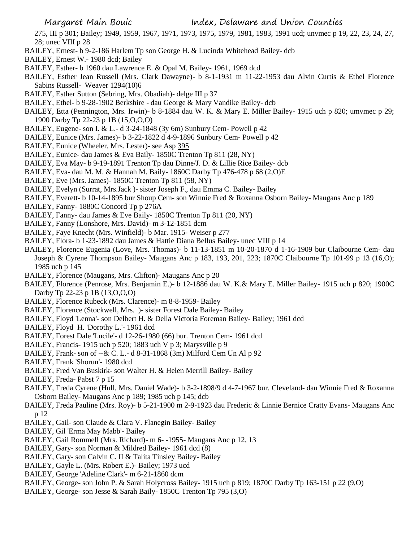275, III p 301; Bailey; 1949, 1959, 1967, 1971, 1973, 1975, 1979, 1981, 1983, 1991 ucd; unvmec p 19, 22, 23, 24, 27, 28; unec VIII p 28

- BAILEY, Ernest- b 9-2-186 Harlem Tp son George H. & Lucinda Whitehead Bailey- dcb
- BAILEY, Ernest W.- 1980 dcd; Bailey
- BAILEY, Esther- b 1960 dau Lawrence E. & Opal M. Bailey- 1961, 1969 dcd
- BAILEY, Esther Jean Russell (Mrs. Clark Dawayne)- b 8-1-1931 m 11-22-1953 dau Alvin Curtis & Ethel Florence Sabins Russell- Weaver 1294(10)6
- BAILEY, Esther Sutton (Sebring, Mrs. Obadiah)- delge III p 37
- BAILEY, Ethel- b 9-28-1902 Berkshire dau George & Mary Vandike Bailey- dcb
- BAILEY, Etta (Pennington, Mrs. Irwin)- b 8-1884 dau W. K. & Mary E. Miller Bailey- 1915 uch p 820; umvmec p 29; 1900 Darby Tp 22-23 p 1B (15,O,O,O)
- BAILEY, Eugene- son I. & L.- d 3-24-1848 (3y 6m) Sunbury Cem- Powell p 42
- BAILEY, Eunice (Mrs. James)- b 3-22-1822 d 4-9-1896 Sunbury Cem- Powell p 42
- BAILEY, Eunice (Wheeler, Mrs. Lester)- see Asp 395
- BAILEY, Eunice- dau James & Eva Baily- 1850C Trenton Tp 811 (28, NY)
- BAILEY, Eva May- b 9-19-1891 Trenton Tp dau Dinne/J. D. & Lillie Rice Bailey- dcb
- BAILEY, Eva- dau M. M. & Hannah M. Baily- 1860C Darby Tp 476-478 p 68 (2,O)E
- BAILEY, Eve (Mrs. James)- 1850C Trenton Tp 811 (58, NY)
- BAILEY, Evelyn (Surrat, Mrs.Jack )- sister Joseph F., dau Emma C. Bailey- Bailey
- BAILEY, Everett- b 10-14-1895 bur Shoup Cem- son Winnie Fred & Roxanna Osborn Bailey- Maugans Anc p 189
- BAILEY, Fanny- 1880C Concord Tp p 276A
- BAILEY, Fanny- dau James & Eve Baily- 1850C Trenton Tp 811 (20, NY)
- BAILEY, Fanny (Lonshore, Mrs. David)- m 3-12-1851 dcm
- BAILEY, Faye Knecht (Mrs. Winfield)- b Mar. 1915- Weiser p 277
- BAILEY, Flora- b 1-23-1892 dau James & Hattie Diana Bellus Bailey- unec VIII p 14
- BAILEY, Florence Eugenia (Love, Mrs. Thomas)- b 11-13-1851 m 10-20-1870 d 1-16-1909 bur Claibourne Cem- dau Joseph & Cyrene Thompson Bailey- Maugans Anc p 183, 193, 201, 223; 1870C Claibourne Tp 101-99 p 13 (16,O); 1985 uch p 145
- BAILEY, Florence (Maugans, Mrs. Clifton)- Maugans Anc p 20
- BAILEY, Florence (Penrose, Mrs. Benjamin E.)- b 12-1886 dau W. K.& Mary E. Miller Bailey- 1915 uch p 820; 1900C Darby Tp 22-23 p 1B (13,O,O,O)
- BAILEY, Florence Rubeck (Mrs. Clarence)- m 8-8-1959- Bailey
- BAILEY, Florence (Stockwell, Mrs. )- sister Forest Dale Bailey- Bailey
- BAILEY, Floyd 'Lenna'- son Delbert H. & Della Victoria Foreman Bailey- Bailey; 1961 dcd
- BAILEY, Floyd H. 'Dorothy L.'- 1961 dcd
- BAILEY, Forest Dale 'Lucile'- d 12-26-1980 (66) bur. Trenton Cem- 1961 dcd
- BAILEY, Francis- 1915 uch p 520; 1883 uch V p 3; Marysville p 9
- BAILEY, Frank- son of --& C. L.- d 8-31-1868 (3m) Milford Cem Un Al p 92
- BAILEY, Frank 'Shorun'- 1980 dcd
- BAILEY, Fred Van Buskirk- son Walter H. & Helen Merrill Bailey- Bailey
- BAILEY, Freda- Pabst 7 p 15
- BAILEY, Freda Cyrene (Hull, Mrs. Daniel Wade)- b 3-2-1898/9 d 4-7-1967 bur. Cleveland- dau Winnie Fred & Roxanna Osborn Bailey- Maugans Anc p 189; 1985 uch p 145; dcb
- BAILEY, Freda Pauline (Mrs. Roy)- b 5-21-1900 m 2-9-1923 dau Frederic & Linnie Bernice Cratty Evans- Maugans Anc p 12
- BAILEY, Gail- son Claude & Clara V. Flanegin Bailey- Bailey
- BAILEY, Gil 'Erma May Mabb'- Bailey
- BAILEY, Gail Rommell (Mrs. Richard)- m 6- -1955- Maugans Anc p 12, 13
- BAILEY, Gary- son Norman & Mildred Bailey- 1961 dcd (8)
- BAILEY, Gary- son Calvin C. II & Talita Tinsley Bailey- Bailey
- BAILEY, Gayle L. (Mrs. Robert E.)- Bailey; 1973 ucd
- BAILEY, George 'Adeline Clark'- m 6-21-1860 dcm
- BAILEY, George- son John P. & Sarah Holycross Bailey- 1915 uch p 819; 1870C Darby Tp 163-151 p 22 (9,O)
- BAILEY, George- son Jesse & Sarah Baily- 1850C Trenton Tp 795 (3,O)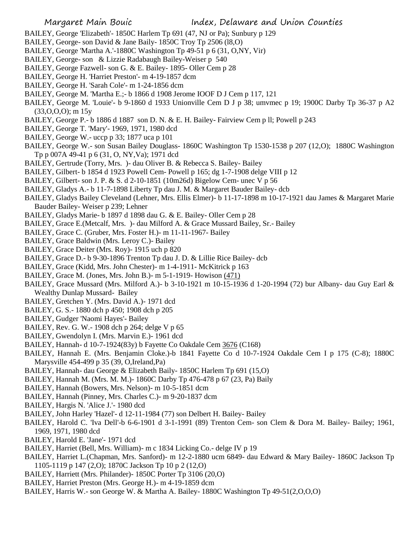Margaret Main Bouic Index, Delaware and Union Counties

- BAILEY, George 'Elizabeth'- 1850C Harlem Tp 691 (47, NJ or Pa); Sunbury p 129
- BAILEY, George- son David & Jane Baily- 1850C Troy Tp 2506 (l8,O)
- BAILEY, George 'Martha A.'-1880C Washington Tp 49-51 p 6 (31, O,NY, Vir)
- BAILEY, George- son & Lizzie Radabaugh Bailey-Weiser p 540
- BAILEY, George Fazwell- son G. & E. Bailey- 1895- Oller Cem p 28
- BAILEY, George H. 'Harriet Preston'- m 4-19-1857 dcm
- BAILEY, George H. 'Sarah Cole'- m 1-24-1856 dcm
- BAILEY, George M. 'Martha E.;- b 1866 d 1908 Jerome IOOF D J Cem p 117, 121
- BAILEY, George M. 'Louie'- b 9-1860 d 1933 Unionville Cem D J p 38; umvmec p 19; 1900C Darby Tp 36-37 p A2  $(33,0,0,0)$ ; m  $15y$
- BAILEY, George P.- b 1886 d 1887 son D. N. & E. H. Bailey- Fairview Cem p ll; Powell p 243
- BAILEY, George T. 'Mary'- 1969, 1971, 1980 dcd
- BAILEY, George W.- uccp p 33; 1877 uca p 101
- BAILEY, George W.- son Susan Bailey Douglass- 1860C Washington Tp 1530-1538 p 207 (12,O); 1880C Washington Tp p 007A 49-41 p 6 (31, O, NY,Va); 1971 dcd
- BAILEY, Gertrude (Torry, Mrs. )- dau Oliver B. & Rebecca S. Bailey- Bailey
- BAILEY, Gilbert- b 1854 d 1923 Powell Cem- Powell p 165; dg 1-7-1908 delge VIII p 12
- BAILEY, Gilbert- son J. P. & S. d 2-10-1851 (10m26d) Bigelow Cem- unec V p 56
- BAILEY, Gladys A.- b 11-7-1898 Liberty Tp dau J. M. & Margaret Bauder Bailey- dcb
- BAILEY, Gladys Bailey Cleveland (Lehner, Mrs. Ellis Elmer)- b 11-17-1898 m 10-17-1921 dau James & Margaret Marie Bauder Bailey- Weiser p 239; Lehner
- BAILEY, Gladys Marie- b 1897 d 1898 dau G. & E. Bailey- Oller Cem p 28
- BAILEY, Grace E.(Metcalf, Mrs. )- dau Milford A. & Grace Mussard Bailey, Sr.- Bailey
- BAILEY, Grace C. (Gruber, Mrs. Foster H.)- m 11-11-1967- Bailey
- BAILEY, Grace Baldwin (Mrs. Leroy C.)- Bailey
- BAILEY, Grace Deiter (Mrs. Roy)- 1915 uch p 820
- BAILEY, Grace D.- b 9-30-1896 Trenton Tp dau J. D. & Lillie Rice Bailey- dcb
- BAILEY, Grace (Kidd, Mrs. John Chester)- m 1-4-1911- McKitrick p 163
- BAILEY, Grace M. (Jones, Mrs. John B.)- m 5-1-1919- Howison (471)
- BAILEY, Grace Mussard (Mrs. Milford A.)- b 3-10-1921 m 10-15-1936 d 1-20-1994 (72) bur Albany- dau Guy Earl & Wealthy Dunlap Mussard- Bailey
- BAILEY, Gretchen Y. (Mrs. David A.)- 1971 dcd
- BAILEY, G. S.- 1880 dch p 450; 1908 dch p 205
- BAILEY, Gudger 'Naomi Hayes'- Bailey
- BAILEY, Rev. G. W.- 1908 dch p 264; delge V p 65
- BAILEY, Gwendolyn I. (Mrs. Marvin E.)- 1961 dcd
- BAILEY, Hannah- d 10-7-1924(83y) b Fayette Co Oakdale Cem 3676 (C168)
- BAILEY, Hannah E. (Mrs. Benjamin Cloke.)-b 1841 Fayette Co d 10-7-1924 Oakdale Cem I p 175 (C-8); 1880C Marysville 454-499 p 35 (39, O,Ireland,Pa)
- BAILEY, Hannah- dau George & Elizabeth Baily- 1850C Harlem Tp 691 (15,O)
- BAILEY, Hannah M. (Mrs. M. M.)- 1860C Darby Tp 476-478 p 67 (23, Pa) Baily
- BAILEY, Hannah (Bowers, Mrs. Nelson)- m 10-5-1851 dcm
- BAILEY, Hannah (Pinney, Mrs. Charles C.)- m 9-20-1837 dcm
- BAILEY, Hargis N. 'Alice J.'- 1980 dcd
- BAILEY, John Harley 'Hazel'- d 12-11-1984 (77) son Delbert H. Bailey- Bailey
- BAILEY, Harold C. 'Iva Dell'-b 6-6-1901 d 3-1-1991 (89) Trenton Cem- son Clem & Dora M. Bailey- Bailey; 1961, 1969, 1971, 1980 dcd
- BAILEY, Harold E. 'Jane'- 1971 dcd
- BAILEY, Harriet (Bell, Mrs. William)- m c 1834 Licking Co.- delge IV p 19
- BAILEY, Harriet L.(Chapman, Mrs. Sanford)- m 12-2-1880 ucm 6849- dau Edward & Mary Bailey- 1860C Jackson Tp 1105-1119 p 147 (2,O); 1870C Jackson Tp 10 p 2 (12,O)
- BAILEY, Harriett (Mrs. Philander)- 1850C Porter Tp 3106 (20,O)
- BAILEY, Harriet Preston (Mrs. George H.)- m 4-19-1859 dcm
- BAILEY, Harris W.- son George W. & Martha A. Bailey- 1880C Washington Tp 49-51(2,O,O,O)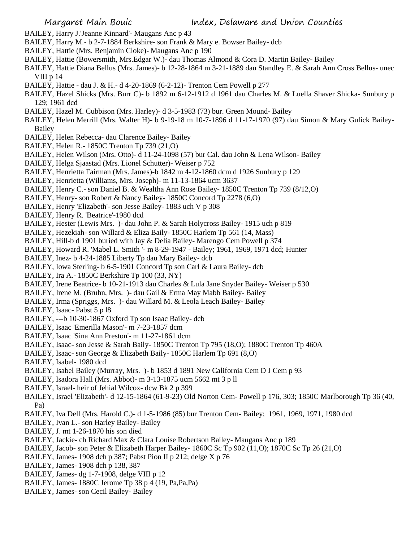- BAILEY, Harry J.'Jeanne Kinnard'- Maugans Anc p 43
- BAILEY, Harry M.- b 2-7-1884 Berkshire- son Frank & Mary e. Bowser Bailey- dcb
- BAILEY, Hattie (Mrs. Benjamin Cloke)- Maugans Anc p 190
- BAILEY, Hattie (Bowersmith, Mrs.Edgar W.)- dau Thomas Almond & Cora D. Martin Bailey- Bailey
- BAILEY, Hattie Diana Bellus (Mrs. James)- b 12-28-1864 m 3-21-1889 dau Standley E. & Sarah Ann Cross Bellus- unec VIII p 14
- BAILEY, Hattie dau J. & H.- d 4-20-1869 (6-2-12)- Trenton Cem Powell p 277
- BAILEY, Hazel Shicks (Mrs. Burr C)- b 1892 m 6-12-1912 d 1961 dau Charles M. & Luella Shaver Shicka- Sunbury p 129; 1961 dcd
- BAILEY, Hazel M. Cubbison (Mrs. Harley)- d 3-5-1983 (73) bur. Green Mound- Bailey
- BAILEY, Helen Merrill (Mrs. Walter H)- b 9-19-18 m 10-7-1896 d 11-17-1970 (97) dau Simon & Mary Gulick Bailey-Bailey
- BAILEY, Helen Rebecca- dau Clarence Bailey- Bailey
- BAILEY, Helen R.- 1850C Trenton Tp 739 (21,O)
- BAILEY, Helen Wilson (Mrs. Otto)- d 11-24-1098 (57) bur Cal. dau John & Lena Wilson- Bailey
- BAILEY, Helga Sjaastad (Mrs. Lionel Schutter)- Weiser p 752
- BAILEY, Henrietta Fairman (Mrs. James)-b 1842 m 4-12-1860 dcm d 1926 Sunbury p 129
- BAILEY, Henrietta (Williams, Mrs. Joseph)- m 11-13-1864 ucm 3637
- BAILEY, Henry C.- son Daniel B. & Wealtha Ann Rose Bailey- 1850C Trenton Tp 739 (8/12,O)
- BAILEY, Henry- son Robert & Nancy Bailey- 1850C Concord Tp 2278 (6,O)
- BAILEY, Henry 'Elizabeth'- son Jesse Bailey- 1883 uch V p 308
- BAILEY, Henry R. 'Beatrice'-1980 dcd
- BAILEY, Hester (Lewis Mrs. )- dau John P. & Sarah Holycross Bailey- 1915 uch p 819
- BAILEY, Hezekiah- son Willard & Eliza Baily- 1850C Harlem Tp 561 (14, Mass)
- BAILEY, Hill-b d 1901 buried with Jay & Delia Bailey- Marengo Cem Powell p 374
- BAILEY, Howard R. 'Mabel L. Smith '- m 8-29-1947 Bailey; 1961, 1969, 1971 dcd; Hunter
- BAILEY, Inez- b 4-24-1885 Liberty Tp dau Mary Bailey- dcb
- BAILEY, Iowa Sterling- b 6-5-1901 Concord Tp son Carl & Laura Bailey- dcb
- BAILEY, Ira A.- 1850C Berkshire Tp 100 (33, NY)
- BAILEY, Irene Beatrice- b 10-21-1913 dau Charles & Lula Jane Snyder Bailey- Weiser p 530
- BAILEY, Irene M. (Bruhn, Mrs. )- dau Gail & Erma May Mabb Bailey- Bailey
- BAILEY, Irma (Spriggs, Mrs. )- dau Willard M. & Leola Leach Bailey- Bailey
- BAILEY, Isaac- Pabst 5 p l8
- BAILEY, ---b 10-30-1867 Oxford Tp son Isaac Bailey- dcb
- BAILEY, Isaac 'Emerilla Mason'- m 7-23-1857 dcm
- BAILEY, Isaac 'Sina Ann Preston'- m 11-27-1861 dcm
- BAILEY, Isaac- son Jesse & Sarah Baily- 1850C Trenton Tp 795 (18,O); 1880C Trenton Tp 460A
- BAILEY, Isaac- son George & Elizabeth Baily- 1850C Harlem Tp 691 (8,O)
- BAILEY, Isabel- 1980 dcd
- BAILEY, Isabel Bailey (Murray, Mrs. )- b 1853 d 1891 New California Cem D J Cem p 93
- BAILEY, Isadora Hall (Mrs. Abbot)- m 3-13-1875 ucm 5662 mt 3 p ll
- BAILEY, Israel- heir of Jehial Wilcox- dcw Bk 2 p 399
- BAILEY, Israel 'Elizabeth'- d 12-15-1864 (61-9-23) Old Norton Cem- Powell p 176, 303; 1850C Marlborough Tp 36 (40, Pa)
- BAILEY, Iva Dell (Mrs. Harold C.)- d 1-5-1986 (85) bur Trenton Cem- Bailey; 1961, 1969, 1971, 1980 dcd
- BAILEY, Ivan L.- son Harley Bailey- Bailey
- BAILEY, J. mt 1-26-1870 his son died
- BAILEY, Jackie- ch Richard Max & Clara Louise Robertson Bailey- Maugans Anc p 189
- BAILEY, Jacob- son Peter & Elizabeth Harper Bailey- 1860C Sc Tp 902 (11,O); 1870C Sc Tp 26 (21,O)
- BAILEY, James- 1908 dch p 387; Pabst Pion II p 212; delge X p 76
- BAILEY, James- 1908 dch p 138, 387
- BAILEY, James- dg 1-7-1908, delge VIII p 12
- BAILEY, James- 1880C Jerome Tp 38 p 4 (19, Pa,Pa,Pa)
- BAILEY, James- son Cecil Bailey- Bailey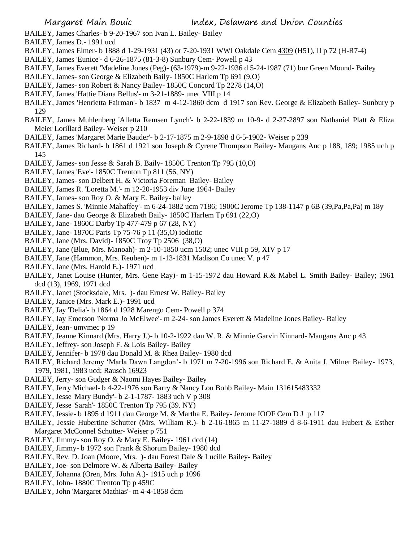Margaret Main Bouic **Index**, Delaware and Union Counties

BAILEY, James Charles- b 9-20-1967 son Ivan L. Bailey- Bailey

- BAILEY, James D.- 1991 ucd
- BAILEY, James Elmer- b 1888 d 1-29-1931 (43) or 7-20-1931 WWI Oakdale Cem 4309 (H51), II p 72 (H-R7-4)
- BAILEY, James 'Eunice'- d 6-26-1875 (81-3-8) Sunbury Cem- Powell p 43
- BAILEY, James Everett 'Madeline Jones (Peg)- (63-1979)-m 9-22-1936 d 5-24-1987 (71) bur Green Mound- Bailey
- BAILEY, James- son George & Elizabeth Baily- 1850C Harlem Tp 691 (9,O)
- BAILEY, James- son Robert & Nancy Bailey- 1850C Concord Tp 2278 (14,O)
- BAILEY, James 'Hattie Diana Bellus'- m 3-21-1889- unec VIII p 14
- BAILEY, James 'Henrietta Fairman'- b 1837 m 4-12-1860 dcm d 1917 son Rev. George & Elizabeth Bailey- Sunbury p 129
- BAILEY, James Muhlenberg 'Alletta Remsen Lynch'- b 2-22-1839 m 10-9- d 2-27-2897 son Nathaniel Platt & Eliza Meier Lorillard Bailey- Weiser p 210
- BAILEY, James 'Margaret Marie Bauder'- b 2-17-1875 m 2-9-1898 d 6-5-1902- Weiser p 239
- BAILEY, James Richard- b 1861 d 1921 son Joseph & Cyrene Thompson Bailey- Maugans Anc p 188, 189; 1985 uch p 145
- BAILEY, James- son Jesse & Sarah B. Baily- 1850C Trenton Tp 795 (10,O)
- BAILEY, James 'Eve'- 1850C Trenton Tp 811 (56, NY)
- BAILEY, James- son Delbert H. & Victoria Foreman Bailey- Bailey
- BAILEY, James R. 'Loretta M.'- m 12-20-1953 div June 1964- Bailey
- BAILEY, James- son Roy O. & Mary E. Bailey- bailey
- BAILEY, James S. 'Minnie Mahaffey'- m 6-24-1882 ucm 7186; 1900C Jerome Tp 138-1147 p 6B (39,Pa,Pa,Pa) m 18y
- BAILEY, Jane- dau George & Elizabeth Baily- 1850C Harlem Tp 691 (22,O)
- BAILEY, Jane- 1860C Darby Tp 477-479 p 67 (28, NY)
- BAILEY, Jane- 1870C Paris Tp 75-76 p 11 (35,O) iodiotic
- BAILEY, Jane (Mrs. David)- 1850C Troy Tp 2506 (38,O)
- BAILEY, Jane (Blue, Mrs. Manoah)- m 2-10-1850 ucm 1502; unec VIII p 59, XIV p 17
- BAILEY, Jane (Hammon, Mrs. Reuben)- m 1-13-1831 Madison Co unec V. p 47
- BAILEY, Jane (Mrs. Harold E.)- 1971 ucd
- BAILEY, Janet Louise (Hunter, Mrs. Gene Ray)- m 1-15-1972 dau Howard R.& Mabel L. Smith Bailey- Bailey; 1961 dcd (13), 1969, 1971 dcd
- BAILEY, Janet (Stocksdale, Mrs. )- dau Ernest W. Bailey- Bailey
- BAILEY, Janice (Mrs. Mark E.)- 1991 ucd
- BAILEY, Jay 'Delia'- b 1864 d 1928 Marengo Cem- Powell p 374
- BAILEY, Jay Emerson 'Norma Jo McElwee'- m 2-24- son James Everett & Madeline Jones Bailey- Bailey
- BAILEY, Jean- umvmec p 19
- BAILEY, Jeanne Kinnard (Mrs. Harry J.)- b 10-2-1922 dau W. R. & Minnie Garvin Kinnard- Maugans Anc p 43
- BAILEY, Jeffrey- son Joseph F. & Lois Bailey- Bailey
- BAILEY, Jennifer- b 1978 dau Donald M. & Rhea Bailey- 1980 dcd
- BAILEY, Richard Jeremy 'Marla Dawn Langdon'- b 1971 m 7-20-1996 son Richard E. & Anita J. Milner Bailey- 1973, 1979, 1981, 1983 ucd; Rausch 16923
- BAILEY, Jerry- son Gudger & Naomi Hayes Bailey- Bailey
- BAILEY, Jerry Michael- b 4-22-1976 son Barry & Nancy Lou Bobb Bailey- Main 131615483332
- BAILEY, Jesse 'Mary Bundy'- b 2-1-1787- 1883 uch V p 308
- BAILEY, Jesse 'Sarah'- 1850C Trenton Tp 795 (39. NY)
- BAILEY, Jessie- b 1895 d 1911 dau George M. & Martha E. Bailey- Jerome IOOF Cem D J p 117
- BAILEY, Jessie Hubertine Schutter (Mrs. William R.)- b 2-16-1865 m 11-27-1889 d 8-6-1911 dau Hubert & Esther Margaret McConnel Schutter- Weiser p 751
- BAILEY, Jimmy- son Roy O. & Mary E. Bailey- 1961 dcd (14)
- BAILEY, Jimmy- b 1972 son Frank & Shorum Bailey- 1980 dcd
- BAILEY, Rev. D. Joan (Moore, Mrs. )- dau Forest Dale & Lucille Bailey- Bailey
- BAILEY, Joe- son Delmore W. & Alberta Bailey- Bailey
- BAILEY, Johanna (Oren, Mrs. John A.)- 1915 uch p 1096
- BAILEY, John- 1880C Trenton Tp p 459C
- BAILEY, John 'Margaret Mathias'- m 4-4-1858 dcm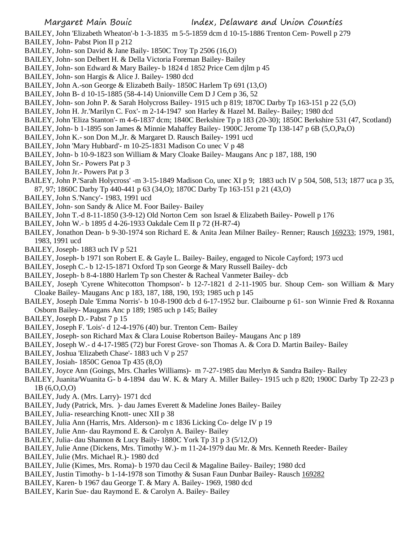BAILEY, John 'Elizabeth Wheaton'-b 1-3-1835 m 5-5-1859 dcm d 10-15-1886 Trenton Cem- Powell p 279 BAILEY, John- Pabst Pion II p 212

- BAILEY, John- son David & Jane Baily- 1850C Troy Tp 2506 (16,O)
- BAILEY, John- son Delbert H. & Della Victoria Foreman Bailey- Bailey
- BAILEY, John- son Edward & Mary Bailey- b 1824 d 1852 Price Cem djlm p 45
- BAILEY, John- son Hargis & Alice J. Bailey- 1980 dcd
- BAILEY, John A.-son George & Elizabeth Baily- 1850C Harlem Tp 691 (13,O)
- BAILEY, John B- d 10-15-1885 (58-4-14) Unionville Cem D J Cem p 36, 52
- BAILEY, John- son John P. & Sarah Holycross Bailey- 1915 uch p 819; 1870C Darby Tp 163-151 p 22 (5,O)
- BAILEY, John H. Jr.'Marilyn C. Fox'- m 2-14-1947 son Harley & Hazel M. Bailey- Bailey; 1980 dcd
- BAILEY, John 'Eliza Stanton'- m 4-6-1837 dcm; 1840C Berkshire Tp p 183 (20-30); 1850C Berkshire 531 (47, Scotland)
- BAILEY, John- b 1-1895 son James & Minnie Mahaffey Bailey- 1900C Jerome Tp 138-147 p 6B (5,O,Pa,O)
- BAILEY, John K.- son Don M.,Jr. & Margaret D. Rausch Bailey- 1991 ucd
- BAILEY, John 'Mary Hubbard'- m 10-25-1831 Madison Co unec V p 48
- BAILEY, John- b 10-9-1823 son William & Mary Cloake Bailey- Maugans Anc p 187, 188, 190
- BAILEY, John Sr.- Powers Pat p 3
- BAILEY, John Jr.- Powers Pat p 3
- BAILEY, John P.'Sarah Holycross' -m 3-15-1849 Madison Co, unec XI p 9; 1883 uch IV p 504, 508, 513; 1877 uca p 35, 87, 97; 1860C Darby Tp 440-441 p 63 (34,O); 1870C Darby Tp 163-151 p 21 (43,O)
- BAILEY, John S.'Nancy'- 1983, 1991 ucd
- BAILEY, John- son Sandy & Alice M. Foor Bailey- Bailey
- BAILEY, John T.-d 8-11-1850 (3-9-12) Old Norton Cem son Israel & Elizabeth Bailey- Powell p 176
- BAILEY, John W.- b 1895 d 4-26-1933 Oakdale Cem II p 72 (H-R7-4)
- BAILEY, Jonathon Dean- b 9-30-1974 son Richard E. & Anita Jean Milner Bailey- Renner; Rausch 169233; 1979, 1981, 1983, 1991 ucd
- BAILEY, Joseph- 1883 uch IV p 521
- BAILEY, Joseph- b 1971 son Robert E. & Gayle L. Bailey- Bailey, engaged to Nicole Cayford; 1973 ucd
- BAILEY, Joseph C.- b 12-15-1871 Oxford Tp son George & Mary Russell Bailey- dcb
- BAILEY, Joseph- b 8-4-1880 Harlem Tp son Chester & Racheal Vanmeter Bailey- dcb
- BAILEY, Joseph 'Cyrene Whitecotton Thompson'- b 12-7-1821 d 2-11-1905 bur. Shoup Cem- son William & Mary Cloake Bailey- Maugans Anc p 183, 187, 188, 190, 193; 1985 uch p 145
- BAILEY, Joseph Dale 'Emma Norris'- b 10-8-1900 dcb d 6-17-1952 bur. Claibourne p 61- son Winnie Fred & Roxanna Osborn Bailey- Maugans Anc p 189; 1985 uch p 145; Bailey
- BAILEY, Joseph D.- Pabst 7 p 15
- BAILEY, Joseph F. 'Lois'- d 12-4-1976 (40) bur. Trenton Cem- Bailey
- BAILEY, Joseph- son Richard Max & Clara Louise Robertson Bailey- Maugans Anc p 189
- BAILEY, Joseph W.- d 4-17-1985 (72) bur Forest Grove- son Thomas A. & Cora D. Martin Bailey- Bailey
- BAILEY, Joshua 'Elizabeth Chase'- 1883 uch V p 257
- BAILEY, Josiah- 1850C Genoa Tp 435 (8,O)
- BAILEY, Joyce Ann (Goings, Mrs. Charles Williams)- m 7-27-1985 dau Merlyn & Sandra Bailey- Bailey
- BAILEY, Juanita/Wuanita G- b 4-1894 dau W. K. & Mary A. Miller Bailey- 1915 uch p 820; 1900C Darby Tp 22-23 p 1B (6,O,O,O)
- BAILEY, Judy A. (Mrs. Larry)- 1971 dcd
- BAILEY, Judy (Patrick, Mrs. )- dau James Everett & Madeline Jones Bailey- Bailey
- BAILEY, Julia- researching Knott- unec XII p 38
- BAILEY, Julia Ann (Harris, Mrs. Alderson)- m c 1836 Licking Co- delge IV p 19
- BAILEY, Julie Ann- dau Raymond E. & Carolyn A. Bailey- Bailey
- BAILEY, Julia- dau Shannon & Lucy Baily- 1880C York Tp 31 p 3 (5/12,O)
- BAILEY, Julie Anne (Dickens, Mrs. Timothy W.)- m 11-24-1979 dau Mr. & Mrs. Kenneth Reeder- Bailey
- BAILEY, Julie (Mrs. Michael R.)- 1980 dcd
- BAILEY, Julie (Kimes, Mrs. Roma)- b 1970 dau Cecil & Magaline Bailey- Bailey; 1980 dcd
- BAILEY, Justin Timothy- b 1-14-1978 son Timothy & Susan Faun Dunbar Bailey- Rausch 169282
- BAILEY, Karen- b 1967 dau George T. & Mary A. Bailey- 1969, 1980 dcd
- BAILEY, Karin Sue- dau Raymond E. & Carolyn A. Bailey- Bailey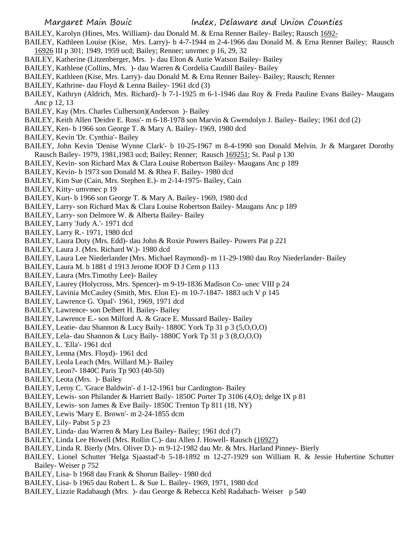- BAILEY, Karolyn (Hines, Mrs. William)- dau Donald M. & Erna Renner Bailey- Bailey; Rausch 1692-
- BAILEY, Kathleen Louise (Kise, Mrs. Larry)- b 4-7-1944 m 2-4-1966 dau Donald M. & Erna Renner Bailey; Rausch 16926 III p 301; 1949, 1959 ucd; Bailey; Renner; unvmec p 16, 29, 32
- BAILEY, Katherine (Litzenberger, Mrs. )- dau Elton & Autie Watson Bailey- Bailey
- BAILEY, Kathlene (Collins, Mrs. )- dau Warren & Cordelia Caudill Bailey- Bailey
- BAILEY, Kathleen (Kise, Mrs. Larry)- dau Donald M. & Erna Renner Bailey- Bailey; Rausch; Renner
- BAILEY, Kathrine- dau Floyd & Lenna Bailey- 1961 dcd (3)
- BAILEY, Kathryn (Aldrich, Mrs. Richard)- b 7-1-1925 m 6-1-1946 dau Roy & Freda Pauline Evans Bailey- Maugans Anc p 12, 13
- BAILEY, Kay (Mrs. Charles Culberson)(Anderson )- Bailey
- BAILEY, Keith Allen 'Deidre E. Ross'- m 6-18-1978 son Marvin & Gwendolyn J. Bailey- Bailey; 1961 dcd (2)
- BAILEY, Ken- b 1966 son George T. & Mary A. Bailey- 1969, 1980 dcd
- BAILEY, Kevin 'Dr. Cynthia'- Bailey
- BAILEY, John Kevin 'Denise Wynne Clark'- b 10-25-1967 m 8-4-1990 son Donald Melvin. Jr & Margaret Dorothy Rausch Bailey- 1979, 1981,1983 ucd; Bailey; Renner; Rausch 169251; St. Paul p 130
- BAILEY, Kevin- son Richard Max & Clara Louise Robertson Bailey- Maugans Anc p 189
- BAILEY, Kevin- b 1973 son Donald M. & Rhea F. Bailey- 1980 dcd
- BAILEY, Kim Sue (Cain, Mrs. Stephen E.)- m 2-14-1975- Bailey, Cain
- BAILEY, Kitty- umvmec p 19
- BAILEY, Kurt- b 1966 son George T. & Mary A. Bailey- 1969, 1980 dcd
- BAILEY, Larry- son Richard Max & Clara Louise Robertson Bailey- Maugans Anc p 189
- BAILEY, Larry- son Delmore W. & Alberta Bailey- Bailey
- BAILEY, Larry 'Judy A.'- 1971 dcd
- BAILEY, Larry R.- 1971, 1980 dcd
- BAILEY, Laura Doty (Mrs. Edd)- dau John & Roxie Powers Bailey- Powers Pat p 221
- BAILEY, Laura J. (Mrs. Richard W.)- 1980 dcd
- BAILEY, Laura Lee Niederlander (Mrs. Michael Raymond)- m 11-29-1980 dau Roy Niederlander- Bailey
- BAILEY, Laura M. b 1881 d 1913 Jerome IOOF D J Cem p 113
- BAILEY, Laura (Mrs.Timothy Lee)- Bailey
- BAILEY, Laurey (Holycross, Mrs. Spencer)- m 9-19-1836 Madison Co- unec VIII p 24
- BAILEY, Lavinia McCauley (Smith, Mrs. Elon E)- m 10-7-1847- 1883 uch V p 145
- BAILEY, Lawrence G. 'Opal'- 1961, 1969, 1971 dcd
- BAILEY, Lawrence- son Delbert H. Bailey- Bailey
- BAILEY, Lawrence E.- son Milford A. & Grace E. Mussard Bailey- Bailey
- BAILEY, Leatie- dau Shannon & Lucy Baily- 1880C York Tp 31 p 3 (5,O,O,O)
- BAILEY, Lela- dau Shannon & Lucy Baily- 1880C York Tp 31 p 3 (8,O,O,O)
- BAILEY, L. 'Ella'- 1961 dcd
- BAILEY, Lenna (Mrs. Floyd)- 1961 dcd
- BAILEY, Leola Leach (Mrs. Willard M.)- Bailey
- BAILEY, Leon?- 1840C Paris Tp 903 (40-50)
- BAILEY, Leota (Mrs. )- Bailey
- BAILEY, Leroy C. 'Grace Baldwin'- d 1-12-1961 bur Cardington- Bailey
- BAILEY, Lewis- son Philander & Harriett Baily- 1850C Porter Tp 3106 (4,O); delge IX p 81
- BAILEY, Lewis- son James & Eve Baily- 1850C Trenton Tp 811 (18, NY)
- BAILEY, Lewis 'Mary E. Brown'- m 2-24-1855 dcm
- BAILEY, Lily- Pabst 5 p 23
- BAILEY, Linda- dau Warren & Mary Lea Bailey- Bailey; 1961 dcd (7)
- BAILEY, Linda Lee Howell (Mrs. Rollin C.)- dau Allen J. Howell- Rausch (16927)
- BAILEY, Linda R. Bierly (Mrs. Oliver D.)- m 9-12-1982 dau Mr. & Mrs. Harland Pinney- Bierly
- BAILEY, Lionel Schutter 'Helga Sjaastad'-b 5-18-1892 m 12-27-1929 son William R. & Jessie Hubertine Schutter Bailey- Weiser p 752
- BAILEY, Lisa- b 1968 dau Frank & Shorun Bailey- 1980 dcd
- BAILEY, Lisa- b 1965 dau Robert L. & Sue L. Bailey- 1969, 1971, 1980 dcd
- BAILEY, Lizzie Radabaugh (Mrs. )- dau George & Rebecca Kehl Radabach- Weiser p 540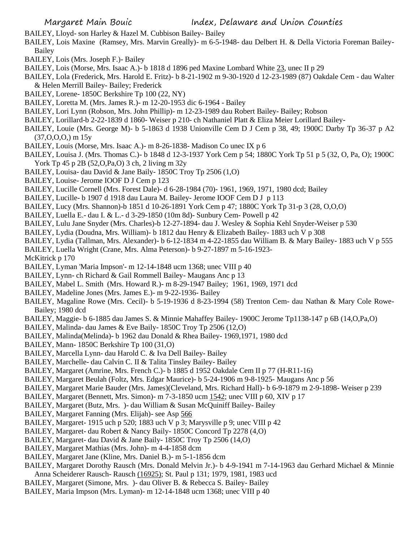BAILEY, Lloyd- son Harley & Hazel M. Cubbison Bailey- Bailey

- BAILEY, Lois Maxine (Ramsey, Mrs. Marvin Greally)- m 6-5-1948- dau Delbert H. & Della Victoria Foreman Bailey-Bailey
- BAILEY, Lois (Mrs. Joseph F.)- Bailey
- BAILEY, Lois (Morse, Mrs. Isaac A.)- b 1818 d 1896 ped Maxine Lombard White 23, unec II p 29
- BAILEY, Lola (Frederick, Mrs. Harold E. Fritz)- b 8-21-1902 m 9-30-1920 d 12-23-1989 (87) Oakdale Cem dau Walter & Helen Merrill Bailey- Bailey; Frederick
- BAILEY, Lorene- 1850C Berkshire Tp 100 (22, NY)
- BAILEY, Loretta M. (Mrs. James R.)- m 12-20-1953 dic 6-1964 Bailey
- BAILEY, Lori Lynn (Robson, Mrs. John Phillip)- m 12-23-1989 dau Robert Bailey- Bailey; Robson
- BAILEY, Lorillard-b 2-22-1839 d 1860- Weiser p 210- ch Nathaniel Platt & Eliza Meier Lorillard Bailey-
- BAILEY, Louie (Mrs. George M)- b 5-1863 d 1938 Unionville Cem D J Cem p 38, 49; 1900C Darby Tp 36-37 p A2  $(37,0,0,0,0)$  m  $15y$
- BAILEY, Louis (Morse, Mrs. Isaac A.)- m 8-26-1838- Madison Co unec IX p 6
- BAILEY, Louisa J. (Mrs. Thomas C.)- b 1848 d 12-3-1937 York Cem p 54; 1880C York Tp 51 p 5 (32, O, Pa, O); 1900C York Tp 45 p 2B (52,O,Pa,O) 3 ch, 2 living m 32y
- BAILEY, Louisa- dau David & Jane Baily- 1850C Troy Tp 2506 (1,O)
- BAILEY, Louise- Jerome IOOF D J Cem p 123
- BAILEY, Lucille Cornell (Mrs. Forest Dale)- d 6-28-1984 (70)- 1961, 1969, 1971, 1980 dcd; Bailey
- BAILEY, Lucille- b 1907 d 1918 dau Laura M. Bailey- Jerome IOOF Cem D J p 113
- BAILEY, Lucy (Mrs. Shannon)-b 1851 d 10-26-1891 York Cem p 47; 1880C York Tp 31-p 3 (28, O,O,O)
- BAILEY, Luella E.- dau I. & L.- d 3-29-1850 (10m 8d)- Sunbury Cem- Powell p 42
- BAILEY, Lulu Jane Snyder (Mrs. Charles)-b 12-27-1894- dau J. Wesley & Sophia Kehl Snyder-Weiser p 530
- BAILEY, Lydia (Doudna, Mrs. William)- b 1812 dau Henry & Elizabeth Bailey- 1883 uch V p 308
- BAILEY, Lydia (Tallman, Mrs. Alexander)- b 6-12-1834 m 4-22-1855 dau William B. & Mary Bailey- 1883 uch V p 555
- BAILEY, Luella Wright (Crane, Mrs. Alma Peterson)- b 9-27-1897 m 5-16-1923-
- McKitrick p 170
- BAILEY, Lyman 'Maria Impson'- m 12-14-1848 ucm 1368; unec VIII p 40
- BAILEY, Lynn- ch Richard & Gail Rommell Bailey- Maugans Anc p 13
- BAILEY, Mabel L. Smith (Mrs. Howard R.)- m 8-29-1947 Bailey; 1961, 1969, 1971 dcd
- BAILEY, Madeline Jones (Mrs. James E.)- m 9-22-1936- Bailey
- BAILEY, Magaline Rowe (Mrs. Cecil)- b 5-19-1936 d 8-23-1994 (58) Trenton Cem- dau Nathan & Mary Cole Rowe-Bailey; 1980 dcd
- BAILEY, Maggie- b 6-1885 dau James S. & Minnie Mahaffey Bailey- 1900C Jerome Tp1138-147 p 6B (14,O,Pa,O)
- BAILEY, Malinda- dau James & Eve Baily- 1850C Troy Tp 2506 (12,O)
- BAILEY, Malinda(Melinda)- b 1962 dau Donald & Rhea Bailey- 1969,1971, 1980 dcd
- BAILEY, Mann- 1850C Berkshire Tp 100 (31,O)
- BAILEY, Marcella Lynn- dau Harold C. & Iva Dell Bailey- Bailey
- BAILEY, Marchelle- dau Calvin C. II & Talita Tinsley Bailey- Bailey
- BAILEY, Margaret (Amrine, Mrs. French C.)- b 1885 d 1952 Oakdale Cem II p 77 (H-R11-16)
- BAILEY, Margaret Beulah (Foltz, Mrs. Edgar Maurice)- b 5-24-1906 m 9-8-1925- Maugans Anc p 56
- BAILEY, Margaret Marie Bauder (Mrs. James)(Cleveland, Mrs. Richard Hall)- b 6-9-1879 m 2-9-1898- Weiser p 239
- BAILEY, Margaret (Bennett, Mrs. Simon)- m 7-3-1850 ucm 1542; unec VIII p 60, XIV p 17
- BAILEY, Margaret (Butz, Mrs. )- dau William & Susan McQuiniff Bailey- Bailey
- BAILEY, Margaret Fanning (Mrs. Elijah)- see Asp 566
- BAILEY, Margaret- 1915 uch p 520; 1883 uch V p 3; Marysville p 9; unec VIII p 42
- BAILEY, Margaret- dau Robert & Nancy Baily- 1850C Concord Tp 2278 (4,O)
- BAILEY, Margaret- dau David & Jane Baily- 1850C Troy Tp 2506 (14,O)
- BAILEY, Margaret Mathias (Mrs. John)- m 4-4-1858 dcm
- BAILEY, Margaret Jane (Kline, Mrs. Daniel B.)- m 5-1-1856 dcm
- BAILEY, Margaret Dorothy Rausch (Mrs. Donald Melvin Jr.)- b 4-9-1941 m 7-14-1963 dau Gerhard Michael & Minnie Anna Scheiderer Rausch- Rausch (16925); St. Paul p 131; 1979, 1981, 1983 ucd
- BAILEY, Margaret (Simone, Mrs. )- dau Oliver B. & Rebecca S. Bailey- Bailey
- BAILEY, Maria Impson (Mrs. Lyman)- m 12-14-1848 ucm 1368; unec VIII p 40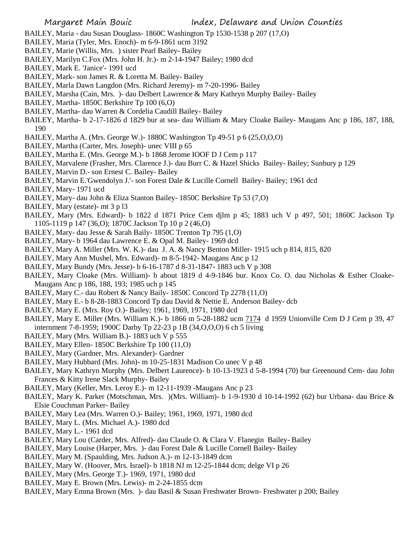- BAILEY, Maria dau Susan Douglass- 1860C Washington Tp 1530-1538 p 207 (17,O)
- BAILEY, Maria (Tyler, Mrs. Enoch)- m 6-9-1861 ucm 3192
- BAILEY, Marie (Willis, Mrs. ) sister Pearl Bailey- Bailey
- BAILEY, Marilyn C.Fox (Mrs. John H. Jr.)- m 2-14-1947 Bailey; 1980 dcd
- BAILEY, Mark E. 'Janice'- 1991 ucd
- BAILEY, Mark- son James R. & Loretta M. Bailey- Bailey
- BAILEY, Marla Dawn Langdon (Mrs. Richard Jeremy)- m 7-20-1996- Bailey
- BAILEY, Marsha (Cain, Mrs. )- dau Delbert Lawrence & Mary Kathryn Murphy Bailey- Bailey
- BAILEY, Martha- 1850C Berkshire Tp 100 (6,O)
- BAILEY, Martha- dau Warren & Cordelia Caudill Bailey- Bailey
- BAILEY, Martha- b 2-17-1826 d 1829 bur at sea- dau William & Mary Cloake Bailey- Maugans Anc p 186, 187, 188, 190
- BAILEY, Martha A. (Mrs. George W.)- 1880C Washington Tp 49-51 p 6 (25,O,O,O)
- BAILEY, Martha (Carter, Mrs. Joseph)- unec VIII p 65
- BAILEY, Martha E. (Mrs. George M.)- b 1868 Jerome IOOF D J Cem p 117
- BAILEY, Marvalene (Frasher, Mrs. Clarence J.)- dau Burr C. & Hazel Shicks Bailey- Bailey; Sunbury p 129
- BAILEY, Marvin D.- son Ernest C. Bailey- Bailey
- BAILEY, Marvin E.'Gwendolyn J.'- son Forest Dale & Lucille Cornell Bailey- Bailey; 1961 dcd
- BAILEY, Mary- 1971 ucd
- BAILEY, Mary- dau John & Eliza Stanton Bailey- 1850C Berkshire Tp 53 (7,O)
- BAILEY, Mary (estate)- mt 3 p l3
- BAILEY, Mary (Mrs. Edward)- b 1822 d 1871 Price Cem djlm p 45; 1883 uch V p 497, 501; 1860C Jackson Tp 1105-1119 p 147 (36,O); 1870C Jackson Tp 10 p 2 (46,O)
- BAILEY, Mary- dau Jesse & Sarah Baily- 1850C Trenton Tp 795 (1,O)
- BAILEY, Mary- b 1964 dau Lawrence E. & Opal M. Bailey- 1969 dcd
- BAILEY, Mary A. Miller (Mrs. W. K.)- dau J. A. & Nancy Benton Miller- 1915 uch p 814, 815, 820
- BAILEY, Mary Ann Mushel, Mrs. Edward)- m 8-5-1942- Maugans Anc p 12
- BAILEY, Mary Bundy (Mrs. Jesse)- b 6-16-1787 d 8-31-1847- 1883 uch V p 308
- BAILEY, Mary Cloake (Mrs. William)- b about 1819 d 4-9-1846 bur. Knox Co. O. dau Nicholas & Esther Cloake-Maugans Anc p 186, 188, 193; 1985 uch p 145
- BAILEY, Mary C.- dau Robert & Nancy Baily- 1850C Concord Tp 2278 (11,O)
- BAILEY, Mary E.- b 8-28-1883 Concord Tp dau David & Nettie E. Anderson Bailey- dcb
- BAILEY, Mary E. (Mrs. Roy O.)- Bailey; 1961, 1969, 1971, 1980 dcd
- BAILEY, Mary E. Miller (Mrs. William K.)- b 1866 m 5-28-1882 ucm 7174 d 1959 Unionville Cem D J Cem p 39, 47 internment 7-8-1959; 1900C Darby Tp 22-23 p 1B (34,O,O,O) 6 ch 5 living
- BAILEY, Mary (Mrs. William B.)- 1883 uch V p 555
- BAILEY, Mary Ellen- 1850C Berkshire Tp 100 (11,O)
- BAILEY, Mary (Gardner, Mrs. Alexander)- Gardner
- BAILEY, Mary Hubbard (Mrs. John)- m 10-25-1831 Madison Co unec V p 48
- BAILEY, Mary Kathryn Murphy (Mrs. Delbert Laurence)- b 10-13-1923 d 5-8-1994 (70) bur Greenound Cem- dau John Frances & Kitty Irene Slack Murphy- Bailey
- BAILEY, Mary (Keller, Mrs. Leroy E.)- m 12-11-1939 -Maugans Anc p 23
- BAILEY, Mary K. Parker (Motschman, Mrs. )(Mrs. William)- b 1-9-1930 d 10-14-1992 (62) bur Urbana- dau Brice & Elsie Couchman Parker- Bailey
- BAILEY, Mary Lea (Mrs. Warren O.)- Bailey; 1961, 1969, 1971, 1980 dcd
- BAILEY, Mary L. (Mrs. Michael A.)- 1980 dcd
- BAILEY, Mary L.- 1961 dcd
- BAILEY, Mary Lou (Carder, Mrs. Alfred)- dau Claude O. & Clara V. Flanegin Bailey- Bailey
- BAILEY, Mary Louise (Harper, Mrs. )- dau Forest Dale & Lucille Cornell Bailey- Bailey
- BAILEY, Mary M. (Spaulding, Mrs. Judson A.)- m 12-13-1849 dcm
- BAILEY, Mary W. (Hoover, Mrs. Israel)- b 1818 NJ m 12-25-1844 dcm; delge VI p 26
- BAILEY, Mary (Mrs. George T.)- 1969, 1971, 1980 dcd
- BAILEY, Mary E. Brown (Mrs. Lewis)- m 2-24-1855 dcm
- BAILEY, Mary Emma Brown (Mrs. )- dau Basil & Susan Freshwater Brown- Freshwater p 200; Bailey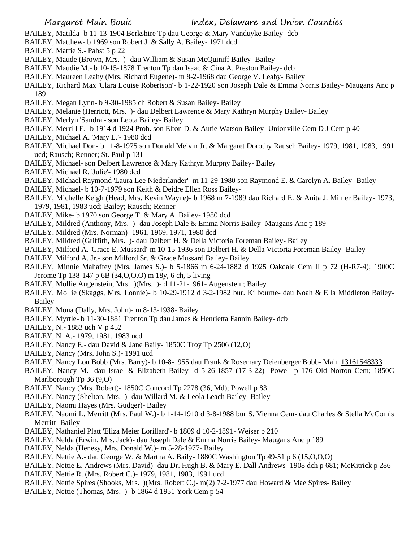- BAILEY, Matilda- b 11-13-1904 Berkshire Tp dau George & Mary Vanduyke Bailey- dcb
- BAILEY, Matthew- b 1969 son Robert J. & Sally A. Bailey- 1971 dcd
- BAILEY, Mattie S.- Pabst 5 p 22
- BAILEY, Maude (Brown, Mrs. )- dau William & Susan McQuiniff Bailey- Bailey
- BAILEY, Maudie M.- b 10-15-1878 Trenton Tp dau Isaac & Cina A. Preston Bailey- dcb
- BAILEY. Maureen Leahy (Mrs. Richard Eugene)- m 8-2-1968 dau George V. Leahy- Bailey
- BAILEY, Richard Max 'Clara Louise Robertson'- b 1-22-1920 son Joseph Dale & Emma Norris Bailey- Maugans Anc p 189
- BAILEY, Megan Lynn- b 9-30-1985 ch Robert & Susan Bailey- Bailey
- BAILEY, Melanie (Herriott, Mrs. )- dau Delbert Lawrence & Mary Kathryn Murphy Bailey- Bailey
- BAILEY, Merlyn 'Sandra'- son Leota Bailey- Bailey
- BAILEY, Merrill E.- b 1914 d 1924 Prob. son Elton D. & Autie Watson Bailey- Unionville Cem D J Cem p 40
- BAILEY, Michael A. 'Mary L.'- 1980 dcd
- BAILEY, Michael Don- b 11-8-1975 son Donald Melvin Jr. & Margaret Dorothy Rausch Bailey- 1979, 1981, 1983, 1991 ucd; Rausch; Renner; St. Paul p 131
- BAILEY, Michael- son Delbert Lawrence & Mary Kathryn Murpny Bailey- Bailey
- BAILEY, Michael R. 'Julie'- 1980 dcd
- BAILEY, Michael Raymond 'Laura Lee Niederlander'- m 11-29-1980 son Raymond E. & Carolyn A. Bailey- Bailey
- BAILEY, Michael- b 10-7-1979 son Keith & Deidre Ellen Ross Bailey-
- BAILEY, Michelle Keigh (Head, Mrs. Kevin Wayne)- b 1968 m 7-1989 dau Richard E. & Anita J. Milner Bailey- 1973, 1979, 1981, 1983 ucd; Bailey; Rausch; Renner
- BAILEY, Mike- b 1970 son George T. & Mary A. Bailey- 1980 dcd
- BAILEY, Mildred (Anthony, Mrs. )- dau Joseph Dale & Emma Norris Bailey- Maugans Anc p 189
- BAILEY, Mildred (Mrs. Norman)- 1961, 1969, 1971, 1980 dcd
- BAILEY, Mildred (Griffith, Mrs. )- dau Delbert H. & Della Victoria Foreman Bailey- Bailey
- BAILEY, Milford A. 'Grace E. Mussard'-m 10-15-1936 son Delbert H. & Della Victoria Foreman Bailey- Bailey
- BAILEY, Milford A. Jr.- son Milford Sr. & Grace Mussard Bailey- Bailey
- BAILEY, Minnie Mahaffey (Mrs. James S.)- b 5-1866 m 6-24-1882 d 1925 Oakdale Cem II p 72 (H-R7-4); 1900C Jerome Tp 138-147 p 6B (34,O,O,O) m 18y, 6 ch, 5 living
- BAILEY, Mollie Augenstein, Mrs. )(Mrs. )- d 11-21-1961- Augenstein; Bailey
- BAILEY, Mollie (Skaggs, Mrs. Lonnie)- b 10-29-1912 d 3-2-1982 bur. Kilbourne- dau Noah & Ella Middleton Bailey-Bailey
- BAILEY, Mona (Dally, Mrs. John)- m 8-13-1938- Bailey
- BAILEY, Myrtle- b 11-30-1881 Trenton Tp dau James & Henrietta Fannin Bailey- dcb
- BAILEY, N.- 1883 uch V p 452
- BAILEY, N. A.- 1979, 1981, 1983 ucd
- BAILEY, Nancy E.- dau David & Jane Baily- 1850C Troy Tp 2506 (12,O)
- BAILEY, Nancy (Mrs. John S.)- 1991 ucd
- BAILEY, Nancy Lou Bobb (Mrs. Barry)- b 10-8-1955 dau Frank & Rosemary Deienberger Bobb- Main 13161548333
- BAILEY, Nancy M.- dau Israel & Elizabeth Bailey- d 5-26-1857 (17-3-22)- Powell p 176 Old Norton Cem; 1850C Marlborough Tp 36 (9,O)
- BAILEY, Nancy (Mrs. Robert)- 1850C Concord Tp 2278 (36, Md); Powell p 83
- BAILEY, Nancy (Shelton, Mrs. )- dau Willard M. & Leola Leach Bailey- Bailey
- BAILEY, Naomi Hayes (Mrs. Gudger)- Bailey
- BAILEY, Naomi L. Merritt (Mrs. Paul W.)- b 1-14-1910 d 3-8-1988 bur S. Vienna Cem- dau Charles & Stella McComis Merritt- Bailey
- BAILEY, Nathaniel Platt 'Eliza Meier Lorillard'- b 1809 d 10-2-1891- Weiser p 210
- BAILEY, Nelda (Erwin, Mrs. Jack)- dau Joseph Dale & Emma Norris Bailey- Maugans Anc p 189
- BAILEY, Nelda (Henesy, Mrs. Donald W.)- m 5-28-1977- Bailey
- BAILEY, Nettie A.- dau George W. & Martha A. Baily- 1880C Washington Tp 49-51 p 6 (15,O,O,O)
- BAILEY, Nettie E. Andrews (Mrs. David)- dau Dr. Hugh B. & Mary E. Dall Andrews- 1908 dch p 681; McKitrick p 286 BAILEY, Nettie R. (Mrs. Robert C.)- 1979, 1981, 1983, 1991 ucd
- BAILEY, Nettie Spires (Shooks, Mrs. )(Mrs. Robert C.)- m(2) 7-2-1977 dau Howard & Mae Spires- Bailey
- BAILEY, Nettie (Thomas, Mrs. )- b 1864 d 1951 York Cem p 54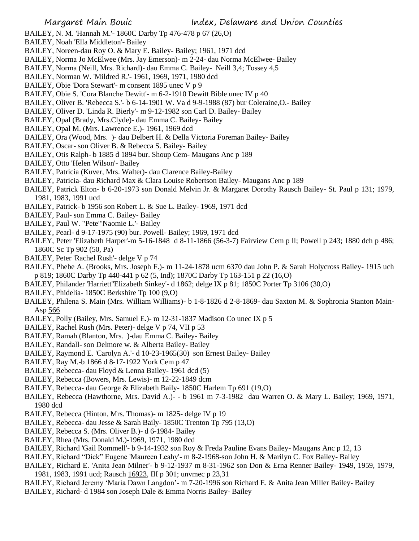- BAILEY, N. M. 'Hannah M.'- 1860C Darby Tp 476-478 p 67 (26,O)
- BAILEY, Noah 'Ella Middleton'- Bailey
- BAILEY, Noreen-dau Roy O. & Mary E. Bailey- Bailey; 1961, 1971 dcd
- BAILEY, Norma Jo McElwee (Mrs. Jay Emerson)- m 2-24- dau Norma McElwee- Bailey
- BAILEY, Norma (Neill, Mrs. Richard)- dau Emma C. Bailey- Neill 3,4; Tossey 4,5
- BAILEY, Norman W. 'Mildred R.'- 1961, 1969, 1971, 1980 dcd
- BAILEY, Obie 'Dora Stewart'- m consent 1895 unec V p 9
- BAILEY, Obie S. 'Cora Blanche Dewitt'- m 6-2-1910 Dewitt Bible unec IV p 40
- BAILEY, Oliver B. 'Rebecca S.'- b 6-14-1901 W. Va d 9-9-1988 (87) bur Coleraine,O.- Bailey
- BAILEY, Oliver D. 'Linda R. Bierly'- m 9-12-1982 son Carl D. Bailey- Bailey
- BAILEY, Opal (Brady, Mrs.Clyde)- dau Emma C. Bailey- Bailey
- BAILEY, Opal M. (Mrs. Lawrence E.)- 1961, 1969 dcd
- BAILEY, Ora (Wood, Mrs. )- dau Delbert H. & Della Victoria Foreman Bailey- Bailey
- BAILEY, Oscar- son Oliver B. & Rebecca S. Bailey- Bailey
- BAILEY, Otis Ralph- b 1885 d 1894 bur. Shoup Cem- Maugans Anc p 189
- BAILEY, Otto 'Helen Wilson'- Bailey
- BAILEY, Patricia (Kuver, Mrs. Walter)- dau Clarence Bailey-Bailey
- BAILEY, Patricia- dau Richard Max & Clara Louise Robertson Bailey- Maugans Anc p 189
- BAILEY, Patrick Elton- b 6-20-1973 son Donald Melvin Jr. & Margaret Dorothy Rausch Bailey- St. Paul p 131; 1979, 1981, 1983, 1991 ucd
- BAILEY, Patrick- b 1956 son Robert L. & Sue L. Bailey- 1969, 1971 dcd
- BAILEY, Paul- son Emma C. Bailey- Bailey
- BAILEY, Paul W. "Pete"'Naomie L.'- Bailey
- BAILEY, Pearl- d 9-17-1975 (90) bur. Powell- Bailey; 1969, 1971 dcd
- BAILEY, Peter 'Elizabeth Harper'-m 5-16-1848 d 8-11-1866 (56-3-7) Fairview Cem p ll; Powell p 243; 1880 dch p 486; 1860C Sc Tp 902 (50, Pa)
- BAILEY, Peter 'Rachel Rush'- delge V p 74
- BAILEY, Phebe A. (Brooks, Mrs. Joseph F.)- m 11-24-1878 ucm 6370 dau John P. & Sarah Holycross Bailey- 1915 uch p 819; 1860C Darby Tp 440-441 p 62 (5, Ind); 1870C Darby Tp 163-151 p 22 (16,O)
- BAILEY, Philander 'Harriett''Elizabeth Sinkey'- d 1862; delge IX p 81; 1850C Porter Tp 3106 (30,O)
- BAILEY, Phidelia- 1850C Berkshire Tp 100 (9,O)
- BAILEY, Philena S. Main (Mrs. William Williams)- b 1-8-1826 d 2-8-1869- dau Saxton M. & Sophronia Stanton Main-Asp 566
- BAILEY, Polly (Bailey, Mrs. Samuel E.)- m 12-31-1837 Madison Co unec IX p 5
- BAILEY, Rachel Rush (Mrs. Peter)- delge V p 74, VII p 53
- BAILEY, Ramah (Blanton, Mrs. )-dau Emma C. Bailey- Bailey
- BAILEY, Randall- son Delmore w. & Alberta Bailey- Bailey
- BAILEY, Raymond E. 'Carolyn A.'- d 10-23-1965(30) son Ernest Bailey- Bailey
- BAILEY, Ray M.-b 1866 d 8-17-1922 York Cem p 47
- BAILEY, Rebecca- dau Floyd & Lenna Bailey- 1961 dcd (5)
- BAILEY, Rebecca (Bowers, Mrs. Lewis)- m 12-22-1849 dcm
- BAILEY, Rebecca- dau George & Elizabeth Baily- 1850C Harlem Tp 691 (19,O)
- BAILEY, Rebecca (Hawthorne, Mrs. David A.)- b 1961 m 7-3-1982 dau Warren O. & Mary L. Bailey; 1969, 1971, 1980 dcd
- BAILEY, Rebecca (Hinton, Mrs. Thomas)- m 1825- delge IV p 19
- BAILEY, Rebecca- dau Jesse & Sarah Baily- 1850C Trenton Tp 795 (13,O)
- BAILEY, Rebecca S. (Mrs. Oliver B.)- d 6-1984- Bailey
- BAILEY, Rhea (Mrs. Donald M.)-1969, 1971, 1980 dcd
- BAILEY, Richard 'Gail Rommell'- b 9-14-1932 son Roy & Freda Pauline Evans Bailey- Maugans Anc p 12, 13
- BAILEY, Richard "Dick" Eugene 'Maureen Leahy'- m 8-2-1968-son John H. & Marilyn C. Fox Bailey- Bailey
- BAILEY, Richard E. 'Anita Jean Milner'- b 9-12-1937 m 8-31-1962 son Don & Erna Renner Bailey- 1949, 1959, 1979, 1981, 1983, 1991 ucd; Rausch 16923, III p 301; unvmec p 23,31
- BAILEY, Richard Jeremy 'Maria Dawn Langdon'- m 7-20-1996 son Richard E. & Anita Jean Miller Bailey- Bailey
- BAILEY, Richard- d 1984 son Joseph Dale & Emma Norris Bailey- Bailey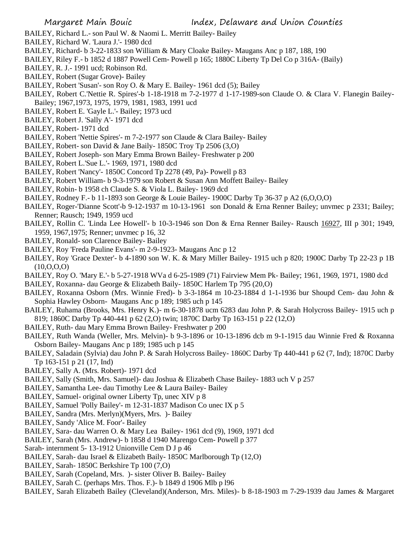- BAILEY, Richard L.- son Paul W. & Naomi L. Merritt Bailey- Bailey
- BAILEY, Richard W. 'Laura J.'- 1980 dcd
- BAILEY, Richard- b 3-22-1833 son William & Mary Cloake Bailey- Maugans Anc p 187, 188, 190
- BAILEY, Riley F.- b 1852 d 1887 Powell Cem- Powell p 165; 1880C Liberty Tp Del Co p 316A- (Baily)
- BAILEY, R. J.- 1991 ucd; Robinson Rd.
- BAILEY, Robert (Sugar Grove)- Bailey
- BAILEY, Robert 'Susan'- son Roy O. & Mary E. Bailey- 1961 dcd (5); Bailey
- BAILEY, Robert C.'Nettie R. Spires'-b 1-18-1918 m 7-2-1977 d 1-17-1989-son Claude O. & Clara V. Flanegin Bailey-Bailey; 1967,1973, 1975, 1979, 1981, 1983, 1991 ucd
- BAILEY, Robert E. 'Gayle L.'- Bailey; 1973 ucd
- BAILEY, Robert J. 'Sally A'- 1971 dcd
- BAILEY, Robert- 1971 dcd
- BAILEY, Robert 'Nettie Spires'- m 7-2-1977 son Claude & Clara Bailey- Bailey
- BAILEY, Robert- son David & Jane Baily- 1850C Troy Tp 2506 (3,O)
- BAILEY, Robert Joseph- son Mary Emma Brown Bailey- Freshwater p 200
- BAILEY, Robert L.'Sue L.'- 1969, 1971, 1980 dcd
- BAILEY, Robert 'Nancy'- 1850C Concord Tp 2278 (49, Pa)- Powell p 83
- BAILEY, Robert William- b 9-3-1979 son Robert & Susan Ann Moffett Bailey- Bailey
- BAILEY, Robin- b 1958 ch Claude S. & Viola L. Bailey- 1969 dcd
- BAILEY, Rodney F.- b 11-1893 son George & Louie Bailey- 1900C Darby Tp 36-37 p A2 (6,O,O,O)
- BAILEY, Roger-'Dianne Scott'-b 9-12-1937 m 10-13-1961 son Donald & Erna Renner Bailey; unvmec p 2331; Bailey; Renner; Rausch; 1949, 1959 ucd
- BAILEY, Rollin C. 'Linda Lee Howell'- b 10-3-1946 son Don & Erna Renner Bailey- Rausch 16927, III p 301; 1949, 1959, 1967,1975; Renner; unvmec p 16, 32
- BAILEY, Ronald- son Clarence Bailey- Bailey
- BAILEY, Roy 'Freda Pauline Evans'- m 2-9-1923- Maugans Anc p 12
- BAILEY, Roy 'Grace Dexter'- b 4-1890 son W. K. & Mary Miller Bailey- 1915 uch p 820; 1900C Darby Tp 22-23 p 1B (10,O,O,O)
- BAILEY, Roy O. 'Mary E.'- b 5-27-1918 WVa d 6-25-1989 (71) Fairview Mem Pk- Bailey; 1961, 1969, 1971, 1980 dcd
- BAILEY, Roxanna- dau George & Elizabeth Baily- 1850C Harlem Tp 795 (20,O)
- BAILEY, Roxanna Osborn (Mrs. Winnie Fred)- b 3-3-1864 m 10-23-1884 d 1-1-1936 bur Shoupd Cem- dau John & Sophia Hawley Osborn- Maugans Anc p 189; 1985 uch p 145
- BAILEY, Ruhama (Brooks, Mrs. Henry K.)- m 6-30-1878 ucm 6283 dau John P. & Sarah Holycross Bailey- 1915 uch p 819; 1860C Darby Tp 440-441 p 62 (2,O) twin; 1870C Darby Tp 163-151 p 22 (12,O)
- BAILEY, Ruth- dau Mary Emma Brown Bailey- Freshwater p 200
- BAILEY, Ruth Wanda (Weller, Mrs. Melvin)- b 9-3-1896 or 10-13-1896 dcb m 9-1-1915 dau Winnie Fred & Roxanna Osborn Bailey- Maugans Anc p 189; 1985 uch p 145
- BAILEY, Saladain (Sylvia) dau John P. & Sarah Holycross Bailey- 1860C Darby Tp 440-441 p 62 (7, Ind); 1870C Darby Tp 163-151 p 21 (17, Ind)
- BAILEY, Sally A. (Mrs. Robert)- 1971 dcd
- BAILEY, Sally (Smith, Mrs. Samuel)- dau Joshua & Elizabeth Chase Bailey- 1883 uch V p 257
- BAILEY, Samantha Lee- dau Timothy Lee & Laura Bailey- Bailey
- BAILEY, Samuel- original owner Liberty Tp, unec XIV p 8
- BAILEY, Samuel 'Polly Bailey'- m 12-31-1837 Madison Co unec IX p 5
- BAILEY, Sandra (Mrs. Merlyn)(Myers, Mrs. )- Bailey
- BAILEY, Sandy 'Alice M. Foor'- Bailey
- BAILEY, Sara- dau Warren O. & Mary Lea Bailey- 1961 dcd (9), 1969, 1971 dcd
- BAILEY, Sarah (Mrs. Andrew)- b 1858 d 1940 Marengo Cem- Powell p 377
- Sarah- internment 5- 13-1912 Unionville Cem D J p 46
- BAILEY, Sarah- dau Israel & Elizabeth Baily- 1850C Marlborough Tp (12,O)
- BAILEY, Sarah- 1850C Berkshire Tp 100 (7,O)
- BAILEY, Sarah (Copeland, Mrs. )- sister Oliver B. Bailey- Bailey
- BAILEY, Sarah C. (perhaps Mrs. Thos. F.)- b 1849 d 1906 Mlb p l96
- BAILEY, Sarah Elizabeth Bailey (Cleveland)(Anderson, Mrs. Miles)- b 8-18-1903 m 7-29-1939 dau James & Margaret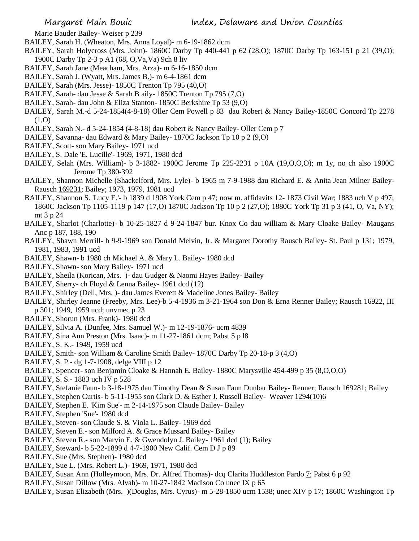Marie Bauder Bailey- Weiser p 239

- BAILEY, Sarah H. (Wheaton, Mrs. Anna Loyal)- m 6-19-1862 dcm
- BAILEY, Sarah Holycross (Mrs. John)- 1860C Darby Tp 440-441 p 62 (28,O); 1870C Darby Tp 163-151 p 21 (39,O); 1900C Darby Tp 2-3 p A1 (68, O,Va,Va) 9ch 8 liv
- BAILEY, Sarah Jane (Meacham, Mrs. Arza)- m 6-16-1850 dcm
- BAILEY, Sarah J. (Wyatt, Mrs. James B.)- m 6-4-1861 dcm
- BAILEY, Sarah (Mrs. Jesse)- 1850C Trenton Tp 795 (40,O)
- BAILEY, Sarah- dau Jesse & Sarah B aily- 1850C Trenton Tp 795 (7,O)
- BAILEY, Sarah- dau John & Eliza Stanton- 1850C Berkshire Tp 53 (9,O)
- BAILEY, Sarah M.-d 5-24-1854(4-8-18) Oller Cem Powell p 83 dau Robert & Nancy Bailey-1850C Concord Tp 2278  $(1,0)$
- BAILEY, Sarah N.- d 5-24-1854 (4-8-18) dau Robert & Nancy Bailey- Oller Cem p 7
- BAILEY, Savanna- dau Edward & Mary Bailey- 1870C Jackson Tp 10 p 2 (9,O)
- BAILEY, Scott- son Mary Bailey- 1971 ucd
- BAILEY, S. Dale 'E. Lucille'- 1969, 1971, 1980 dcd
- BAILEY, Selah (Mrs. William)- b 3-1882- 1900C Jerome Tp 225-2231 p 10A (19,O,O,O); m 1y, no ch also 1900C Jerome Tp 380-392
- BAILEY, Shannon Michelle (Shackelford, Mrs. Lyle)- b 1965 m 7-9-1988 dau Richard E. & Anita Jean Milner Bailey-Rausch 169231; Bailey; 1973, 1979, 1981 ucd
- BAILEY, Shannon S. 'Lucy E.'- b 1839 d 1908 York Cem p 47; now m. affidavits 12-1873 Civil War; 1883 uch V p 497; 1860C Jackson Tp 1105-1119 p 147 (17,O) 1870C Jackson Tp 10 p 2 (27,O); 1880C York Tp 31 p 3 (41, O, Va, NY); mt 3 p 24
- BAILEY, Sharlot (Charlotte)- b 10-25-1827 d 9-24-1847 bur. Knox Co dau william & Mary Cloake Bailey- Maugans Anc p 187, 188, 190
- BAILEY, Shawn Merrill- b 9-9-1969 son Donald Melvin, Jr. & Margaret Dorothy Rausch Bailey- St. Paul p 131; 1979, 1981, 1983, 1991 ucd
- BAILEY, Shawn- b 1980 ch Michael A. & Mary L. Bailey- 1980 dcd
- BAILEY, Shawn- son Mary Bailey- 1971 ucd
- BAILEY, Sheila (Korican, Mrs. )- dau Gudger & Naomi Hayes Bailey- Bailey
- BAILEY, Sherry- ch Floyd & Lenna Bailey- 1961 dcd (12)
- BAILEY, Shirley (Dell, Mrs. )- dau James Everett & Madeline Jones Bailey- Bailey
- BAILEY, Shirley Jeanne (Freeby, Mrs. Lee)-b 5-4-1936 m 3-21-1964 son Don & Erna Renner Bailey; Rausch 16922, III p 301; 1949, 1959 ucd; unvmec p 23
- BAILEY, Shorun (Mrs. Frank)- 1980 dcd
- BAILEY, Silvia A. (Dunfee, Mrs. Samuel W.)- m 12-19-1876- ucm 4839
- BAILEY, Sina Ann Preston (Mrs. Isaac)- m 11-27-1861 dcm; Pabst 5 p l8
- BAILEY, S. K.- 1949, 1959 ucd
- BAILEY, Smith- son William & Caroline Smith Bailey- 1870C Darby Tp 20-18-p 3 (4,O)
- BAILEY, S. P.- dg 1-7-1908, delge VIII p 12
- BAILEY, Spencer- son Benjamin Cloake & Hannah E. Bailey- 1880C Marysville 454-499 p 35 (8,O,O,O)
- BAILEY, S. S.- 1883 uch IV p 528
- BAILEY, Stefanie Faun- b 3-18-1975 dau Timothy Dean & Susan Faun Dunbar Bailey- Renner; Rausch 169281; Bailey
- BAILEY, Stephen Curtis- b 5-11-1955 son Clark D. & Esther J. Russell Bailey- Weaver 1294(10)6
- BAILEY, Stephen E. 'Kim Sue'- m 2-14-1975 son Claude Bailey- Bailey
- BAILEY, Stephen 'Sue'- 1980 dcd
- BAILEY, Steven- son Claude S. & Viola L. Bailey- 1969 dcd
- BAILEY, Steven E.- son Milford A. & Grace Mussard Bailey- Bailey
- BAILEY, Steven R.- son Marvin E. & Gwendolyn J. Bailey- 1961 dcd (1); Bailey
- BAILEY, Steward- b 5-22-1899 d 4-7-1900 New Calif. Cem D J p 89
- BAILEY, Sue (Mrs. Stephen)- 1980 dcd
- BAILEY, Sue L. (Mrs. Robert L.)- 1969, 1971, 1980 dcd
- BAILEY, Susan Ann (Holleymoon, Mrs. Dr. Alfred Thomas)- dcq Clarita Huddleston Pardo 7; Pabst 6 p 92
- BAILEY, Susan Dillow (Mrs. Alvah)- m 10-27-1842 Madison Co unec IX p 65
- BAILEY, Susan Elizabeth (Mrs. )(Douglas, Mrs. Cyrus)- m 5-28-1850 ucm 1538; unec XIV p 17; 1860C Washington Tp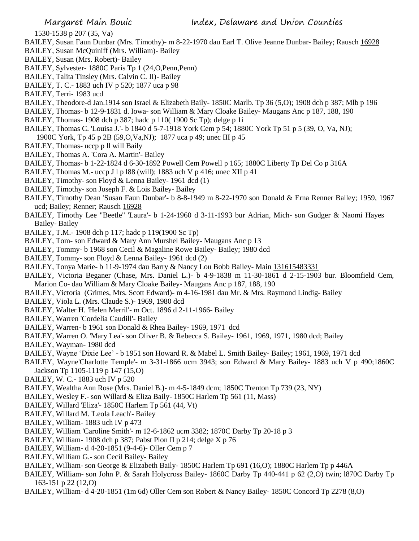1530-1538 p 207 (35, Va)

- BAILEY, Susan Faun Dunbar (Mrs. Timothy)- m 8-22-1970 dau Earl T. Olive Jeanne Dunbar- Bailey; Rausch 16928
- BAILEY, Susan McQuiniff (Mrs. William)- Bailey
- BAILEY, Susan (Mrs. Robert)- Bailey
- BAILEY, Sylvester- 1880C Paris Tp 1 (24,O,Penn,Penn)
- BAILEY, Talita Tinsley (Mrs. Calvin C. II)- Bailey
- BAILEY, T. C.- 1883 uch IV p 520; 1877 uca p 98
- BAILEY, Terri- 1983 ucd
- BAILEY, Theodore-d Jan.1914 son Israel & Elizabeth Baily- 1850C Marlb. Tp 36 (5,O); 1908 dch p 387; Mlb p 196
- BAILEY, Thomas- b 12-9-1831 d. Iowa- son William & Mary Cloake Bailey- Maugans Anc p 187, 188, 190
- BAILEY, Thomas- 1908 dch p 387; hadc p 110( 1900 Sc Tp); delge p 1i
- BAILEY, Thomas C. 'Louisa J.'- b 1840 d 5-7-1918 York Cem p 54; 1880C York Tp 51 p 5 (39, O, Va, NJ); 1900C York, Tp 45 p 2B (59,O,Va,NJ); 1877 uca p 49; unec III p 45
- BAILEY, Thomas- uccp p ll will Baily
- BAILEY, Thomas A. 'Cora A. Martin'- Bailey
- BAILEY, Thomas- b 1-22-1824 d 6-30-1892 Powell Cem Powell p 165; 1880C Liberty Tp Del Co p 316A
- BAILEY, Thomas M.- uccp J l p l88 (will); 1883 uch V p 416; unec XII p 41
- BAILEY, Timothy- son Floyd & Lenna Bailey- 1961 dcd (1)
- BAILEY, Timothy- son Joseph F. & Lois Bailey- Bailey
- BAILEY, Timothy Dean 'Susan Faun Dunbar'- b 8-8-1949 m 8-22-1970 son Donald & Erna Renner Bailey; 1959, 1967 ucd; Bailey; Renner; Rausch 16928
- BAILEY, Timothy Lee "Beetle" 'Laura'- b 1-24-1960 d 3-11-1993 bur Adrian, Mich- son Gudger & Naomi Hayes Bailey- Bailey
- BAILEY, T.M.- 1908 dch p 117; hadc p 119(1900 Sc Tp)
- BAILEY, Tom- son Edward & Mary Ann Murshel Bailey- Maugans Anc p 13
- BAILEY, Tommy- b 1968 son Cecil & Magaline Rowe Bailey- Bailey; 1980 dcd
- BAILEY, Tommy- son Floyd & Lenna Bailey- 1961 dcd (2)
- BAILEY, Tonya Marie- b 11-9-1974 dau Barry & Nancy Lou Bobb Bailey- Main 131615483331
- BAILEY, Victoria Beganer (Chase, Mrs. Daniel L.)- b 4-9-1838 m 11-30-1861 d 2-15-1903 bur. Bloomfield Cem, Marion Co- dau William & Mary Cloake Bailey- Maugans Anc p 187, 188, 190
- BAILEY, Victoria (Grimes, Mrs. Scott Edward)- m 4-16-1981 dau Mr. & Mrs. Raymond Lindig- Bailey
- BAILEY, Viola L. (Mrs. Claude S.)- 1969, 1980 dcd
- BAILEY, Walter H. 'Helen Merril'- m Oct. 1896 d 2-11-1966- Bailey
- BAILEY, Warren 'Cordelia Caudill'- Bailey
- BAILEY, Warren- b 1961 son Donald & Rhea Bailey- 1969, 1971 dcd
- BAILEY, Warren O. 'Mary Lea'- son Oliver B. & Rebecca S. Bailey- 1961, 1969, 1971, 1980 dcd; Bailey
- BAILEY, Wayman- 1980 dcd
- BAILEY, Wayne 'Dixie Lee' b 1951 son Howard R. & Mabel L. Smith Bailey- Bailey; 1961, 1969, 1971 dcd
- BAILEY, Wayne'Charlotte Temple'- m 3-31-1866 ucm 3943; son Edward & Mary Bailey- 1883 uch V p 490;1860C Jackson Tp 1105-1119 p 147 (15,O)
- BAILEY, W. C.- 1883 uch IV p 520
- BAILEY, Wealtha Ann Rose (Mrs. Daniel B.)- m 4-5-1849 dcm; 1850C Trenton Tp 739 (23, NY)
- BAILEY, Wesley F.- son Willard & Eliza Baily- 1850C Harlem Tp 561 (11, Mass)
- BAILEY, Willard 'Eliza'- 1850C Harlem Tp 561 (44, Vt)
- BAILEY, Willard M. 'Leola Leach'- Bailey
- BAILEY, William- 1883 uch IV p 473
- BAILEY, William 'Caroline Smith'- m 12-6-1862 ucm 3382; 1870C Darby Tp 20-18 p 3
- BAILEY, William- 1908 dch p 387; Pabst Pion II p 214; delge X p 76
- BAILEY, William- d 4-20-1851 (9-4-6)- Oller Cem p 7
- BAILEY, William G.- son Cecil Bailey- Bailey
- BAILEY, William- son George & Elizabeth Baily- 1850C Harlem Tp 691 (16,O); 1880C Harlem Tp p 446A
- BAILEY, William- son John P. & Sarah Holycross Bailey- 1860C Darby Tp 440-441 p 62 (2,O) twin; l870C Darby Tp 163-151 p 22 (12,O)
- BAILEY, William- d 4-20-1851 (1m 6d) Oller Cem son Robert & Nancy Bailey- 1850C Concord Tp 2278 (8,O)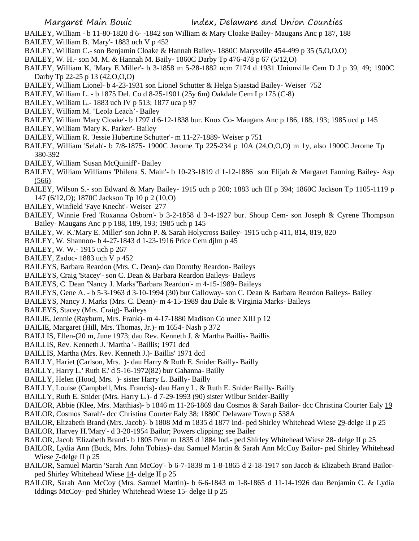- BAILEY, William b 11-80-1820 d 6- -1842 son William & Mary Cloake Bailey- Maugans Anc p 187, 188
- BAILEY, William B. 'Mary'- 1883 uch V p 452
- BAILEY, William C.- son Benjamin Cloake & Hannah Bailey- 1880C Marysville 454-499 p 35 (5,O,O,O)
- BAILEY, W. H.- son M. M. & Hannah M. Baily- 1860C Darby Tp 476-478 p 67 (5/12,O)
- BAILEY, William K. 'Mary E.Miller'- b 3-1858 m 5-28-1882 ucm 7174 d 1931 Unionville Cem D J p 39, 49; 1900C Darby Tp 22-25 p 13 (42, O, O, O)
- BAILEY, William Lionel- b 4-23-1931 son Lionel Schutter & Helga Sjaastad Bailey- Weiser 752
- BAILEY, William L. b 1875 Del. Co d 8-25-1901 (25y 6m) Oakdale Cem I p 175 (C-8)
- BAILEY, William L.- 1883 uch IV p 513; 1877 uca p 97
- BAILEY, William M. 'Leola Leach'- Bailey
- BAILEY, William 'Mary Cloake'- b 1797 d 6-12-1838 bur. Knox Co- Maugans Anc p 186, 188, 193; 1985 ucd p 145
- BAILEY, William 'Mary K. Parker'- Bailey
- BAILEY, William R. 'Jessie Hubertine Schutter'- m 11-27-1889- Weiser p 751
- BAILEY, William 'Selah'- b 7/8-1875- 1900C Jerome Tp 225-234 p 10A (24,O,O,O) m 1y, also 1900C Jerome Tp 380-392
- BAILEY, William 'Susan McQuiniff'- Bailey
- BAILEY, William Williams 'Philena S. Main'- b 10-23-1819 d 1-12-1886 son Elijah & Margaret Fanning Bailey- Asp  $(566)$
- BAILEY, Wilson S.- son Edward & Mary Bailey- 1915 uch p 200; 1883 uch III p 394; 1860C Jackson Tp 1105-1119 p 147 (6/12,O); 1870C Jackson Tp 10 p 2 (10,O)
- BAILEY, Winfield 'Faye Knecht'- Weiser 277
- BAILEY, Winnie Fred 'Roxanna Osborn'- b 3-2-1858 d 3-4-1927 bur. Shoup Cem- son Joseph & Cyrene Thompson Bailey- Maugans Anc p p 188, 189, 193; 1985 uch p 145
- BAILEY, W. K.'Mary E. Miller'-son John P. & Sarah Holycross Bailey- 1915 uch p 411, 814, 819, 820
- BAILEY, W. Shannon- b 4-27-1843 d 1-23-1916 Price Cem djlm p 45
- BAILEY, W. W.- 1915 uch p 267
- BAILEY, Zadoc- 1883 uch V p 452
- BAILEYS, Barbara Reardon (Mrs. C. Dean)- dau Dorothy Reardon- Baileys
- BAILEYS, Craig 'Stacey'- son C. Dean & Barbara Reardon Baileys- Baileys
- BAILEYS, C. Dean 'Nancy J. Marks''Barbara Reardon'- m 4-15-1989- Baileys
- BAILEYS, Gene A. b 5-3-1963 d 3-10-1994 (30) bur Galloway- son C. Dean & Barbara Reardon Baileys- Bailey
- BAILEYS, Nancy J. Marks (Mrs. C. Dean)- m 4-15-1989 dau Dale & Virginia Marks- Baileys
- BAILEYS, Stacey (Mrs. Craig)- Baileys
- BAILIE, Jennie (Rayburn, Mrs. Frank)- m 4-17-1880 Madison Co unec XIII p 12
- BAILIE, Margaret (Hill, Mrs. Thomas, Jr.)- m 1654- Nash p 372
- BAILLIS, Ellen-(20 m, June 1973; dau Rev. Kenneth J. & Martha Baillis- Baillis
- BAILLIS, Rev. Kenneth J. 'Martha '- Baillis; 1971 dcd
- BAILLIS, Martha (Mrs. Rev. Kenneth J.)- Baillis' 1971 dcd
- BAILLY, Hariet (Carlson, Mrs. )- dau Harry & Ruth E. Snider Bailly- Bailly
- BAILLY, Harry L.' Ruth E.' d 5-16-1972(82) bur Gahanna- Bailly
- BAILLY, Helen (Hood, Mrs. )- sister Harry L. Bailly- Bailly
- BAILLY, Louise (Campbell, Mrs. Francis)- dau Harry L. & Ruth E. Snider Bailly- Bailly
- BAILLY, Ruth E. Snider (Mrs. Harry L.)- d 7-29-1993 (90) sister Wilbur Snider-Bailly
- BAILOR, Abbie (Klee, Mrs. Matthias)- b 1846 m 11-26-1869 dau Cosmos & Sarah Bailor- dcc Christina Courter Ealy 19
- BAILOR, Cosmos 'Sarah'- dcc Christina Courter Ealy 38; 1880C Delaware Town p 538A
- BAILOR, Elizabeth Brand (Mrs. Jacob)- b 1808 Md m 1835 d 1877 Ind- ped Shirley Whitehead Wiese 29-delge II p 25
- BAILOR, Harvey H.'Mary'- d 3-20-1954 Bailor; Powers clipping; see Bailer
- BAILOR, Jacob 'Elizabeth Brand'- b 1805 Penn m 1835 d 1884 Ind.- ped Shirley Whitehead Wiese 28- delge II p 25
- BAILOR, Lydia Ann (Buck, Mrs. John Tobias)- dau Samuel Martin & Sarah Ann McCoy Bailor- ped Shirley Whitehead Wiese 7-delge II p 25
- BAILOR, Samuel Martin 'Sarah Ann McCoy'- b 6-7-1838 m 1-8-1865 d 2-18-1917 son Jacob & Elizabeth Brand Bailorped Shirley Whitehead Wiese 14- delge II p 25
- BAILOR, Sarah Ann McCoy (Mrs. Samuel Martin)- b 6-6-1843 m 1-8-1865 d 11-14-1926 dau Benjamin C. & Lydia Iddings McCoy- ped Shirley Whitehead Wiese 15- delge II p 25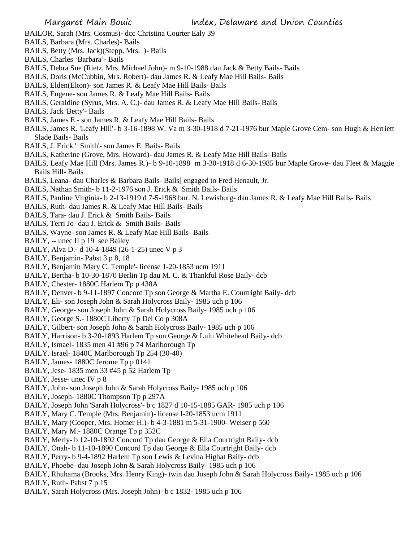- BAILOR, Sarah (Mrs. Cosmus)- dcc Christina Courter Ealy 39
- BAILS, Barbara (Mrs. Charles)- Bails
- BAILS, Betty (Mrs. Jack)(Stepp, Mrs. )- Bails
- BAILS, Charles 'Barbara'- Bails
- BAILS, Debra Sue (Rietz, Mrs. Michael John)- m 9-10-1988 dau Jack & Betty Bails- Bails
- BAILS, Doris (McCubbin, Mrs. Robert)- dau James R. & Leafy Mae Hill Bails- Bails
- BAILS, Elden(Elton)- son James R. & Leafy Mae Hill Bails- Bails
- BAILS, Eugene- son James R. & Leafy Mae Hill Bails- Bails
- BAILS, Geraldine (Syrus, Mrs. A. C.)- dau James R. & Leafy Mae Hill Bails- Bails
- BAILS, Jack 'Betty'- Bails
- BAILS, James E.- son James R. & Leafy Mae Hill Bails- Bails
- BAILS, James R. 'Leafy Hill'- b 3-16-1898 W. Va m 3-30-1918 d 7-21-1976 bur Maple Grove Cem- son Hugh & Herriett Slade Bails- Bails
- BAILS, J. Erick ' Smith'- son James E. Bails- Bails
- BAILS, Katherine (Grove, Mrs. Howard)- dau James R. & Leafy Mae Hill Bails- Bails
- BAILS, Leafy Mae Hill (Mrs. James R.)- b 9-10-1898 m 3-30-1918 d 6-30-1985 bur Maple Grove- dau Fleet & Maggie Bails Hill- Bails
- BAILS, Leana- dau Charles & Barbara Bails- Bails[ engaged to Fred Henault, Jr.
- BAILS, Nathan Smith- b 11-2-1976 son J. Erick & Smith Bails- Bails
- BAILS, Pauline Virginia- b 2-13-1919 d 7-5-1968 bur. N. Lewisburg- dau James R. & Leafy Mae Hill Bails- Bails
- BAILS, Ruth- dau James R. & Leafy Mae Hill Bails- Bails
- BAILS, Tara- dau J. Erick & Smith Bails- Bails
- BAILS, Terri Jo- dau J. Erick & Smith Bails- Bails
- BAILS, Wayne- son James R. & Leafy Mae Hill Bails- Bails
- BAILY, -- unec II p 19 see Bailey
- BAILY, Alva D.- d 10-4-1849 (26-1-25) unec V p 3
- BAILY, Benjamin- Pabst 3 p 8, 18
- BAILY, Benjamin 'Mary C. Temple'- license 1-20-1853 ucm 1911
- BAILY, Bertha- b 10-30-1870 Berlin Tp dau M. C. & Thankful Rose Baily- dcb
- BAILY, Chester- 1880C Harlem Tp p 438A
- BAILY, Denver- b 9-11-1897 Concord Tp son George & Martha E. Courtright Baily- dcb
- BAILY, Eli- son Joseph John & Sarah Holycross Baily- 1985 uch p 106
- BAILY, George- son Joseph John & Sarah Holycross Baily- 1985 uch p 106
- BAILY, George S.- 1880C Liberty Tp Del Co p 308A
- BAILY, Gilbert- son Joseph John & Sarah Holycross Baily- 1985 uch p 106
- BAILY, Harrison- b 3-20-1893 Harlem Tp son George & Lulu Whitehead Baily- dcb
- BAILY, Ismael- 1835 men 41 #96 p 74 Marlborough Tp
- BAILY. Israel- 1840C Marlborough Tp 254 (30-40)
- BAILY, James- 1880C Jerome Tp p 0141
- BAILY, Jese- 1835 men 33 #45 p 52 Harlem Tp
- BAILY, Jesse- unec IV p 8
- BAILY, John- son Joseph John & Sarah Holycross Baily- 1985 uch p 106
- BAILY, Joseph- 1880C Thompson Tp p 297A
- BAILY, Joseph John 'Sarah Holycross'- b c 1827 d 10-15-1885 GAR- 1985 uch p 106
- BAILY, Mary C. Temple (Mrs. Benjamin)- license l-20-1853 ucm 1911
- BAILY, Mary (Cooper, Mrs. Homer H.)- b 4-3-1881 m 5-31-1900- Weiser p 560
- BAILY, Mary M.- 1880C Orange Tp p 352C
- BAILY, Merly- b 12-10-1892 Concord Tp dau George & Ella Courtright Baily- dcb
- BAILY, Onah- b 11-10-1890 Concord Tp dau George & Ella Courtright Baily- dcb
- BAILY, Perry- b 9-4-1892 Harlem Tp son Lewis & Levina Highat Baily- dcb
- BAILY, Phoebe- dau Joseph John & Sarah Holycross Baily- 1985 uch p 106
- BAILY, Rhuhama (Brooks, Mrs. Henry King)- twin dau Joseph John & Sarah Holycross Baily- 1985 uch p 106
- BAILY, Ruth- Pabst 7 p 15
- BAILY, Sarah Holycross (Mrs. Joseph John)- b c 1832- 1985 uch p 106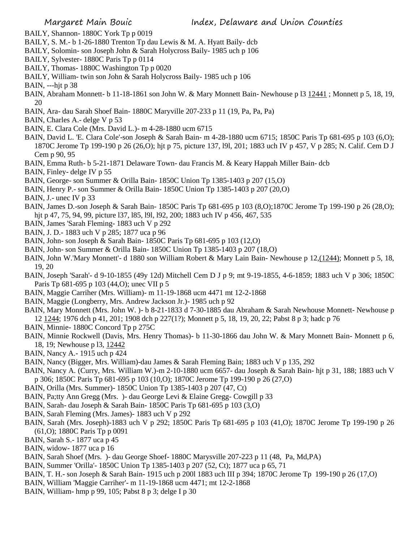- BAILY, Shannon- 1880C York Tp p 0019
- BAILY, S. M.- b 1-26-1880 Trenton Tp dau Lewis & M. A. Hyatt Baily- dcb
- BAILY, Solomin- son Joseph John & Sarah Holycross Baily- 1985 uch p 106
- BAILY, Sylvester- 1880C Paris Tp p 0114
- BAILY, Thomas- 1880C Washington Tp p 0020
- BAILY, William- twin son John & Sarah Holycross Baily- 1985 uch p 106
- BAIN, ---hjt p 38
- BAIN, Abraham Monnett- b 11-18-1861 son John W. & Mary Monnett Bain- Newhouse p l3 12441 ; Monnett p 5, 18, 19, 20
- BAIN, Ara- dau Sarah Shoef Bain- 1880C Maryville 207-233 p 11 (19, Pa, Pa, Pa)
- BAIN, Charles A.- delge V p 53
- BAIN, E. Clara Cole (Mrs. David L.)- m 4-28-1880 ucm 6715
- BAIN, David L. 'E. Clara Cole'-son Joseph & Sarah Bain- m 4-28-1880 ucm 6715; 1850C Paris Tp 681-695 p 103 (6,O); 1870C Jerome Tp 199-190 p 26 (26,O); hjt p 75, picture 137, l9l, 201; 1883 uch IV p 457, V p 285; N. Calif. Cem D J Cem p 90, 95
- BAIN, Emma Ruth- b 5-21-1871 Delaware Town- dau Francis M. & Keary Happah Miller Bain- dcb
- BAIN, Finley- delge IV p 55
- BAIN, George- son Summer & Orilla Bain- 1850C Union Tp 1385-1403 p 207 (15,O)
- BAIN, Henry P.- son Summer & Orilla Bain- 1850C Union Tp 1385-1403 p 207 (20,O)
- BAIN, J.- unec IV p 33
- BAIN, James D.-son Joseph & Sarah Bain- 1850C Paris Tp 681-695 p 103 (8,O);1870C Jerome Tp 199-190 p 26 (28,O); hjt p 47, 75, 94, 99, picture l37, l85, l9l, l92, 200; 1883 uch IV p 456, 467, 535
- BAIN, James 'Sarah Fleming- 1883 uch V p 292
- BAIN, J. D.- 1883 uch V p 285; 1877 uca p 96
- BAIN, John- son Joseph & Sarah Bain- 1850C Paris Tp 681-695 p 103 (12,O)
- BAIN, John- son Summer & Orilla Bain- 1850C Union Tp 1385-1403 p 207 (18,O)
- BAIN, John W.'Mary Monnett'- d 1880 son William Robert & Mary Lain Bain- Newhouse p 12,(1244); Monnett p 5, 18, 19, 20
- BAIN, Joseph 'Sarah'- d 9-10-1855 (49y 12d) Mitchell Cem D J p 9; mt 9-19-1855, 4-6-1859; 1883 uch V p 306; 1850C Paris Tp 681-695 p 103 (44,O); unec VII p 5
- BAIN, Maggie Carriher (Mrs. William)- m 11-19-1868 ucm 4471 mt 12-2-1868
- BAIN, Maggie (Longberry, Mrs. Andrew Jackson Jr.)- 1985 uch p 92
- BAIN, Mary Monnett (Mrs. John W. )- b 8-21-1833 d 7-30-1885 dau Abraham & Sarah Newhouse Monnett- Newhouse p 12 1244; 1976 dch p 41, 201; 1908 dch p 227(1?); Monnett p 5, 18, 19, 20, 22; Pabst 8 p 3; hadc p 76
- BAIN, Minnie- 1880C Concord Tp p 275C
- BAIN, Minnie Rockwell (Davis, Mrs. Henry Thomas)- b 11-30-1866 dau John W. & Mary Monnett Bain- Monnett p 6, 18, 19; Newhouse p l3, 12442
- BAIN, Nancy A.- 1915 uch p 424
- BAIN, Nancy (Bigger, Mrs. William)-dau James & Sarah Fleming Bain; 1883 uch V p 135, 292
- BAIN, Nancy A. (Curry, Mrs. William W.)-m 2-10-1880 ucm 6657- dau Joseph & Sarah Bain- hjt p 31, 188; 1883 uch V p 306; 1850C Paris Tp 681-695 p 103 (10,O); 1870C Jerome Tp 199-190 p 26 (27,O)
- BAIN, Orilla (Mrs. Summer)- 1850C Union Tp 1385-1403 p 207 (47, Ct)
- BAIN, Pa;tty Ann Gregg (Mrs. )- dau George Levi & Elaine Gregg- Cowgill p 33
- BAIN, Sarah- dau Joseph & Sarah Bain- 1850C Paris Tp 681-695 p 103 (3,O)
- BAIN, Sarah Fleming (Mrs. James)- 1883 uch V p 292
- BAIN, Sarah (Mrs. Joseph)-1883 uch V p 292; 1850C Paris Tp 681-695 p 103 (41,O); 1870C Jerome Tp 199-190 p 26 (61,O); 1880C Paris Tp p 0091
- BAIN, Sarah S.- 1877 uca p 45
- BAIN, widow- 1877 uca p 16
- BAIN, Sarah Shoef (Mrs. )- dau George Shoef- 1880C Marysville 207-223 p 11 (48, Pa, Md,PA)
- BAIN, Summer 'Orilla'- 1850C Union Tp 1385-1403 p 207 (52, Ct); 1877 uca p 65, 71
- BAIN, T. H.- son Joseph & Sarah Bain- 1915 uch p 200l 1883 uch III p 394; 1870C Jerome Tp 199-190 p 26 (17,O)
- BAIN, William 'Maggie Carriher'- m 11-19-1868 ucm 4471; mt 12-2-1868
- BAIN, William- hmp p 99, 105; Pabst 8 p 3; delge I p 30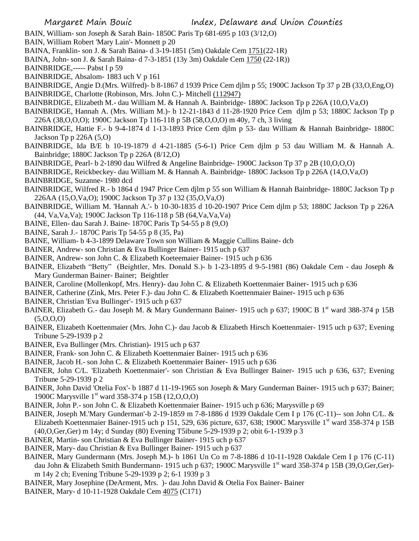- BAIN, William- son Joseph & Sarah Bain- 1850C Paris Tp 681-695 p 103 (3/12,O)
- BAIN, William Robert 'Mary Lain'- Monnett p 20
- BAINA, Franklin- son J. & Sarah Baina- d 3-19-1851 (5m) Oakdale Cem 1751(22-1R)
- BAINA, John- son J. & Sarah Baina- d 7-3-1851 (13y 3m) Oakdale Cem 1750 (22-1R))
- BAINBRIDGE,----- Pabst l p 59
- BAINBRIDGE, Absalom- 1883 uch V p 161
- BAINBRIDGE, Angie D.(Mrs. Wilfred)- b 8-1867 d 1939 Price Cem djlm p 55; 1900C Jackson Tp 37 p 2B (33,O,Eng,O)
- BAINBRIDGE, Charlotte (Robinson, Mrs. John C.)- Mitchell (112947)
- BAINBRDIGE, Elizabeth M.- dau William M. & Hannah A. Bainbridge- 1880C Jackson Tp p 226A (10,O,Va,O)
- BAINBRIDGE, Hannah A. (Mrs. William M.)- b 12-21-1843 d 11-28-1920 Price Cem djlm p 53; 1880C Jackson Tp p 226A (38,O,O,O); 1900C Jackson Tp 116-118 p 5B (58,O,O,O) m 40y, 7 ch, 3 living
- BAINBRIDGE, Hattie F.- b 9-4-1874 d 1-13-1893 Price Cem djlm p 53- dau William & Hannah Bainbridge- 1880C Jackson Tp p 226A (5,O)
- BAINBRIDGE, Ida B/E b 10-19-1879 d 4-21-1885 (5-6-1) Price Cem djlm p 53 dau William M. & Hannah A. Bainbridge; 1880C Jackson Tp p 226A (8/12,O)
- BAINBRIDGE, Pearl- b 2-1890 dau Wilfred & Angeline Bainbridge- 1900C Jackson Tp 37 p 2B (10,O,O,O)
- BAINBRIDGE, Reickbeckey- dau William M. & Hannah A. Bainbridge- 1880C Jackson Tp p 226A (14,O,Va,O) BAINBRIDGE, Suzanne- 1980 dcd
- BAINBRIDGE, Wilfred R.- b 1864 d 1947 Price Cem djlm p 55 son William & Hannah Bainbridge- 1880C Jackson Tp p 226AA (15,O,Va,O); 1900C Jackson Tp 37 p 132 (35,O,Va,O)
- BAINBRIDGE, William M. 'Hannah A.'- b 10-30-1835 d 10-20-1907 Price Cem djlm p 53; 1880C Jackson Tp p 226A (44, Va,Va,Va); 1900C Jackson Tp 116-118 p 5B (64,Va,Va,Va)
- BAINE, Ellen- dau Sarah J. Baine- 1870C Paris Tp 54-55 p 8 (9,O)
- BAINE, Sarah J.- 1870C Paris Tp 54-55 p 8 (35, Pa)
- BAINE, William- b 4-3-1899 Delaware Town son William & Maggie Cullins Baine- dcb
- BAINER, Andrew- son Christian & Eva Bullinger Bainer- 1915 uch p 637
- BAINER, Andrew- son John C. & Elizabeth Koeteemaier Bainer- 1915 uch p 636
- BAINER, Elizabeth "Betty" (Beightler, Mrs. Donald S.)- b 1-23-1895 d 9-5-1981 (86) Oakdale Cem dau Joseph & Mary Gunderman Bainer- Bainer; Beightler
- BAINER, Caroline (Mollenkopf, Mrs. Henry)- dau John C. & Elizabeth Koettenmaier Bainer- 1915 uch p 636
- BAINER, Catherine (Zink, Mrs. Peter F.)- dau John C. & Elizabeth Koettenmaier Bainer- 1915 uch p 636
- BAINER, Christian 'Eva Bullinger'- 1915 uch p 637
- BAINER, Elizabeth G.- dau Joseph M. & Mary Gundermann Bainer- 1915 uch p 637; 1900C B 1<sup>st</sup> ward 388-374 p 15B  $(5,0,0,0)$
- BAINER, Elizabeth Koettenmaier (Mrs. John C.)- dau Jacob & Elizabeth Hirsch Koettenmaier- 1915 uch p 637; Evening Tribune 5-29-1939 p 2
- BAINER, Eva Bullinger (Mrs. Christian)- 1915 uch p 637
- BAINER, Frank- son John C. & Elizabeth Koettenmaier Bainer- 1915 uch p 636
- BAINER, Jacob H.- son John C. & Elizabeth Koettenmaier Bainer- 1915 uch p 636
- BAINER, John C/L. 'Elizabeth Koettenmaier'- son Christian & Eva Bullinger Bainer- 1915 uch p 636, 637; Evening Tribune 5-29-1939 p 2
- BAINER, John David 'Otelia Fox'- b 1887 d 11-19-1965 son Joseph & Mary Gunderman Bainer- 1915 uch p 637; Bainer; 1900C Marysville 1<sup>st</sup> ward 358-374 p 15B (12,0,0,0)
- BAINER, John P.- son John C. & Elizabeth Koettenmaier Bainer- 1915 uch p 636; Marysville p 69
- BAINER, Joseph M.'Mary Gunderman'-b 2-19-1859 m 7-8-1886 d 1939 Oakdale Cem I p 176 (C-11)-- son John C/L. & Elizabeth Koettenmaier Bainer-1915 uch p 151, 529, 636 picture, 637, 638; 1900C Marysville 1st ward 358-374 p 15B (40,O,Ger,Ger) m 14y; d Sunday (80) Evening T5ibune 5-29-1939 p 2; obit 6-1-1939 p 3
- BAINER, Martin- son Christian & Eva Bullinger Bainer- 1915 uch p 637
- BAINER, Mary- dau Christian & Eva Bullinger Bainer- 1915 uch p 637
- BAINER, Mary Gundermann (Mrs. Joseph M.)- b 1861 Un Co m 7-8-1886 d 10-11-1928 Oakdale Cem I p 176 (C-11) dau John & Elizabeth Smith Bundermann- 1915 uch p 637; 1900C Marysville 1<sup>st</sup> ward 358-374 p 15B (39, O, Ger, Ger)m 14y 2 ch; Evening Tribune 5-29-1939 p 2; 6-1 1939 p 3
- BAINER, Mary Josephine (DeArment, Mrs. )- dau John David & Otelia Fox Bainer- Bainer
- BAINER, Mary- d 10-11-1928 Oakdale Cem 4075 (C171)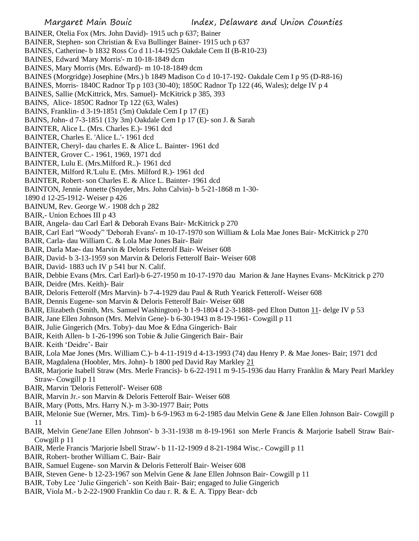BAINER, Otelia Fox (Mrs. John David)- 1915 uch p 637; Bainer BAINER, Stephen- son Christian & Eva Bullinger Bainer- 1915 uch p 637 BAINES, Catherine- b 1832 Ross Co d 11-14-1925 Oakdale Cem II (B-R10-23) BAINES, Edward 'Mary Morris'- m 10-18-1849 dcm BAINES, Mary Morris (Mrs. Edward)- m 10-18-1849 dcm BAINES (Morgridge) Josephine (Mrs.) b 1849 Madison Co d 10-17-192- Oakdale Cem I p 95 (D-R8-16) BAINES, Morris- 1840C Radnor Tp p 103 (30-40); 1850C Radnor Tp 122 (46, Wales); delge IV p 4 BAINES, Sallie (McKittrick, Mrs. Samuel)- McKitrick p 385, 393 BAINS, Alice- 1850C Radnor Tp 122 (63, Wales) BAINS, Franklin- d 3-19-1851 (5m) Oakdale Cem I p 17 (E) BAINS, John- d 7-3-1851 (13y 3m) Oakdale Cem I p 17 (E)- son J. & Sarah BAINTER, Alice L. (Mrs. Charles E.)- 1961 dcd BAINTER, Charles E. 'Alice L.'- 1961 dcd BAINTER, Cheryl- dau charles E. & Alice L. Bainter- 1961 dcd BAINTER, Grover C.- 1961, 1969, 1971 dcd BAINTER, Lulu E. (Mrs.Milford R..)- 1961 dcd BAINTER, Milford R.'Lulu E. (Mrs. Milford R.)- 1961 dcd BAINTER, Robert- son Charles E. & Alice L. Bainter- 1961 dcd BAINTON, Jennie Annette (Snyder, Mrs. John Calvin)- b 5-21-1868 m 1-30- 1890 d 12-25-1912- Weiser p 426 BAINUM, Rev. George W.- 1908 dch p 282 BAIR,- Union Echoes III p 43 BAIR, Angela- dau Carl Earl & Deborah Evans Bair- McKitrick p 270 BAIR, Carl Earl "Woody" 'Deborah Evans'- m 10-17-1970 son William & Lola Mae Jones Bair- McKitrick p 270 BAIR, Carla- dau William C. & Lola Mae Jones Bair- Bair BAIR, Darla Mae- dau Marvin & Deloris Fetterolf Bair- Weiser 608 BAIR, David- b 3-13-1959 son Marvin & Deloris Fetterolf Bair- Weiser 608 BAIR, David- 1883 uch IV p 541 bur N. Calif. BAIR, Debbie Evans (Mrs. Carl Earl)-b 6-27-1950 m 10-17-1970 dau Marion & Jane Haynes Evans- McKitrick p 270 BAIR, Deidre (Mrs. Keith)- Bair BAIR, Deloris Fetterolf (Mrs Marvin)- b 7-4-1929 dau Paul & Ruth Yearick Fetterolf- Weiser 608 BAIR, Dennis Eugene- son Marvin & Deloris Fetterolf Bair- Weiser 608 BAIR, Elizabeth (Smith, Mrs. Samuel Washington)- b 1-9-1804 d 2-3-1888- ped Elton Dutton 11- delge IV p 53 BAIR, Jane Ellen Johnson (Mrs. Melvin Gene)- b 6-30-1943 m 8-19-1961- Cowgill p 11 BAIR, Julie Gingerich (Mrs. Toby)- dau Moe & Edna Gingerich- Bair BAIR, Keith Allen- b 1-26-1996 son Tobie & Julie Gingerich Bair- Bair BAIR. Keith 'Deidre'- Bair BAIR, Lola Mae Jones (Mrs. William C.)- b 4-11-1919 d 4-13-1993 (74) dau Henry P. & Mae Jones- Bair; 1971 dcd BAIR, Magdalena (Hoobler, Mrs. John)- b 1800 ped David Ray Markley 21 BAIR, Marjorie Isabell Straw (Mrs. Merle Francis)- b 6-22-1911 m 9-15-1936 dau Harry Franklin & Mary Pearl Markley Straw- Cowgill p 11 BAIR, Marvin 'Deloris Fetterolf'- Weiser 608 BAIR, Marvin Jr.- son Marvin & Deloris Fetterolf Bair- Weiser 608 BAIR, Mary (Potts, Mrs. Harry N.)- m 3-30-1977 Bair; Potts BAIR, Melonie Sue (Werner, Mrs. Tim)- b 6-9-1963 m 6-2-1985 dau Melvin Gene & Jane Ellen Johnson Bair- Cowgill p 11 BAIR, Melvin Gene'Jane Ellen Johnson'- b 3-31-1938 m 8-19-1961 son Merle Francis & Marjorie Isabell Straw Bair-Cowgill p 11 BAIR, Merle Francis 'Marjorie Isbell Straw'- b 11-12-1909 d 8-21-1984 Wisc.- Cowgill p 11

- BAIR, Robert- brother William C. Bair- Bair
- BAIR, Samuel Eugene- son Marvin & Deloris Fetterolf Bair- Weiser 608
- BAIR, Steven Gene- b 12-23-1967 son Melvin Gene & Jane Ellen Johnson Bair- Cowgill p 11
- BAIR, Toby Lee 'Julie Gingerich'- son Keith Bair- Bair; engaged to Julie Gingerich
- BAIR, Viola M.- b 2-22-1900 Franklin Co dau r. R. & E. A. Tippy Bear- dcb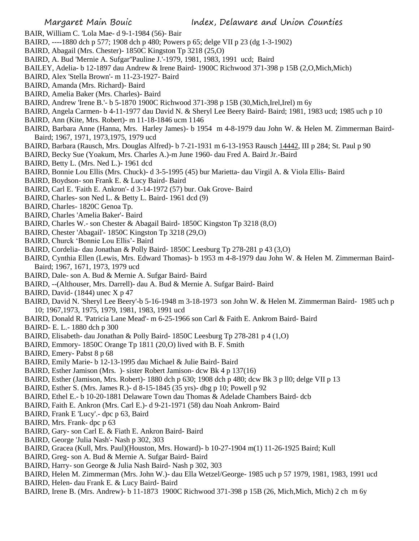- BAIR, William C. 'Lola Mae- d 9-1-1984 (56)- Bair
- BAIRD, ----1880 dch p 577; 1908 dch p 480; Powers p 65; delge VII p 23 (dg 1-3-1902)
- BAIRD, Abagail (Mrs. Chester)- 1850C Kingston Tp 3218 (25,O)
- BAIRD, A. Bud 'Mernie A. Sufgar''Pauline J.'-1979, 1981, 1983, 1991 ucd; Baird
- BAILEY, Adelia- b 12-1897 dau Andrew & Irene Baird- 1900C Richwood 371-398 p 15B (2,O,Mich,Mich)
- BAIRD, Alex 'Stella Brown'- m 11-23-1927- Baird
- BAIRD, Amanda (Mrs. Richard)- Baird
- BAIRD, Amelia Baker (Mrs. Charles)- Baird
- BAIRD, Andrew 'Irene B.'- b 5-1870 1900C Richwood 371-398 p 15B (30,Mich,Irel,Irel) m 6y
- BAIRD, Angela Carmen- b 4-11-1977 dau David N. & Sheryl Lee Beery Baird- Baird; 1981, 1983 ucd; 1985 uch p 10
- BAIRD, Ann (Kite, Mrs. Robert)- m 11-18-1846 ucm 1146
- BAIRD, Barbara Anne (Hanna, Mrs. Harley James)- b 1954 m 4-8-1979 dau John W. & Helen M. Zimmerman Baird-Baird; 1967, 1971, 1973,1975, 1979 ucd
- BAIRD, Barbara (Rausch, Mrs. Douglas Alfred)- b 7-21-1931 m 6-13-1953 Rausch 14442, III p 284; St. Paul p 90
- BAIRD, Becky Sue (Yoakum, Mrs. Charles A.)-m June 1960- dau Fred A. Baird Jr.-Baird
- BAIRD, Betty L. (Mrs. Ned L.)- 1961 dcd
- BAIRD, Bonnie Lou Ellis (Mrs. Chuck)- d 3-5-1995 (45) bur Marietta- dau Virgil A. & Viola Ellis- Baird
- BAIRD, Boydson- son Frank E. & Lucy Baird- Baird
- BAIRD, Carl E. 'Faith E. Ankron'- d 3-14-1972 (57) bur. Oak Grove- Baird
- BAIRD, Charles- son Ned L. & Betty L. Baird- 1961 dcd (9)
- BAIRD, Charles- 1820C Genoa Tp.
- BAIRD, Charles 'Amelia Baker'- Baird
- BAIRD, Charles W.- son Chester & Abagail Baird- 1850C Kingston Tp 3218 (8,O)
- BAIRD, Chester 'Abagail'- 1850C Kingston Tp 3218 (29,O)
- BAIRD, Churck 'Bonnie Lou Ellis'- Baird
- BAIRD, Cordelia- dau Jonathan & Polly Baird- 1850C Leesburg Tp 278-281 p 43 (3,O)
- BAIRD, Cynthia Ellen (Lewis, Mrs. Edward Thomas)- b 1953 m 4-8-1979 dau John W. & Helen M. Zimmerman Baird-Baird; 1967, 1671, 1973, 1979 ucd
- BAIRD, Dale- son A. Bud & Mernie A. Sufgar Baird- Baird
- BAIRD, --(Althouser, Mrs. Darrell)- dau A. Bud & Mernie A. Sufgar Baird- Baird
- BAIRD, David- (1844) unec X p 47
- BAIRD, David N. 'Sheryl Lee Beery'-b 5-16-1948 m 3-18-1973 son John W. & Helen M. Zimmerman Baird- 1985 uch p 10; 1967,1973, 1975, 1979, 1981, 1983, 1991 ucd
- BAIRD, Donald R. 'Patricia Lane Mead'- m 6-25-1966 son Carl & Faith E. Ankrom Baird- Baird
- BAIRD- E. L.- 1880 dch p 300
- BAIRD, Elisabeth- dau Jonathan & Polly Baird- 1850C Leesburg Tp 278-281 p 4 (1,O)
- BAIRD, Emmory- 1850C Orange Tp 1811 (20,O) lived with B. F. Smith
- BAIRD, Emery- Pabst 8 p 68
- BAIRD, Emily Marie- b 12-13-1995 dau Michael & Julie Baird- Baird
- BAIRD, Esther Jamison (Mrs. )- sister Robert Jamison- dcw Bk 4 p 137(16)
- BAIRD, Esther (Jamison, Mrs. Robert)- 1880 dch p 630; 1908 dch p 480; dcw Bk 3 p ll0; delge VII p 13
- BAIRD, Esther S. (Mrs. James R.)- d 8-15-1845 (35 yrs)- dbg p 10; Powell p 92
- BAIRD, Ethel E.- b 10-20-1881 Delaware Town dau Thomas & Adelade Chambers Baird- dcb
- BAIRD, Faith E. Ankron (Mrs. Carl E.)- d 9-21-1971 (58) dau Noah Ankrom- Baird
- BAIRD, Frank E 'Lucy'.- dpc p 63, Baird
- BAIRD, Mrs. Frank- dpc p 63
- BAIRD, Gary- son Carl E. & Fiath E. Ankron Baird- Baird
- BAIRD, George 'Julia Nash'- Nash p 302, 303
- BAIRD, Gracea (Kull, Mrs. Paul)(Houston, Mrs. Howard)- b 10-27-1904 m(1) 11-26-1925 Baird; Kull
- BAIRD, Greg- son A. Bud & Mernie A. Sufgar Baird- Baird
- BAIRD, Harry- son George & Julia Nash Baird- Nash p 302, 303
- BAIRD, Helen M. Zimmerman (Mrs. John W.)- dau Ella Wetzel/George- 1985 uch p 57 1979, 1981, 1983, 1991 ucd
- BAIRD, Helen- dau Frank E. & Lucy Baird- Baird
- BAIRD, Irene B. (Mrs. Andrew)- b 11-1873 1900C Richwood 371-398 p 15B (26, Mich,Mich, Mich) 2 ch m 6y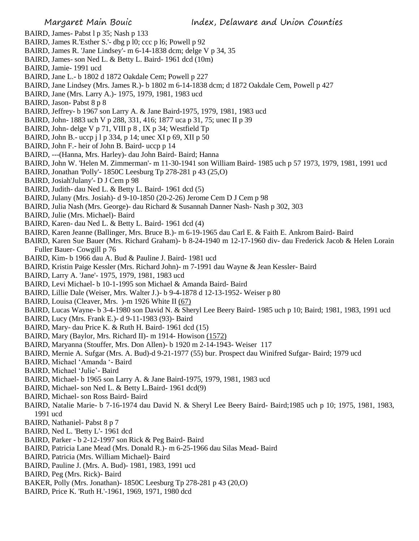- BAIRD, James- Pabst l p 35; Nash p 133
- BAIRD, James R.'Esther S.'- dbg p l0; ccc p l6; Powell p 92
- BAIRD, James R. 'Jane Lindsey'- m 6-14-1838 dcm; delge V p 34, 35
- BAIRD, James- son Ned L. & Betty L. Baird- 1961 dcd (10m)
- BAIRD, Jamie- 1991 ucd
- BAIRD, Jane L.- b 1802 d 1872 Oakdale Cem; Powell p 227
- BAIRD, Jane Lindsey (Mrs. James R.)- b 1802 m 6-14-1838 dcm; d 1872 Oakdale Cem, Powell p 427
- BAIRD, Jane (Mrs. Larry A.)- 1975, 1979, 1981, 1983 ucd
- BAIRD, Jason- Pabst 8 p 8
- BAIRD, Jeffrey- b 1967 son Larry A. & Jane Baird-1975, 1979, 1981, 1983 ucd
- BAIRD, John- 1883 uch V p 288, 331, 416; 1877 uca p 31, 75; unec II p 39
- BAIRD, John- delge V p 71, VIII p 8 , IX p 34; Westfield Tp
- BAIRD, John B.- uccp j l p 334, p 14; unec XI p 69, XII p 50
- BAIRD, John F.- heir of John B. Baird- uccp p 14
- BAIRD, ---(Hanna, Mrs. Harley)- dau John Baird- Baird; Hanna
- BAIRD, John W. 'Helen M. Zimmerman'- m 11-30-1941 son William Baird- 1985 uch p 57 1973, 1979, 1981, 1991 ucd
- BAIRD, Jonathan 'Polly'- 1850C Leesburg Tp 278-281 p 43 (25,O)
- BAIRD, Josiah'Julany'- D J Cem p 98
- BAIRD, Judith- dau Ned L. & Betty L. Baird- 1961 dcd (5)
- BAIRD, Julany (Mrs. Josiah)- d 9-10-1850 (20-2-26) Jerome Cem D J Cem p 98
- BAIRD, Julia Nash (Mrs. George)- dau Richard & Susannah Danner Nash- Nash p 302, 303
- BAIRD, Julie (Mrs. Michael)- Baird
- BAIRD, Karen- dau Ned L. & Betty L. Baird- 1961 dcd (4)
- BAIRD, Karen Jeanne (Ballinger, Mrs. Bruce B.)- m 6-19-1965 dau Carl E. & Faith E. Ankrom Baird- Baird
- BAIRD, Karen Sue Bauer (Mrs. Richard Graham)- b 8-24-1940 m 12-17-1960 div- dau Frederick Jacob & Helen Lorain Fuller Bauer- Cowgill p 76
- BAIRD, Kim- b 1966 dau A. Bud & Pauline J. Baird- 1981 ucd
- BAIRD, Kristin Paige Kessler (Mrs. Richard John)- m 7-1991 dau Wayne & Jean Kessler- Baird
- BAIRD, Larry A. 'Jane'- 1975, 1979, 1981, 1983 ucd
- BAIRD, Levi Michael- b 10-1-1995 son Michael & Amanda Baird- Baird
- BAIRD, Lillie Dale (Weiser, Mrs. Walter J.)- b 9-4-1878 d 12-13-1952- Weiser p 80
- BAIRD, Louisa (Cleaver, Mrs. )-m 1926 White II (67)
- BAIRD, Lucas Wayne- b 3-4-1980 son David N. & Sheryl Lee Beery Baird- 1985 uch p 10; Baird; 1981, 1983, 1991 ucd
- BAIRD, Lucy (Mrs. Frank E.)- d 9-11-1983 (93)- Baird
- BAIRD, Mary- dau Price K. & Ruth H. Baird- 1961 dcd (15)
- BAIRD, Mary (Baylor, Mrs. Richard II)- m 1914- Howison (1572)
- BAIRD, Maryanna (Stouffer, Mrs. Don Allen)- b 1920 m 2-14-1943- Weiser 117
- BAIRD, Mernie A. Sufgar (Mrs. A. Bud)-d 9-21-1977 (55) bur. Prospect dau Winifred Sufgar- Baird; 1979 ucd
- BAIRD, Michael 'Amanda '- Baird
- BAIRD, Michael 'Julie'- Baird
- BAIRD, Michael- b 1965 son Larry A. & Jane Baird-1975, 1979, 1981, 1983 ucd
- BAIRD, Michael- son Ned L. & Betty L.Baird- 1961 dcd(9)
- BAIRD, Michael- son Ross Baird- Baird
- BAIRD, Natalie Marie- b 7-16-1974 dau David N. & Sheryl Lee Beery Baird- Baird;1985 uch p 10; 1975, 1981, 1983, 1991 ucd
- BAIRD, Nathaniel- Pabst 8 p 7
- BAIRD, Ned L. 'Betty L'- 1961 dcd
- BAIRD, Parker b 2-12-1997 son Rick & Peg Baird- Baird
- BAIRD, Patricia Lane Mead (Mrs. Donald R.)- m 6-25-1966 dau Silas Mead- Baird
- BAIRD, Patricia (Mrs. William Michael)- Baird
- BAIRD, Pauline J. (Mrs. A. Bud)- 1981, 1983, 1991 ucd
- BAIRD, Peg (Mrs. Rick)- Baird
- BAKER, Polly (Mrs. Jonathan)- 1850C Leesburg Tp 278-281 p 43 (20,O)
- BAIRD, Price K. 'Ruth H.'-1961, 1969, 1971, 1980 dcd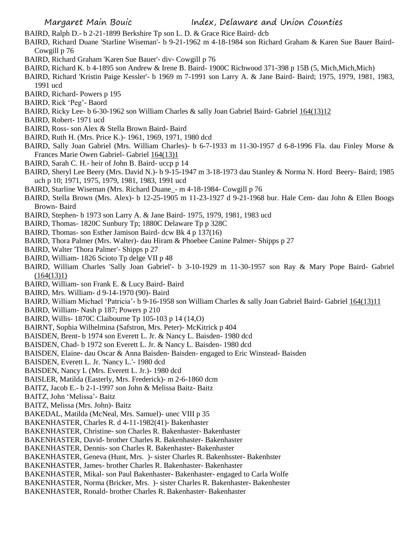BAIRD, Ralph D.- b 2-21-1899 Berkshire Tp son L. D. & Grace Rice Baird- dcb

- BAIRD, Richard Duane 'Starline Wiseman'- b 9-21-1962 m 4-18-1984 son Richard Graham & Karen Sue Bauer Baird-Cowgill p 76
- BAIRD, Richard Graham 'Karen Sue Bauer'- div- Cowgill p 76
- BAIRD, Richard K. b 4-1895 son Andrew & Irene B. Baird- 1900C Richwood 371-398 p 15B (5, Mich,Mich,Mich)
- BAIRD, Richard 'Kristin Paige Kessler'- b 1969 m 7-1991 son Larry A. & Jane Baird- Baird; 1975, 1979, 1981, 1983, 1991 ucd
- BAIRD, Richard- Powers p 195
- BAIRD, Rick 'Peg'- Baord
- BAIRD, Ricky Lee- b 6-30-1962 son William Charles & sally Joan Gabriel Baird- Gabriel 164(13)12
- BAIRD, Robert- 1971 ucd
- BAIRD, Ross- son Alex & Stella Brown Baird- Baird
- BAIRD, Ruth H. (Mrs. Price K.)- 1961, 1969, 1971, 1980 dcd
- BAIRD, Sally Joan Gabriel (Mrs. William Charles)- b 6-7-1933 m 11-30-1957 d 6-8-1996 Fla. dau Finley Morse & Frances Marie Owen Gabriel- Gabriel 164(13)1
- BAIRD, Sarah C. H.- heir of John B. Baird- uccp p 14
- BAIRD, Sheryl Lee Beery (Mrs. David N.)- b 9-15-1947 m 3-18-1973 dau Stanley & Norma N. Hord Beery- Baird; 1985 uch p 10; 1971, 1975, 1979, 1981, 1983, 1991 ucd
- BAIRD, Starline Wiseman (Mrs. Richard Duane\_- m 4-18-1984- Cowgill p 76
- BAIRD, Stella Brown (Mrs. Alex)- b 12-25-1905 m 11-23-1927 d 9-21-1968 bur. Hale Cem- dau John & Ellen Boogs Brown- Baird
- BAIRD, Stephen- b 1973 son Larry A. & Jane Baird- 1975, 1979, 1981, 1983 ucd
- BAIRD, Thomas- 1820C Sunbury Tp; 1880C Delaware Tp p 328C
- BAIRD, Thomas- son Esther Jamison Baird- dcw Bk 4 p 137(16)
- BAIRD, Thora Palmer (Mrs. Walter)- dau Hiram & Phoebee Canine Palmer- Shipps p 27
- BAIRD, Walter 'Thora Palmer'- Shipps p 27
- BAIRD, William- 1826 Scioto Tp delge VII p 48
- BAIRD, William Charles 'Sally Joan Gabriel'- b 3-10-1929 m 11-30-1957 son Ray & Mary Pope Baird- Gabriel  $(164(13)1)$
- BAIRD, William- son Frank E. & Lucy Baird- Baird
- BAIRD, Mrs. William- d 9-14-1970 (90)- Baird
- BAIRD, William Michael 'Patricia' b 9-16-1958 son William Charles & sally Joan Gabriel Baird- Gabriel  $164(13)11$
- BAIRD, William- Nash p 187; Powers p 210
- BAIRD, Willis- 1870C Claibourne Tp 105-103 p 14 (14,O)
- BAIRNT, Sophia Wilhelmina (Safstron, Mrs. Peter)- McKitrick p 404
- BAISDEN, Brent- b 1974 son Everett L. Jr. & Nancy L. Baisden- 1980 dcd
- BAISDEN, Chad- b 1972 son Everett L. Jr. & Nancy L. Baisden- 1980 dcd
- BAISDEN, Elaine- dau Oscar & Anna Baisden- Baisden- engaged to Eric Winstead- Baisden
- BAISDEN, Everett L. Jr. 'Nancy L.'- 1980 dcd
- BAISDEN, Nancy L (Mrs. Everett L. Jr.)- 1980 dcd
- BAISLER, Matilda (Easterly, Mrs. Frederick)- m 2-6-1860 dcm
- BAITZ, Jacob E.- b 2-1-1997 son John & Melissa Baitz- Baitz
- BAITZ, John 'Melissa'- Baitz
- BAITZ, Melissa (Mrs. John)- Baitz
- BAKEDAL, Matilda (McNeal, Mrs. Samuel)- unec VIII p 35
- BAKENHASTER, Charles R. d 4-11-1982(41)- Bakenhaster
- BAKENHASTER, Christine- son Charles R. Bakenhaster- Bakenhaster
- BAKENHASTER, David- brother Charles R. Bakenhaster- Bakenhaster
- BAKENHASTER, Dennis- son Charles R. Bakenhaster- Bakenhaster
- BAKENHASTER, Geneva (Hunt, Mrs. )- sister Charles R. Bakenhsster- Bakenhster
- BAKENHASTER, James- brother Charles R. Bakenhaster- Bakenhaster
- BAKENHASTER, Mikal- son Paul Bakenhaster- Bakenhaster- engaged to Carla Wolfe
- BAKENHASTER, Norma (Bricker, Mrs. )- sister Charles R. Bakenhaster- Bakenhester
- BAKENHASTER, Ronald- brother Charles R. Bakenhaster- Bakenhaster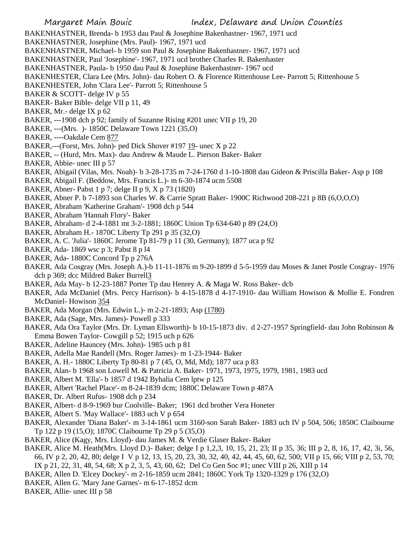BAKENHASTNER, Brenda- b 1953 dau Paul & Josephine Bakenhastner- 1967, 1971 ucd

- BAKENHASTNER, Josephine (Mrs. Paul)- 1967, 1971 ucd
- BAKENHASTNER, Michael- b 1959 son Paul & Josephine Bakenhastner- 1967, 1971 ucd
- BAKENHASTNER, Paul 'Josephine'- 1967, 1971 ucd brother Charles R. Bakenhaster
- BAKENHASTNER, Paula- b 1950 dau Paul & Josephine Bakenhastner- 1967 ucd
- BAKENHESTER, Clara Lee (Mrs. John)- dau Robert O. & Florence Rittenhouse Lee- Parrott 5; Rittenhouse 5
- BAKENHESTER, John 'Clara Lee'- Parrott 5; Rittenhouse 5
- BAKER & SCOTT- delge IV p 55
- BAKER- Baker Bible- delge VII p 11, 49
- BAKER, Mr.- delge IX p 62
- BAKER, ---1908 dch p 92; family of Suzanne Rising #201 unec VII p 19, 20
- BAKER, ---(Mrs. )- 1850C Delaware Town 1221 (35,O)
- BAKER, ----Oakdale Cem 877
- BAKER,---(Forst, Mrs. John)- ped Dick Shover #197 19- unec X p 22
- BAKER, -- (Hurd, Mrs. Max)- dau Andrew & Maude L. Pierson Baker- Baker
- BAKER, Abbie- unec III p 57
- BAKER, Abigail (Vilas, Mrs. Noah)- b 3-28-1735 m 7-24-1760 d 1-10-1808 dau Gideon & Priscilla Baker- Asp p 108
- BAKER, Abigail F. (Beddow, Mrs. Francis L.)- m 6-30-1874 ucm 5508
- BAKER, Abner- Pabst 1 p 7; delge II p 9, X p 73 (1820)
- BAKER, Abner P. b 7-1893 son Charles W. & Carrie Spratt Baker- 1900C Richwood 208-221 p 8B (6,O,O,O)
- BAKER, Abraham 'Katherine Graham'- 1908 dch p 544
- BAKER, Abraham 'Hannah Flory'- Baker
- BAKER, Abraham- d 2-4-1881 mt 3-2-1881; 1860C Union Tp 634-640 p 89 (24,O)
- BAKER, Abraham H.- 1870C Liberty Tp 291 p 35 (32,O)
- BAKER, A. C. 'Julia'- 1860C Jerome Tp 81-79 p 11 (30, Germany); 1877 uca p 92
- BAKER, Ada- 1869 wsc p 3; Pabst 8 p l4
- BAKER, Ada- 1880C Concord Tp p 276A
- BAKER, Ada Cosgray (Mrs. Joseph A.)-b 11-11-1876 m 9-20-1899 d 5-5-1959 dau Moses & Janet Postle Cosgray- 1976 dch p 369; dcc Mildred Baker Burrell3
- BAKER, Ada May- b 12-23-1887 Porter Tp dau Henrey A. & Maga W. Ross Baker- dcb
- BAKER, Ada McDaniel (Mrs. Percy Harrison)- b 4-15-1878 d 4-17-1910- dau William Howison & Mollie E. Fondren McDaniel- Howison 354
- BAKER, Ada Morgan (Mrs. Edwin L.)- m 2-21-1893; Asp (1780)
- BAKER, Ada (Sage, Mrs. James)- Powell p 333
- BAKER, Ada Ora Taylor (Mrs. Dr. Lyman Ellsworth)- b 10-15-1873 div. d 2-27-1957 Springfield- dau John Robinson & Emma Bowen Taylor- Cowgill p 52; 1915 uch p 626
- BAKER, Adeline Hauncey (Mrs. John)- 1985 uch p 81
- BAKER, Adella Mae Randell (Mrs. Roger James)- m 1-23-1944- Baker
- BAKER, A. H.- 1880C Liberty Tp 80-81 p 7 (45, O, Md, Md); 1877 uca p 83
- BAKER, Alan- b 1968 son Lowell M. & Patricia A. Baker- 1971, 1973, 1975, 1979, 1981, 1983 ucd
- BAKER, Albert M. 'Ella'- b 1857 d 1942 Byhalia Cem lptw p 125
- BAKER, Albert 'Rachel Place'- m 8-24-1839 dcm; 1880C Delaware Town p 487A
- BAKER, Dr. Albert Rufus- 1908 dch p 234
- BAKER, Albert- d 8-9-1969 bur Coolville- Baker; 1961 dcd brother Vera Honeter
- BAKER, Albert S. 'May Wallace'- 1883 uch V p 654
- BAKER, Alexander 'Diana Baker'- m 3-14-1861 ucm 3160-son Sarah Baker- 1883 uch IV p 504, 506; 1850C Claibourne Tp 122 p 19 (15,O); 1870C Claibourne Tp 29 p 5 (35,O)
- BAKER, Alice (Kagy, Mrs. Lloyd)- dau James M. & Verdie Glaser Baker- Baker
- BAKER, Alice M. Heath(Mrs. Lloyd D.)- Baker; delge I p 1,2,3, 10, 15, 21, 23; II p 35, 36; III p 2, 8, 16, 17, 42, 3i, 56, 66, IV p 2, 20, 42, 80; delge I V p 12, 13, 15, 20, 23, 30, 32, 40, 42, 44, 45, 60, 62, 500; VII p 15, 66; VIII p 2, 53, 70; IX p 21, 22, 31, 48, 54, 68; X p 2, 3, 5, 43, 60, 62; Del Co Gen Soc #1; unec VIII p 26, XIII p 14
- BAKER, Allen D. 'Elcey Dockey'- m 2-16-1859 ucm 2841; 1860C York Tp 1320-1329 p 176 (32,O)
- BAKER, Allen G. 'Mary Jane Garnes'- m 6-17-1852 dcm
- BAKER, Allie- unec III p 58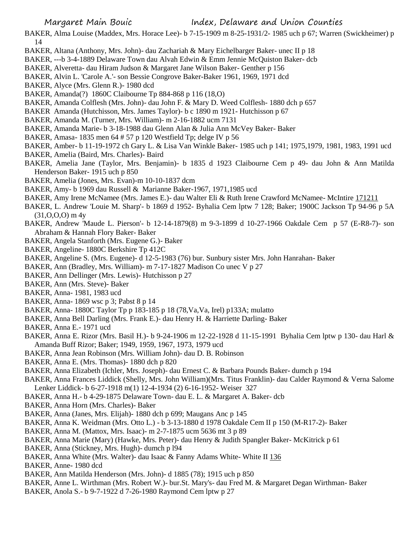- BAKER, Alma Louise (Maddex, Mrs. Horace Lee)- b 7-15-1909 m 8-25-1931/2- 1985 uch p 67; Warren (Swickheimer) p 14
- BAKER, Altana (Anthony, Mrs. John)- dau Zachariah & Mary Eichelbarger Baker- unec II p 18
- BAKER, ---b 3-4-1889 Delaware Town dau Alvah Edwin & Emm Jennie McQuiston Baker- dcb
- BAKER, Alveretta- dau Hiram Judson & Margaret Jane Wilson Baker- Genther p 156
- BAKER, Alvin L. 'Carole A.'- son Bessie Congrove Baker-Baker 1961, 1969, 1971 dcd
- BAKER, Alyce (Mrs. Glenn R.)- 1980 dcd
- BAKER, Amanda(?) 1860C Claibourne Tp 884-868 p 116 (18,O)
- BAKER, Amanda Colflesh (Mrs. John)- dau John F. & Mary D. Weed Colflesh- 1880 dch p 657
- BAKER Amanda (Hutchisson, Mrs. James Taylor)- b c 1890 m 1921- Hutchisson p 67
- BAKER, Amanda M. (Turner, Mrs. William)- m 2-16-1882 ucm 7131
- BAKER, Amanda Marie- b 3-18-1988 dau Glenn Alan & Julia Ann McVey Baker- Baker
- BAKER, Amasa- 1835 men 64 # 57 p 120 Westfield Tp; delge IV p 56
- BAKER, Amber- b 11-19-1972 ch Gary L. & Lisa Van Winkle Baker- 1985 uch p 141; 1975,1979, 1981, 1983, 1991 ucd
- BAKER, Amelia (Baird, Mrs. Charles)- Baird
- BAKER, Amelia Jane (Taylor, Mrs. Benjamin)- b 1835 d 1923 Claibourne Cem p 49- dau John & Ann Matilda Henderson Baker- 1915 uch p 850
- BAKER, Amelia (Jones, Mrs. Evan)-m 10-10-1837 dcm
- BAKER, Amy- b 1969 dau Russell & Marianne Baker-1967, 1971,1985 ucd
- BAKER, Amy Irene McNamee (Mrs. James E.)- dau Walter Eli & Ruth Irene Crawford McNamee- McIntire 171211
- BAKER, L. Andrew 'Louie M. Sharp'- b 1869 d 1952- Byhalia Cem lptw 7 128; Baker; 1900C Jackson Tp 94-96 p 5A  $(31,0,0,0)$  m 4y
- BAKER, Andrew 'Maude L. Pierson'- b 12-14-1879(8) m 9-3-1899 d 10-27-1966 Oakdale Cem p 57 (E-R8-7)- son Abraham & Hannah Flory Baker- Baker
- BAKER, Angela Stanforth (Mrs. Eugene G.)- Baker
- BAKER, Angeline- 1880C Berkshire Tp 412C
- BAKER, Angeline S. (Mrs. Eugene)- d 12-5-1983 (76) bur. Sunbury sister Mrs. John Hanrahan- Baker
- BAKER, Ann (Bradley, Mrs. William)- m 7-17-1827 Madison Co unec V p 27
- BAKER, Ann Dellinger (Mrs. Lewis)- Hutchisson p 27
- BAKER, Ann (Mrs. Steve)- Baker
- BAKER, Anna- 1981, 1983 ucd
- BAKER, Anna- 1869 wsc p 3; Pabst 8 p 14
- BAKER, Anna- 1880C Taylor Tp p 183-185 p 18 (78, Va, Va, Irel) p133A; mulatto
- BAKER, Anna Bell Darling (Mrs. Frank E.)- dau Henry H. & Harriette Darling- Baker
- BAKER, Anna E.- 1971 ucd
- BAKER, Anna E. Rizor (Mrs. Basil H.)- b 9-24-1906 m 12-22-1928 d 11-15-1991 Byhalia Cem lptw p 130- dau Harl & Amanda Buff Rizor; Baker; 1949, 1959, 1967, 1973, 1979 ucd
- BAKER, Anna Jean Robinson (Mrs. William John)- dau D. B. Robinson
- BAKER, Anna E. (Mrs. Thomas)- 1880 dch p 820
- BAKER, Anna Elizabeth (Ichler, Mrs. Joseph)- dau Ernest C. & Barbara Pounds Baker- dumch p 194
- BAKER, Anna Frances Liddick (Shelly, Mrs. John William)(Mrs. Titus Franklin)- dau Calder Raymond & Verna Salome Lenker Liddick- b 6-27-1918 m(1) 12-4-1934 (2) 6-16-1952- Weiser 327
- BAKER, Anna H.- b 4-29-1875 Delaware Town- dau E. L. & Margaret A. Baker- dcb
- BAKER, Anna Horn (Mrs. Charles)- Baker
- BAKER, Anna (Janes, Mrs. Elijah)- 1880 dch p 699; Maugans Anc p 145
- BAKER, Anna K. Weidman (Mrs. Otto L.) b 3-13-1880 d 1978 Oakdale Cem II p 150 (M-R17-2)- Baker
- BAKER, Anna M. (Mattox, Mrs. Isaac)- m 2-7-1875 ucm 5636 mt 3 p 89
- BAKER, Anna Marie (Mary) (Hawke, Mrs. Peter)- dau Henry & Judith Spangler Baker- McKitrick p 61
- BAKER, Anna (Stickney, Mrs. Hugh)- dumch p l94
- BAKER, Anna White (Mrs. Walter)- dau Isaac & Fanny Adams White- White II 136
- BAKER, Anne- 1980 dcd
- BAKER, Ann Matilda Henderson (Mrs. John)- d 1885 (78); 1915 uch p 850
- BAKER, Anne L. Wirthman (Mrs. Robert W.)- bur.St. Mary's- dau Fred M. & Margaret Degan Wirthman- Baker
- BAKER, Anola S.- b 9-7-1922 d 7-26-1980 Raymond Cem lptw p 27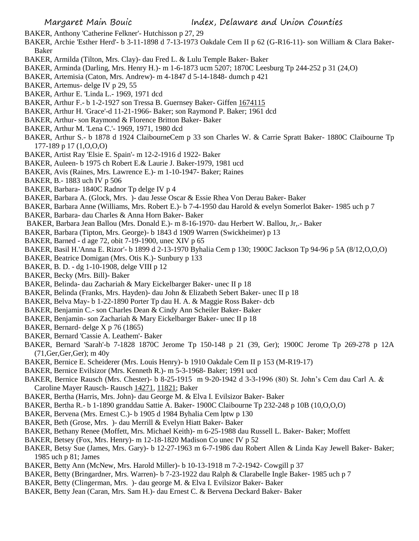BAKER, Anthony 'Catherine Felkner'- Hutchisson p 27, 29

- BAKER, Archie 'Esther Herd'- b 3-11-1898 d 7-13-1973 Oakdale Cem II p 62 (G-R16-11)- son William & Clara Baker-Baker
- BAKER, Armilda (Tilton, Mrs. Clay)- dau Fred L. & Lulu Temple Baker- Baker
- BAKER, Arminda (Darling, Mrs. Henry H.)- m 1-6-1873 ucm 5207; 1870C Leesburg Tp 244-252 p 31 (24,O)
- BAKER, Artemisia (Caton, Mrs. Andrew)- m 4-1847 d 5-14-1848- dumch p 421
- BAKER, Artemus- delge IV p 29, 55
- BAKER, Arthur E. 'Linda L.- 1969, 1971 dcd
- BAKER, Arthur F.- b 1-2-1927 son Tressa B. Guernsey Baker- Giffen 1674115
- BAKER, Arthur H. 'Grace'-d 11-21-1966- Baker; son Raymond P. Baker; 1961 dcd
- BAKER, Arthur- son Raymond & Florence Britton Baker- Baker
- BAKER, Arthur M. 'Lena C.'- 1969, 1971, 1980 dcd
- BAKER, Arthur S.- b 1878 d 1924 ClaibourneCem p 33 son Charles W. & Carrie Spratt Baker- 1880C Claibourne Tp 177-189 p 17 (1,O,O,O)
- BAKER, Artist Ray 'Elsie E. Spain'- m 12-2-1916 d 1922- Baker
- BAKER, Auleen- b 1975 ch Robert E.& Laurie J. Baker-1979, 1981 ucd
- BAKER, Avis (Raines, Mrs. Lawrence E.)- m 1-10-1947- Baker; Raines
- BAKER, B.- 1883 uch IV p 506
- BAKER, Barbara- 1840C Radnor Tp delge IV p 4
- BAKER, Barbara A. (Glock, Mrs. )- dau Jesse Oscar & Essie Rhea Von Derau Baker- Baker
- BAKER, Barbara Anne (Williams, Mrs. Robert E.)- b 7-4-1950 dau Harold & evelyn Somerlot Baker- 1985 uch p 7
- BAKER, Barbara- dau Charles & Anna Horn Baker- Baker
- BAKER, Barbara Jean Ballou (Mrs. Donald E.)- m 8-16-1970- dau Herbert W. Ballou, Jr,.- Baker
- BAKER, Barbara (Tipton, Mrs. George)- b 1843 d 1909 Warren (Swickheimer) p 13
- BAKER, Barned d age 72, obit 7-19-1900, unec XIV p 65
- BAKER, Basil H.'Anna E. Rizor'- b 1899 d 2-13-1970 Byhalia Cem p 130; 1900C Jackson Tp 94-96 p 5A (8/12,O,O,O)
- BAKER, Beatrice Domigan (Mrs. Otis K.)- Sunbury p 133
- BAKER, B. D. dg 1-10-1908, delge VIII p 12
- BAKER, Becky (Mrs. Bill)- Baker
- BAKER, Belinda- dau Zachariah & Mary Eickelbarger Baker- unec II p 18
- BAKER, Belinda (Franks, Mrs. Hayden)- dau John & Elizabeth Sebert Baker- unec II p 18
- BAKER, Belva May- b 1-22-1890 Porter Tp dau H. A. & Maggie Ross Baker- dcb
- BAKER, Benjamin C.- son Charles Dean & Cindy Ann Scheiler Baker- Baker
- BAKER, Benjamin- son Zachariah & Mary Eickelbarger Baker- unec II p 18
- BAKER, Bernard- delge X p 76 (1865)
- BAKER, Bernard 'Cassie A. Leathem'- Baker
- BAKER, Bernard 'Sarah'-b 7-1828 1870C Jerome Tp 150-148 p 21 (39, Ger); 1900C Jerome Tp 269-278 p 12A (71,Ger,Ger,Ger); m 40y
- BAKER, Bernice E. Scheiderer (Mrs. Louis Henry)- b 1910 Oakdale Cem II p 153 (M-R19-17)
- BAKER, Bernice Evilsizor (Mrs. Kenneth R.)- m 5-3-1968- Baker; 1991 ucd
- BAKER, Bernice Rausch (Mrs. Chester)- b 8-25-1915 m 9-20-1942 d 3-3-1996 (80) St. John's Cem dau Carl A. & Caroline Mayer Rausch- Rausch 14271, 11821; Baker
- BAKER, Bertha (Harris, Mrs. John)- dau George M. & Elva I. Evilsizor Baker- Baker
- BAKER, Bertha R.- b 1-1890 granddau Sattie A. Baker- 1900C Claibourne Tp 232-248 p 10B (10,O,O,O)
- BAKER, Bervena (Mrs. Ernest C.)- b 1905 d 1984 Byhalia Cem lptw p 130
- BAKER, Beth (Grose, Mrs. )- dau Merrill & Evelyn Hiatt Baker- Baker
- BAKER, Bethany Renee (Moffett, Mrs. Michael Keith)- m 6-25-1988 dau Russell L. Baker- Baker; Moffett
- BAKER, Betsey (Fox, Mrs. Henry)- m 12-18-1820 Madison Co unec IV p 52
- BAKER, Betsy Sue (James, Mrs. Gary)- b 12-27-1963 m 6-7-1986 dau Robert Allen & Linda Kay Jewell Baker- Baker; 1985 uch p 81; James
- BAKER, Betty Ann (McNew, Mrs. Harold Miller)- b 10-13-1918 m 7-2-1942- Cowgill p 37
- BAKER, Betty (Bringardner, Mrs. Warren)- b 7-23-1922 dau Ralph & Clarabelle Ingle Baker- 1985 uch p 7
- BAKER, Betty (Clingerman, Mrs. )- dau george M. & Elva I. Evilsizor Baker- Baker
- BAKER, Betty Jean (Caran, Mrs. Sam H.)- dau Ernest C. & Bervena Deckard Baker- Baker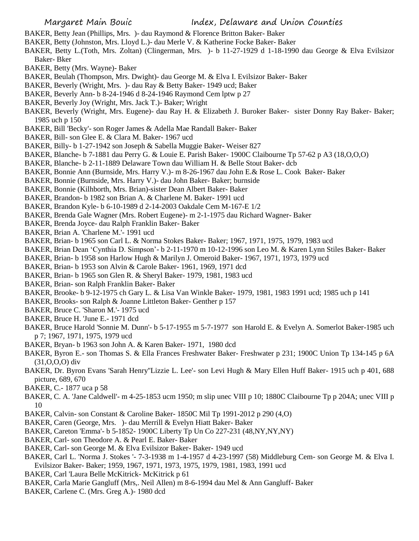- BAKER, Betty Jean (Phillips, Mrs. )- dau Raymond & Florence Britton Baker- Baker
- BAKER, Betty (Johnston, Mrs. Lloyd L.)- dau Merle V. & Katherine Focke Baker- Baker
- BAKER, Betty L.(Toth, Mrs. Zoltan) (Clingerman, Mrs. )- b 11-27-1929 d 1-18-1990 dau George & Elva Evilsizor Baker- Bker
- BAKER, Betty (Mrs. Wayne)- Baker
- BAKER, Beulah (Thompson, Mrs. Dwight)- dau George M. & Elva I. Evilsizor Baker- Baker
- BAKER, Beverly (Wright, Mrs. )- dau Ray & Betty Baker- 1949 ucd; Baker
- BAKER, Beverly Ann- b 8-24-1946 d 8-24-1946 Raymond Cem lptw p 27
- BAKER, Beverly Joy (Wright, Mrs. Jack T.)- Baker; Wright
- BAKER, Beverly (Wright, Mrs. Eugene)- dau Ray H. & Elizabeth J. Buroker Baker- sister Donny Ray Baker- Baker; 1985 uch p 150
- BAKER, Bill 'Becky'- son Roger James & Adella Mae Randall Baker- Baker
- BAKER, Bill- son Glee E. & Clara M. Baker- 1967 ucd
- BAKER, Billy- b 1-27-1942 son Joseph & Sabella Muggie Baker- Weiser 827
- BAKER, Blanche- b 7-1881 dau Perry G. & Louie E. Parish Baker- 1900C Claibourne Tp 57-62 p A3 (18,O,O,O)
- BAKER, Blanche- b 2-11-1889 Delaware Town dau William H. & Belle Stout Baker- dcb
- BAKER, Bonnie Ann (Burnside, Mrs. Harry V.)- m 8-26-1967 dau John E.& Rose L. Cook Baker- Baker
- BAKER, Bonnie (Burnside, Mrs. Harry V.)- dau John Baker- Baker; burnside
- BAKER, Bonnie (Kilhborth, Mrs. Brian)-sister Dean Albert Baker- Baker
- BAKER, Brandon- b 1982 son Brian A. & Charlene M. Baker- 1991 ucd
- BAKER, Brandon Kyle- b 6-10-1989 d 2-14-2003 Oakdale Cem M-167-E 1/2
- BAKER, Brenda Gale Wagner (Mrs. Robert Eugene)- m 2-1-1975 dau Richard Wagner- Baker
- BAKER, Brenda Joyce- dau Ralph Franklin Baker- Baker
- BAKER, Brian A. 'Charlene M.'- 1991 ucd
- BAKER, Brian- b 1965 son Carl L. & Norma Stokes Baker- Baker; 1967, 1971, 1975, 1979, 1983 ucd
- BAKER, Brian Dean 'Cynthia D. Simpson'- b 2-11-1970 m 10-12-1996 son Leo M. & Karen Lynn Stiles Baker- Baker
- BAKER, Brian- b 1958 son Harlow Hugh & Marilyn J. Omeroid Baker- 1967, 1971, 1973, 1979 ucd
- BAKER, Brian- b 1953 son Alvin & Carole Baker- 1961, 1969, 1971 dcd
- BAKER, Brian- b 1965 son Glen R. & Sheryl Baker- 1979, 1981, 1983 ucd
- BAKER, Brian- son Ralph Franklin Baker- Baker
- BAKER, Brooke- b 9-12-1975 ch Gary L. & Lisa Van Winkle Baker- 1979, 1981, 1983 1991 ucd; 1985 uch p 141
- BAKER, Brooks- son Ralph & Joanne Littleton Baker- Genther p 157
- BAKER, Bruce C. 'Sharon M.'- 1975 ucd
- BAKER, Bruce H. 'June E.- 1971 dcd
- BAKER, Bruce Harold 'Sonnie M. Dunn'- b 5-17-1955 m 5-7-1977 son Harold E. & Evelyn A. Somerlot Baker-1985 uch p 7; 1967, 1971, 1975, 1979 ucd
- BAKER, Bryan- b 1963 son John A. & Karen Baker- 1971, 1980 dcd
- BAKER, Byron E.- son Thomas S. & Ella Frances Freshwater Baker- Freshwater p 231; 1900C Union Tp 134-145 p 6A (31,O,O,O) div
- BAKER, Dr. Byron Evans 'Sarah Henry''Lizzie L. Lee'- son Levi Hugh & Mary Ellen Huff Baker- 1915 uch p 401, 688 picture, 689, 670
- BAKER, C.- 1877 uca p 58
- BAKER, C. A. 'Jane Caldwell'- m 4-25-1853 ucm 1950; m slip unec VIII p 10; 1880C Claibourne Tp p 204A; unec VIII p 10
- BAKER, Calvin- son Constant & Caroline Baker- 1850C Mil Tp 1991-2012 p 290 (4,O)
- BAKER, Caren (George, Mrs. )- dau Merrill & Evelyn Hiatt Baker- Baker
- BAKER, Careton 'Emma'- b 5-1852- 1900C Liberty Tp Un Co 227-231 (48,NY,NY,NY)
- BAKER, Carl- son Theodore A. & Pearl E. Baker- Baker
- BAKER, Carl- son George M. & Elva Evilsizor Baker- Baker- 1949 ucd
- BAKER, Carl L. 'Norma J. Stokes '- 7-3-1938 m 1-4-1957 d 4-23-1997 (58) Middleburg Cem- son George M. & Elva I. Evilsizor Baker- Baker; 1959, 1967, 1971, 1973, 1975, 1979, 1981, 1983, 1991 ucd
- BAKER, Carl 'Laura Belle McKitrick- McKitrick p 61
- BAKER, Carla Marie Gangluff (Mrs,. Neil Allen) m 8-6-1994 dau Mel & Ann Gangluff- Baker
- BAKER, Carlene C. (Mrs. Greg A.)- 1980 dcd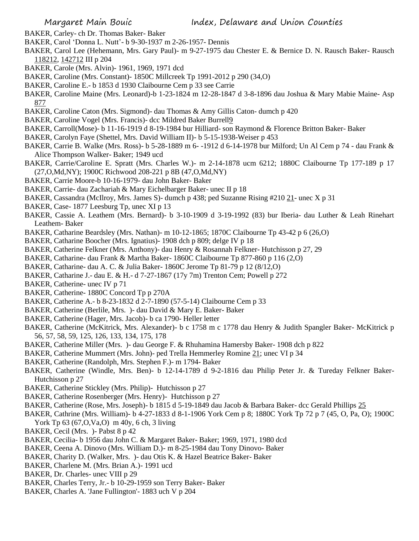- BAKER, Carley- ch Dr. Thomas Baker- Baker
- BAKER, Carol 'Donna L. Nutt'- b 9-30-1937 m 2-26-1957- Dennis
- BAKER, Carol Lee (Hehemann, Mrs. Gary Paul)- m 9-27-1975 dau Chester E. & Bernice D. N. Rausch Baker- Rausch 118212, 142712 III p 204
- BAKER, Carole (Mrs. Alvin)- 1961, 1969, 1971 dcd
- BAKER, Caroline (Mrs. Constant)- 1850C Millcreek Tp 1991-2012 p 290 (34,O)
- BAKER, Caroline E.- b 1853 d 1930 Claibourne Cem p 33 see Carrie
- BAKER, Caroline Maine (Mrs. Leonard)-b 1-23-1824 m 12-28-1847 d 3-8-1896 dau Joshua & Mary Mabie Maine- Asp 877
- BAKER, Caroline Caton (Mrs. Sigmond)- dau Thomas & Amy Gillis Caton- dumch p 420
- BAKER, Caroline Vogel (Mrs. Francis)- dcc Mildred Baker Burrell9
- BAKER, Carroll(Mose)- b 11-16-1919 d 8-19-1984 bur Hilliard- son Raymond & Florence Britton Baker- Baker
- BAKER, Carolyn Faye (Shettel, Mrs. David William II)- b 5-15-1938-Weiser p 453
- BAKER, Carrie B. Walke (Mrs. Ross)- b 5-28-1889 m 6- -1912 d 6-14-1978 bur Milford; Un Al Cem p 74 dau Frank & Alice Thompson Walker- Baker; 1949 ucd
- BAKER, Carrie/Caroline E. Spratt (Mrs. Charles W.)- m 2-14-1878 ucm 6212; 1880C Claibourne Tp 177-189 p 17 (27,O,Md,NY); 1900C Richwood 208-221 p 8B (47,O,Md,NY)
- BAKER, Carrie Moore-b 10-16-1979- dau John Baker- Baker
- BAKER, Carrie- dau Zachariah & Mary Eichelbarger Baker- unec II p 18
- BAKER, Cassandra (McIlroy, Mrs. James S)- dumch p 438; ped Suzanne Rising #210 21- unec X p 31
- BAKER, Case- 1877 Leesburg Tp, unec XI p 13
- BAKER, Cassie A. Leathem (Mrs. Bernard)- b 3-10-1909 d 3-19-1992 (83) bur Iberia- dau Luther & Leah Rinehart Leathem- Baker
- BAKER, Catharine Beardsley (Mrs. Nathan)- m 10-12-1865; 1870C Claibourne Tp 43-42 p 6 (26,O)
- BAKER, Catharine Boocher (Mrs. Ignatius)- 1908 dch p 809; delge IV p 18
- BAKER, Catherine Felkner (Mrs. Anthony)- dau Henry & Rosannah Felkner- Hutchisson p 27, 29
- BAKER, Catharine- dau Frank & Martha Baker- 1860C Claibourne Tp 877-860 p 116 (2,O)
- BAKER, Catharine- dau A. C. & Julia Baker- 1860C Jerome Tp 81-79 p 12 (8/12,O)
- BAKER, Catharine J.- dau E. & H.- d 7-27-1867 (17y 7m) Trenton Cem; Powell p 272
- BAKER, Catherine- unec IV p 71
- BAKER, Catherine- 1880C Concord Tp p 270A
- BAKER, Catherine A.- b 8-23-1832 d 2-7-1890 (57-5-14) Claibourne Cem p 33
- BAKER, Catherine (Berlile, Mrs. )- dau David & Mary E. Baker- Baker
- BAKER, Catherine (Hager, Mrs. Jacob)- b ca 1790- Heller letter
- BAKER, Catherine (McKitrick, Mrs. Alexander)- b c 1758 m c 1778 dau Henry & Judith Spangler Baker- McKitrick p 56, 57, 58, 59, 125, 126, 133, 134, 175, 178
- BAKER, Catherine Miller (Mrs. )- dau George F. & Rhuhamina Hamersby Baker- 1908 dch p 822
- BAKER, Catherine Mummert (Mrs. John)- ped Trella Hemmerley Romine 21; unec VI p 34
- BAKER, Catherine (Randolph, Mrs. Stephen F.)- m 1794- Baker
- BAKER, Catherine (Windle, Mrs. Ben)- b 12-14-1789 d 9-2-1816 dau Philip Peter Jr. & Tureday Felkner Baker-Hutchisson p 27
- BAKER, Catherine Stickley (Mrs. Philip)- Hutchisson p 27
- BAKER, Catherine Rosenberger (Mrs. Henry)- Hutchisson p 27
- BAKER, Catherine (Rose, Mrs. Joseph)- b 1815 d 5-19-1849 dau Jacob & Barbara Baker- dcc Gerald Phillips 25
- BAKER, Cathrine (Mrs. William)- b 4-27-1833 d 8-1-1906 York Cem p 8; 1880C York Tp 72 p 7 (45, O, Pa, O); 1900C York Tp 63 (67, O, Va, O) m 40y, 6 ch, 3 living
- BAKER, Cecil (Mrs. )- Pabst 8 p 42
- BAKER, Cecilia- b 1956 dau John C. & Margaret Baker- Baker; 1969, 1971, 1980 dcd
- BAKER, Ceena A. Dinovo (Mrs. William D.)- m 8-25-1984 dau Tony Dinovo- Baker
- BAKER, Charity D. (Walker, Mrs. )- dau Otis K. & Hazel Beatrice Baker- Baker
- BAKER, Charlene M. (Mrs. Brian A.)- 1991 ucd
- BAKER, Dr. Charles- unec VIII p 29
- BAKER, Charles Terry, Jr.- b 10-29-1959 son Terry Baker- Baker
- BAKER, Charles A. 'Jane Fullington'- 1883 uch V p 204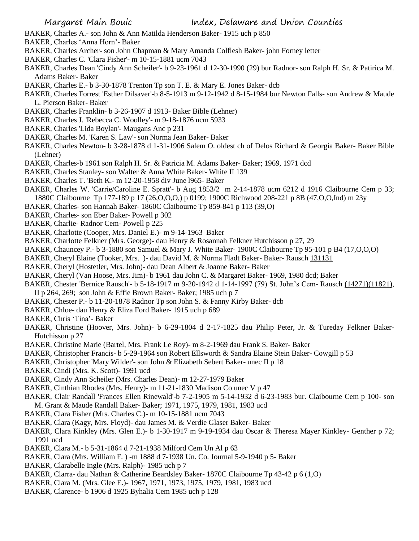- BAKER, Charles A.- son John & Ann Matilda Henderson Baker- 1915 uch p 850
- BAKER, Charles 'Anna Horn'- Baker
- BAKER, Charles Archer- son John Chapman & Mary Amanda Colflesh Baker- john Forney letter
- BAKER, Charles C. 'Clara Fisher'- m 10-15-1881 ucm 7043
- BAKER, Charles Dean 'Cindy Ann Scheiler'- b 9-23-1961 d 12-30-1990 (29) bur Radnor- son Ralph H. Sr. & Patirica M. Adams Baker- Baker
- BAKER, Charles E.- b 3-30-1878 Trenton Tp son T. E. & Mary E. Jones Baker- dcb
- BAKER, Charles Forrest 'Esther Dilsaver'-b 8-5-1913 m 9-12-1942 d 8-15-1984 bur Newton Falls- son Andrew & Maude L. Pierson Baker- Baker
- BAKER, Charles Franklin- b 3-26-1907 d 1913- Baker Bible (Lehner)
- BAKER, Charles J. 'Rebecca C. Woolley'- m 9-18-1876 ucm 5933
- BAKER, Charles 'Lida Boylan'- Maugans Anc p 231
- BAKER, Charles M. 'Karen S. Law'- son Norma Jean Baker- Baker
- BAKER, Charles Newton- b 3-28-1878 d 1-31-1906 Salem O. oldest ch of Delos Richard & Georgia Baker- Baker Bible (Lehner)
- BAKER, Charles-b 1961 son Ralph H. Sr. & Patricia M. Adams Baker- Baker; 1969, 1971 dcd
- BAKER, Charles Stanley- son Walter & Anna White Baker- White II 139
- BAKER, Charles T. 'Beth K.- m 12-20-1958 div June l965- Baker
- BAKER, Charles W. 'Carrie/Caroline E. Spratt'- b Aug 1853/2 m 2-14-1878 ucm 6212 d 1916 Claibourne Cem p 33; 1880C Claibourne Tp 177-189 p 17 (26,O,O,O,) p 0199; 1900C Richwood 208-221 p 8B (47,O,O,Ind) m 23y
- BAKER, Charles- son Hannah Baker- 1860C Claibourne Tp 859-841 p 113 (39,O)
- BAKER, Charles- son Eber Baker- Powell p 302
- BAKER, Charlie- Radnor Cem- Powell p 225
- BAKER, Charlotte (Cooper, Mrs. Daniel E.)- m 9-14-1963 Baker
- BAKER, Charlotte Felkner (Mrs. George)- dau Henry & Rosannah Felkner Hutchisson p 27, 29
- BAKER, Chauncey P.- b 3-1880 son Samuel & Mary J. White Baker- 1900C Claibourne Tp 95-101 p B4 (17,O,O,O)
- BAKER, Cheryl Elaine (Tooker, Mrs. )- dau David M. & Norma Fladt Baker- Baker- Rausch 131131
- BAKER, Cheryl (Hostetler, Mrs. John)- dau Dean Albert & Joanne Baker- Baker
- BAKER, Cheryl (Van Hoose, Mrs. Jim)- b 1961 dau John C. & Margaret Baker- 1969, 1980 dcd; Baker
- BAKER, Chester 'Bernice Rausch'- b 5-18-1917 m 9-20-1942 d 1-14-1997 (79) St. John's Cem- Rausch (14271)(11821), II p 264, 269; son John & Effie Brown Baker- Baker; 1985 uch p 7
- BAKER, Chester P.- b 11-20-1878 Radnor Tp son John S. & Fanny Kirby Baker- dcb
- BAKER, Chloe- dau Henry & Eliza Ford Baker- 1915 uch p 689
- BAKER, Chris 'Tina'- Baker
- BAKER, Christine (Hoover, Mrs. John)- b 6-29-1804 d 2-17-1825 dau Philip Peter, Jr. & Tureday Felkner Baker-Hutchisson p 27
- BAKER, Christine Marie (Bartel, Mrs. Frank Le Roy)- m 8-2-1969 dau Frank S. Baker- Baker
- BAKER, Christopher Francis- b 5-29-1964 son Robert Ellsworth & Sandra Elaine Stein Baker- Cowgill p 53
- BAKER, Christopher 'Mary Wilder'- son John & Elizabeth Sebert Baker- unec II p 18
- BAKER, Cindi (Mrs. K. Scott)- 1991 ucd
- BAKER, Cindy Ann Scheiler (Mrs. Charles Dean)- m 12-27-1979 Baker
- BAKER, Cinthian Rhodes (Mrs. Henry)- m 11-21-1830 Madison Co unec V p 47
- BAKER, Clair Randall 'Frances Ellen Rinewald'-b 7-2-1905 m 5-14-1932 d 6-23-1983 bur. Claibourne Cem p 100- son M. Grant & Maude Randall Baker- Baker; 1971, 1975, 1979, 1981, 1983 ucd
- BAKER, Clara Fisher (Mrs. Charles C.)- m 10-15-1881 ucm 7043
- BAKER, Clara (Kagy, Mrs. Floyd)- dau James M. & Verdie Glaser Baker- Baker
- BAKER, Clara Kinkley (Mrs. Glen E.)- b 1-30-1917 m 9-19-1934 dau Oscar & Theresa Mayer Kinkley- Genther p 72; 1991 ucd
- BAKER, Clara M.- b 5-31-1864 d 7-21-1938 Milford Cem Un Al p 63
- BAKER, Clara (Mrs. William F. ) -m 1888 d 7-1938 Un. Co. Journal 5-9-1940 p 5- Baker
- BAKER, Clarabelle Ingle (Mrs. Ralph)- 1985 uch p 7
- BAKER, Clarra- dau Nathan & Catherine Beardsley Baker- 1870C Claibourne Tp 43-42 p 6 (1,O)
- BAKER, Clara M. (Mrs. Glee E.)- 1967, 1971, 1973, 1975, 1979, 1981, 1983 ucd
- BAKER, Clarence- b 1906 d 1925 Byhalia Cem 1985 uch p 128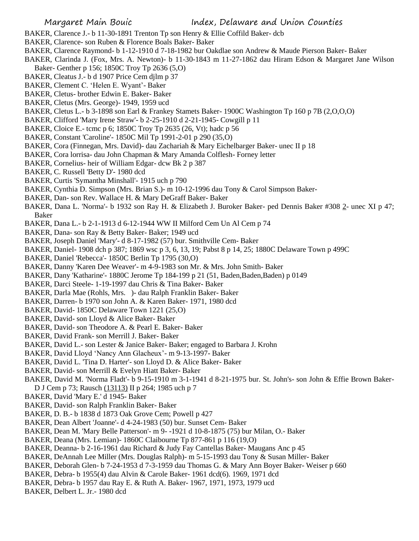- BAKER, Clarence J.- b 11-30-1891 Trenton Tp son Henry & Ellie Coffild Baker- dcb
- BAKER, Clarence- son Ruben & Florence Boals Baker- Baker
- BAKER, Clarence Raymond- b 1-12-1910 d 7-18-1982 bur Oakdlae son Andrew & Maude Pierson Baker- Baker
- BAKER, Clarinda J. (Fox, Mrs. A. Newton)- b 11-30-1843 m 11-27-1862 dau Hiram Edson & Margaret Jane Wilson Baker- Genther p 156; 1850C Troy Tp 2636 (5,O)
- BAKER, Cleatus J.- b d 1907 Price Cem djlm p 37
- BAKER, Clement C. 'Helen E. Wyant'- Baker
- BAKER, Cletus- brother Edwin E. Baker- Baker
- BAKER, Cletus (Mrs. George)- 1949, 1959 ucd
- BAKER, Cletus L.- b 3-1898 son Earl & Frankey Stamets Baker- 1900C Washington Tp 160 p 7B (2,O,O,O)
- BAKER, Clifford 'Mary Irene Straw'- b 2-25-1910 d 2-21-1945- Cowgill p 11
- BAKER, Cloice E.- tcmc p 6; 1850C Troy Tp 2635 (26, Vt); hadc p 56
- BAKER, Constant 'Caroline'- 1850C Mil Tp 1991-2-01 p 290 (35,O)
- BAKER, Cora (Finnegan, Mrs. David)- dau Zachariah & Mary Eichelbarger Baker- unec II p 18
- BAKER, Cora lorrisa- dau John Chapman & Mary Amanda Colflesh- Forney letter
- BAKER, Cornelius- heir of William Edgar- dcw Bk 2 p 387
- BAKER, C. Russell 'Betty D'- 1980 dcd
- BAKER, Curtis 'Symantha Minshall'- 1915 uch p 790
- BAKER, Cynthia D. Simpson (Mrs. Brian S.)- m 10-12-1996 dau Tony & Carol Simpson Baker-
- BAKER, Dan- son Rev. Wallace H. & Mary DeGraff Baker- Baker
- BAKER, Dana L. 'Norma'- b 1932 son Ray H. & Elizabeth J. Buroker Baker- ped Dennis Baker #308 2- unec XI p 47; Baker
- BAKER, Dana L.- b 2-1-1913 d 6-12-1944 WW II Milford Cem Un Al Cem p 74
- BAKER, Dana- son Ray & Betty Baker- Baker; 1949 ucd
- BAKER, Joseph Daniel 'Mary'- d 8-17-1982 (57) bur. Smithville Cem- Baker
- BAKER, Daniel- 1908 dch p 387; 1869 wsc p 3, 6, 13, 19; Pabst 8 p 14, 25; 1880C Delaware Town p 499C
- BAKER, Daniel 'Rebecca'- 1850C Berlin Tp 1795 (30,O)
- BAKER, Danny 'Karen Dee Weaver'- m 4-9-1983 son Mr. & Mrs. John Smith- Baker
- BAKER, Dany 'Katharine'- 1880C Jerome Tp 184-199 p 21 (51, Baden,Baden,Baden) p 0149
- BAKER, Darci Steele- 1-19-1997 dau Chris & Tina Baker- Baker
- BAKER, Darla Mae (Rohls, Mrs. )- dau Ralph Franklin Baker- Baker
- BAKER, Darren- b 1970 son John A. & Karen Baker- 1971, 1980 dcd
- BAKER, David- 1850C Delaware Town 1221 (25,O)
- BAKER, David- son Lloyd & Alice Baker- Baker
- BAKER, David- son Theodore A. & Pearl E. Baker- Baker
- BAKER, David Frank- son Merrill J. Baker- Baker
- BAKER, David L.- son Lester & Janice Baker- Baker; engaged to Barbara J. Krohn
- BAKER, David Lloyd 'Nancy Ann Glacheux'- m 9-13-1997- Baker
- BAKER, David L. 'Tina D. Harter'- son Lloyd D. & Alice Baker- Baker
- BAKER, David- son Merrill & Evelyn Hiatt Baker- Baker
- BAKER, David M. 'Norma Fladt'- b 9-15-1910 m 3-1-1941 d 8-21-1975 bur. St. John's- son John & Effie Brown Baker-D J Cem p 73; Rausch (13113) II p 264; 1985 uch p 7
- BAKER, David 'Mary E.' d 1945- Baker
- BAKER, David- son Ralph Franklin Baker- Baker
- BAKER, D. B.- b 1838 d 1873 Oak Grove Cem; Powell p 427
- BAKER, Dean Albert 'Joanne'- d 4-24-1983 (50) bur. Sunset Cem- Baker
- BAKER, Dean M. 'Mary Belle Patterson'- m 9- -1921 d 10-8-1875 (75) bur Milan, O.- Baker
- BAKER, Deana (Mrs. Lemian)- 1860C Claibourne Tp 877-861 p 116 (19,O)
- BAKER, Deanna- b 2-16-1961 dau Richard & Judy Fay Cantellas Baker- Maugans Anc p 45
- BAKER, DeAnnah Lee Miller (Mrs. Douglas Ralph)- m 5-15-1993 dau Tony & Susan Miller- Baker
- BAKER, Deborah Glen- b 7-24-1953 d 7-3-1959 dau Thomas G. & Mary Ann Boyer Baker- Weiser p 660
- BAKER, Debra- b 1955(4) dau Alvin & Carole Baker- 1961 dcd(6). 1969, 1971 dcd
- BAKER, Debra- b 1957 dau Ray E. & Ruth A. Baker- 1967, 1971, 1973, 1979 ucd
- BAKER, Delbert L. Jr.- 1980 dcd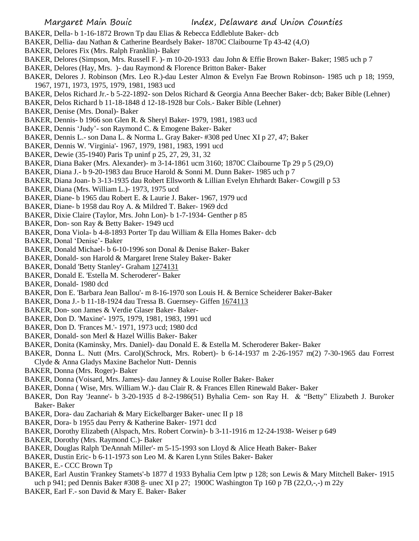- BAKER, Della- b 1-16-1872 Brown Tp dau Elias & Rebecca Eddleblute Baker- dcb
- BAKER, Dellia- dau Nathan & Catherine Beardsely Baker- 1870C Claibourne Tp 43-42 (4,O)
- BAKER, Delores Fix (Mrs. Ralph Franklin)- Baker
- BAKER, Delores (Simpson, Mrs. Russell F. )- m 10-20-1933 dau John & Effie Brown Baker- Baker; 1985 uch p 7
- BAKER, Delores (Hay, Mrs. )- dau Raymond & Florence Britton Baker- Baker
- BAKER, Delores J. Robinson (Mrs. Leo R.)-dau Lester Almon & Evelyn Fae Brown Robinson- 1985 uch p 18; 1959, 1967, 1971, 1973, 1975, 1979, 1981, 1983 ucd
- BAKER, Delos Richard Jr.- b 5-22-1892- son Delos Richard & Georgia Anna Beecher Baker- dcb; Baker Bible (Lehner)
- BAKER, Delos Richard b 11-18-1848 d 12-18-1928 bur Cols.- Baker Bible (Lehner)
- BAKER, Denise (Mrs. Donal)- Baker
- BAKER, Dennis- b 1966 son Glen R. & Sheryl Baker- 1979, 1981, 1983 ucd
- BAKER, Dennis 'Judy'- son Raymond C. & Emogene Baker- Baker
- BAKER, Dennis L.- son Dana L. & Norma L. Gray Baker- #308 ped Unec XI p 27, 47; Baker
- BAKER, Dennis W. 'Virginia'- 1967, 1979, 1981, 1983, 1991 ucd
- BAKER, Dewie (35-1940) Paris Tp uninf p 25, 27, 29, 31, 32
- BAKER, Diana Baker (Mrs. Alexander)- m 3-14-1861 ucm 3160; 1870C Claibourne Tp 29 p 5 (29,O)
- BAKER, Diana J.- b 9-20-1983 dau Bruce Harold & Sonni M. Dunn Baker- 1985 uch p 7
- BAKER, Diana Joan- b 3-13-1935 dau Robert Ellsworth & Lillian Evelyn Ehrhardt Baker- Cowgill p 53
- BAKER, Diana (Mrs. William L.)- 1973, 1975 ucd
- BAKER, Diane- b 1965 dau Robert E. & Laurie J. Baker- 1967, 1979 ucd
- BAKER, Diane- b 1958 dau Roy A. & Mildred T. Baker- 1969 dcd
- BAKER, Dixie Claire (Taylor, Mrs. John Lon)- b 1-7-1934- Genther p 85
- BAKER, Don- son Ray & Betty Baker- 1949 ucd
- BAKER, Dona Viola- b 4-8-1893 Porter Tp dau William & Ella Homes Baker- dcb
- BAKER, Donal 'Denise'- Baker
- BAKER, Donald Michael- b 6-10-1996 son Donal & Denise Baker- Baker
- BAKER, Donald- son Harold & Margaret Irene Staley Baker- Baker
- BAKER, Donald 'Betty Stanley'- Graham 1274131
- BAKER, Donald E. 'Estella M. Scheroderer'- Baker
- BAKER, Donald- 1980 dcd
- BAKER, Don E. 'Barbara Jean Ballou'- m 8-16-1970 son Louis H. & Bernice Scheiderer Baker-Baker
- BAKER, Dona J.- b 11-18-1924 dau Tressa B. Guernsey- Giffen 1674113
- BAKER, Don- son James & Verdie Glaser Baker- Baker-
- BAKER, Don D. 'Maxine'- 1975, 1979, 1981, 1983, 1991 ucd
- BAKER, Don D. 'Frances M.'- 1971, 1973 ucd; 1980 dcd
- BAKER, Donald- son Merl & Hazel Willis Baker- Baker
- BAKER, Donita (Kaminsky, Mrs. Daniel)- dau Donald E. & Estella M. Scheroderer Baker- Baker
- BAKER, Donna L. Nutt (Mrs. Carol)(Schrock, Mrs. Robert)- b 6-14-1937 m 2-26-1957 m(2) 7-30-1965 dau Forrest Clyde & Anna Gladys Maxine Bachelor Nutt- Dennis
- BAKER, Donna (Mrs. Roger)- Baker
- BAKER, Donna (Voisard, Mrs. James)- dau Janney & Louise Roller Baker- Baker
- BAKER, Donna ( Wise, Mrs. William W.)- dau Clair R. & Frances Ellen Rinewald Baker- Baker
- BAKER, Don Ray 'Jeanne'- b 3-20-1935 d 8-2-1986(51) Byhalia Cem- son Ray H. & "Betty" Elizabeth J. Buroker Baker- Baker
- BAKER, Dora- dau Zachariah & Mary Eickelbarger Baker- unec II p 18
- BAKER, Dora- b 1955 dau Perry & Katherine Baker- 1971 dcd
- BAKER, Dorothy Elizabeth (Alspach, Mrs. Robert Corwin)- b 3-11-1916 m 12-24-1938- Weiser p 649
- BAKER, Dorothy (Mrs. Raymond C.)- Baker
- BAKER, Douglas Ralph 'DeAnnah Miller'- m 5-15-1993 son Lloyd & Alice Heath Baker- Baker
- BAKER, Dustin Eric- b 6-11-1973 son Leo M. & Karen Lynn Stiles Baker- Baker
- BAKER, E.- CCC Brown Tp
- BAKER, Earl Austin 'Frankey Stamets'-b 1877 d 1933 Byhalia Cem lptw p 128; son Lewis & Mary Mitchell Baker- 1915 uch p 941; ped Dennis Baker #308 8- unec XI p 27; 1900C Washington Tp 160 p 7B (22, O, -,-) m 22y
- BAKER, Earl F.- son David & Mary E. Baker- Baker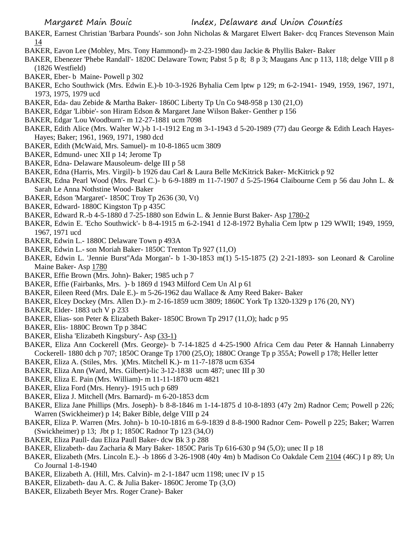- BAKER, Earnest Christian 'Barbara Pounds'- son John Nicholas & Margaret Elwert Baker- dcq Frances Stevenson Main 14
- BAKER, Eavon Lee (Mobley, Mrs. Tony Hammond)- m 2-23-1980 dau Jackie & Phyllis Baker- Baker
- BAKER, Ebenezer 'Phebe Randall'- 1820C Delaware Town; Pabst 5 p 8; 8 p 3; Maugans Anc p 113, 118; delge VIII p 8 (1826 Westfield)
- BAKER, Eber- b Maine- Powell p 302
- BAKER, Echo Southwick (Mrs. Edwin E.)-b 10-3-1926 Byhalia Cem lptw p 129; m 6-2-1941- 1949, 1959, 1967, 1971, 1973, 1975, 1979 ucd
- BAKER, Eda- dau Zebide & Martha Baker- 1860C Liberty Tp Un Co 948-958 p 130 (21,O)
- BAKER, Edgar 'Libbie'- son Hiram Edson & Margaret Jane Wilson Baker- Genther p 156
- BAKER, Edgar 'Lou Woodburn'- m 12-27-1881 ucm 7098
- BAKER, Edith Alice (Mrs. Walter W.)-b 1-1-1912 Eng m 3-1-1943 d 5-20-1989 (77) dau George & Edith Leach Hayes-Hayes; Baker; 1961, 1969, 1971, 1980 dcd
- BAKER, Edith (McWaid, Mrs. Samuel)- m 10-8-1865 ucm 3809
- BAKER, Edmund- unec XII p 14; Jerome Tp
- BAKER, Edna- Delaware Mausoleum- delge III p 58
- BAKER, Edna (Harris, Mrs. Virgil)- b 1926 dau Carl & Laura Belle McKitrick Baker- McKitrick p 92
- BAKER, Edna Pearl Wood (Mrs. Pearl C.)- b 6-9-1889 m 11-7-1907 d 5-25-1964 Claibourne Cem p 56 dau John L. & Sarah Le Anna Nothstine Wood- Baker
- BAKER, Edson 'Margaret'- 1850C Troy Tp 2636 (30, Vt)
- BAKER, Edward- 1880C Kingston Tp p 435C
- BAKER, Edward R.-b 4-5-1880 d 7-25-1880 son Edwin L. & Jennie Burst Baker- Asp 1780-2
- BAKER, Edwin E. 'Echo Southwick'- b 8-4-1915 m 6-2-1941 d 12-8-1972 Byhalia Cem lptw p 129 WWII; 1949, 1959, 1967, 1971 ucd
- BAKER, Edwin L.- 1880C Delaware Town p 493A
- BAKER, Edwin L.- son Moriah Baker- 1850C Trenton Tp 927 (11,O)
- BAKER, Edwin L. 'Jennie Burst''Ada Morgan'- b 1-30-1853 m(1) 5-15-1875 (2) 2-21-1893- son Leonard & Caroline Maine Baker- Asp 1780
- BAKER, Effie Brown (Mrs. John)- Baker; 1985 uch p 7
- BAKER, Effie (Fairbanks, Mrs. )- b 1869 d 1943 Milford Cem Un Al p 61
- BAKER, Eileen Reed (Mrs. Dale E.)- m 5-26-1962 dau Wallace & Amy Reed Baker- Baker
- BAKER, Elcey Dockey (Mrs. Allen D.)- m 2-16-1859 ucm 3809; 1860C York Tp 1320-1329 p 176 (20, NY)
- BAKER, Elder- 1883 uch V p 233
- BAKER, Elias- son Peter & Elizabeth Baker- 1850C Brown Tp 2917 (11,O); hadc p 95
- BAKER, Elis- 1880C Brown Tp p 384C
- BAKER, Elisha 'Elizabeth Kingsbury'- Asp (33-1)
- BAKER, Eliza Ann Cockerell (Mrs. George)- b 7-14-1825 d 4-25-1900 Africa Cem dau Peter & Hannah Linnaberry Cockerell- 1880 dch p 707; 1850C Orange Tp 1700 (25,O); 1880C Orange Tp p 355A; Powell p 178; Heller letter
- BAKER, Eliza A. (Stiles, Mrs. )(Mrs. Mitchell K.)- m 11-7-1878 ucm 6354
- BAKER, Eliza Ann (Ward, Mrs. Gilbert)-lic 3-12-1838 ucm 487; unec III p 30
- BAKER, Eliza E. Pain (Mrs. William)- m 11-11-1870 ucm 4821
- BAKER, Eliza Ford (Mrs. Henry)- 1915 uch p 689
- BAKER, Eliza J. Mitchell (Mrs. Barnard)- m 6-20-1853 dcm
- BAKER, Eliza Jane Phillips (Mrs. Joseph)- b 8-8-1846 m 1-14-1875 d 10-8-1893 (47y 2m) Radnor Cem; Powell p 226; Warren (Swickheimer) p 14; Baker Bible, delge VIII p 24
- BAKER, Eliza P. Warren (Mrs. John)- b 10-10-1816 m 6-9-1839 d 8-8-1900 Radnor Cem- Powell p 225; Baker; Warren (Swickheimer) p 13; Jbt p 1; 1850C Radnor Tp 123 (34,O)
- BAKER, Eliza Paull- dau Eliza Paull Baker- dcw Bk 3 p 288
- BAKER, Elizabeth- dau Zacharia & Mary Baker- 1850C Paris Tp 616-630 p 94 (5,O); unec II p 18
- BAKER, Elizabeth (Mrs. Lincoln E.)- -b 1866 d 3-26-1908 (40y 4m) b Madison Co Oakdale Cem 2104 (46C) I p 89; Un Co Journal 1-8-1940
- BAKER, Elizabeth A. (Hill, Mrs. Calvin)- m 2-1-1847 ucm 1198; unec IV p 15
- BAKER, Elizabeth- dau A. C. & Julia Baker- 1860C Jerome Tp (3,O)
- BAKER, Elizabeth Beyer Mrs. Roger Crane)- Baker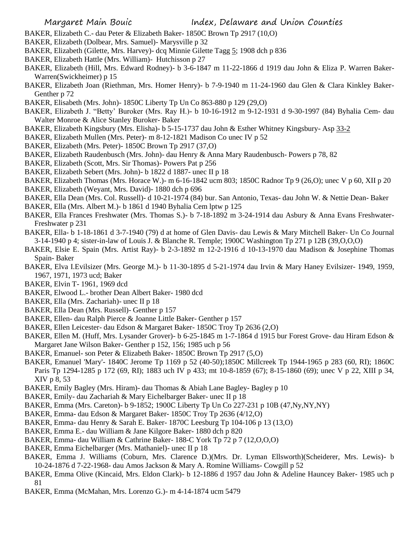- BAKER, Elizabeth C.- dau Peter & Elizabeth Baker- 1850C Brown Tp 2917 (10,O)
- BAKER, Elizabeth (Dolbear, Mrs. Samuel)- Marysville p 32
- BAKER, Elizabeth (Gilette, Mrs. Harvey)- dcq Minnie Gilette Tagg 5; 1908 dch p 836
- BAKER, Elizabeth Hattle (Mrs. William)- Hutchisson p 27
- BAKER, Elizabeth (Hill, Mrs. Edward Rodney)- b 3-6-1847 m 11-22-1866 d 1919 dau John & Eliza P. Warren Baker-Warren(Swickheimer) p 15
- BAKER, Elizabeth Joan (Riethman, Mrs. Homer Henry)- b 7-9-1940 m 11-24-1960 dau Glen & Clara Kinkley Baker-Genther p 72
- BAKER, Elisabeth (Mrs. John)- 1850C Liberty Tp Un Co 863-880 p 129 (29,O)
- BAKER, Elizabeth J. "Betty' Buroker (Mrs. Ray H.)- b 10-16-1912 m 9-12-1931 d 9-30-1997 (84) Byhalia Cem- dau Walter Monroe & Alice Stanley Buroker- Baker
- BAKER, Elizabeth Kingsbury (Mrs. Elisha)- b 5-15-1737 dau John & Esther Whitney Kingsbury- Asp 33-2
- BAKER, Elizabeth Mullen (Mrs. Peter)- m 8-12-1821 Madison Co unec IV p 52
- BAKER, Elizabeth (Mrs. Peter)- 1850C Brown Tp 2917 (37,O)
- BAKER, Elizabeth Raudenbusch (Mrs. John)- dau Henry & Anna Mary Raudenbusch- Powers p 78, 82
- BAKER, Elizabeth (Scott, Mrs. Sir Thomas)- Powers Pat p 256
- BAKER, Elizabeth Sebert (Mrs. John)- b 1822 d 1887- unec II p 18
- BAKER, Elizabeth Thomas (Mrs. Horace W.)- m 6-16-1842 ucm 803; 1850C Radnor Tp 9 (26,O); unec V p 60, XII p 20
- BAKER, Elizabeth (Weyant, Mrs. David)- 1880 dch p 696
- BAKER, Ella Dean (Mrs. Col. Russell)- d 10-21-1974 (84) bur. San Antonio, Texas- dau John W. & Nettie Dean- Baker
- BAKER, Ella (Mrs. Albert M.)- b 1861 d 1940 Byhalia Cem lptw p 125
- BAKER, Ella Frances Freshwater (Mrs. Thomas S.)- b 7-18-1892 m 3-24-1914 dau Asbury & Anna Evans Freshwater-Freshwater p 231
- BAKER, Ella- b 1-18-1861 d 3-7-1940 (79) d at home of Glen Davis- dau Lewis & Mary Mitchell Baker- Un Co Journal 3-14-1940 p 4; sister-in-law of Louis J. & Blanche R. Temple; 1900C Washington Tp 271 p 12B (39,O,O,O)
- BAKER, Elsie E. Spain (Mrs. Artist Ray)- b 2-3-1892 m 12-2-1916 d 10-13-1970 dau Madison & Josephine Thomas Spain- Baker
- BAKER, Elva I.Evilsizer (Mrs. George M.)- b 11-30-1895 d 5-21-1974 dau Irvin & Mary Haney Evilsizer- 1949, 1959, 1967, 1971, 1973 ucd; Baker
- BAKER, Elvin T- 1961, 1969 dcd
- BAKER, Elwood L.- brother Dean Albert Baker- 1980 dcd
- BAKER, Ella (Mrs. Zachariah)- unec II p 18
- BAKER, Ella Dean (Mrs. Russell)- Genther p 157
- BAKER, Ellen- dau Ralph Pierce & Joanne Little Baker- Genther p 157
- BAKER, Ellen Leicester- dau Edson & Margaret Baker- 1850C Troy Tp 2636 (2,O)
- BAKER, Ellen M. (Huff, Mrs. Lysander Grover)- b 6-25-1845 m 1-7-1864 d 1915 bur Forest Grove- dau Hiram Edson & Margaret Jane Wilson Baker- Genther p 152, 156; 1985 uch p 56
- BAKER, Emanuel- son Peter & Elizabeth Baker- 1850C Brown Tp 2917 (5,O)
- BAKER, Emanuel 'Mary'- 1840C Jerome Tp 1169 p 52 (40-50);1850C Millcreek Tp 1944-1965 p 283 (60, RI); 1860C Paris Tp 1294-1285 p 172 (69, RI); 1883 uch IV p 433; mt 10-8-1859 (67); 8-15-1860 (69); unec V p 22, XIII p 34, XIV p 8, 53
- BAKER, Emily Bagley (Mrs. Hiram)- dau Thomas & Abiah Lane Bagley- Bagley p 10
- BAKER, Emily- dau Zachariah & Mary Eichelbarger Baker- unec II p 18
- BAKER, Emma (Mrs. Careton)- b 9-1852; 1900C Liberty Tp Un Co 227-231 p 10B (47,Ny,NY,NY)
- BAKER, Emma- dau Edson & Margaret Baker- 1850C Troy Tp 2636 (4/12,O)
- BAKER, Emma- dau Henry & Sarah E. Baker- 1870C Leesburg Tp 104-106 p 13 (13,O)
- BAKER, Emma E.- dau William & Jane Kilgore Baker- 1880 dch p 820
- BAKER, Emma- dau William & Cathrine Baker- 188-C York Tp 72 p 7 (12,O,O,O)
- BAKER, Emma Eichelbarger (Mrs. Mathaniel)- unec II p 18
- BAKER, Emma J. Williams (Coburn, Mrs. Clarence D.)(Mrs. Dr. Lyman Ellsworth)(Scheiderer, Mrs. Lewis)- b 10-24-1876 d 7-22-1968- dau Amos Jackson & Mary A. Romine Williams- Cowgill p 52
- BAKER, Emma Olive (Kincaid, Mrs. Eldon Clark)- b 12-1886 d 1957 dau John & Adeline Hauncey Baker- 1985 uch p 81
- BAKER, Emma (McMahan, Mrs. Lorenzo G.)- m 4-14-1874 ucm 5479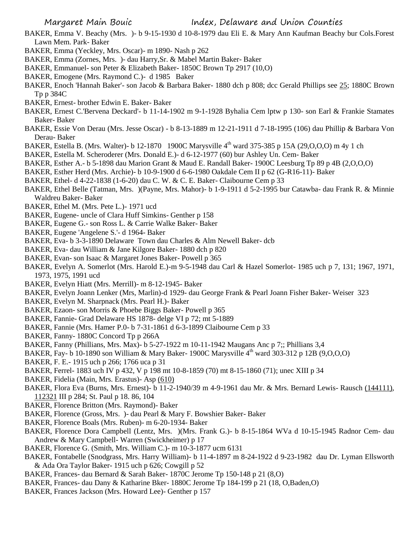- BAKER, Emma V. Beachy (Mrs. )- b 9-15-1930 d 10-8-1979 dau Eli E. & Mary Ann Kaufman Beachy bur Cols.Forest Lawn Mem. Park- Baker
- BAKER, Emma (Yeckley, Mrs. Oscar)- m 1890- Nash p 262
- BAKER, Emma (Zornes, Mrs. )- dau Harry,Sr. & Mabel Martin Baker- Baker
- BAKER, Emmanuel- son Peter & Elizabeth Baker- 1850C Brown Tp 2917 (10,O)
- BAKER, Emogene (Mrs. Raymond C.)- d 1985 Baker
- BAKER, Enoch 'Hannah Baker'- son Jacob & Barbara Baker- 1880 dch p 808; dcc Gerald Phillips see 25; 1880C Brown Tp p 384C
- BAKER, Ernest- brother Edwin E. Baker- Baker
- BAKER, Ernest C.'Bervena Deckard'- b 11-14-1902 m 9-1-1928 Byhalia Cem lptw p 130- son Earl & Frankie Stamates Baker- Baker
- BAKER, Essie Von Derau (Mrs. Jesse Oscar) b 8-13-1889 m 12-21-1911 d 7-18-1995 (106) dau Phillip & Barbara Von Derau- Baker
- BAKER, Estella B. (Mrs. Walter)- b 12-1870 1900C Marysville 4<sup>th</sup> ward 375-385 p 15A (29, O, O, O) m 4y 1 ch
- BAKER, Estella M. Scheroderer (Mrs. Donald E.)- d 6-12-1977 (60) bur Ashley Un. Cem- Baker
- BAKER, Esther A.- b 5-1898 dau Marion Grant & Maud E. Randall Baker- 1900C Leesburg Tp 89 p 4B (2,O,O,O)
- BAKER, Esther Herd (Mrs. Archie)- b 10-9-1900 d 6-6-1980 Oakdale Cem II p 62 (G-R16-11)- Baker
- BAKER, Ethel- d 4-22-1838 (1-6-20) dau C. W. & C. E. Baker- Claibourne Cem p 33
- BAKER, Ethel Belle (Tatman, Mrs. )(Payne, Mrs. Mahor)- b 1-9-1911 d 5-2-1995 bur Catawba- dau Frank R. & Minnie Waldreu Baker- Baker
- BAKER, Ethel M. (Mrs. Pete L.)- 1971 ucd
- BAKER, Eugene- uncle of Clara Huff Simkins- Genther p 158
- BAKER, Eugene G.- son Ross L. & Carrie Walke Baker- Baker
- BAKER, Eugene 'Angelene S.'- d 1964- Baker
- BAKER, Eva- b 3-3-1890 Delaware Town dau Charles & Alm Newell Baker- dcb
- BAKER, Eva- dau William & Jane Kilgore Baker- 1880 dch p 820
- BAKER, Evan- son Isaac & Margaret Jones Baker- Powell p 365
- BAKER, Evelyn A. Somerlot (Mrs. Harold E.)-m 9-5-1948 dau Carl & Hazel Somerlot- 1985 uch p 7, 131; 1967, 1971, 1973, 1975, 1991 ucd
- BAKER, Evelyn Hiatt (Mrs. Merrill)- m 8-12-1945- Baker
- BAKER, Evelyn Joann Lenker (Mrs, Marlin)-d 1929- dau George Frank & Pearl Joann Fisher Baker- Weiser 323
- BAKER, Evelyn M. Sharpnack (Mrs. Pearl H.)- Baker
- BAKER, Ezaon- son Morris & Phoebe Biggs Baker- Powell p 365
- BAKER, Fannie- Grad Delaware HS 1878- delge VI p 72; mt 5-1889
- BAKER, Fannie (Mrs. Hamer P.0- b 7-31-1861 d 6-3-1899 Claibourne Cem p 33
- BAKER, Fanny- 1880C Concord Tp p 266A
- BAKER, Fanny (Phillians, Mrs. Max)- b 5-27-1922 m 10-11-1942 Maugans Anc p 7;; Phillians 3,4
- BAKER, Fay- b 10-1890 son William & Mary Baker- 1900C Marysville  $4<sup>th</sup>$  ward 303-312 p 12B (9,0,0,0)
- BAKER, F. E.- 1915 uch p 266; 1766 uca p 31
- BAKER, Ferrel- 1883 uch IV p 432, V p 198 mt 10-8-1859 (70) mt 8-15-1860 (71); unec XIII p 34
- BAKER, Fidelia (Main, Mrs. Erastus)- Asp (610)
- BAKER, Flora Eva (Burns, Mrs. Ernest)- b 11-2-1940/39 m 4-9-1961 dau Mr. & Mrs. Bernard Lewis- Rausch (144111), 112321 III p 284; St. Paul p 18. 86, 104
- BAKER, Florence Britton (Mrs. Raymond)- Baker
- BAKER, Florence (Gross, Mrs. )- dau Pearl & Mary F. Bowshier Baker- Baker
- BAKER, Florence Boals (Mrs. Ruben)- m 6-20-1934- Baker
- BAKER, Florence Dora Campbell (Lentz, Mrs. )(Mrs. Frank G.)- b 8-15-1864 WVa d 10-15-1945 Radnor Cem- dau Andrew & Mary Campbell- Warren (Swickheimer) p 17
- BAKER, Florence G. (Smith, Mrs. William C.)- m 10-3-1877 ucm 6131
- BAKER, Fontabelle (Snodgrass, Mrs. Harry William)- b 11-4-1897 m 8-24-1922 d 9-23-1982 dau Dr. Lyman Ellsworth & Ada Ora Taylor Baker- 1915 uch p 626; Cowgill p 52
- BAKER, Frances- dau Bernard & Sarah Baker- 1870C Jerome Tp 150-148 p 21 (8,O)
- BAKER, Frances- dau Dany & Katharine Bker- 1880C Jerome Tp 184-199 p 21 (18, O,Baden,O)
- BAKER, Frances Jackson (Mrs. Howard Lee)- Genther p 157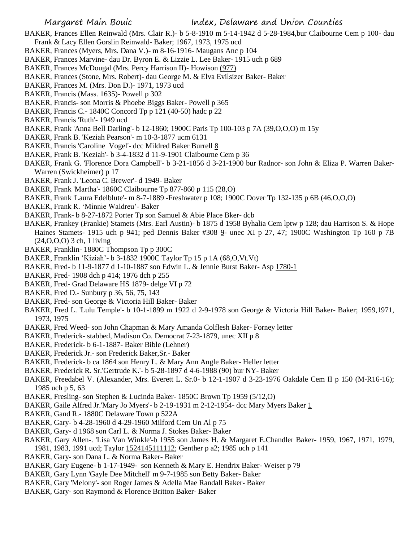- BAKER, Frances Ellen Reinwald (Mrs. Clair R.)- b 5-8-1910 m 5-14-1942 d 5-28-1984,bur Claibourne Cem p 100- dau Frank & Lacy Ellen Gorslin Reinwald- Baker; 1967, 1973, 1975 ucd
- BAKER, Frances (Myers, Mrs. Dana V.)- m 8-16-1916- Maugans Anc p 104
- BAKER, Frances Marvine- dau Dr. Byron E. & Lizzie L. Lee Baker- 1915 uch p 689
- BAKER, Frances McDougal (Mrs. Percy Harrison II)- Howison (977)
- BAKER, Frances (Stone, Mrs. Robert)- dau George M. & Elva Evilsizer Baker- Baker
- BAKER, Frances M. (Mrs. Don D.)- 1971, 1973 ucd
- BAKER, Francis (Mass. 1635)- Powell p 302
- BAKER, Francis- son Morris & Phoebe Biggs Baker- Powell p 365
- BAKER, Francis C.- 1840C Concord Tp p 121 (40-50) hadc p 22
- BAKER, Francis 'Ruth'- 1949 ucd
- BAKER, Frank 'Anna Bell Darling'- b 12-1860; 1900C Paris Tp 100-103 p 7A (39,O,O,O) m 15y
- BAKER, Frank B. 'Keziah Pearson'- m 10-3-1877 ucm 6131
- BAKER, Francis 'Caroline Vogel'- dcc Mildred Baker Burrell 8
- BAKER, Frank B. 'Keziah'- b 3-4-1832 d 11-9-1901 Claibourne Cem p 36
- BAKER, Frank G. 'Florence Dora Campbell'- b 3-21-1856 d 3-21-1900 bur Radnor- son John & Eliza P. Warren Baker-Warren (Swickheimer) p 17
- BAKER, Frank J. 'Leona C. Brewer'- d 1949- Baker
- BAKER, Frank 'Martha'- 1860C Claibourne Tp 877-860 p 115 (28,O)
- BAKER, Frank 'Laura Edelblute'- m 8-7-1889 -Freshwater p 108; 1900C Dover Tp 132-135 p 6B (46,O,O,O)
- BAKER, Frank R. 'Minnie Waldreu'- Baker
- BAKER, Frank- b 8-27-1872 Porter Tp son Samuel & Abie Place Bker- dcb
- BAKER, Frankey (Frankie) Stamets (Mrs. Earl Austin)- b 1875 d 1958 Byhalia Cem lptw p 128; dau Harrison S. & Hope Haines Stamets- 1915 uch p 941; ped Dennis Baker #308 9- unec XI p 27, 47; 1900C Washington Tp 160 p 7B (24,O,O,O) 3 ch, 1 living
- BAKER, Franklin- 1880C Thompson Tp p 300C
- BAKER, Franklin 'Kiziah'- b 3-1832 1900C Taylor Tp 15 p 1A (68,O,Vt.Vt)
- BAKER, Fred- b 11-9-1877 d 1-10-1887 son Edwin L. & Jennie Burst Baker- Asp 1780-1
- BAKER, Fred- 1908 dch p 414; 1976 dch p 255
- BAKER, Fred- Grad Delaware HS 1879- delge VI p 72
- BAKER, Fred D.- Sunbury p 36, 56, 75, 143
- BAKER, Fred- son George & Victoria Hill Baker- Baker
- BAKER, Fred L. 'Lulu Temple'- b 10-1-1899 m 1922 d 2-9-1978 son George & Victoria Hill Baker- Baker; 1959,1971, 1973, 1975
- BAKER, Fred Weed- son John Chapman & Mary Amanda Colflesh Baker- Forney letter
- BAKER, Frederick- stabbed, Madison Co. Democrat 7-23-1879, unec XII p 8
- BAKER, Frederick- b 6-1-1887- Baker Bible (Lehner)
- BAKER, Frederick Jr.- son Frederick Baker,Sr.- Baker
- BAKER, Frederick- b ca 1864 son Henry L. & Mary Ann Angle Baker- Heller letter
- BAKER, Frederick R. Sr.'Gertrude K.'- b 5-28-1897 d 4-6-1988 (90) bur NY- Baker
- BAKER, Freedabel V. (Alexander, Mrs. Everett L. Sr.0- b 12-1-1907 d 3-23-1976 Oakdale Cem II p 150 (M-R16-16); 1985 uch p 5, 63
- BAKER, Fresling- son Stephen & Lucinda Baker- 1850C Brown Tp 1959 (5/12,O)
- BAKER, Gaile Alfred Jr.'Mary Jo Myers'- b 2-19-1931 m 2-12-1954- dcc Mary Myers Baker 1
- BAKER, Gand R.- 1880C Delaware Town p 522A
- BAKER, Gary- b 4-28-1960 d 4-29-1960 Milford Cem Un Al p 75
- BAKER, Gary- d 1968 son Carl L. & Norma J. Stokes Baker- Baker
- BAKER, Gary Allen-. 'Lisa Van Winkle'-b 1955 son James H. & Margaret E.Chandler Baker- 1959, 1967, 1971, 1979, 1981, 1983, 1991 ucd; Taylor 1524145111112; Genther p a2; 1985 uch p 141
- BAKER, Gary- son Dana L. & Norma Baker- Baker
- BAKER, Gary Eugene- b 1-17-1949- son Kenneth & Mary E. Hendrix Baker- Weiser p 79
- BAKER, Gary Lynn 'Gayle Dee Mitchell' m 9-7-1985 son Betty Baker- Baker
- BAKER, Gary 'Melony'- son Roger James & Adella Mae Randall Baker- Baker
- BAKER, Gary- son Raymond & Florence Britton Baker- Baker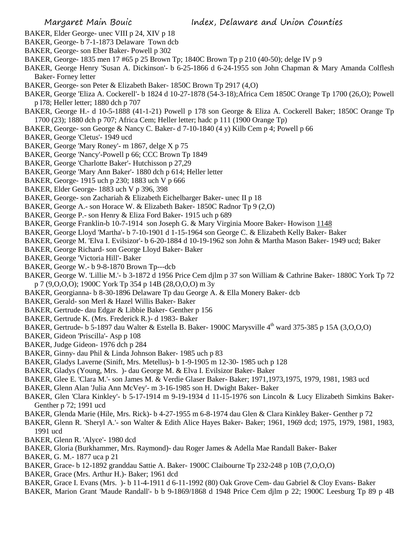- BAKER, Elder George- unec VIII p 24, XIV p 18
- BAKER, George- b 7-1-1873 Delaware Town dcb
- BAKER, George- son Eber Baker- Powell p 302
- BAKER, George- 1835 men 17 #65 p 25 Brown Tp; 1840C Brown Tp p 210 (40-50); delge IV p 9
- BAKER, George Henry 'Susan A. Dickinson'- b 6-25-1866 d 6-24-1955 son John Chapman & Mary Amanda Colflesh Baker- Forney letter
- BAKER, George- son Peter & Elizabeth Baker- 1850C Brown Tp 2917 (4,O)
- BAKER, George 'Eliza A. Cockerell'- b 1824 d 10-27-1878 (54-3-18);Africa Cem 1850C Orange Tp 1700 (26,O); Powell p l78; Heller letter; 1880 dch p 707
- BAKER, George H.- d 10-5-1888 (41-1-21) Powell p 178 son George & Eliza A. Cockerell Baker; 1850C Orange Tp 1700 (23); 1880 dch p 707; Africa Cem; Heller letter; hadc p 111 (1900 Orange Tp)
- BAKER, George- son George & Nancy C. Baker- d 7-10-1840 (4 y) Kilb Cem p 4; Powell p 66
- BAKER, George 'Cletus'- 1949 ucd
- BAKER, George 'Mary Roney'- m 1867, delge X p 75
- BAKER, George 'Nancy'-Powell p 66; CCC Brown Tp 1849
- BAKER, George 'Charlotte Baker'- Hutchisson p 27,29
- BAKER, George 'Mary Ann Baker'- 1880 dch p 614; Heller letter
- BAKER, George- 1915 uch p 230; 1883 uch V p 666
- BAKER, Elder George- 1883 uch V p 396, 398
- BAKER, George- son Zachariah & Elizabeth Eichelbarger Baker- unec II p 18
- BAKER, George A.- son Horace W. & Elizabeth Baker- 1850C Radnor Tp 9 (2,O)
- BAKER, George P.- son Henry & Eliza Ford Baker- 1915 uch p 689
- BAKER, George Franklin-b 10-7-1914 son Joseph G. & Mary Virginia Moore Baker- Howison 1148
- BAKER, George Lloyd 'Martha'- b 7-10-1901 d 1-15-1964 son George C. & Elizabeth Kelly Baker- Baker
- BAKER, George M. 'Elva I. Evilsizor'- b 6-20-1884 d 10-19-1962 son John & Martha Mason Baker- 1949 ucd; Baker
- BAKER, George Richard- son George Lloyd Baker- Baker
- BAKER, George 'Victoria Hill'- Baker
- BAKER, George W.- b 9-8-1870 Brown Tp---dcb
- BAKER, George W. 'Lillie M.'- b 3-1872 d 1956 Price Cem djlm p 37 son William & Cathrine Baker- 1880C York Tp 72 p 7 (9,O,O,O); 1900C York Tp 354 p 14B (28,O,O,O) m 3y
- BAKER, Georgianna- b 8-30-1896 Delaware Tp dau George A. & Ella Monery Baker- dcb
- BAKER, Gerald- son Merl & Hazel Willis Baker- Baker
- BAKER, Gertrude- dau Edgar & Libbie Baker- Genther p 156
- BAKER, Gertrude K. (Mrs. Frederick R.)- d 1983- Baker
- BAKER, Gertrude- b 5-1897 dau Walter & Estella B. Baker- 1900C Marysville 4<sup>th</sup> ward 375-385 p 15A (3,O,O,O)
- BAKER, Gideon 'Priscilla'- Asp p 108
- BAKER, Judge Gideon- 1976 dch p 284
- BAKER, Ginny- dau Phil & Linda Johnson Baker- 1985 uch p 83
- BAKER, Gladys Laverne (Sinift, Mrs. Metellus)- b 1-9-1905 m 12-30- 1985 uch p 128
- BAKER, Gladys (Young, Mrs. )- dau George M. & Elva I. Evilsizor Baker- Baker
- BAKER, Glee E. 'Clara M.'- son James M. & Verdie Glaser Baker- Baker; 1971,1973,1975, 1979, 1981, 1983 ucd
- BAKER, Glenn Alan 'Julia Ann McVey'- m 3-16-1985 son H. Dwight Baker- Baker
- BAKER, Glen 'Clara Kinkley'- b 5-17-1914 m 9-19-1934 d 11-15-1976 son Lincoln & Lucy Elizabeth Simkins Baker-Genther p 72; 1991 ucd
- BAKER, Glenda Marie (Hile, Mrs. Rick)- b 4-27-1955 m 6-8-1974 dau Glen & Clara Kinkley Baker- Genther p 72
- BAKER, Glenn R. 'Sheryl A.'- son Walter & Edith Alice Hayes Baker- Baker; 1961, 1969 dcd; 1975, 1979, 1981, 1983, 1991 ucd
- BAKER, Glenn R. 'Alyce'- 1980 dcd
- BAKER, Gloria (Burkhammer, Mrs. Raymond)- dau Roger James & Adella Mae Randall Baker- Baker
- BAKER, G. M.- 1877 uca p 21
- BAKER, Grace- b 12-1892 granddau Sattie A. Baker- 1900C Claibourne Tp 232-248 p 10B (7,O,O,O)
- BAKER, Grace (Mrs. Arthur H.)- Baker; 1961 dcd
- BAKER, Grace I. Evans (Mrs. )- b 11-4-1911 d 6-11-1992 (80) Oak Grove Cem- dau Gabriel & Cloy Evans- Baker
- BAKER, Marion Grant 'Maude Randall'- b b 9-1869/1868 d 1948 Price Cem djlm p 22; 1900C Leesburg Tp 89 p 4B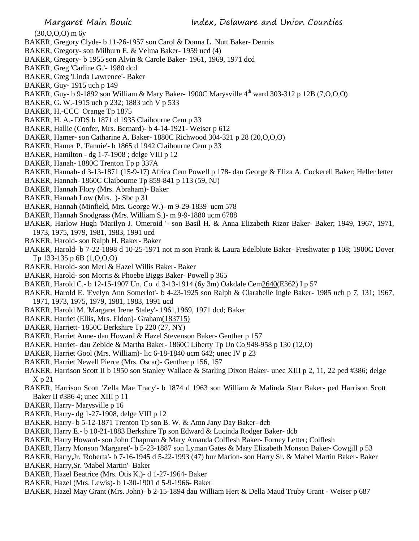$(30,0,0,0)$  m 6y

- BAKER, Gregory Clyde- b 11-26-1957 son Carol & Donna L. Nutt Baker- Dennis
- BAKER, Gregory- son Milburn E. & Velma Baker- 1959 ucd (4)
- BAKER, Gregory- b 1955 son Alvin & Carole Baker- 1961, 1969, 1971 dcd
- BAKER, Greg 'Carline G.'- 1980 dcd
- BAKER, Greg 'Linda Lawrence'- Baker
- BAKER, Guy- 1915 uch p 149
- BAKER, Guy- b 9-1892 son William & Mary Baker- 1900C Marysville 4<sup>th</sup> ward 303-312 p 12B (7, O, O, O)
- BAKER, G. W.-1915 uch p 232; 1883 uch V p 533
- BAKER, H.-CCC Orange Tp 1875
- BAKER, H. A.- DDS b 1871 d 1935 Claibourne Cem p 33
- BAKER, Hallie (Confer, Mrs. Bernard)- b 4-14-1921- Weiser p 612
- BAKER, Hamer- son Catharine A. Baker- 1880C Richwood 304-321 p 28 (20,O,O,O)
- BAKER, Hamer P. 'Fannie'- b 1865 d 1942 Claibourne Cem p 33
- BAKER, Hamilton dg 1-7-1908 ; delge VIII p 12
- BAKER, Hanah- 1880C Trenton Tp p 337A
- BAKER, Hannah- d 3-13-1871 (15-9-17) Africa Cem Powell p 178- dau George & Eliza A. Cockerell Baker; Heller letter
- BAKER, Hannah- 1860C Claibourne Tp 859-841 p 113 (59, NJ)
- BAKER, Hannah Flory (Mrs. Abraham)- Baker
- BAKER, Hannah Low (Mrs. )- Sbc p 31
- BAKER, Hannah (Minfield, Mrs. George W.)- m 9-29-1839 ucm 578
- BAKER, Hannah Snodgrass (Mrs. William S.)- m 9-9-1880 ucm 6788
- BAKER, Harlow Hugh 'Marilyn J. Omeroid '- son Basil H. & Anna Elizabeth Rizor Baker- Baker; 1949, 1967, 1971, 1973, 1975, 1979, 1981, 1983, 1991 ucd
- BAKER, Harold- son Ralph H. Baker- Baker
- BAKER, Harold- b 7-22-1898 d 10-25-1971 not m son Frank & Laura Edelblute Baker- Freshwater p 108; 1900C Dover Tp 133-135 p 6B (1,O,O,O)
- BAKER, Harold- son Merl & Hazel Willis Baker- Baker
- BAKER, Harold- son Morris & Phoebe Biggs Baker- Powell p 365
- BAKER, Harold C.- b 12-15-1907 Un. Co d 3-13-1914 (6y 3m) Oakdale Cem2640(E362) I p 57
- BAKER, Harold E. 'Evelyn Ann Somerlot'- b 4-23-1925 son Ralph & Clarabelle Ingle Baker- 1985 uch p 7, 131; 1967, 1971, 1973, 1975, 1979, 1981, 1983, 1991 ucd
- BAKER, Harold M. 'Margaret Irene Staley'- 1961,1969, 1971 dcd; Baker
- BAKER, Harriet (Ellis, Mrs. Eldon)- Graham(183715)
- BAKER, Harriett- 1850C Berkshire Tp 220 (27, NY)
- BAKER, Harriet Anne- dau Howard & Hazel Stevenson Baker- Genther p 157
- BAKER, Harriet- dau Zebide & Martha Baker- 1860C Liberty Tp Un Co 948-958 p 130 (12,O)
- BAKER, Harriet Gool (Mrs. William)- lic 6-18-1840 ucm 642; unec IV p 23
- BAKER, Harriet Newell Pierce (Mrs. Oscar)- Genther p 156, 157
- BAKER, Harrison Scott II b 1950 son Stanley Wallace & Starling Dixon Baker- unec XIII p 2, 11, 22 ped #386; delge X p 21
- BAKER, Harrison Scott 'Zella Mae Tracy'- b 1874 d 1963 son William & Malinda Starr Baker- ped Harrison Scott Baker II #386 4; unec XIII p 11
- BAKER, Harry- Marysville p 16
- BAKER, Harry- dg 1-27-1908, delge VIII p 12
- BAKER, Harry- b 5-12-1871 Trenton Tp son B. W. & Amn Jany Day Baker- dcb
- BAKER, Harry E.- b 10-21-1883 Berkshire Tp son Edward & Lucinda Rodger Baker- dcb
- BAKER, Harry Howard- son John Chapman & Mary Amanda Colflesh Baker- Forney Letter; Colflesh
- BAKER, Harry Monson 'Margaret'- b 5-23-1887 son Lyman Gates & Mary Elizabeth Monson Baker- Cowgill p 53
- BAKER, Harry,Jr. 'Roberta'- b 7-16-1945 d 5-22-1993 (47) bur Marion- son Harry Sr. & Mabel Martin Baker- Baker
- BAKER, Harry,Sr. 'Mabel Martin'- Baker
- BAKER, Hazel Beatrice (Mrs. Otis K.)- d 1-27-1964- Baker
- BAKER, Hazel (Mrs. Lewis)- b 1-30-1901 d 5-9-1966- Baker
- BAKER, Hazel May Grant (Mrs. John)- b 2-15-1894 dau William Hert & Della Maud Truby Grant Weiser p 687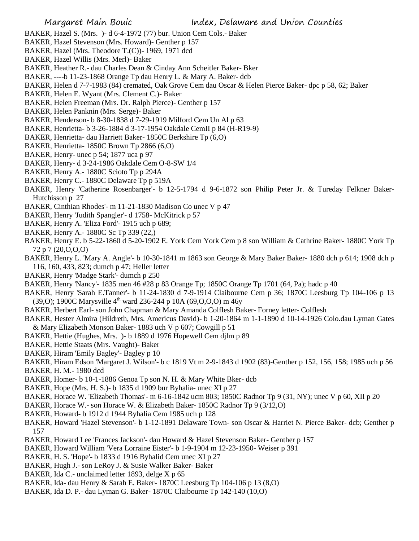- BAKER, Hazel S. (Mrs. )- d 6-4-1972 (77) bur. Union Cem Cols.- Baker
- BAKER, Hazel Stevenson (Mrs. Howard)- Genther p 157
- BAKER, Hazel (Mrs. Theodore T.(C))- 1969, 1971 dcd
- BAKER, Hazel Willis (Mrs. Merl)- Baker
- BAKER, Heather R.- dau Charles Dean & Cinday Ann Scheitler Baker- Bker
- BAKER, ----b 11-23-1868 Orange Tp dau Henry L. & Mary A. Baker- dcb
- BAKER, Helen d 7-7-1983 (84) cremated, Oak Grove Cem dau Oscar & Helen Pierce Baker- dpc p 58, 62; Baker
- BAKER, Helen E. Wyant (Mrs. Clement C.)- Baker
- BAKER, Helen Freeman (Mrs. Dr. Ralph Pierce)- Genther p 157
- BAKER, Helen Panknin (Mrs. Serge)- Baker
- BAKER, Henderson- b 8-30-1838 d 7-29-1919 Milford Cem Un Al p 63
- BAKER, Henrietta- b 3-26-1884 d 3-17-1954 Oakdale CemII p 84 (H-R19-9)
- BAKER, Henrietta- dau Harriett Baker- 1850C Berkshire Tp (6,O)
- BAKER, Henrietta- 1850C Brown Tp 2866 (6,O)
- BAKER, Henry- unec p 54; 1877 uca p 97
- BAKER, Henry- d 3-24-1986 Oakdale Cem O-8-SW 1/4
- BAKER, Henry A.- 1880C Scioto Tp p 294A
- BAKER, Henry C.- 1880C Delaware Tp p 519A
- BAKER, Henry 'Catherine Rosenbarger'- b 12-5-1794 d 9-6-1872 son Philip Peter Jr. & Tureday Felkner Baker-Hutchisson p 27
- BAKER, Cinthian Rhodes'- m 11-21-1830 Madison Co unec V p 47
- BAKER, Henry 'Judith Spangler'- d 1758- McKitrick p 57
- BAKER, Henry A. 'Eliza Ford'- 1915 uch p 689;
- BAKER, Henry A.- 1880C Sc Tp 339 (22,)
- BAKER, Henry E. b 5-22-1860 d 5-20-1902 E. York Cem York Cem p 8 son William & Cathrine Baker- 1880C York Tp 72 p 7 (20,O,O,O)
- BAKER, Henry L. 'Mary A. Angle'- b 10-30-1841 m 1863 son George & Mary Baker Baker- 1880 dch p 614; 1908 dch p 116, 160, 433, 823; dumch p 47; Heller letter
- BAKER, Henry 'Madge Stark'- dumch p 250
- BAKER, Henry 'Nancy'- 1835 men 46 #28 p 83 Orange Tp; 1850C Orange Tp 1701 (64, Pa); hadc p 40
- BAKER, Henry 'Sarah E.Tanner'- b 11-24-1830 d 7-9-1914 Claibourne Cem p 36; 1870C Leesburg Tp 104-106 p 13 (39,0); 1900C Marysville  $4^{\text{th}}$  ward 236-244 p 10A (69,0,0,0) m 46y
- BAKER, Herbert Earl- son John Chapman & Mary Amanda Colflesh Baker- Forney letter- Colflesh
- BAKER, Hester Almira (Hildreth, Mrs. Americus David)- b 1-20-1864 m 1-1-1890 d 10-14-1926 Colo.dau Lyman Gates & Mary Elizabeth Monson Baker- 1883 uch V p 607; Cowgill p 51
- BAKER, Hettie (Hughes, Mrs. )- b 1889 d 1976 Hopewell Cem djlm p 89
- BAKER, Hettie Staats (Mrs. Vaught)- Baker
- BAKER, Hiram 'Emily Bagley'- Bagley p 10
- BAKER, Hiram Edson 'Margaret J. Wilson'- b c 1819 Vt m 2-9-1843 d 1902 (83)-Genther p 152, 156, 158; 1985 uch p 56
- BAKER, H. M.- 1980 dcd
- BAKER, Homer- b 10-1-1886 Genoa Tp son N. H. & Mary White Bker- dcb
- BAKER, Hope (Mrs. H. S.)- b 1835 d 1909 bur Byhalia- unec XI p 27
- BAKER, Horace W. 'Elizabeth Thomas'- m 6-16-1842 ucm 803; 1850C Radnor Tp 9 (31, NY); unec V p 60, XII p 20
- BAKER, Horace W.- son Horace W. & Elizabeth Baker- 1850C Radnor Tp 9 (3/12,O)
- BAKER, Howard- b 1912 d 1944 Byhalia Cem 1985 uch p 128
- BAKER, Howard 'Hazel Stevenson'- b 1-12-1891 Delaware Town- son Oscar & Harriet N. Pierce Baker- dcb; Genther p 157
- BAKER, Howard Lee 'Frances Jackson'- dau Howard & Hazel Stevenson Baker- Genther p 157
- BAKER, Howard William 'Vera Lorraine Eister'- b 1-9-1904 m 12-23-1950- Weiser p 391
- BAKER, H. S. 'Hope'- b 1833 d 1916 Byhalid Cem unec XI p 27
- BAKER, Hugh J.- son LeRoy J. & Susie Walker Baker- Baker
- BAKER, Ida C.- unclaimed letter 1893, delge X p 65
- BAKER, Ida- dau Henry & Sarah E. Baker- 1870C Leesburg Tp 104-106 p 13 (8,O)
- BAKER, Ida D. P.- dau Lyman G. Baker- 1870C Claibourne Tp 142-140 (10,O)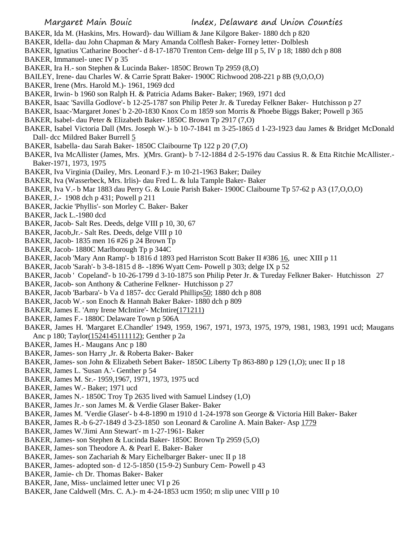- BAKER, Ida M. (Haskins, Mrs. Howard)- dau William & Jane Kilgore Baker- 1880 dch p 820
- BAKER, Idella- dau John Chapman & Mary Amanda Colflesh Baker- Forney letter- Dolblesh
- BAKER, Ignatius 'Catharine Boocher'- d 8-17-1870 Trenton Cem- delge III p 5, IV p 18; 1880 dch p 808 BAKER, Immanuel- unec IV p 35
- BAKER, Ira H.- son Stephen & Lucinda Baker- 1850C Brown Tp 2959 (8,O)
- BAILEY, Irene- dau Charles W. & Carrie Spratt Baker- 1900C Richwood 208-221 p 8B (9,O,O,O)
- BAKER, Irene (Mrs. Harold M.)- 1961, 1969 dcd
- BAKER, Irwin- b 1960 son Ralph H. & Patricia Adams Baker- Baker; 1969, 1971 dcd
- BAKER, Isaac 'Savilla Godlove'- b 12-25-1787 son Philip Peter Jr. & Tureday Felkner Baker- Hutchisson p 27
- BAKER, Isaac-'Margaret Jones' b 2-20-1830 Knox Co m 1859 son Morris & Phoebe Biggs Baker; Powell p 365
- BAKER, Isabel- dau Peter & Elizabeth Baker- 1850C Brown Tp 2917 (7,O)
- BAKER, Isabel Victoria Dall (Mrs. Joseph W.)- b 10-7-1841 m 3-25-1865 d 1-23-1923 dau James & Bridget McDonald Dall- dcc Mildred Baker Burrell 5
- BAKER, Isabella- dau Sarah Baker- 1850C Claibourne Tp 122 p 20 (7,O)
- BAKER, Iva McAllister (James, Mrs. )(Mrs. Grant)- b 7-12-1884 d 2-5-1976 dau Cassius R. & Etta Ritchie McAllister.- Baker-1971, 1973, 1975
- BAKER, Iva Virginia (Dailey, Mrs. Leonard F.)- m 10-21-1963 Baker; Dailey
- BAKER, Iva (Wasserbeck, Mrs. Irlis)- dau Fred L. & lula Tample Baker- Baker
- BAKER, Iva V.- b Mar 1883 dau Perry G. & Louie Parish Baker- 1900C Claibourne Tp 57-62 p A3 (17,O,O,O)
- BAKER, J.- 1908 dch p 431; Powell p 211
- BAKER, Jackie 'Phyllis'- son Morley C. Baker- Baker
- BAKER, Jack L.-1980 dcd
- BAKER, Jacob- Salt Res. Deeds, delge VIII p 10, 30, 67
- BAKER, Jacob,Jr.- Salt Res. Deeds, delge VIII p 10
- BAKER, Jacob- 1835 men 16 #26 p 24 Brown Tp
- BAKER, Jacob- 1880C Marlborough Tp p 344C
- BAKER, Jacob 'Mary Ann Ramp'- b 1816 d 1893 ped Harriston Scott Baker II #386 16, unec XIII p 11
- BAKER, Jacob 'Sarah'- b 3-8-1815 d 8- -1896 Wyatt Cem- Powell p 303; delge IX p 52
- BAKER, Jacob ' Copeland'- b 10-26-1799 d 3-10-1875 son Philip Peter Jr. & Tureday Felkner Baker- Hutchisson 27
- BAKER, Jacob- son Anthony & Catherine Felkner- Hutchisson p 27
- BAKER, Jacob 'Barbara'- b Va d 1857- dcc Gerald Phillips50; 1880 dch p 808
- BAKER, Jacob W.- son Enoch & Hannah Baker Baker- 1880 dch p 809
- BAKER, James E. 'Amy Irene McIntire'- McIntire(171211)
- BAKER, James F.- 1880C Delaware Town p 506A
- BAKER, James H. 'Margaret E.Chandler' 1949, 1959, 1967, 1971, 1973, 1975, 1979, 1981, 1983, 1991 ucd; Maugans Anc p 180; Taylor(1524145111112); Genther p 2a
- BAKER, James H.- Maugans Anc p 180
- BAKER, James- son Harry ,Jr. & Roberta Baker- Baker
- BAKER, James- son John & Elizabeth Sebert Baker- 1850C Liberty Tp 863-880 p 129 (1,O); unec II p 18
- BAKER, James L. 'Susan A.'- Genther p 54
- BAKER, James M. Sr.- 1959,1967, 1971, 1973, 1975 ucd
- BAKER, James W.- Baker; 1971 ucd
- BAKER, James N.- 1850C Troy Tp 2635 lived with Samuel Lindsey (1,O)
- BAKER, James Jr.- son James M. & Verdie Glaser Baker- Baker
- BAKER, James M. 'Verdie Glaser'- b 4-8-1890 m 1910 d 1-24-1978 son George & Victoria Hill Baker- Baker
- BAKER, James R.-b 6-27-1849 d 3-23-1850 son Leonard & Caroline A. Main Baker- Asp 1779
- BAKER, James W.'Jimi Ann Stewart'- m 1-27-1961- Baker
- BAKER, James- son Stephen & Lucinda Baker- 1850C Brown Tp 2959 (5,O)
- BAKER, James- son Theodore A. & Pearl E. Baker- Baker
- BAKER, James- son Zachariah & Mary Eichelbarger Baker- unec II p 18
- BAKER, James- adopted son- d 12-5-1850 (15-9-2) Sunbury Cem- Powell p 43
- BAKER, Jamie- ch Dr. Thomas Baker- Baker
- BAKER, Jane, Miss- unclaimed letter unec VI p 26
- BAKER, Jane Caldwell (Mrs. C. A.)- m 4-24-1853 ucm 1950; m slip unec VIII p 10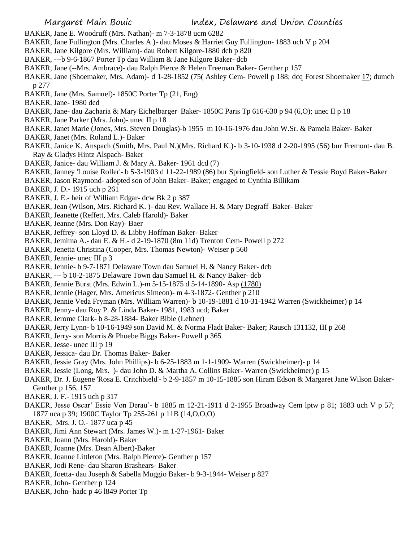- BAKER, Jane E. Woodruff (Mrs. Nathan)- m 7-3-1878 ucm 6282
- BAKER, Jane Fullington (Mrs. Charles A.)- dau Moses & Harriet Guy Fullington- 1883 uch V p 204
- BAKER, Jane Kilgore (Mrs. William)- dau Robert Kilgore-1880 dch p 820
- BAKER, ---b 9-6-1867 Porter Tp dau William & Jane Kilgore Baker- dcb
- BAKER, Jane (--Mrs. Ambrace)- dau Ralph Pierce & Helen Freeman Baker- Genther p 157
- BAKER, Jane (Shoemaker, Mrs. Adam)- d 1-28-1852 (75( Ashley Cem- Powell p 188; dcq Forest Shoemaker 17; dumch p 277
- BAKER, Jane (Mrs. Samuel)- 1850C Porter Tp (21, Eng)
- BAKER, Jane- 1980 dcd
- BAKER, Jane- dau Zacharia & Mary Eichelbarger Baker- 1850C Paris Tp 616-630 p 94 (6,O); unec II p 18
- BAKER, Jane Parker (Mrs. John)- unec II p 18
- BAKER, Janet Marie (Jones, Mrs. Steven Douglas)-b 1955 m 10-16-1976 dau John W.Sr. & Pamela Baker- Baker
- BAKER, Janet (Mrs. Roland L.)- Baker
- BAKER, Janice K. Anspach (Smith, Mrs. Paul N.)(Mrs. Richard K.)- b 3-10-1938 d 2-20-1995 (56) bur Fremont- dau B. Ray & Gladys Hintz Alspach- Baker
- BAKER, Janice- dau William J. & Mary A. Baker- 1961 dcd (7)
- BAKER, Janney 'Louise Roller'- b 5-3-1903 d 11-22-1989 (86) bur Springfield- son Luther & Tessie Boyd Baker-Baker
- BAKER, Jason Raymond- adopted son of John Baker- Baker; engaged to Cynthia Billikam
- BAKER, J. D.- 1915 uch p 261
- BAKER, J. E.- heir of William Edgar- dcw Bk 2 p 387
- BAKER, Jean (Wilson, Mrs. Richard K. )- dau Rev. Wallace H. & Mary Degraff Baker- Baker
- BAKER, Jeanette (Reffett, Mrs. Caleb Harold)- Baker
- BAKER, Jeanne (Mrs. Don Ray)- Baer
- BAKER, Jeffrey- son Lloyd D. & Libby Hoffman Baker- Baker
- BAKER, Jemima A.- dau E. & H.- d 2-19-1870 (8m 11d) Trenton Cem- Powell p 272
- BAKER, Jenetta Christina (Cooper, Mrs. Thomas Newton)- Weiser p 560
- BAKER, Jennie- unec III p 3
- BAKER, Jennie- b 9-7-1871 Delaware Town dau Samuel H. & Nancy Baker- dcb
- BAKER, --- b 10-2-1875 Delaware Town dau Samuel H. & Nancy Baker- dcb
- BAKER, Jennie Burst (Mrs. Edwin L.)-m 5-15-1875 d 5-14-1890- Asp (1780)
- BAKER, Jennie (Hager, Mrs. Americus Simeon)- m 4-3-1872- Genther p 210
- BAKER, Jennie Veda Fryman (Mrs. William Warren)- b 10-19-1881 d 10-31-1942 Warren (Swickheimer) p 14
- BAKER, Jenny- dau Roy P. & Linda Baker- 1981, 1983 ucd; Baker
- BAKER, Jerome Clark- b 8-28-1884- Baker Bible (Lehner)
- BAKER, Jerry Lynn- b 10-16-1949 son David M. & Norma Fladt Baker- Baker; Rausch 131132, III p 268
- BAKER, Jerry- son Morris & Phoebe Biggs Baker- Powell p 365
- BAKER, Jesse- unec III p 19
- BAKER, Jessica- dau Dr. Thomas Baker- Baker
- BAKER, Jessie Gray (Mrs. John Phillips)- b 6-25-1883 m 1-1-1909- Warren (Swickheimer)- p 14
- BAKER, Jessie (Long, Mrs. )- dau John D. & Martha A. Collins Baker- Warren (Swickheimer) p 15
- BAKER, Dr. J. Eugene 'Rosa E. Critchbield'- b 2-9-1857 m 10-15-1885 son Hiram Edson & Margaret Jane Wilson Baker-Genther p 156, 157
- BAKER, J. F.- 1915 uch p 317
- BAKER, Jesse Oscar' Essie Von Derau'- b 1885 m 12-21-1911 d 2-1955 Broadway Cem lptw p 81; 1883 uch V p 57; 1877 uca p 39; 1900C Taylor Tp 255-261 p 11B (14,O,O,O)
- BAKER, Mrs. J. O.- 1877 uca p 45
- BAKER, Jimi Ann Stewart (Mrs. James W.)- m 1-27-1961- Baker
- BAKER, Joann (Mrs. Harold)- Baker
- BAKER, Joanne (Mrs. Dean Albert)-Baker
- BAKER, Joanne Littleton (Mrs. Ralph Pierce)- Genther p 157
- BAKER, Jodi Rene- dau Sharon Brashears- Baker
- BAKER, Joetta- dau Joseph & Sabella Muggio Baker- b 9-3-1944- Weiser p 827
- BAKER, John- Genther p 124
- BAKER, John- hadc p 46 l849 Porter Tp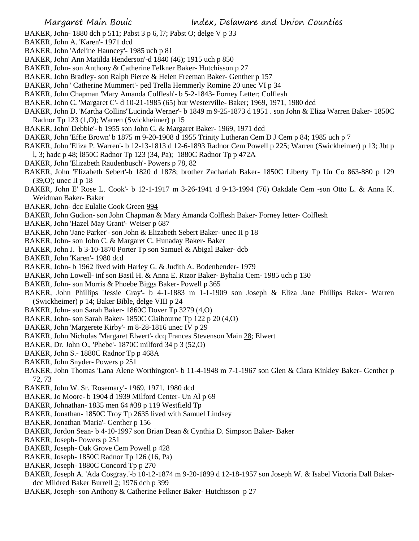- BAKER, John- 1880 dch p 511; Pabst 3 p 6, l7; Pabst O; delge V p 33
- BAKER, John A. 'Karen'- 1971 dcd
- BAKER, John 'Adeline Hauncey'- 1985 uch p 81
- BAKER, John' Ann Matilda Henderson'-d 1840 (46); 1915 uch p 850
- BAKER, John- son Anthony & Catherine Felkner Baker- Hutchisson p 27
- BAKER, John Bradley- son Ralph Pierce & Helen Freeman Baker- Genther p 157
- BAKER, John ' Catherine Mummert'- ped Trella Hemmerly Romine 20 unec VI p 34
- BAKER, John Chapman 'Mary Amanda Colflesh'- b 5-2-1843- Forney Letter; Colflesh
- BAKER, John C. 'Margaret C'- d 10-21-1985 (65) bur Westerville- Baker; 1969, 1971, 1980 dcd
- BAKER, John D. 'Martha Collins''Lucinda Werner'- b 1849 m 9-25-1873 d 1951 . son John & Eliza Warren Baker- 1850C Radnor Tp 123 (1,O); Warren (Swickheimer) p 15
- BAKER, John' Debbie'- b 1955 son John C. & Margaret Baker- 1969, 1971 dcd
- BAKER, John 'Effie Brown' b 1875 m 9-20-1908 d 1955 Trinity Lutheran Cem D J Cem p 84; 1985 uch p 7
- BAKER, John 'Eliza P. Warren'- b 12-13-1813 d 12-6-1893 Radnor Cem Powell p 225; Warren (Swickheimer) p 13; Jbt p
- l, 3; hadc p 48; l850C Radnor Tp 123 (34, Pa); 1880C Radnor Tp p 472A
- BAKER, John 'Elizabeth Raudenbusch'- Powers p 78, 82
- BAKER, John 'Elizabeth Sebert'-b 1820 d 1878; brother Zachariah Baker- 1850C Liberty Tp Un Co 863-880 p 129 (39,O); unec II p 18
- BAKER, John E' Rose L. Cook'- b 12-1-1917 m 3-26-1941 d 9-13-1994 (76) Oakdale Cem -son Otto L. & Anna K. Weidman Baker- Baker
- BAKER, John- dcc Eulalie Cook Green 994
- BAKER, John Gudion- son John Chapman & Mary Amanda Colflesh Baker- Forney letter- Colflesh
- BAKER, John 'Hazel May Grant'- Weiser p 687
- BAKER, John 'Jane Parker'- son John & Elizabeth Sebert Baker- unec II p 18
- BAKER, John- son John C. & Margaret C. Hunaday Baker- Baker
- BAKER, John J. b 3-10-1870 Porter Tp son Samuel & Abigal Baker- dcb
- BAKER, John 'Karen'- 1980 dcd
- BAKER, John- b 1962 lived with Harley G. & Judith A. Bodenbender- 1979
- BAKER, John Lowell- inf son Basil H. & Anna E. Rizor Baker- Byhalia Cem- 1985 uch p 130
- BAKER, John- son Morris & Phoebe Biggs Baker- Powell p 365
- BAKER, John Phillips 'Jessie Gray'- b 4-1-1883 m 1-1-1909 son Joseph & Eliza Jane Phillips Baker- Warren (Swickheimer) p 14; Baker Bible, delge VIII p 24
- BAKER, John- son Sarah Baker- 1860C Dover Tp 3279 (4,O)
- BAKER, John- son Sarah Baker- 1850C Claibourne Tp 122 p 20 (4,O)
- BAKER, John 'Margerete Kirby'- m 8-28-1816 unec IV p 29
- BAKER, John Nicholas 'Margaret Elwert'- dcq Frances Stevenson Main 28; Elwert
- BAKER, Dr. John O., 'Phebe'- 1870C milford 34 p 3 (52,O)
- BAKER, John S.- 1880C Radnor Tp p 468A
- BAKER, John Snyder- Powers p 251
- BAKER, John Thomas 'Lana Alene Worthington'- b 11-4-1948 m 7-1-1967 son Glen & Clara Kinkley Baker- Genther p 72, 73
- BAKER, John W. Sr. 'Rosemary'- 1969, 1971, 1980 dcd
- BAKER, Jo Moore- b 1904 d 1939 Milford Center- Un Al p 69
- BAKER, Johnathan- 1835 men 64 #38 p 119 Westfield Tp
- BAKER, Jonathan- 1850C Troy Tp 2635 lived with Samuel Lindsey
- BAKER, Jonathan 'Maria'- Genther p 156
- BAKER, Jordon Sean- b 4-10-1997 son Brian Dean & Cynthia D. Simpson Baker- Baker
- BAKER, Joseph- Powers p 251
- BAKER, Joseph- Oak Grove Cem Powell p 428
- BAKER, Joseph- 1850C Radnor Tp 126 (16, Pa)
- BAKER, Joseph- 1880C Concord Tp p 270
- BAKER, Joseph A. 'Ada Cosgray.'-b 10-12-1874 m 9-20-1899 d 12-18-1957 son Joseph W. & Isabel Victoria Dall Bakerdcc Mildred Baker Burrell 2; 1976 dch p 399
- BAKER, Joseph- son Anthony & Catherine Felkner Baker- Hutchisson p 27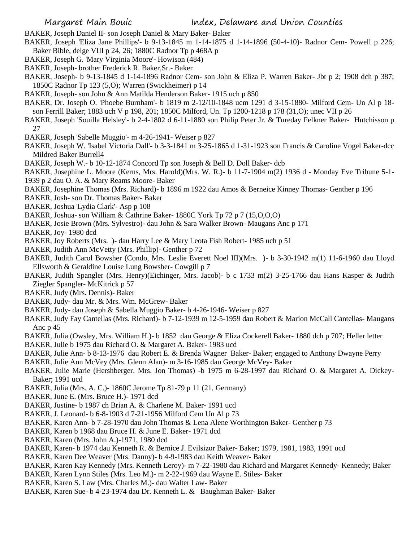- BAKER, Joseph Daniel II- son Joseph Daniel & Mary Baker- Baker
- BAKER, Joseph 'Eliza Jane Phillips'- b 9-13-1845 m 1-14-1875 d 1-14-1896 (50-4-10)- Radnor Cem- Powell p 226; Baker Bible, delge VIII p 24, 26; 1880C Radnor Tp p 468A p
- BAKER, Joseph G. 'Mary Virginia Moore'- Howison (484)
- BAKER, Joseph- brother Frederick R. Baker,Sr.- Baker
- BAKER, Joseph- b 9-13-1845 d 1-14-1896 Radnor Cem- son John & Eliza P. Warren Baker- Jbt p 2; 1908 dch p 387; 1850C Radnor Tp 123 (5,O); Warren (Swickheimer) p 14
- BAKER, Joseph- son John & Ann Matilda Henderson Baker- 1915 uch p 850
- BAKER, Dr. Joseph O. 'Phoebe Burnham'- b 1819 m 2-12/10-1848 ucm 1291 d 3-15-1880- Milford Cem- Un Al p 18 son Ferrill Baker; 1883 uch V p 198, 201; 1850C Milford, Un. Tp 1200-1218 p 178 (31,O); unec VII p 26
- BAKER, Joseph 'Souilla Helsley'- b 2-4-1802 d 6-11-1880 son Philip Peter Jr. & Tureday Felkner Baker- Hutchisson p 27
- BAKER, Joseph 'Sabelle Muggio'- m 4-26-1941- Weiser p 827
- BAKER, Joseph W. 'Isabel Victoria Dall'- b 3-3-1841 m 3-25-1865 d 1-31-1923 son Francis & Caroline Vogel Baker-dcc Mildred Baker Burrell4
- BAKER, Joseph W.- b 10-12-1874 Concord Tp son Joseph & Bell D. Doll Baker- dcb
- BAKER, Josephine L. Moore (Kerns, Mrs. Harold)(Mrs. W. R.)- b 11-7-1904 m(2) 1936 d Monday Eve Tribune 5-1- 1939 p 2 dau O. A. & Mary Reams Moore- Baker
- BAKER, Josephine Thomas (Mrs. Richard)- b 1896 m 1922 dau Amos & Berneice Kinney Thomas- Genther p 196
- BAKER, Josh- son Dr. Thomas Baker- Baker
- BAKER, Joshua 'Lydia Clark'- Asp p 108
- BAKER, Joshua- son William & Cathrine Baker- 1880C York Tp 72 p 7 (15,O,O,O)
- BAKER, Josie Brown (Mrs. Sylvestro)- dau John & Sara Walker Brown- Maugans Anc p 171
- BAKER, Joy- 1980 dcd
- BAKER, Joy Roberts (Mrs. )- dau Harry Lee & Mary Leota Fish Robert- 1985 uch p 51
- BAKER, Judith Ann McVetty (Mrs. Phillip)- Genther p 72
- BAKER, Judith Carol Bowsher (Condo, Mrs. Leslie Everett Noel III)(Mrs. )- b 3-30-1942 m(1) 11-6-1960 dau Lloyd Ellsworth & Geraldine Louise Lung Bowsher- Cowgill p 7
- BAKER, Judith Spangler (Mrs. Henry)(Eichinger, Mrs. Jacob)- b c 1733 m(2) 3-25-1766 dau Hans Kasper & Judith Ziegler Spangler- McKitrick p 57
- BAKER, Judy (Mrs. Dennis)- Baker
- BAKER, Judy- dau Mr. & Mrs. Wm. McGrew- Baker
- BAKER, Judy- dau Joseph & Sabella Muggio Baker- b 4-26-1946- Weiser p 827
- BAKER, Judy Fay Cantellas (Mrs. Richard)- b 7-12-1939 m 12-5-1959 dau Robert & Marion McCall Cantellas- Maugans Anc p 45
- BAKER, Julia (Owsley, Mrs. William H.)- b 1852 dau George & Eliza Cockerell Baker- 1880 dch p 707; Heller letter
- BAKER, Julie b 1975 dau Richard O. & Margaret A. Baker- 1983 ucd
- BAKER, Julie Ann- b 8-13-1976 dau Robert E. & Brenda Wagner Baker- Baker; engaged to Anthony Dwayne Perry
- BAKER, Julie Ann McVey (Mrs. Glenn Alan)- m 3-16-1985 dau George McVey- Baker
- BAKER, Julie Marie (Hershberger. Mrs. Jon Thomas) -b 1975 m 6-28-1997 dau Richard O. & Margaret A. Dickey-Baker; 1991 ucd
- BAKER, Julia (Mrs. A. C.)- 1860C Jerome Tp 81-79 p 11 (21, Germany)
- BAKER, June E. (Mrs. Bruce H.)- 1971 dcd
- BAKER, Justine- b 1987 ch Brian A. & Charlene M. Baker- 1991 ucd
- BAKER, J. Leonard- b 6-8-1903 d 7-21-1956 Milford Cem Un Al p 73
- BAKER, Karen Ann- b 7-28-1970 dau John Thomas & Lena Alene Worthington Baker- Genther p 73
- BAKER, Karen b 1968 dau Bruce H. & June E. Baker- 1971 dcd
- BAKER, Karen (Mrs. John A.)-1971, 1980 dcd
- BAKER, Karen- b 1974 dau Kenneth R. & Bernice J. Evilsizor Baker- Baker; 1979, 1981, 1983, 1991 ucd
- BAKER, Karen Dee Weaver (Mrs. Danny)- b 4-9-1983 dau Keith Weaver- Baker
- BAKER, Karen Kay Kennedy (Mrs. Kenneth Leroy)- m 7-22-1980 dau Richard and Margaret Kennedy- Kennedy; Baker
- BAKER, Karen Lynn Stiles (Mrs. Leo M.)- m 2-22-1969 dau Wayne E. Stiles- Baker
- BAKER, Karen S. Law (Mrs. Charles M.)- dau Walter Law- Baker
- BAKER, Karen Sue- b 4-23-1974 dau Dr. Kenneth L. & Baughman Baker- Baker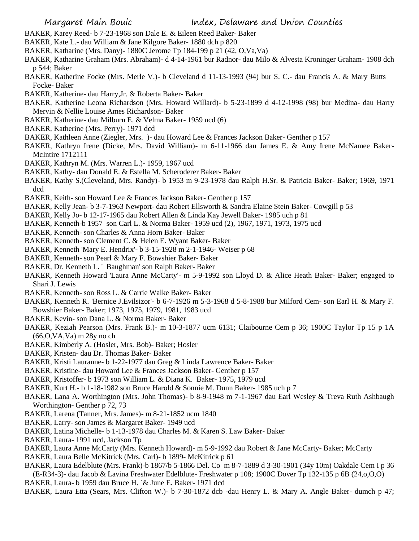- BAKER, Karey Reed- b 7-23-1968 son Dale E. & Eileen Reed Baker- Baker
- BAKER, Kate L.- dau William & Jane Kilgore Baker- 1880 dch p 820
- BAKER, Katharine (Mrs. Dany)- 1880C Jerome Tp 184-199 p 21 (42, O,Va,Va)
- BAKER, Katharine Graham (Mrs. Abraham)- d 4-14-1961 bur Radnor- dau Milo & Alvesta Kroninger Graham- 1908 dch p 544; Baker
- BAKER, Katherine Focke (Mrs. Merle V.)- b Cleveland d 11-13-1993 (94) bur S. C.- dau Francis A. & Mary Butts Focke- Baker
- BAKER, Katherine- dau Harry,Jr. & Roberta Baker- Baker
- BAKER, Katherine Leona Richardson (Mrs. Howard Willard)- b 5-23-1899 d 4-12-1998 (98) bur Medina- dau Harry Mervin & Nellie Louise Ames Richardson- Baker
- BAKER, Katherine- dau Milburn E. & Velma Baker- 1959 ucd (6)
- BAKER, Katherine (Mrs. Perry)- 1971 dcd
- BAKER, Kathleen Anne (Ziegler, Mrs. )- dau Howard Lee & Frances Jackson Baker- Genther p 157
- BAKER, Kathryn Irene (Dicke, Mrs. David William)- m 6-11-1966 dau James E. & Amy Irene McNamee Baker-McIntire 1712111
- BAKER, Kathryn M. (Mrs. Warren L.)- 1959, 1967 ucd
- BAKER, Kathy- dau Donald E. & Estella M. Scheroderer Baker- Baker
- BAKER, Kathy S.(Cleveland, Mrs. Randy)- b 1953 m 9-23-1978 dau Ralph H.Sr. & Patricia Baker- Baker; 1969, 1971 dcd
- BAKER, Keith- son Howard Lee & Frances Jackson Baker- Genther p 157
- BAKER, Kelly Jean- b 3-7-1963 Newport- dau Robert Ellsworth & Sandra Elaine Stein Baker- Cowgill p 53
- BAKER, Kelly Jo- b 12-17-1965 dau Robert Allen & Linda Kay Jewell Baker- 1985 uch p 81
- BAKER, Kenneth-b 1957 son Carl L. & Norma Baker- 1959 ucd (2), 1967, 1971, 1973, 1975 ucd
- BAKER, Kenneth- son Charles & Anna Horn Baker- Baker
- BAKER, Kenneth- son Clement C. & Helen E. Wyant Baker- Baker
- BAKER, Kenneth 'Mary E. Hendrix'- b 3-15-1928 m 2-1-1946- Weiser p 68
- BAKER, Kenneth- son Pearl & Mary F. Bowshier Baker- Baker
- BAKER, Dr. Kenneth L. ' Baughman' son Ralph Baker- Baker
- BAKER, Kenneth Howard 'Laura Anne McCarty'- m 5-9-1992 son Lloyd D. & Alice Heath Baker- Baker; engaged to Shari J. Lewis
- BAKER, Kenneth- son Ross L. & Carrie Walke Baker- Baker
- BAKER, Kenneth R. 'Bernice J.Evilsizor'- b 6-7-1926 m 5-3-1968 d 5-8-1988 bur Milford Cem- son Earl H. & Mary F. Bowshier Baker- Baker; 1973, 1975, 1979, 1981, 1983 ucd
- BAKER, Kevin- son Dana L. & Norma Baker- Baker
- BAKER, Keziah Pearson (Mrs. Frank B.)- m 10-3-1877 ucm 6131; Claibourne Cem p 36; 1900C Taylor Tp 15 p 1A (66,O,VA,Va) m 28y no ch
- BAKER, Kimberly A. (Hosler, Mrs. Bob)- Baker; Hosler
- BAKER, Kristen- dau Dr. Thomas Baker- Baker
- BAKER, Kristi Lauranne- b 1-22-1977 dau Greg & Linda Lawrence Baker- Baker
- BAKER, Kristine- dau Howard Lee & Frances Jackson Baker- Genther p 157
- BAKER, Kristoffer- b 1973 son William L. & Diana K. Baker- 1975, 1979 ucd
- BAKER, Kurt H.- b 1-18-1982 son Bruce Harold & Sonnie M. Dunn Baker- 1985 uch p 7
- BAKER, Lana A. Worthington (Mrs. John Thomas)- b 8-9-1948 m 7-1-1967 dau Earl Wesley & Treva Ruth Ashbaugh Worthington- Genther p 72, 73
- BAKER, Larena (Tanner, Mrs. James)- m 8-21-1852 ucm 1840
- BAKER, Larry- son James & Margaret Baker- 1949 ucd
- BAKER, Latina Michelle- b 1-13-1978 dau Charles M. & Karen S. Law Baker- Baker
- BAKER, Laura- 1991 ucd, Jackson Tp
- BAKER, Laura Anne McCarty (Mrs. Kenneth Howard)- m 5-9-1992 dau Robert & Jane McCarty- Baker; McCarty
- BAKER, Laura Belle McKitrick (Mrs. Carl)- b 1899- McKitrick p 61
- BAKER, Laura Edelblute (Mrs. Frank)-b 1867/b 5-1866 Del. Co m 8-7-1889 d 3-30-1901 (34y 10m) Oakdale Cem I p 36 (E-R34-3)- dau Jacob & Lavina Freshwater Edelblute- Freshwater p 108; 1900C Dover Tp 132-135 p 6B (24,o,O,O)
- BAKER, Laura- b 1959 dau Bruce H. `& June E. Baker- 1971 dcd
- BAKER, Laura Etta (Sears, Mrs. Clifton W.)- b 7-30-1872 dcb -dau Henry L. & Mary A. Angle Baker- dumch p 47;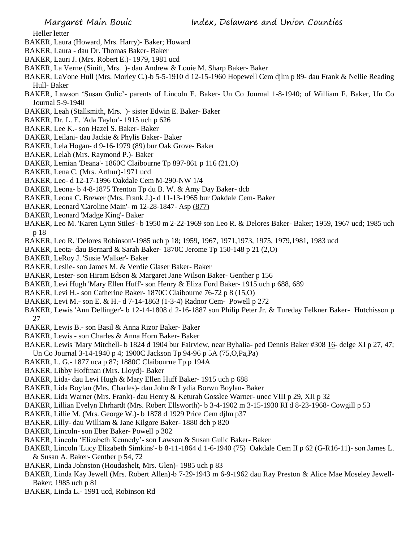Heller letter

- BAKER, Laura (Howard, Mrs. Harry)- Baker; Howard
- BAKER, Laura dau Dr. Thomas Baker- Baker
- BAKER, Lauri J. (Mrs. Robert E.)- 1979, 1981 ucd
- BAKER, La Verne (Sinift, Mrs. )- dau Andrew & Louie M. Sharp Baker- Baker
- BAKER, LaVone Hull (Mrs. Morley C.)-b 5-5-1910 d 12-15-1960 Hopewell Cem djlm p 89- dau Frank & Nellie Reading Hull- Baker
- BAKER, Lawson 'Susan Gulic'- parents of Lincoln E. Baker- Un Co Journal 1-8-1940; of William F. Baker, Un Co Journal 5-9-1940
- BAKER, Leah (Stallsmith, Mrs. )- sister Edwin E. Baker- Baker
- BAKER, Dr. L. E. 'Ada Taylor'- 1915 uch p 626
- BAKER, Lee K.- son Hazel S. Baker- Baker
- BAKER, Leilani- dau Jackie & Phylis Baker- Baker
- BAKER, Lela Hogan- d 9-16-1979 (89) bur Oak Grove- Baker
- BAKER, Lelah (Mrs. Raymond P.)- Baker
- BAKER, Lemian 'Deana'- 1860C Claibourne Tp 897-861 p 116 (21,O)
- BAKER, Lena C. (Mrs. Arthur)-1971 ucd
- BAKER, Leo- d 12-17-1996 Oakdale Cem M-290-NW 1/4
- BAKER, Leona- b 4-8-1875 Trenton Tp du B. W. & Amy Day Baker- dcb
- BAKER, Leona C. Brewer (Mrs. Frank J.)- d 11-13-1965 bur Oakdale Cem- Baker
- BAKER, Leonard 'Caroline Main'- m 12-28-1847- Asp (877)
- BAKER, Leonard 'Madge King'- Baker
- BAKER, Leo M. 'Karen Lynn Stiles'- b 1950 m 2-22-1969 son Leo R. & Delores Baker- Baker; 1959, 1967 ucd; 1985 uch p 18
- BAKER, Leo R. 'Delores Robinson'-1985 uch p 18; 1959, 1967, 1971,1973, 1975, 1979,1981, 1983 ucd
- BAKER, Leota- dau Bernard & Sarah Baker- 1870C Jerome Tp 150-148 p 21 (2,O)
- BAKER, LeRoy J. 'Susie Walker'- Baker
- BAKER, Leslie- son James M. & Verdie Glaser Baker- Baker
- BAKER, Lester- son Hiram Edson & Margaret Jane Wilson Baker- Genther p 156
- BAKER, Levi Hugh 'Mary Ellen Huff'- son Henry & Eliza Ford Baker- 1915 uch p 688, 689
- BAKER, Levi H.- son Catherine Baker- 1870C Claibourne 76-72 p 8 (15,O)
- BAKER, Levi M.- son E. & H.- d 7-14-1863 (1-3-4) Radnor Cem- Powell p 272
- BAKER, Lewis 'Ann Dellinger'- b 12-14-1808 d 2-16-1887 son Philip Peter Jr. & Tureday Felkner Baker- Hutchisson p 27
- BAKER, Lewis B.- son Basil & Anna Rizor Baker- Baker
- BAKER, Lewis son Charles & Anna Horn Baker- Baker
- BAKER, Lewis 'Mary Mitchell- b 1824 d 1904 bur Fairview, near Byhalia- ped Dennis Baker #308 16- delge XI p 27, 47; Un Co Journal 3-14-1940 p 4; 1900C Jackson Tp 94-96 p 5A (75,O,Pa,Pa)
- BAKER, L. G.- 1877 uca p 87; 1880C Claibourne Tp p 194A
- BAKER, Libby Hoffman (Mrs. Lloyd)- Baker
- BAKER, Lida- dau Levi Hugh & Mary Ellen Huff Baker- 1915 uch p 688
- BAKER, Lida Boylan (Mrs. Charles)- dau John & Lydia Borwn Boylan- Baker
- BAKER, Lida Warner (Mrs. Frank)- dau Henry & Keturah Gosslee Warner- unec VIII p 29, XII p 32
- BAKER, Lillian Evelyn Ehrhardt (Mrs. Robert Ellsworth)- b 3-4-1902 m 3-15-1930 RI d 8-23-1968- Cowgill p 53
- BAKER, Lillie M. (Mrs. George W.)- b 1878 d 1929 Price Cem djlm p37
- BAKER, Lilly- dau William & Jane Kilgore Baker- 1880 dch p 820
- BAKER, Lincoln- son Eber Baker- Powell p 302
- BAKER, Lincoln 'Elizabeth Kennedy'- son Lawson & Susan Gulic Baker- Baker
- BAKER, Lincoln 'Lucy Elizabeth Simkins'- b 8-11-1864 d 1-6-1940 (75) Oakdale Cem II p 62 (G-R16-11)- son James L. & Susan A. Baker- Genther p 54, 72
- BAKER, Linda Johnston (Houdashelt, Mrs. Glen)- 1985 uch p 83
- BAKER, Linda Kay Jewell (Mrs. Robert Allen)-b 7-29-1943 m 6-9-1962 dau Ray Preston & Alice Mae Moseley Jewell-Baker; 1985 uch p 81
- BAKER, Linda L.- 1991 ucd, Robinson Rd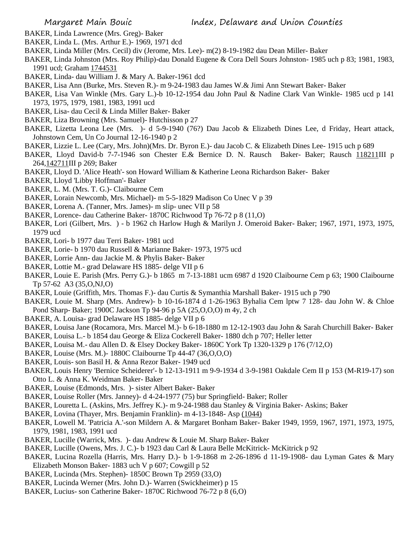- BAKER, Linda Lawrence (Mrs. Greg)- Baker
- BAKER, Linda L. (Mrs. Arthur E.)- 1969, 1971 dcd
- BAKER, Linda Miller (Mrs. Cecil) div (Jerome, Mrs. Lee)- m(2) 8-19-1982 dau Dean Miller- Baker
- BAKER, Linda Johnston (Mrs. Roy Philip)-dau Donald Eugene & Cora Dell Sours Johnston- 1985 uch p 83; 1981, 1983, 1991 ucd; Graham 1744531
- BAKER, Linda- dau William J. & Mary A. Baker-1961 dcd
- BAKER, Lisa Ann (Burke, Mrs. Steven R.)- m 9-24-1983 dau James W.& Jimi Ann Stewart Baker- Baker
- BAKER, Lisa Van Winkle (Mrs. Gary L.)-b 10-12-1954 dau John Paul & Nadine Clark Van Winkle- 1985 ucd p 141 1973, 1975, 1979, 1981, 1983, 1991 ucd
- BAKER, Lisa- dau Cecil & Linda Miller Baker- Baker
- BAKER, Liza Browning (Mrs. Samuel)- Hutchisson p 27
- BAKER, Lizetta Leona Lee (Mrs. )- d 5-9-1940 (76?) Dau Jacob & Elizabeth Dines Lee, d Friday, Heart attack, Johnstown Cem, Un Co Journal 12-16-1940 p 2
- BAKER, Lizzie L. Lee (Cary, Mrs. John)(Mrs. Dr. Byron E.)- dau Jacob C. & Elizabeth Dines Lee- 1915 uch p 689
- BAKER, Lloyd David-b 7-7-1946 son Chester E.& Bernice D. N. Rausch Baker- Baker; Rausch 118211III p 264,142711III p 269; Baker
- BAKER, Lloyd D. 'Alice Heath'- son Howard William & Katherine Leona Richardson Baker- Baker
- BAKER, Lloyd 'Libby Hoffman'- Baker
- BAKER, L. M. (Mrs. T. G.)- Claibourne Cem
- BAKER, Lorain Newcomb, Mrs. Michael)- m 5-5-1829 Madison Co Unec V p 39
- BAKER, Lorena A. (Tanner, Mrs. James)- m slip- unec VII p 58
- BAKER, Lorence- dau Catherine Baker- 1870C Richwood Tp 76-72 p 8 (11,O)
- BAKER, Lori (Gilbert, Mrs. ) b 1962 ch Harlow Hugh & Marilyn J. Omeroid Baker- Baker; 1967, 1971, 1973, 1975, 1979 ucd
- BAKER, Lori- b 1977 dau Terri Baker- 1981 ucd
- BAKER, Lorie- b 1970 dau Russell & Marianne Baker- 1973, 1975 ucd
- BAKER, Lorrie Ann- dau Jackie M. & Phylis Baker- Baker
- BAKER, Lottie M.- grad Delaware HS 1885- delge VII p 6
- BAKER, Louie E. Parish (Mrs. Perry G.)- b 1865 m 7-13-1881 ucm 6987 d 1920 Claibourne Cem p 63; 1900 Claibourne Tp 57-62 A3 (35,O,NJ,O)
- BAKER, Louie (Griffith, Mrs. Thomas F.)- dau Curtis & Symanthia Marshall Baker- 1915 uch p 790
- BAKER, Louie M. Sharp (Mrs. Andrew)- b 10-16-1874 d 1-26-1963 Byhalia Cem lptw 7 128- dau John W. & Chloe Pond Sharp- Baker; 1900C Jackson Tp 94-96 p 5A (25,O,O,O) m 4y, 2 ch
- BAKER, A. Louisa- grad Delaware HS 1885- delge VII p 6
- BAKER, Louisa Jane (Rocamora, Mrs. Marcel M.)- b 6-18-1880 m 12-12-1903 dau John & Sarah Churchill Baker- Baker
- BAKER, Louisa L.- b 1854 dau George & Eliza Cockerell Baker- 1880 dch p 707; Heller letter
- BAKER, Louisa M.- dau Allen D. & Elsey Dockey Baker- 1860C York Tp 1320-1329 p 176 (7/12,O)
- BAKER, Louise (Mrs. M.)- 1880C Claibourne Tp 44-47 (36,O,O,O)
- BAKER, Louis- son Basil H. & Anna Rezor Baker- 1949 ucd
- BAKER, Louis Henry 'Bernice Scheiderer'- b 12-13-1911 m 9-9-1934 d 3-9-1981 Oakdale Cem II p 153 (M-R19-17) son Otto L. & Anna K. Weidman Baker- Baker
- BAKER, Louise (Edmonds, Mrs. )- sister Albert Baker- Baker
- BAKER, Louise Roller (Mrs. Janney)- d 4-24-1977 (75) bur Springfield- Baker; Roller
- BAKER, Louretta L. (Askins, Mrs. Jeffrey K.)- m 9-24-1988 dau Stanley & Virginia Baker- Askins; Baker
- BAKER, Lovina (Thayer, Mrs. Benjamin Franklin)- m 4-13-1848- Asp (1044)
- BAKER, Lowell M. 'Patricia A.'-son Mildern A. & Margaret Bonham Baker- Baker 1949, 1959, 1967, 1971, 1973, 1975, 1979, 1981, 1983, 1991 ucd
- BAKER, Lucille (Warrick, Mrs. )- dau Andrew & Louie M. Sharp Baker- Baker
- BAKER, Lucille (Owens, Mrs. J. C.)- b 1923 dau Carl & Laura Belle McKitrick- McKitrick p 92
- BAKER, Lucina Rozella (Harris, Mrs. Harry D.)- b 1-9-1868 m 2-26-1896 d 11-19-1908- dau Lyman Gates & Mary Elizabeth Monson Baker- 1883 uch V p 607; Cowgill p 52
- BAKER, Lucinda (Mrs. Stephen)- 1850C Brown Tp 2959 (33,O)
- BAKER, Lucinda Werner (Mrs. John D.)- Warren (Swickheimer) p 15
- BAKER, Lucius- son Catherine Baker- 1870C Richwood 76-72 p 8 (6,O)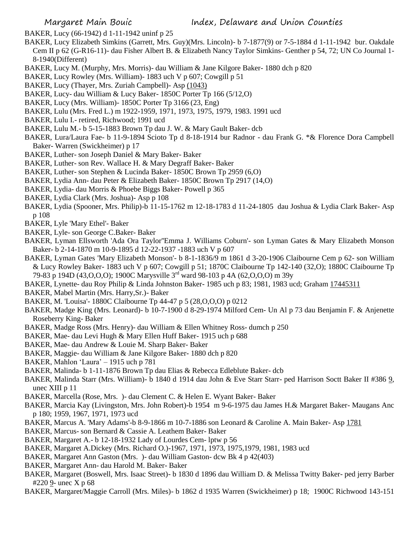BAKER, Lucy (66-1942) d 1-11-1942 uninf p 25

- BAKER, Lucy Elizabeth Simkins (Garrett, Mrs. Guy)(Mrs. Lincoln)- b 7-1877(9) or 7-5-1884 d 1-11-1942 bur. Oakdale Cem II p 62 (G-R16-11)- dau Fisher Albert B. & Elizabeth Nancy Taylor Simkins- Genther p 54, 72; UN Co Journal 1- 8-1940(Different)
- BAKER, Lucy M. (Murphy, Mrs. Morris)- dau William & Jane Kilgore Baker- 1880 dch p 820
- BAKER, Lucy Rowley (Mrs. William)- 1883 uch V p 607; Cowgill p 51
- BAKER, Lucy (Thayer, Mrs. Zuriah Campbell)- Asp (1043)
- BAKER, Lucy- dau William & Lucy Baker- 1850C Porter Tp 166 (5/12,O)
- BAKER, Lucy (Mrs. William)- 1850C Porter Tp 3166 (23, Eng)
- BAKER, Lulu (Mrs. Fred L.) m 1922-1959, 1971, 1973, 1975, 1979, 1983. 1991 ucd
- BAKER, Lulu I.- retired, Richwood; 1991 ucd
- BAKER, Lulu M.- b 5-15-1883 Brown Tp dau J. W. & Mary Gault Baker- dcb
- BAKER, Lura/Laura Fae- b 11-9-1894 Scioto Tp d 8-18-1914 bur Radnor dau Frank G. \*& Florence Dora Campbell Baker- Warren (Swickheimer) p 17
- BAKER, Luther- son Joseph Daniel & Mary Baker- Baker
- BAKER, Luther- son Rev. Wallace H. & Mary Degraff Baker- Baker
- BAKER, Luther- son Stephen & Lucinda Baker- 1850C Brown Tp 2959 (6,O)
- BAKER, Lydia Ann- dau Peter & Elizabeth Baker- 1850C Brown Tp 2917 (14,O)
- BAKER, Lydia- dau Morris & Phoebe Biggs Baker- Powell p 365
- BAKER, Lydia Clark (Mrs. Joshua)- Asp p 108
- BAKER, Lydia (Spooner, Mrs. Philip)-b 11-15-1762 m 12-18-1783 d 11-24-1805 dau Joshua & Lydia Clark Baker- Asp p 108
- BAKER, Lyle 'Mary Ethel'- Baker
- BAKER, Lyle- son George C.Baker- Baker
- BAKER, Lyman Ellsworth 'Ada Ora Taylor''Emma J. Williams Coburn'- son Lyman Gates & Mary Elizabeth Monson Baker- b 2-14-1870 m 10-9-1895 d 12-22-1937 -1883 uch V p 607
- BAKER, Lyman Gates 'Mary Elizabeth Monson'- b 8-1-1836/9 m 1861 d 3-20-1906 Claibourne Cem p 62- son William & Lucy Rowley Baker- 1883 uch V p 607; Cowgill p 51; 1870C Claibourne Tp 142-140 (32,O); 1880C Claibourne Tp 79-83 p 194D (43,O,O,O); 1900C Marysville 3rd ward 98-103 p 4A (62,O,O,O) m 39y
- BAKER, Lynette- dau Roy Philip & Linda Johnston Baker- 1985 uch p 83; 1981, 1983 ucd; Graham 17445311
- BAKER, Mabel Martin (Mrs. Harry,Sr.)- Baker
- BAKER, M. 'Louisa'- 1880C Claibourne Tp 44-47 p 5 (28,O,O,O) p 0212
- BAKER, Madge King (Mrs. Leonard)- b 10-7-1900 d 8-29-1974 Milford Cem- Un Al p 73 dau Benjamin F. & Anjenette Roseberry King- Baker
- BAKER, Madge Ross (Mrs. Henry)- dau William & Ellen Whitney Ross- dumch p 250
- BAKER, Mae- dau Levi Hugh & Mary Ellen Huff Baker- 1915 uch p 688
- BAKER, Mae- dau Andrew & Louie M. Sharp Baker- Baker
- BAKER, Maggie- dau William & Jane Kilgore Baker- 1880 dch p 820
- BAKER, Mahlon 'Laura' 1915 uch p 781
- BAKER, Malinda- b 1-11-1876 Brown Tp dau Elias & Rebecca Edleblute Baker- dcb
- BAKER, Malinda Starr (Mrs. William)- b 1840 d 1914 dau John & Eve Starr Starr- ped Harrison Soctt Baker II #386 9, unec XIII p 11
- BAKER, Marcella (Rose, Mrs. )- dau Clement C. & Helen E. Wyant Baker- Baker
- BAKER, Marcia Kay (Livingston, Mrs. John Robert)-b 1954 m 9-6-1975 dau James H.& Margaret Baker- Maugans Anc p 180; 1959, 1967, 1971, 1973 ucd
- BAKER, Marcus A. 'Mary Adams'-b 8-9-1866 m 10-7-1886 son Leonard & Caroline A. Main Baker- Asp 1781
- BAKER, Marcus- son Bernard & Cassie A. Leathem Baker- Baker
- BAKER, Margaret A.- b 12-18-1932 Lady of Lourdes Cem- lptw p 56
- BAKER, Margaret A.Dickey (Mrs. Richard O.)-1967, 1971, 1973, 1975,1979, 1981, 1983 ucd
- BAKER, Margaret Ann Gaston (Mrs. )- dau William Gaston- dcw Bk 4 p 42(403)
- BAKER, Margaret Ann- dau Harold M. Baker- Baker
- BAKER, Margaret (Boswell, Mrs. Isaac Street)- b 1830 d 1896 dau William D. & Melissa Twitty Baker- ped jerry Barber #220 9- unec X p 68
- BAKER, Margaret/Maggie Carroll (Mrs. Miles)- b 1862 d 1935 Warren (Swickheimer) p 18; 1900C Richwood 143-151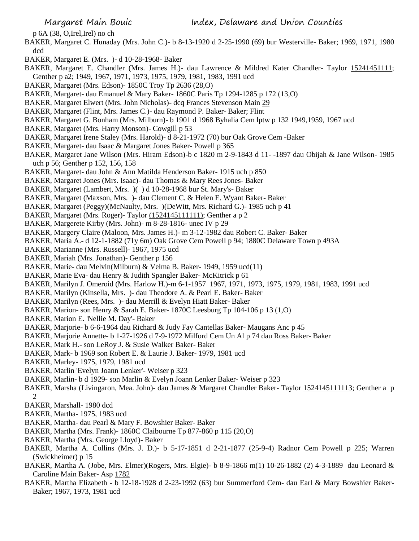p 6A (38, O,Irel,Irel) no ch

- BAKER, Margaret C. Hunaday (Mrs. John C.)- b 8-13-1920 d 2-25-1990 (69) bur Westerville- Baker; 1969, 1971, 1980 dcd
- BAKER, Margaret E. (Mrs. )- d 10-28-1968- Baker
- BAKER, Margaret E. Chandler (Mrs. James H.)- dau Lawrence & Mildred Kater Chandler- Taylor 15241451111; Genther p a2; 1949, 1967, 1971, 1973, 1975, 1979, 1981, 1983, 1991 ucd
- BAKER, Margaret (Mrs. Edson)- 1850C Troy Tp 2636 (28,O)
- BAKER, Margaret- dau Emanuel & Mary Baker- 1860C Paris Tp 1294-1285 p 172 (13,O)
- BAKER, Margaret Elwert (Mrs. John Nicholas)- dcq Frances Stevenson Main 29
- BAKER, Margaret (Flint, Mrs. James C.)- dau Raymond P. Baker- Baker; Flint
- BAKER, Margaret G. Bonham (Mrs. Milburn)- b 1901 d 1968 Byhalia Cem lptw p 132 1949,1959, 1967 ucd
- BAKER, Margaret (Mrs. Harry Monson)- Cowgill p 53
- BAKER, Margaret Irene Staley (Mrs. Harold)- d 8-21-1972 (70) bur Oak Grove Cem -Baker
- BAKER, Margaret- dau Isaac & Margaret Jones Baker- Powell p 365
- BAKER, Margaret Jane Wilson (Mrs. Hiram Edson)-b c 1820 m 2-9-1843 d 11- -1897 dau Obijah & Jane Wilson- 1985 uch p 56; Genther p 152, 156, 158
- BAKER, Margaret- dau John & Ann Matilda Henderson Baker- 1915 uch p 850
- BAKER, Margaret Jones (Mrs. Isaac)- dau Thomas & Mary Rees Jones- Baker
- BAKER, Margaret (Lambert, Mrs. )( ) d 10-28-1968 bur St. Mary's- Baker
- BAKER, Margaret (Maxson, Mrs. )- dau Clement C. & Helen E. Wyant Baker- Baker
- BAKER, Margaret (Peggy)(McNaulty, Mrs. )(DeWitt, Mrs. Richard G.)- 1985 uch p 41
- BAKER, Margaret (Mrs. Roger)- Taylor (1524145111111); Genther a p 2
- BAKER, Margerete Kirby (Mrs. John)- m 8-28-1816- unec IV p 29
- BAKER, Margery Claire (Maloon, Mrs. James H.)- m 3-12-1982 dau Robert C. Baker- Baker
- BAKER, Maria A.- d 12-1-1882 (71y 6m) Oak Grove Cem Powell p 94; 1880C Delaware Town p 493A
- BAKER, Marianne (Mrs. Russell)- 1967, 1975 ucd
- BAKER, Mariah (Mrs. Jonathan)- Genther p 156
- BAKER, Marie- dau Melvin(Milburn) & Velma B. Baker- 1949, 1959 ucd(11)
- BAKER, Marie Eva- dau Henry & Judith Spangler Baker- McKitrick p 61
- BAKER, Marilyn J. Omeroid (Mrs. Harlow H.)-m 6-1-1957 1967, 1971, 1973, 1975, 1979, 1981, 1983, 1991 ucd
- BAKER, Marilyn (Kinsella, Mrs. )- dau Theodore A. & Pearl E. Baker- Baker
- BAKER, Marilyn (Rees, Mrs. )- dau Merrill & Evelyn Hiatt Baker- Baker
- BAKER, Marion- son Henry & Sarah E. Baker- 1870C Leesburg Tp 104-106 p 13 (1,O)
- BAKER, Marion E. 'Nellie M. Day'- Baker
- BAKER, Marjorie- b 6-6-1964 dau Richard & Judy Fay Cantellas Baker- Maugans Anc p 45
- BAKER, Marjorie Annette- b 1-27-1926 d 7-9-1972 Milford Cem Un Al p 74 dau Ross Baker- Baker
- BAKER, Mark H.- son LeRoy J. & Susie Walker Baker- Baker
- BAKER, Mark- b 1969 son Robert E. & Laurie J. Baker- 1979, 1981 ucd
- BAKER, Marley- 1975, 1979, 1981 ucd
- BAKER, Marlin 'Evelyn Joann Lenker'- Weiser p 323
- BAKER, Marlin- b d 1929- son Marlin & Evelyn Joann Lenker Baker- Weiser p 323
- BAKER, Marsha (Livingaron, Mea. John)- dau James & Margaret Chandler Baker- Taylor 1524145111113; Genther a p  $\mathcal{D}$
- BAKER, Marshall- 1980 dcd
- BAKER, Martha- 1975, 1983 ucd
- BAKER, Martha- dau Pearl & Mary F. Bowshier Baker- Baker
- BAKER, Martha (Mrs. Frank)- 1860C Claibourne Tp 877-860 p 115 (20,O)
- BAKER, Martha (Mrs. George Lloyd)- Baker
- BAKER, Martha A. Collins (Mrs. J. D.)- b 5-17-1851 d 2-21-1877 (25-9-4) Radnor Cem Powell p 225; Warren (Swickheimer) p 15
- BAKER, Martha A. (Jobe, Mrs. Elmer)(Rogers, Mrs. Elgie)- b 8-9-1866 m(1) 10-26-1882 (2) 4-3-1889 dau Leonard & Caroline Main Baker- Asp 1782
- BAKER, Martha Elizabeth b 12-18-1928 d 2-23-1992 (63) bur Summerford Cem- dau Earl & Mary Bowshier Baker-Baker; 1967, 1973, 1981 ucd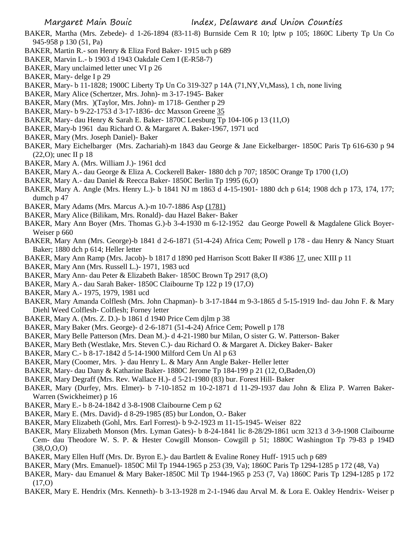- BAKER, Martha (Mrs. Zebede)- d 1-26-1894 (83-11-8) Burnside Cem R 10; lptw p 105; 1860C Liberty Tp Un Co 945-958 p 130 (51, Pa)
- BAKER, Martin R.- son Henry & Eliza Ford Baker- 1915 uch p 689
- BAKER, Marvin L.- b 1903 d 1943 Oakdale Cem I (E-R58-7)
- BAKER, Mary unclaimed letter unec VI p 26
- BAKER, Mary- delge I p 29
- BAKER, Mary- b 11-1828; 1900C Liberty Tp Un Co 319-327 p 14A (71,NY,Vt,Mass), 1 ch, none living
- BAKER, Mary Alice (Schertzer, Mrs. John)- m 3-17-1945- Baker
- BAKER, Mary (Mrs. )(Taylor, Mrs. John)- m 1718- Genther p 29
- BAKER, Mary- b 9-22-1753 d 3-17-1836- dcc Maxson Greene 35
- BAKER, Mary- dau Henry & Sarah E. Baker- 1870C Leesburg Tp 104-106 p 13 (11,O)
- BAKER, Mary-b 1961 dau Richard O. & Margaret A. Baker-1967, 1971 ucd
- BAKER, Mary (Mrs. Joseph Daniel)- Baker
- BAKER, Mary Eichelbarger (Mrs. Zachariah)-m 1843 dau George & Jane Eickelbarger- 1850C Paris Tp 616-630 p 94 (22,O); unec II p 18
- BAKER, Mary A. (Mrs. William J.)- 1961 dcd
- BAKER, Mary A.- dau George & Eliza A. Cockerell Baker- 1880 dch p 707; 1850C Orange Tp 1700 (1,O)
- BAKER, Mary A.- dau Daniel & Reecca Baker- 1850C Berlin Tp 1995 (6,O)
- BAKER, Mary A. Angle (Mrs. Henry L.)- b 1841 NJ m 1863 d 4-15-1901- 1880 dch p 614; 1908 dch p 173, 174, 177; dumch p 47
- BAKER, Mary Adams (Mrs. Marcus A.)-m 10-7-1886 Asp (1781)
- BAKER, Mary Alice (Bilikam, Mrs. Ronald)- dau Hazel Baker- Baker
- BAKER, Mary Ann Boyer (Mrs. Thomas G.)-b 3-4-1930 m 6-12-1952 dau George Powell & Magdalene Glick Boyer-Weiser p 660
- BAKER, Mary Ann (Mrs. George)-b 1841 d 2-6-1871 (51-4-24) Africa Cem; Powell p 178 dau Henry & Nancy Stuart Baker; 1880 dch p 614; Heller letter
- BAKER, Mary Ann Ramp (Mrs. Jacob)- b 1817 d 1890 ped Harrison Scott Baker II #386 17, unec XIII p 11
- BAKER, Mary Ann (Mrs. Russell L.)- 1971, 1983 ucd
- BAKER, Mary Ann- dau Peter & Elizabeth Baker- 1850C Brown Tp 2917 (8,O)
- BAKER, Mary A.- dau Sarah Baker- 1850C Claibourne Tp 122 p 19 (17,O)
- BAKER, Mary A.- 1975, 1979, 1981 ucd
- BAKER, Mary Amanda Colflesh (Mrs. John Chapman)- b 3-17-1844 m 9-3-1865 d 5-15-1919 Ind- dau John F. & Mary Diehl Weed Colflesh- Colflesh; Forney letter
- BAKER, Mary A. (Mrs. Z. D.)- b 1861 d 1940 Price Cem djlm p 38
- BAKER, Mary Baker (Mrs. George)- d 2-6-1871 (51-4-24) Africe Cem; Powell p 178
- BAKER, Mary Belle Patterson (Mrs. Dean M.)- d 4-21-1980 bur Milan, O sister G. W. Patterson- Baker
- BAKER, Mary Beth (Westlake, Mrs. Steven C.)- dau Richard O. & Margaret A. Dickey Baker- Baker
- BAKER, Mary C.- b 8-17-1842 d 5-14-1900 Milford Cem Un Al p 63
- BAKER, Mary (Coomer, Mrs. )- dau Henry L. & Mary Ann Angle Baker- Heller letter
- BAKER, Mary- dau Dany & Katharine Baker- 1880C Jerome Tp 184-199 p 21 (12, O,Baden,O)
- BAKER, Mary Degraff (Mrs. Rev. Wallace H.)- d 5-21-1980 (83) bur. Forest Hill- Baker
- BAKER, Mary (Durfey, Mrs. Elmer)- b 7-10-1852 m 10-2-1871 d 11-29-1937 dau John & Eliza P. Warren Baker-Warren (Swickheimer) p 16
- BAKER, Mary E.- b 8-24-1842 d 3-8-1908 Claibourne Cem p 62
- BAKER, Mary E. (Mrs. David)- d 8-29-1985 (85) bur London, O.- Baker
- BAKER, Mary Elizabeth (Gohl, Mrs. Earl Forrest)- b 9-2-1923 m 11-15-1945- Weiser 822
- BAKER, Mary Elizabeth Monson (Mrs. Lyman Gates)- b 8-24-1841 lic 8-28/29-1861 ucm 3213 d 3-9-1908 Claibourne Cem- dau Theodore W. S. P. & Hester Cowgill Monson- Cowgill p 51; 1880C Washington Tp 79-83 p 194D (38,O,O,O)
- BAKER, Mary Ellen Huff (Mrs. Dr. Byron E.)- dau Bartlett & Evaline Roney Huff- 1915 uch p 689
- BAKER, Mary (Mrs. Emanuel)- 1850C Mil Tp 1944-1965 p 253 (39, Va); 1860C Paris Tp 1294-1285 p 172 (48, Va)
- BAKER, Mary- dau Emanuel & Mary Baker-1850C Mil Tp 1944-1965 p 253 (7, Va) 1860C Paris Tp 1294-1285 p 172 (17,O)
- BAKER, Mary E. Hendrix (Mrs. Kenneth)- b 3-13-1928 m 2-1-1946 dau Arval M. & Lora E. Oakley Hendrix- Weiser p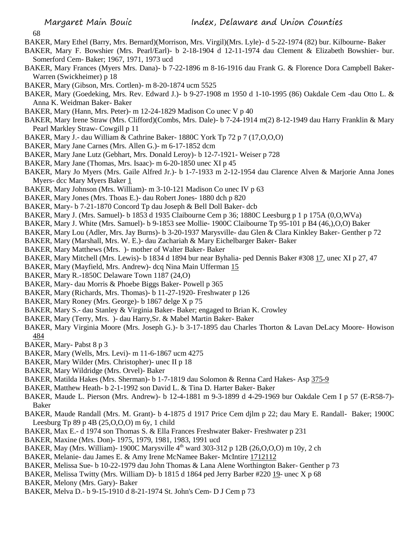68

- BAKER, Mary Ethel (Barry, Mrs. Bernard)(Morrison, Mrs. Virgil)(Mrs. Lyle)- d 5-22-1974 (82) bur. Kilbourne- Baker
- BAKER, Mary F. Bowshier (Mrs. Pearl/Earl)- b 2-18-1904 d 12-11-1974 dau Clement & Elizabeth Bowshier- bur. Somerford Cem- Baker; 1967, 1971, 1973 ucd
- BAKER, Mary Frances (Myers Mrs. Dana)- b 7-22-1896 m 8-16-1916 dau Frank G. & Florence Dora Campbell Baker-Warren (Swickheimer) p 18
- BAKER, Mary (Gibson, Mrs. Cortlen)- m 8-20-1874 ucm 5525
- BAKER, Mary (Goedeking, Mrs. Rev. Edward J.)- b 9-27-1908 m 1950 d 1-10-1995 (86) Oakdale Cem -dau Otto L. & Anna K. Weidman Baker- Baker
- BAKER, Mary (Hann, Mrs. Peter)- m 12-24-1829 Madison Co unec V p 40
- BAKER, Mary Irene Straw (Mrs. Clifford)(Combs, Mrs. Dale)- b 7-24-1914 m(2) 8-12-1949 dau Harry Franklin & Mary Pearl Markley Straw- Cowgill p 11
- BAKER, Mary J.- dau William & Cathrine Baker- 1880C York Tp 72 p 7 (17,O,O,O)
- BAKER, Mary Jane Carnes (Mrs. Allen G.)- m 6-17-1852 dcm
- BAKER, Mary Jane Lutz (Gebhart, Mrs. Donald Leroy)- b 12-7-1921- Weiser p 728
- BAKER, Mary Jane (Thomas, Mrs. Isaac)- m 6-20-1850 unec XI p 45
- BAKER, Mary Jo Myers (Mrs. Gaile Alfred Jr.)- b 1-7-1933 m 2-12-1954 dau Clarence Alven & Marjorie Anna Jones Myers- dcc Mary Myers Baker 1
- BAKER, Mary Johnson (Mrs. William)- m 3-10-121 Madison Co unec IV p 63
- BAKER, Mary Jones (Mrs. Thoas E.)- dau Robert Jones- 1880 dch p 820
- BAKER, Mary- b 7-21-1870 Concord Tp dau Joseph & Bell Doll Baker- dcb
- BAKER, Mary J. (Mrs. Samuel)- b 1853 d 1935 Claibourne Cem p 36; 1880C Leesburg p 1 p 175A (0,O,WVa)
- BAKER, Mary J. White (Mrs. Samuel)- b 9-1853 see Mollie- 1900C Claibourne Tp 95-101 p B4 (46,),O,O) Baker
- BAKER, Mary Lou (Adler, Mrs. Jay Burns)- b 3-20-1937 Marysville- dau Glen & Clara Kinkley Baker- Genther p 72
- BAKER, Mary (Marshall, Mrs. W. E.)- dau Zachariah & Mary Eichelbarger Baker- Baker
- BAKER, Mary Matthews (Mrs. )- mother of Walter Baker- Baker
- BAKER, Mary Mitchell (Mrs. Lewis)- b 1834 d 1894 bur near Byhalia- ped Dennis Baker #308 17, unec XI p 27, 47
- BAKER, Mary (Mayfield, Mrs. Andrew)- dcq Nina Main Ufferman 15
- BAKER, Mary R.-1850C Delaware Town 1187 (24,O)
- BAKER, Mary- dau Morris & Phoebe Biggs Baker- Powell p 365
- BAKER, Mary (Richards, Mrs. Thomas)- b 11-27-1920- Freshwater p 126
- BAKER, Mary Roney (Mrs. George)- b 1867 delge X p 75
- BAKER, Mary S.- dau Stanley & Virginia Baker- Baker; engaged to Brian K. Crowley
- BAKER, Mary (Terry, Mrs. )- dau Harry,Sr. & Mabel Martin Baker- Baker
- BAKER, Mary Virginia Moore (Mrs. Joseph G.)- b 3-17-1895 dau Charles Thorton & Lavan DeLacy Moore- Howison 484
- BAKER, Mary- Pabst 8 p 3
- BAKER, Mary (Wells, Mrs. Levi)- m 11-6-1867 ucm 4275
- BAKER, Mary Wilder (Mrs. Christopher)- unec II p 18
- BAKER, Mary Wildridge (Mrs. Orvel)- Baker
- BAKER, Matilda Hakes (Mrs. Sherman)- b 1-7-1819 dau Solomon & Renna Card Hakes- Asp 375-9
- BAKER, Matthew Heath- b 2-1-1992 son David L. & Tina D. Harter Baker- Baker
- BAKER, Maude L. Pierson (Mrs. Andrew)- b 12-4-1881 m 9-3-1899 d 4-29-1969 bur Oakdale Cem I p 57 (E-R58-7)- Baker
- BAKER, Maude Randall (Mrs. M. Grant)- b 4-1875 d 1917 Price Cem djlm p 22; dau Mary E. Randall- Baker; 1900C Leesburg Tp 89 p 4B (25,O,O,O) m 6y, 1 child
- BAKER, Max E.- d 1974 son Thomas S. & Ella Frances Freshwater Baker- Freshwater p 231
- BAKER, Maxine (Mrs. Don)- 1975, 1979, 1981, 1983, 1991 ucd
- BAKER, May (Mrs. William)- 1900C Marysville 4<sup>th</sup> ward 303-312 p 12B (26, 0, 0, 0) m 10y, 2 ch
- BAKER, Melanie- dau James E. & Amy Irene McNamee Baker- McIntire 1712112
- BAKER, Melissa Sue- b 10-22-1979 dau John Thomas & Lana Alene Worthington Baker- Genther p 73
- BAKER, Melissa Twitty (Mrs. William D)- b 1815 d 1864 ped Jerry Barber #220 19- unec X p 68
- BAKER, Melony (Mrs. Gary)- Baker
- BAKER, Melva D.- b 9-15-1910 d 8-21-1974 St. John's Cem- D J Cem p 73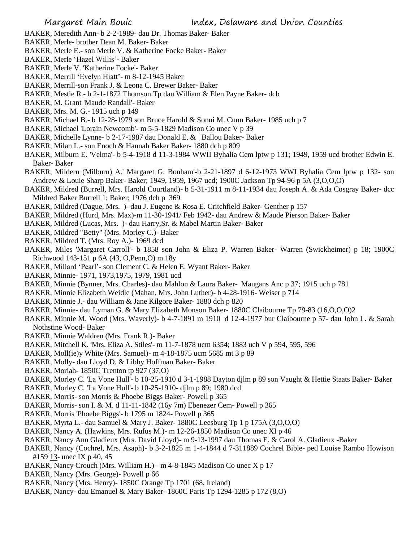- BAKER, Meredith Ann- b 2-2-1989- dau Dr. Thomas Baker- Baker
- BAKER, Merle- brother Dean M. Baker- Baker
- BAKER, Merle E.- son Merle V. & Katherine Focke Baker- Baker
- BAKER, Merle 'Hazel Willis'- Baker
- BAKER, Merle V. 'Katherine Focke'- Baker
- BAKER, Merrill 'Evelyn Hiatt'- m 8-12-1945 Baker
- BAKER, Merrill-son Frank J. & Leona C. Brewer Baker- Baker
- BAKER, Mestie R.- b 2-1-1872 Thomson Tp dau William & Elen Payne Baker- dcb
- BAKER, M. Grant 'Maude Randall'- Baker
- BAKER, Mrs. M. G.- 1915 uch p 149
- BAKER, Michael B.- b 12-28-1979 son Bruce Harold & Sonni M. Cunn Baker- 1985 uch p 7
- BAKER, Michael 'Lorain Newcomb'- m 5-5-1829 Madison Co unec V p 39
- BAKER, Michelle Lynne- b 2-17-1987 dau Donald E. & Ballou Baker- Baker
- BAKER, Milan L.- son Enoch & Hannah Baker Baker- 1880 dch p 809
- BAKER, Milburn E. 'Velma'- b 5-4-1918 d 11-3-1984 WWII Byhalia Cem lptw p 131; 1949, 1959 ucd brother Edwin E. Baker- Baker
- BAKER, Mildern (Milburn) A.' Margaret G. Bonham'-b 2-21-1897 d 6-12-1973 WWI Byhalia Cem lptw p 132- son Andrew & Louie Sharp Baker- Baker; 1949, 1959, 1967 ucd; 1900C Jackson Tp 94-96 p 5A (3,O,O,O)
- BAKER, Mildred (Burrell, Mrs. Harold Courtland)- b 5-31-1911 m 8-11-1934 dau Joseph A. & Ada Cosgray Baker- dcc Mildred Baker Burrell 1; Baker; 1976 dch p 369
- BAKER, Mildred (Dague, Mrs. )- dau J. Eugene & Rosa E. Critchfield Baker- Genther p 157
- BAKER, Mildred (Hurd, Mrs. Max)-m 11-30-1941/ Feb 1942- dau Andrew & Maude Pierson Baker- Baker
- BAKER, Mildred (Lucas, Mrs. )- dau Harry,Sr. & Mabel Martin Baker- Baker
- BAKER, Mildred "Betty" (Mrs. Morley C.)- Baker
- BAKER, Mildred T. (Mrs. Roy A.)- 1969 dcd
- BAKER, Miles 'Margaret Carroll'- b 1858 son John & Eliza P. Warren Baker- Warren (Swickheimer) p 18; 1900C Richwood 143-151 p 6A (43, O,Penn,O) m 18y
- BAKER, Millard 'Pearl'- son Clement C. & Helen E. Wyant Baker- Baker
- BAKER, Minnie- 1971, 1973,1975, 1979, 1981 ucd
- BAKER, Minnie (Bynner, Mrs. Charles)- dau Mahlon & Laura Baker- Maugans Anc p 37; 1915 uch p 781
- BAKER, Minnie Elizabeth Weidle (Mahan, Mrs. John Luther)- b 4-28-1916- Weiser p 714
- BAKER, Minnie J.- dau William & Jane Kilgore Baker- 1880 dch p 820
- BAKER, Minnie- dau Lyman G. & Mary Elizabeth Monson Baker- 1880C Claibourne Tp 79-83 (16,O,O,O)2
- BAKER, Minnie M. Wood (Mrs. Waverly)- b 4-7-1891 m 1910 d 12-4-1977 bur Claibourne p 57- dau John L. & Sarah Nothstine Wood- Baker
- BAKER, Minnie Waldren (Mrs. Frank R.)- Baker
- BAKER, Mitchell K. 'Mrs. Eliza A. Stiles'- m 11-7-1878 ucm 6354; 1883 uch V p 594, 595, 596
- BAKER, Moll(ie)y White (Mrs. Samuel)- m 4-18-1875 ucm 5685 mt 3 p 89
- BAKER, Molly- dau Lloyd D. & Libby Hoffman Baker- Baker
- BAKER, Moriah- 1850C Trenton tp 927 (37,O)
- BAKER, Morley C. 'La Vone Hull'- b 10-25-1910 d 3-1-1988 Dayton djlm p 89 son Vaught & Hettie Staats Baker- Baker
- BAKER, Morley C. 'La Vone Hull'- b 10-25-1910- djlm p 89; 1980 dcd
- BAKER, Morris- son Morris & Phoebe Biggs Baker- Powell p 365
- BAKER, Morris- son I. & M. d 11-11-1842 (16y 7m) Ebenezer Cem- Powell p 365
- BAKER, Morris 'Phoebe Biggs'- b 1795 m 1824- Powell p 365
- BAKER, Myrta L.- dau Samuel & Mary J. Baker- 1880C Leesburg Tp 1 p 175A (3,O,O,O)
- BAKER, Nancy A. (Hawkins, Mrs. Rufus M.)- m 12-26-1850 Madison Co unec XI p 46
- BAKER, Nancy Ann Gladieux (Mrs. David Lloyd)- m 9-13-1997 dau Thomas E. & Carol A. Gladieux -Baker
- BAKER, Nancy (Cochrel, Mrs. Asaph)- b 3-2-1825 m 1-4-1844 d 7-311889 Cochrel Bible- ped Louise Rambo Howison #159 13- unec IX p 40, 45
- BAKER, Nancy Crouch (Mrs. William H.)- m 4-8-1845 Madison Co unec X p 17
- BAKER, Nancy (Mrs. George)- Powell p 66
- BAKER, Nancy (Mrs. Henry)- 1850C Orange Tp 1701 (68, Ireland)
- BAKER, Nancy- dau Emanuel & Mary Baker- 1860C Paris Tp 1294-1285 p 172 (8,O)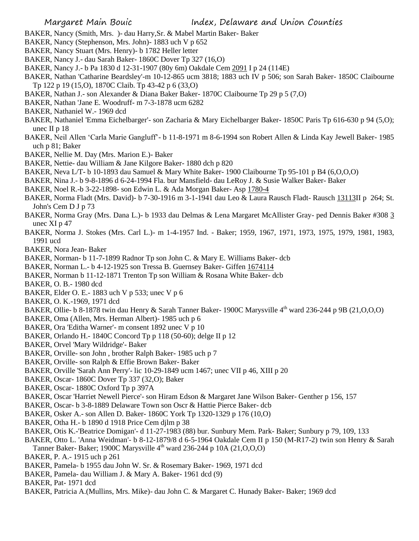- BAKER, Nancy (Smith, Mrs. )- dau Harry,Sr. & Mabel Martin Baker- Baker
- BAKER, Nancy (Stephenson, Mrs. John)- 1883 uch V p 652
- BAKER, Nancy Stuart (Mrs. Henry)- b 1782 Heller letter
- BAKER, Nancy J.- dau Sarah Baker- 1860C Dover Tp 327 (16,O)
- BAKER, Nancy J.- b Pa 1830 d 12-31-1907 (80y 6m) Oakdale Cem 2091 I p 24 (114E)
- BAKER, Nathan 'Catharine Beardsley'-m 10-12-865 ucm 3818; 1883 uch IV p 506; son Sarah Baker- 1850C Claibourne Tp 122 p 19 (15,O), 1870C Claib. Tp 43-42 p 6 (33,O)
- BAKER, Nathan J.- son Alexander & Diana Baker Baker- 1870C Claibourne Tp 29 p 5 (7,O)
- BAKER, Nathan 'Jane E. Woodruff- m 7-3-1878 ucm 6282
- BAKER, Nathaniel W.- 1969 dcd
- BAKER, Nathaniel 'Emma Eichelbarger'- son Zacharia & Mary Eichelbarger Baker- 1850C Paris Tp 616-630 p 94 (5,O); unec II p 18
- BAKER, Neil Allen 'Carla Marie Gangluff'- b 11-8-1971 m 8-6-1994 son Robert Allen & Linda Kay Jewell Baker- 1985 uch p 81; Baker
- BAKER, Nellie M. Day (Mrs. Marion E.)- Baker
- BAKER, Nettie- dau William & Jane Kilgore Baker- 1880 dch p 820
- BAKER, Neva L/T- b 10-1893 dau Samuel & Mary White Baker- 1900 Claibourne Tp 95-101 p B4 (6,0,0,0)
- BAKER, Nina J.- b 9-8-1896 d 6-24-1994 Fla. bur Mansfield- dau LeRoy J. & Susie Walker Baker- Baker
- BAKER, Noel R.-b 3-22-1898- son Edwin L. & Ada Morgan Baker- Asp 1780-4
- BAKER, Norma Fladt (Mrs. David)- b 7-30-1916 m 3-1-1941 dau Leo & Laura Rausch Fladt- Rausch 13113II p 264; St. John's Cem D J p 73
- BAKER, Norma Gray (Mrs. Dana L.)- b 1933 dau Delmas & Lena Margaret McAllister Gray- ped Dennis Baker #308 3 unec XI p 47
- BAKER, Norma J. Stokes (Mrs. Carl L.)- m 1-4-1957 Ind. Baker; 1959, 1967, 1971, 1973, 1975, 1979, 1981, 1983, 1991 ucd
- BAKER, Nora Jean- Baker
- BAKER, Norman- b 11-7-1899 Radnor Tp son John C. & Mary E. Williams Baker- dcb
- BAKER, Norman L.- b 4-12-1925 son Tressa B. Guernsey Baker- Giffen 1674114
- BAKER, Norman b 11-12-1871 Trenton Tp son William & Rosana White Baker- dcb
- BAKER, O. B.- 1980 dcd
- BAKER, Elder O. E.- 1883 uch V p 533; unec V p 6
- BAKER, O. K.-1969, 1971 dcd
- BAKER, Ollie- b 8-1878 twin dau Henry & Sarah Tanner Baker- 1900C Marysville 4<sup>th</sup> ward 236-244 p 9B (21, O, O, O)
- BAKER, Oma (Allen, Mrs. Herman Albert)- 1985 uch p 6
- BAKER, Ora 'Editha Warner'- m consent 1892 unec V p 10
- BAKER, Orlando H.- 1840C Concord Tp p 118 (50-60); delge II p 12
- BAKER, Orvel 'Mary Wildridge'- Baker
- BAKER, Orville- son John , brother Ralph Baker- 1985 uch p 7
- BAKER, Orville- son Ralph & Effie Brown Baker- Baker
- BAKER, Orville 'Sarah Ann Perry'- lic 10-29-1849 ucm 1467; unec VII p 46, XIII p 20
- BAKER, Oscar- 1860C Dover Tp 337 (32,O); Baker
- BAKER, Oscar- 1880C Oxford Tp p 397A
- BAKER, Oscar 'Harriet Newell Pierce'- son Hiram Edson & Margaret Jane Wilson Baker- Genther p 156, 157
- BAKER, Oscar- b 3-8-1889 Delaware Town son Oscr & Hattie Pierce Baker- dcb
- BAKER, Osker A.- son Allen D. Baker- 1860C York Tp 1320-1329 p 176 (10,O)
- BAKER, Otha H.- b 1890 d 1918 Price Cem djlm p 38
- BAKER, Otis K.-'Beatrice Domigan'- d 11-27-1983 (88) bur. Sunbury Mem. Park- Baker; Sunbury p 79, 109, 133
- BAKER, Otto L. 'Anna Weidman'- b 8-12-1879/8 d 6-5-1964 Oakdale Cem II p 150 (M-R17-2) twin son Henry & Sarah Tanner Baker- Baker; 1900C Marysville  $4<sup>th</sup>$  ward 236-244 p 10A (21, O, O, O)
- BAKER, P. A.- 1915 uch p 261
- BAKER, Pamela- b 1955 dau John W. Sr. & Rosemary Baker- 1969, 1971 dcd
- BAKER, Pamela- dau William J. & Mary A. Baker- 1961 dcd (9)
- BAKER, Pat- 1971 dcd
- BAKER, Patricia A.(Mullins, Mrs. Mike)- dau John C. & Margaret C. Hunady Baker- Baker; 1969 dcd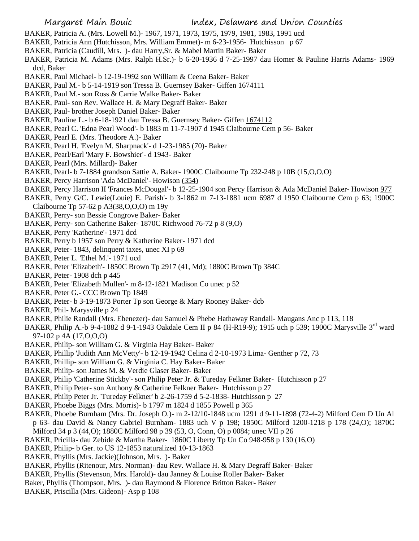- BAKER, Patricia A. (Mrs. Lowell M.)- 1967, 1971, 1973, 1975, 1979, 1981, 1983, 1991 ucd
- BAKER, Patricia Ann (Hutchisson, Mrs. William Emmet)- m 6-23-1956- Hutchisson p 67
- BAKER, Patricia (Caudill, Mrs. )- dau Harry,Sr. & Mabel Martin Baker- Baker
- BAKER, Patricia M. Adams (Mrs. Ralph H.Sr.)- b 6-20-1936 d 7-25-1997 dau Homer & Pauline Harris Adams- 1969 dcd, Baker
- BAKER, Paul Michael- b 12-19-1992 son William & Ceena Baker- Baker
- BAKER, Paul M.- b 5-14-1919 son Tressa B. Guernsey Baker- Giffen 1674111
- BAKER, Paul M.- son Ross & Carrie Walke Baker- Baker
- BAKER, Paul- son Rev. Wallace H. & Mary Degraff Baker- Baker
- BAKER, Paul- brother Joseph Daniel Baker- Baker
- BAKER, Pauline L.- b 6-18-1921 dau Tressa B. Guernsey Baker- Giffen 1674112
- BAKER, Pearl C. 'Edna Pearl Wood'- b 1883 m 11-7-1907 d 1945 Claibourne Cem p 56- Baker
- BAKER, Pearl E. (Mrs. Theodore A.)- Baker
- BAKER, Pearl H. 'Evelyn M. Sharpnack'- d 1-23-1985 (70)- Baker
- BAKER, Pearl/Earl 'Mary F. Bowshier'- d 1943- Baker
- BAKER, Pearl (Mrs. Millard)- Baker
- BAKER, Pearl- b 7-1884 grandson Sattie A. Baker- 1900C Claibourne Tp 232-248 p 10B (15,O,O,O)
- BAKER, Percy Harrison 'Ada McDaniel'- Howison (354)
- BAKER, Percy Harrison II 'Frances McDougal'- b 12-25-1904 son Percy Harrison & Ada McDaniel Baker- Howison 977
- BAKER, Perry G/C. Lewie(Louie) E. Parish'- b 3-1862 m 7-13-1881 ucm 6987 d 1950 Claibourne Cem p 63; 1900C Claibourne Tp 57-62 p A3(38,O,O,O) m 19y
- BAKER, Perry- son Bessie Congrove Baker- Baker
- BAKER, Perry- son Catherine Baker- 1870C Richwood 76-72 p 8 (9,O)
- BAKER, Perry 'Katherine'- 1971 dcd
- BAKER, Perry b 1957 son Perry & Katherine Baker- 1971 dcd
- BAKER, Peter- 1843, delinquent taxes, unec XI p 69
- BAKER, Peter L. 'Ethel M.'- 1971 ucd
- BAKER, Peter 'Elizabeth'- 1850C Brown Tp 2917 (41, Md); 1880C Brown Tp 384C
- BAKER, Peter- 1908 dch p 445
- BAKER, Peter 'Elizabeth Mullen'- m 8-12-1821 Madison Co unec p 52
- BAKER, Peter G.- CCC Brown Tp 1849
- BAKER, Peter- b 3-19-1873 Porter Tp son George & Mary Rooney Baker- dcb
- BAKER, Phil- Marysville p 24
- BAKER, Philie Randall (Mrs. Ebenezer)- dau Samuel & Phebe Hathaway Randall- Maugans Anc p 113, 118
- BAKER, Philip A.-b 9-4-1882 d 9-1-1943 Oakdale Cem II p 84 (H-R19-9); 1915 uch p 539; 1900C Marysville 3<sup>rd</sup> ward 97-102 p 4A (17,O,O,O)
- BAKER, Philip- son William G. & Virginia Hay Baker- Baker
- BAKER, Phillip 'Judith Ann McVetty'- b 12-19-1942 Celina d 2-10-1973 Lima- Genther p 72, 73
- BAKER, Phillip- son William G. & Virginia C. Hay Baker- Baker
- BAKER, Philip- son James M. & Verdie Glaser Baker- Baker
- BAKER, Philip 'Catherine Stickby'- son Philip Peter Jr. & Tureday Felkner Baker- Hutchisson p 27
- BAKER, Philip Peter- son Anthony & Catherine Felkner Baker- Hutchisson p 27
- BAKER, Philip Peter Jr. 'Tureday Felkner' b 2-26-1759 d 5-2-1838- Hutchisson p 27
- BAKER, Phoebe Biggs (Mrs. Morris)- b 1797 m 1824 d 1855 Powell p 365
- BAKER, Phoebe Burnham (Mrs. Dr. Joseph O.)- m 2-12/10-1848 ucm 1291 d 9-11-1898 (72-4-2) Milford Cem D Un Al p 63- dau David & Nancy Gabriel Burnham- 1883 uch V p 198; 1850C Milford 1200-1218 p 178 (24,O); 1870C
- Milford 34 p 3 (44,O); 1880C Milford 98 p 39 (53, O, Conn, O) p 0084; unec VII p 26
- BAKER, Pricilla- dau Zebide & Martha Baker- 1860C Liberty Tp Un Co 948-958 p 130 (16,O)
- BAKER, Philip- b Ger. to US 12-1853 naturalized 10-13-1863
- BAKER, Phyllis (Mrs. Jackie)(Johnson, Mrs. )- Baker
- BAKER, Phyllis (Ritenour, Mrs. Norman)- dau Rev. Wallace H. & Mary Degraff Baker- Baker
- BAKER, Phyllis (Stevenson, Mrs. Harold)- dau Janney & Louise Roller Baker- Baker
- Baker, Phyllis (Thompson, Mrs. )- dau Raymond & Florence Britton Baker- Baker
- BAKER, Priscilla (Mrs. Gideon)- Asp p 108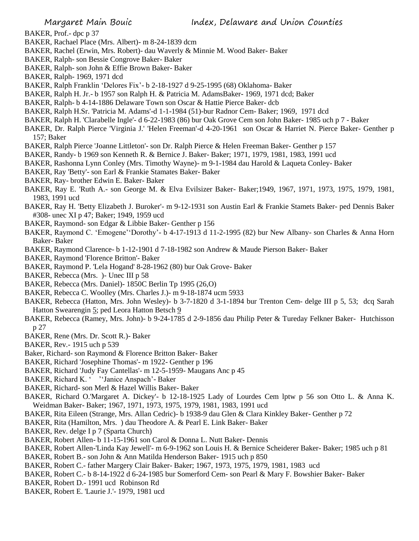- BAKER, Prof.- dpc p 37
- BAKER, Rachael Place (Mrs. Albert)- m 8-24-1839 dcm
- BAKER, Rachel (Erwin, Mrs. Robert)- dau Waverly & Minnie M. Wood Baker- Baker
- BAKER, Ralph- son Bessie Congrove Baker- Baker
- BAKER, Ralph- son John & Effie Brown Baker- Baker
- BAKER, Ralph- 1969, 1971 dcd
- BAKER, Ralph Franklin 'Delores Fix'- b 2-18-1927 d 9-25-1995 (68) Oklahoma- Baker
- BAKER, Ralph H. Jr.- b 1957 son Ralph H. & Patricia M. AdamsBaker- 1969, 1971 dcd; Baker
- BAKER, Ralph- b 4-14-1886 Delaware Town son Oscar & Hattie Pierce Baker- dcb
- BAKER, Ralph H.Sr. 'Patricia M. Adams'-d 1-1-1984 (51)-bur Radnor Cem- Baker; 1969, 1971 dcd
- BAKER, Ralph H. 'Clarabelle Ingle'- d 6-22-1983 (86) bur Oak Grove Cem son John Baker- 1985 uch p 7 Baker
- BAKER, Dr. Ralph Pierce 'Virginia J.' 'Helen Freeman'-d 4-20-1961 son Oscar & Harriet N. Pierce Baker- Genther p 157; Baker
- BAKER, Ralph Pierce 'Joanne Littleton'- son Dr. Ralph Pierce & Helen Freeman Baker- Genther p 157
- BAKER, Randy- b 1969 son Kenneth R. & Bernice J. Baker- Baker; 1971, 1979, 1981, 1983, 1991 ucd
- BAKER, Rashonna Lynn Conley (Mrs. Timothy Wayne)- m 9-1-1984 dau Harold & Laqueta Conley- Baker
- BAKER, Ray 'Betty'- son Earl & Frankie Stamates Baker- Baker
- BAKER, Ray- brother Edwin E. Baker- Baker
- BAKER, Ray E. 'Ruth A.- son George M. & Elva Evilsizer Baker- Baker;1949, 1967, 1971, 1973, 1975, 1979, 1981, 1983, 1991 ucd
- BAKER, Ray H. 'Betty Elizabeth J. Buroker'- m 9-12-1931 son Austin Earl & Frankie Stamets Baker- ped Dennis Baker #308- unec XI p 47; Baker; 1949, 1959 ucd
- BAKER, Raymond- son Edgar & Libbie Baker- Genther p 156
- BAKER, Raymond C. 'Emogene''Dorothy'- b 4-17-1913 d 11-2-1995 (82) bur New Albany- son Charles & Anna Horn Baker- Baker
- BAKER, Raymond Clarence- b 1-12-1901 d 7-18-1982 son Andrew & Maude Pierson Baker- Baker
- BAKER, Raymond 'Florence Britton'- Baker
- BAKER, Raymond P. 'Lela Hogand' 8-28-1962 (80) bur Oak Grove- Baker
- BAKER, Rebecca (Mrs. )- Unec III p 58
- BAKER, Rebecca (Mrs. Daniel)- 1850C Berlin Tp 1995 (26,O)
- BAKER, Rebecca C. Woolley (Mrs. Charles J.)- m 9-18-1874 ucm 5933
- BAKER, Rebecca (Hatton, Mrs. John Wesley)- b 3-7-1820 d 3-1-1894 bur Trenton Cem- delge III p 5, 53; dcq Sarah Hatton Swearengin 5; ped Leora Hatton Betsch 9
- BAKER, Rebecca (Ramey, Mrs. John)- b 9-24-1785 d 2-9-1856 dau Philip Peter & Tureday Felkner Baker- Hutchisson p 27
- BAKER, Rene (Mrs. Dr. Scott R.)- Baker
- BAKER, Rev.- 1915 uch p 539
- Baker, Richard- son Raymond & Florence Britton Baker- Baker
- BAKER, Richard 'Josephine Thomas'- m 1922- Genther p 196
- BAKER, Richard 'Judy Fay Cantellas'- m 12-5-1959- Maugans Anc p 45
- BAKER, Richard K. ' ''Janice Anspach'- Baker
- BAKER, Richard- son Merl & Hazel Willis Baker- Baker
- BAKER, Richard O.'Margaret A. Dickey'- b 12-18-1925 Lady of Lourdes Cem lptw p 56 son Otto L. & Anna K. Weidman Baker- Baker; 1967, 1971, 1973, 1975, 1979, 1981, 1983, 1991 ucd
- BAKER, Rita Eileen (Strange, Mrs. Allan Cedric)- b 1938-9 dau Glen & Clara Kinkley Baker- Genther p 72
- BAKER, Rita (Hamilton, Mrs. ) dau Theodore A. & Pearl E. Link Baker- Baker
- BAKER, Rev. delge I p 7 (Sparta Church)
- BAKER, Robert Allen- b 11-15-1961 son Carol & Donna L. Nutt Baker- Dennis
- BAKER, Robert Allen-'Linda Kay Jewell'- m 6-9-1962 son Louis H. & Bernice Scheiderer Baker- Baker; 1985 uch p 81
- BAKER, Robert B.- son John & Ann Matilda Henderson Baker- 1915 uch p 850
- BAKER, Robert C.- father Margery Clair Baker- Baker; 1967, 1973, 1975, 1979, 1981, 1983 ucd
- BAKER, Robert C.- b 8-14-1922 d 6-24-1985 bur Somerford Cem- son Pearl & Mary F. Bowshier Baker- Baker
- BAKER, Robert D.- 1991 ucd Robinson Rd
- BAKER, Robert E. 'Laurie J.'- 1979, 1981 ucd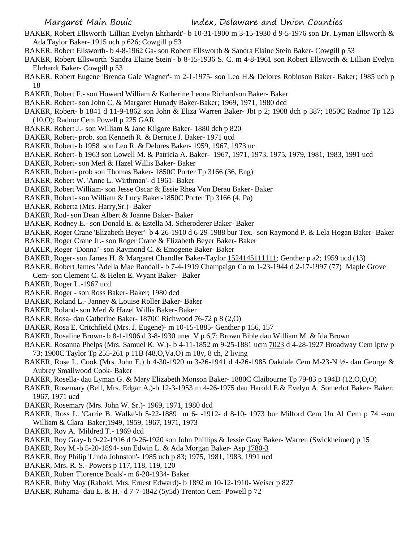- BAKER, Robert Ellsworth 'Lillian Evelyn Ehrhardt'- b 10-31-1900 m 3-15-1930 d 9-5-1976 son Dr. Lyman Ellsworth & Ada Taylor Baker- 1915 uch p 626; Cowgill p 53
- BAKER, Robert Ellsworth- b 4-8-1962 Ga- son Robert Ellsworth & Sandra Elaine Stein Baker- Cowgill p 53
- BAKER, Robert Ellsworth 'Sandra Elaine Stein'- b 8-15-1936 S. C. m 4-8-1961 son Robert Ellsworth & Lillian Evelyn Ehrhardt Baker- Cowgill p 53
- BAKER, Robert Eugene 'Brenda Gale Wagner'- m 2-1-1975- son Leo H.& Delores Robinson Baker- Baker; 1985 uch p 18
- BAKER, Robert F.- son Howard William & Katherine Leona Richardson Baker- Baker
- BAKER, Robert- son John C. & Margaret Hunady Baker-Baker; 1969, 1971, 1980 dcd
- BAKER, Robert- b 1841 d 11-9-1862 son John & Eliza Warren Baker- Jbt p 2; 1908 dch p 387; 1850C Radnor Tp 123 (10,O); Radnor Cem Powell p 225 GAR
- BAKER, Robert J.- son William & Jane Kilgore Baker- 1880 dch p 820
- BAKER, Robert- prob. son Kenneth R. & Bernice J. Baker- 1971 ucd
- BAKER, Robert- b 1958 son Leo R. & Delores Baker- 1959, 1967, 1973 uc
- BAKER, Robert- b 1963 son Lowell M. & Patricia A. Baker- 1967, 1971, 1973, 1975, 1979, 1981, 1983, 1991 ucd
- BAKER, Robert- son Merl & Hazel Willis Baker- Baker
- BAKER, Robert- prob son Thomas Baker- 1850C Porter Tp 3166 (36, Eng)
- BAKER, Robert W. 'Anne L. Wirthman'- d 1961- Baker
- BAKER, Robert William- son Jesse Oscar & Essie Rhea Von Derau Baker- Baker
- BAKER, Robert- son William & Lucy Baker-1850C Porter Tp 3166 (4, Pa)
- BAKER, Roberta (Mrs. Harry,Sr.)- Baker
- BAKER, Rod- son Dean Albert & Joanne Baker- Baker
- BAKER, Rodney E.- son Donald E. & Estella M. Scheroderer Baker- Baker
- BAKER, Roger Crane 'Elizabeth Beyer'- b 4-26-1910 d 6-29-1988 bur Tex.- son Raymond P. & Lela Hogan Baker- Baker
- BAKER, Roger Crane Jr.- son Roger Crane & Elizabeth Beyer Baker- Baker
- BAKER, Roger 'Donna'- son Raymond C. & Emogene Baker- Baker
- BAKER, Roger- son James H. & Margaret Chandler Baker-Taylor 1524145111111; Genther p a2; 1959 ucd (13)
- BAKER, Robert James 'Adella Mae Randall'- b 7-4-1919 Champaign Co m 1-23-1944 d 2-17-1997 (77) Maple Grove
- Cem- son Clement C. & Helen E. Wyant Baker- Baker
- BAKER, Roger L.-1967 ucd
- BAKER, Roger son Ross Baker- Baker; 1980 dcd
- BAKER, Roland L.- Janney & Louise Roller Baker- Baker
- BAKER, Roland- son Merl & Hazel Willis Baker- Baker
- BAKER, Rosa- dau Catherine Baker- 1870C Richwood 76-72 p 8 (2,O)
- BAKER, Rosa E. Critchfield (Mrs. J. Eugene)- m 10-15-1885- Genther p 156, 157
- BAKER, Rosaline Brown- b 8-1-1906 d 3-8-1930 unec V p 6,7; Brown Bible dau William M. & Ida Brown
- BAKER, Rosanna Phelps (Mrs. Samuel K. W.)- b 4-11-1852 m 9-25-1881 ucm 7023 d 4-28-1927 Broadway Cem lptw p 73; 1900C Taylor Tp 255-261 p 11B (48,O,Va,O) m 18y, 8 ch, 2 living
- BAKER, Rose L. Cook (Mrs. John E.) b 4-30-1920 m 3-26-1941 d 4-26-1985 Oakdale Cem M-23-N ½- dau George & Aubrey Smallwood Cook- Baker
- BAKER, Rosella- dau Lyman G. & Mary Elizabeth Monson Baker- 1880C Claibourne Tp 79-83 p 194D (12,O,O,O)
- BAKER, Rosemary (Bell, Mrs. Edgar A.)-b 12-3-1953 m 4-26-1975 dau Harold E.& Evelyn A. Somerlot Baker- Baker; 1967, 1971 ucd
- BAKER, Rosemary (Mrs. John W. Sr.)- 1969, 1971, 1980 dcd
- BAKER, Ross L. 'Carrie B. Walke'-b 5-22-1889 m 6- -1912- d 8-10- 1973 bur Milford Cem Un Al Cem p 74 -son William & Clara Baker;1949, 1959, 1967, 1971, 1973
- BAKER, Roy A. 'Mildred T.- 1969 dcd
- BAKER, Roy Gray- b 9-22-1916 d 9-26-1920 son John Phillips & Jessie Gray Baker- Warren (Swickheimer) p 15
- BAKER, Roy M.-b 5-20-1894- son Edwin L. & Ada Morgan Baker- Asp 1780-3
- BAKER, Roy Philip 'Linda Johnston'- 1985 uch p 83; 1975, 1981, 1983, 1991 ucd
- BAKER, Mrs. R. S.- Powers p 117, 118, 119, 120
- BAKER, Ruben 'Florence Boals'- m 6-20-1934- Baker
- BAKER, Ruby May (Rabold, Mrs. Ernest Edward)- b 1892 m 10-12-1910- Weiser p 827
- BAKER, Ruhama- dau E. & H.- d 7-7-1842 (5y5d) Trenton Cem- Powell p 72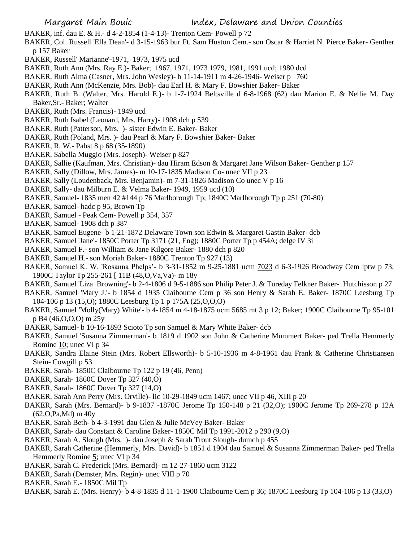- BAKER, inf. dau E. & H.- d 4-2-1854 (1-4-13)- Trenton Cem- Powell p 72
- BAKER, Col. Russell 'Ella Dean'- d 3-15-1963 bur Ft. Sam Huston Cem.- son Oscar & Harriet N. Pierce Baker- Genther p 157 Baker
- BAKER, Russell' Marianne'-1971, 1973, 1975 ucd
- BAKER, Ruth Ann (Mrs. Ray E.)- Baker; 1967, 1971, 1973 1979, 1981, 1991 ucd; 1980 dcd
- BAKER, Ruth Alma (Casner, Mrs. John Wesley)- b 11-14-1911 m 4-26-1946- Weiser p 760
- BAKER, Ruth Ann (McKenzie, Mrs. Bob)- dau Earl H. & Mary F. Bowshier Baker- Baker
- BAKER, Ruth B. (Walter, Mrs. Harold E.)- b 1-7-1924 Beltsville d 6-8-1968 (62) dau Marion E. & Nellie M. Day Baker,Sr.- Baker; Walter
- BAKER, Ruth (Mrs. Francis)- 1949 ucd
- BAKER, Ruth Isabel (Leonard, Mrs. Harry)- 1908 dch p 539
- BAKER, Ruth (Patterson, Mrs. )- sister Edwin E. Baker- Baker
- BAKER, Ruth (Poland, Mrs. )- dau Pearl & Mary F. Bowshier Baker- Baker
- BAKER, R. W.- Pabst 8 p 68 (35-1890)
- BAKER, Sabella Muggio (Mrs. Joseph)- Weiser p 827
- BAKER, Sallie (Kaufman, Mrs. Christian)- dau Hiram Edson & Margaret Jane Wilson Baker- Genther p 157
- BAKER, Sally (Dillow, Mrs. James)- m 10-17-1835 Madison Co- unec VII p 23
- BAKER, Sally (Loudenback, Mrs. Benjamin)- m 7-31-1826 Madison Co unec V p 16
- BAKER, Sally- dau Milburn E. & Velma Baker- 1949, 1959 ucd (10)
- BAKER, Samuel- 1835 men 42 #144 p 76 Marlborough Tp; 1840C Marlborough Tp p 251 (70-80)
- BAKER, Samuel- hadc p 95, Brown Tp
- BAKER, Samuel Peak Cem- Powell p 354, 357
- BAKER, Samuel- 1908 dch p 387
- BAKER, Samuel Eugene- b 1-21-1872 Delaware Town son Edwin & Margaret Gastin Baker- dcb
- BAKER, Samuel 'Jane'- 1850C Porter Tp 3171 (21, Eng); 1880C Porter Tp p 454A; delge IV 3i
- BAKER, Samuel F.- son William & Jane Kilgore Baker- 1880 dch p 820
- BAKER, Samuel H.- son Moriah Baker- 1880C Trenton Tp 927 (13)
- BAKER, Samuel K. W. 'Rosanna Phelps'- b 3-31-1852 m 9-25-1881 ucm 7023 d 6-3-1926 Broadway Cem lptw p 73; 1900C Taylor Tp 255-261 [ 11B (48,O,Va,Va)- m 18y
- BAKER, Samuel 'Liza Browning'- b 2-4-1806 d 9-5-1886 son Philip Peter J. & Tureday Felkner Baker- Hutchisson p 27
- BAKER, Samuel 'Mary J.'- b 1854 d 1935 Claibourne Cem p 36 son Henry & Sarah E. Baker- 1870C Leesburg Tp 104-106 p 13 (15,O); 1880C Leesburg Tp 1 p 175A (25,O,O,O)
- BAKER, Samuel 'Molly(Mary) White'- b 4-1854 m 4-18-1875 ucm 5685 mt 3 p 12; Baker; 1900C Claibourne Tp 95-101 p B4 (46,O,O,O) m 25y
- BAKER, Samuel- b 10-16-1893 Scioto Tp son Samuel & Mary White Baker- dcb
- BAKER, Samuel 'Susanna Zimmerman'- b 1819 d 1902 son John & Catherine Mummert Baker- ped Trella Hemmerly Romine 10; unec VI p 34
- BAKER, Sandra Elaine Stein (Mrs. Robert Ellsworth)- b 5-10-1936 m 4-8-1961 dau Frank & Catherine Christiansen Stein- Cowgill p 53
- BAKER, Sarah- 1850C Claibourne Tp 122 p 19 (46, Penn)
- BAKER, Sarah- 1860C Dover Tp 327 (40,O)
- BAKER, Sarah- 1860C Dover Tp 327 (14,O)
- BAKER, Sarah Ann Perry (Mrs. Orville)- lic 10-29-1849 ucm 1467; unec VII p 46, XIII p 20
- BAKER, Sarah (Mrs. Bernard)- b 9-1837 -1870C Jerome Tp 150-148 p 21 (32,O); 1900C Jerome Tp 269-278 p 12A (62,O,Pa,Md) m 40y
- BAKER, Sarah Beth- b 4-3-1991 dau Glen & Julie McVey Baker- Baker
- BAKER, Sarah- dau Constant & Caroline Baker- 1850C Mil Tp 1991-2012 p 290 (9,O)
- BAKER, Sarah A. Slough (Mrs. )- dau Joseph & Sarah Trout Slough- dumch p 455
- BAKER, Sarah Catherine (Hemmerly, Mrs. David)- b 1851 d 1904 dau Samuel & Susanna Zimmerman Baker- ped Trella Hemmerly Romine 5; unec VI p 34
- BAKER, Sarah C. Frederick (Mrs. Bernard)- m 12-27-1860 ucm 3122
- BAKER, Sarah (Demster, Mrs. Regin)- unec VIII p 70
- BAKER, Sarah E.- 1850C Mil Tp
- BAKER, Sarah E. (Mrs. Henry)- b 4-8-1835 d 11-1-1900 Claibourne Cem p 36; 1870C Leesburg Tp 104-106 p 13 (33,O)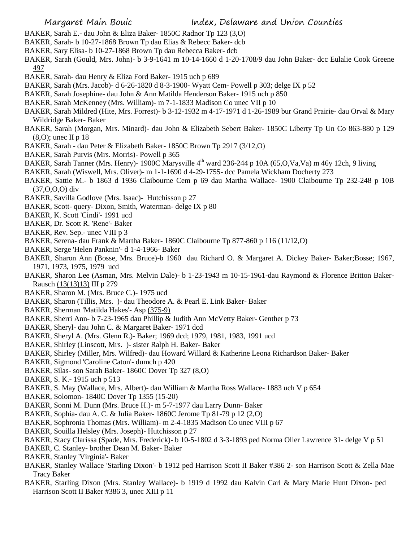- BAKER, Sarah E.- dau John & Eliza Baker- 1850C Radnor Tp 123 (3,O)
- BAKER, Sarah- b 10-27-1868 Brown Tp dau Elias & Rebecc Baker- dcb
- BAKER, Sary Elisa- b 10-27-1868 Brown Tp dau Rebecca Baker- dcb
- BAKER, Sarah (Gould, Mrs. John)- b 3-9-1641 m 10-14-1660 d 1-20-1708/9 dau John Baker- dcc Eulalie Cook Greene 497
- BAKER, Sarah- dau Henry & Eliza Ford Baker- 1915 uch p 689
- BAKER, Sarah (Mrs. Jacob)- d 6-26-1820 d 8-3-1900- Wyatt Cem- Powell p 303; delge IX p 52
- BAKER, Sarah Josephine- dau John & Ann Matilda Henderson Baker- 1915 uch p 850
- BAKER, Sarah McKenney (Mrs. William)- m 7-1-1833 Madison Co unec VII p 10
- BAKER, Sarah Mildred (Hite, Mrs. Forrest)- b 3-12-1932 m 4-17-1971 d 1-26-1989 bur Grand Prairie- dau Orval & Mary Wildridge Baker- Baker
- BAKER, Sarah (Morgan, Mrs. Minard)- dau John & Elizabeth Sebert Baker- 1850C Liberty Tp Un Co 863-880 p 129 (8,O); unec II p 18
- BAKER, Sarah dau Peter & Elizabeth Baker- 1850C Brown Tp 2917 (3/12,O)
- BAKER, Sarah Purvis (Mrs. Morris)- Powell p 365
- BAKER, Sarah Tanner (Mrs. Henry)- 1900C Marysville 4<sup>th</sup> ward 236-244 p 10A (65,O,Va,Va) m 46y 12ch, 9 living
- BAKER, Sarah (Wiswell, Mrs. Oliver)- m 1-1-1690 d 4-29-1755- dcc Pamela Wickham Docherty 273
- BAKER, Sattie M.- b 1863 d 1936 Claibourne Cem p 69 dau Martha Wallace- 1900 Claibourne Tp 232-248 p 10B (37,O,O,O) div
- BAKER, Savilla Godlove (Mrs. Isaac)- Hutchisson p 27
- BAKER, Scott- query- Dixon, Smith, Waterman- delge IX p 80
- BAKER, K. Scott 'Cindi'- 1991 ucd
- BAKER, Dr. Scott R. 'Rene'- Baker
- BAKER, Rev. Sep.- unec VIII p 3
- BAKER, Serena- dau Frank & Martha Baker- 1860C Claibourne Tp 877-860 p 116 (11/12,O)
- BAKER, Serge 'Helen Panknin'- d 1-4-1966- Baker
- BAKER, Sharon Ann (Bosse, Mrs. Bruce)-b 1960 dau Richard O. & Margaret A. Dickey Baker- Baker;Bosse; 1967, 1971, 1973, 1975, 1979 ucd
- BAKER, Sharon Lee (Asman, Mrs. Melvin Dale)- b 1-23-1943 m 10-15-1961-dau Raymond & Florence Britton Baker-Rausch (13(13)13) III p 279
- BAKER, Sharon M. (Mrs. Bruce C.)- 1975 ucd
- BAKER, Sharon (Tillis, Mrs. )- dau Theodore A. & Pearl E. Link Baker- Baker
- BAKER, Sherman 'Matilda Hakes'- Asp (375-9)
- BAKER, Sherri Ann- b 7-23-1965 dau Phillip & Judith Ann McVetty Baker- Genther p 73
- BAKER, Sheryl- dau John C. & Margaret Baker- 1971 dcd
- BAKER, Sheryl A. (Mrs. Glenn R.)- Baker; 1969 dcd; 1979, 1981, 1983, 1991 ucd
- BAKER, Shirley (Linscott, Mrs. )- sister Ralph H. Baker- Baker
- BAKER, Shirley (Miller, Mrs. Wilfred)- dau Howard Willard & Katherine Leona Richardson Baker- Baker
- BAKER, Sigmond 'Caroline Caton'- dumch p 420
- BAKER, Silas- son Sarah Baker- 1860C Dover Tp 327 (8,O)
- BAKER, S. K.- 1915 uch p 513
- BAKER, S. May (Wallace, Mrs. Albert)- dau William & Martha Ross Wallace- 1883 uch V p 654
- BAKER, Solomon- 1840C Dover Tp 1355 (15-20)
- BAKER, Sonni M. Dunn (Mrs. Bruce H.)- m 5-7-1977 dau Larry Dunn- Baker
- BAKER, Sophia- dau A. C. & Julia Baker- 1860C Jerome Tp 81-79 p 12 (2,O)
- BAKER, Sophronia Thomas (Mrs. William)- m 2-4-1835 Madison Co unec VIII p 67
- BAKER, Souilla Helsley (Mrs. Joseph)- Hutchisson p 27
- BAKER, Stacy Clarissa (Spade, Mrs. Frederick)- b 10-5-1802 d 3-3-1893 ped Norma Oller Lawrence 31- delge V p 51
- BAKER, C. Stanley- brother Dean M. Baker- Baker
- BAKER, Stanley 'Virginia'- Baker
- BAKER, Stanley Wallace 'Starling Dixon'- b 1912 ped Harrison Scott II Baker #386 2- son Harrison Scott & Zella Mae Tracy Baker
- BAKER, Starling Dixon (Mrs. Stanley Wallace)- b 1919 d 1992 dau Kalvin Carl & Mary Marie Hunt Dixon- ped Harrison Scott II Baker #386 3, unec XIII p 11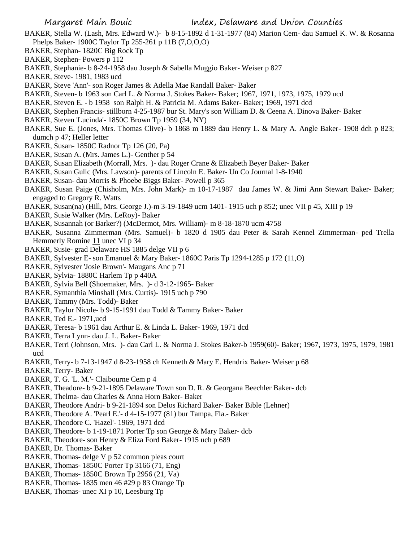- BAKER, Stella W. (Lash, Mrs. Edward W.)- b 8-15-1892 d 1-31-1977 (84) Marion Cem- dau Samuel K. W. & Rosanna Phelps Baker- 1900C Taylor Tp 255-261 p 11B (7,O,O,O)
- BAKER, Stephan- 1820C Big Rock Tp
- BAKER, Stephen- Powers p 112
- BAKER, Stephanie- b 8-24-1958 dau Joseph & Sabella Muggio Baker- Weiser p 827
- BAKER, Steve- 1981, 1983 ucd
- BAKER, Steve 'Ann'- son Roger James & Adella Mae Randall Baker- Baker
- BAKER, Steven- b 1963 son Carl L. & Norma J. Stokes Baker- Baker; 1967, 1971, 1973, 1975, 1979 ucd
- BAKER, Steven E. b 1958 son Ralph H. & Patricia M. Adams Baker- Baker; 1969, 1971 dcd
- BAKER, Stephen Francis- stillborn 4-25-1987 bur St. Mary's son William D. & Ceena A. Dinova Baker- Baker
- BAKER, Steven 'Lucinda'- 1850C Brown Tp 1959 (34, NY)
- BAKER, Sue E. (Jones, Mrs. Thomas Clive)- b 1868 m 1889 dau Henry L. & Mary A. Angle Baker- 1908 dch p 823; dumch p 47; Heller letter
- BAKER, Susan- 1850C Radnor Tp 126 (20, Pa)
- BAKER, Susan A. (Mrs. James L.)- Genther p 54
- BAKER, Susan Elizabeth (Morrall, Mrs. )- dau Roger Crane & Elizabeth Beyer Baker- Baker
- BAKER, Susan Gulic (Mrs. Lawson)- parents of Lincoln E. Baker- Un Co Journal 1-8-1940
- BAKER, Susan- dau Morris & Phoebe Biggs Baker- Powell p 365
- BAKER, Susan Paige (Chisholm, Mrs. John Mark)- m 10-17-1987 dau James W. & Jimi Ann Stewart Baker- Baker; engaged to Gregory R. Watts
- BAKER, Susan(na) (Hill, Mrs. George J.)-m 3-19-1849 ucm 1401- 1915 uch p 852; unec VII p 45, XIII p 19
- BAKER, Susie Walker (Mrs. LeRoy)- Baker
- BAKER, Susannah (or Barker?) (McDermot, Mrs. William)- m 8-18-1870 ucm 4758
- BAKER, Susanna Zimmerman (Mrs. Samuel)- b 1820 d 1905 dau Peter & Sarah Kennel Zimmerman- ped Trella Hemmerly Romine 11 unec VI p 34
- BAKER, Susie- grad Delaware HS 1885 delge VII p 6
- BAKER, Sylvester E- son Emanuel & Mary Baker- 1860C Paris Tp 1294-1285 p 172 (11,O)
- BAKER, Sylvester 'Josie Brown'- Maugans Anc p 71
- BAKER, Sylvia- 1880C Harlem Tp p 440A
- BAKER, Sylvia Bell (Shoemaker, Mrs. )- d 3-12-1965- Baker
- BAKER, Symanthia Minshall (Mrs. Curtis)- 1915 uch p 790
- BAKER, Tammy (Mrs. Todd)- Baker
- BAKER, Taylor Nicole- b 9-15-1991 dau Todd & Tammy Baker- Baker
- BAKER, Ted E.- 1971,ucd
- BAKER, Teresa- b 1961 dau Arthur E. & Linda L. Baker- 1969, 1971 dcd
- BAKER, Terra Lynn- dau J. L. Baker- Baker
- BAKER, Terri (Johnson, Mrs. )- dau Carl L. & Norma J. Stokes Baker-b 1959(60)- Baker; 1967, 1973, 1975, 1979, 1981 ucd
- BAKER, Terry- b 7-13-1947 d 8-23-1958 ch Kenneth & Mary E. Hendrix Baker- Weiser p 68
- BAKER, Terry- Baker
- BAKER, T. G. 'L. M.'- Claibourne Cem p 4
- BAKER, Theadore- b 9-21-1895 Delaware Town son D. R. & Georgana Beechler Baker- dcb
- BAKER, Thelma- dau Charles & Anna Horn Baker- Baker
- BAKER, Theodore Andri- b 9-21-1894 son Delos Richard Baker- Baker Bible (Lehner)
- BAKER, Theodore A. 'Pearl E.'- d 4-15-1977 (81) bur Tampa, Fla.- Baker
- BAKER, Theodore C. 'Hazel'- 1969, 1971 dcd
- BAKER, Theodore- b 1-19-1871 Porter Tp son George & Mary Baker- dcb
- BAKER, Theodore- son Henry & Eliza Ford Baker- 1915 uch p 689
- BAKER, Dr. Thomas- Baker
- BAKER, Thomas- delge V p 52 common pleas court
- BAKER, Thomas- 1850C Porter Tp 3166 (71, Eng)
- BAKER, Thomas- 1850C Brown Tp 2956 (21, Va)
- BAKER, Thomas- 1835 men 46 #29 p 83 Orange Tp
- BAKER, Thomas- unec XI p 10, Leesburg Tp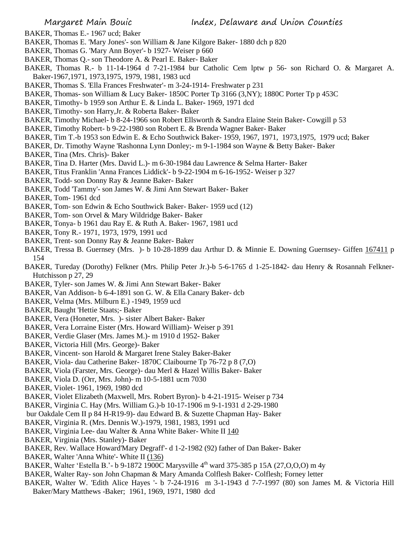- BAKER, Thomas E.- 1967 ucd; Baker
- BAKER, Thomas E. 'Mary Jones'- son William & Jane Kilgore Baker- 1880 dch p 820
- BAKER, Thomas G. 'Mary Ann Boyer'- b 1927- Weiser p 660
- BAKER, Thomas Q.- son Theodore A. & Pearl E. Baker- Baker
- BAKER, Thomas R.- b 11-14-1964 d 7-21-1984 bur Catholic Cem lptw p 56- son Richard O. & Margaret A. Baker-1967,1971, 1973,1975, 1979, 1981, 1983 ucd
- BAKER, Thomas S. 'Ella Frances Freshwater'- m 3-24-1914- Freshwater p 231
- BAKER, Thomas- son William & Lucy Baker- 1850C Porter Tp 3166 (3,NY); 1880C Porter Tp p 453C
- BAKER, Timothy- b 1959 son Arthur E. & Linda L. Baker- 1969, 1971 dcd
- BAKER, Timothy- son Harry,Jr. & Roberta Baker- Baker
- BAKER, Timothy Michael- b 8-24-1966 son Robert Ellsworth & Sandra Elaine Stein Baker- Cowgill p 53
- BAKER, Timothy Robert- b 9-22-1980 son Robert E. & Brenda Wagner Baker- Baker
- BAKER, Tim T.-b 1953 son Edwin E. & Echo Southwick Baker- 1959, 1967, 1971, 1973,1975, 1979 ucd; Baker
- BAKER, Dr. Timothy Wayne 'Rashonna Lynn Donley;- m 9-1-1984 son Wayne & Betty Baker- Baker
- BAKER, Tina (Mrs. Chris)- Baker
- BAKER, Tina D. Harter (Mrs. David L.)- m 6-30-1984 dau Lawrence & Selma Harter- Baker
- BAKER, Titus Franklin 'Anna Frances Liddick'- b 9-22-1904 m 6-16-1952- Weiser p 327
- BAKER, Todd- son Donny Ray & Jeanne Baker- Baker
- BAKER, Todd 'Tammy'- son James W. & Jimi Ann Stewart Baker- Baker
- BAKER, Tom- 1961 dcd
- BAKER, Tom- son Edwin & Echo Southwick Baker- Baker- 1959 ucd (12)
- BAKER, Tom- son Orvel & Mary Wildridge Baker- Baker
- BAKER, Tonya- b 1961 dau Ray E. & Ruth A. Baker- 1967, 1981 ucd
- BAKER, Tony R.- 1971, 1973, 1979, 1991 ucd
- BAKER, Trent- son Donny Ray & Jeanne Baker- Baker
- BAKER, Tressa B. Guernsey (Mrs. )- b 10-28-1899 dau Arthur D. & Minnie E. Downing Guernsey- Giffen 167411 p 154
- BAKER, Tureday (Dorothy) Felkner (Mrs. Philip Peter Jr.)-b 5-6-1765 d 1-25-1842- dau Henry & Rosannah Felkner-Hutchisson p 27, 29
- BAKER, Tyler- son James W. & Jimi Ann Stewart Baker- Baker
- BAKER, Van Addison- b 6-4-1891 son G. W. & Ella Canary Baker- dcb
- BAKER, Velma (Mrs. Milburn E.) -1949, 1959 ucd
- BAKER, Baught 'Hettie Staats;- Baker
- BAKER, Vera (Honeter, Mrs. )- sister Albert Baker- Baker
- BAKER, Vera Lorraine Eister (Mrs. Howard William)- Weiser p 391
- BAKER, Verdie Glaser (Mrs. James M.)- m 1910 d 1952- Baker
- BAKER, Victoria Hill (Mrs. George)- Baker
- BAKER, Vincent- son Harold & Margaret Irene Staley Baker-Baker
- BAKER, Viola- dau Catherine Baker- 1870C Claibourne Tp 76-72 p 8 (7,O)
- BAKER, Viola (Farster, Mrs. George)- dau Merl & Hazel Willis Baker- Baker
- BAKER, Viola D. (Orr, Mrs. John)- m 10-5-1881 ucm 7030
- BAKER, Violet- 1961, 1969, 1980 dcd
- BAKER, Violet Elizabeth (Maxwell, Mrs. Robert Byron)- b 4-21-1915- Weiser p 734
- BAKER, Virginia C. Hay (Mrs. William G.)-b 10-17-1906 m 9-1-1931 d 2-29-1980
- bur Oakdale Cem II p 84 H-R19-9)- dau Edward B. & Suzette Chapman Hay- Baker
- BAKER, Virginia R. (Mrs. Dennis W.)-1979, 1981, 1983, 1991 ucd
- BAKER, Virginia Lee- dau Walter & Anna White Baker- White II 140
- BAKER, Virginia (Mrs. Stanley)- Baker
- BAKER, Rev. Wallace Howard'Mary Degraff'- d 1-2-1982 (92) father of Dan Baker- Baker
- BAKER, Walter 'Anna White'- White II (136)
- BAKER, Walter 'Estella B.' b 9-1872 1900C Marysville 4<sup>th</sup> ward 375-385 p 15A (27, O, O, O) m 4y
- BAKER, Walter Ray- son John Chapman & Mary Amanda Colflesh Baker- Colflesh; Forney letter
- BAKER, Walter W. 'Edith Alice Hayes '- b 7-24-1916 m 3-1-1943 d 7-7-1997 (80) son James M. & Victoria Hill Baker/Mary Matthews -Baker; 1961, 1969, 1971, 1980 dcd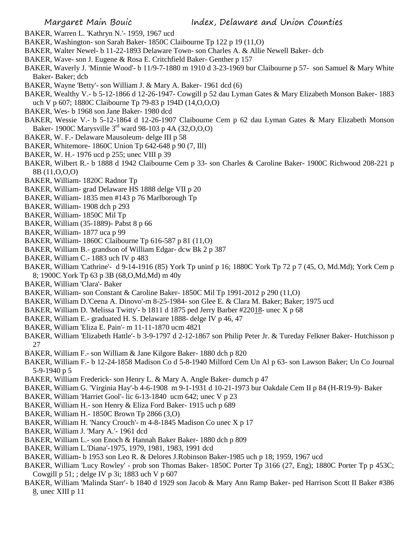- BAKER, Warren L. 'Kathryn N.'- 1959, 1967 ucd
- BAKER, Washington- son Sarah Baker- 1850C Claibourne Tp 122 p 19 (11,O)
- BAKER, Walter Newel- b 11-22-1893 Delaware Town- son Charles A. & Allie Newell Baker- dcb
- BAKER, Wave- son J. Eugene & Rosa E. Critchfield Baker- Genther p 157
- BAKER, Waverly J. 'Minnie Wood'- b 11/9-7-1880 m 1910 d 3-23-1969 bur Claibourne p 57- son Samuel & Mary White Baker- Baker; dcb
- BAKER, Wayne 'Betty'- son William J. & Mary A. Baker- 1961 dcd (6)
- BAKER, Wealthy V.- b 5-12-1866 d 12-26-1947- Cowgill p 52 dau Lyman Gates & Mary Elizabeth Monson Baker- 1883 uch V p 607; 1880C Claibourne Tp 79-83 p 194D (14,O,O,O)
- BAKER, Wes- b 1968 son Jane Baker- 1980 dcd
- BAKER, Wessie V.- b 5-12-1864 d 12-26-1907 Claibourne Cem p 62 dau Lyman Gates & Mary Elizabeth Monson Baker- 1900C Marysville 3rd ward 98-103 p 4A (32,O,O,O)
- BAKER, W. F.- Delaware Mausoleum- delge III p 58
- BAKER, Whitemore- 1860C Union Tp 642-648 p 90 (7, Ill)
- BAKER, W. H.- 1976 ucd p 255; unec VIII p 39
- BAKER, Wilbert R.- b 1888 d 1942 Claibourne Cem p 33- son Charles & Caroline Baker- 1900C Richwood 208-221 p 8B (11,O,O,O)
- BAKER, William- 1820C Radnor Tp
- BAKER, William- grad Delaware HS 1888 delge VII p 20
- BAKER, William- 1835 men #143 p 76 Marlborough Tp
- BAKER, William- 1908 dch p 293
- BAKER, William- 1850C Mil Tp
- BAKER, William (35-1889)- Pabst 8 p 66
- BAKER, William- 1877 uca p 99
- BAKER, William- 1860C Claibourne Tp 616-587 p 81 (11,O)
- BAKER, William B.- grandson of William Edgar- dcw Bk 2 p 387
- BAKER, William C.- 1883 uch IV p 483
- BAKER, William 'Cathrine'- d 9-14-1916 (85) York Tp uninf p 16; 1880C York Tp 72 p 7 (45, O, Md.Md); York Cem p 8; 1900C York Tp 63 p 3B (68,O,Md,Md) m 40y
- BAKER, William 'Clara'- Baker
- BAKER, William- son Constant & Caroline Baker- 1850C Mil Tp 1991-2012 p 290 (11,O)
- BAKER, William D.'Ceena A. Dinovo'-m 8-25-1984- son Glee E. & Clara M. Baker; Baker; 1975 ucd
- BAKER, William D. 'Melissa Twitty'- b 1811 d 1875 ped Jerry Barber #22018- unec X p 68
- BAKER, William E.- graduated H. S. Delaware 1888- delge IV p 46, 47
- BAKER, William 'Eliza E. Pain'- m 11-11-1870 ucm 4821
- BAKER, William 'Elizabeth Hattle'- b 3-9-1797 d 2-12-1867 son Philip Peter Jr. & Tureday Felkner Baker- Hutchisson p 27
- BAKER, William F.- son William & Jane Kilgore Baker- 1880 dch p 820
- BAKER, William F.- b 12-24-1858 Madison Co d 5-8-1940 Milford Cem Un Al p 63- son Lawson Baker; Un Co Journal 5-9-1940 p 5
- BAKER, William Frederick- son Henry L. & Mary A. Angle Baker- dumch p 47
- BAKER, William G. 'Virginia Hay'-b 4-6-1908 m 9-1-1931 d 10-21-1973 bur Oakdale Cem II p 84 (H-R19-9)- Baker
- BAKER, William 'Harriet Gool'- lic 6-13-1840 ucm 642; unec V p 23
- BAKER, William H.- son Henry & Eliza Ford Baker- 1915 uch p 689
- BAKER, William H.- 1850C Brown Tp 2866 (3,O)
- BAKER, William H. 'Nancy Crouch'- m 4-8-1845 Madison Co unec X p 17
- BAKER, William J. 'Mary A.'- 1961 dcd
- BAKER, William L.- son Enoch & Hannah Baker Baker- 1880 dch p 809
- BAKER, William L.'Diana'-1975, 1979, 1981, 1983, 1991 dcd
- BAKER, William- b 1953 son Leo R. & Delores J.Robinson Baker-1985 uch p 18; 1959, 1967 ucd
- BAKER, William 'Lucy Rowley' prob son Thomas Baker- 1850C Porter Tp 3166 (27, Eng); 1880C Porter Tp p 453C; Cowgill p 51; ; delge IV p 3i; 1883 uch V p 607
- BAKER, William 'Malinda Starr'- b 1840 d 1929 son Jacob & Mary Ann Ramp Baker- ped Harrison Scott II Baker #386  $8$ , unec XIII p 11